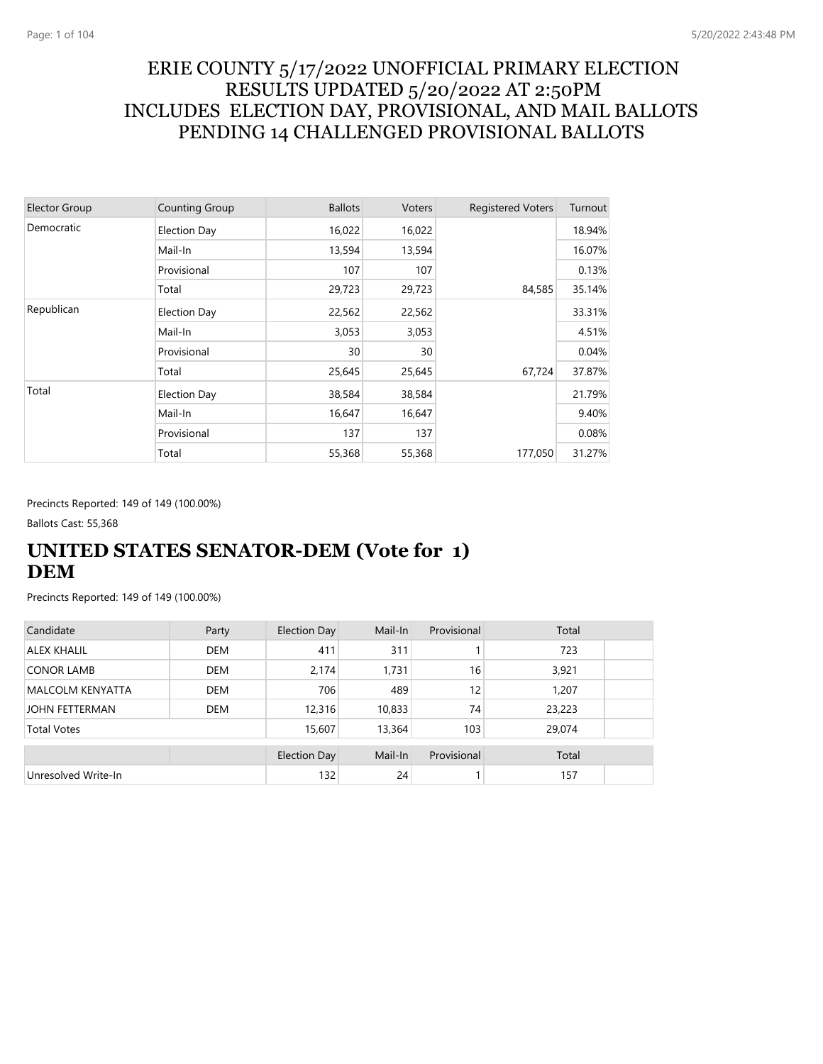## ERIE COUNTY 5/17/2022 UNOFFICIAL PRIMARY ELECTION RESULTS UPDATED 5/20/2022 AT 2:50PM INCLUDES ELECTION DAY, PROVISIONAL, AND MAIL BALLOTS PENDING 14 CHALLENGED PROVISIONAL BALLOTS

| <b>Elector Group</b> | <b>Counting Group</b> | <b>Ballots</b> | Voters | <b>Registered Voters</b> | Turnout |
|----------------------|-----------------------|----------------|--------|--------------------------|---------|
| Democratic           | Election Day          | 16,022         | 16,022 |                          | 18.94%  |
|                      | Mail-In               | 13,594         | 13,594 |                          | 16.07%  |
|                      | Provisional           | 107            | 107    |                          | 0.13%   |
|                      | Total                 | 29,723         | 29,723 | 84,585                   | 35.14%  |
| Republican           | Election Day          | 22,562         | 22,562 |                          | 33.31%  |
|                      | Mail-In               | 3,053          | 3,053  |                          | 4.51%   |
|                      | Provisional           | 30             | 30     |                          | 0.04%   |
|                      | Total                 | 25,645         | 25,645 | 67,724                   | 37.87%  |
| Total                | Election Day          | 38,584         | 38,584 |                          | 21.79%  |
|                      | Mail-In               | 16,647         | 16,647 |                          | 9.40%   |
|                      | Provisional           | 137            | 137    |                          | 0.08%   |
|                      | Total                 | 55,368         | 55,368 | 177,050                  | 31.27%  |

Precincts Reported: 149 of 149 (100.00%)

Ballots Cast: 55,368

## **UNITED STATES SENATOR-DEM (Vote for 1) DEM**

| Candidate               | Party      | Election Day        | Mail-In | Provisional | Total  |  |
|-------------------------|------------|---------------------|---------|-------------|--------|--|
| <b>ALEX KHALIL</b>      | <b>DEM</b> | 411                 | 311     |             | 723    |  |
| <b>CONOR LAMB</b>       | <b>DEM</b> | 2,174               | 1,731   | 16          | 3,921  |  |
| <b>MALCOLM KENYATTA</b> | <b>DEM</b> | 706                 | 489     | 12          | 1.207  |  |
| <b>JOHN FETTERMAN</b>   | <b>DEM</b> | 12,316              | 10,833  | 74          | 23,223 |  |
| <b>Total Votes</b>      |            | 15,607              | 13,364  | 103         | 29,074 |  |
|                         |            | <b>Election Day</b> | Mail-In | Provisional | Total  |  |
| Unresolved Write-In     |            | 132                 | 24      |             | 157    |  |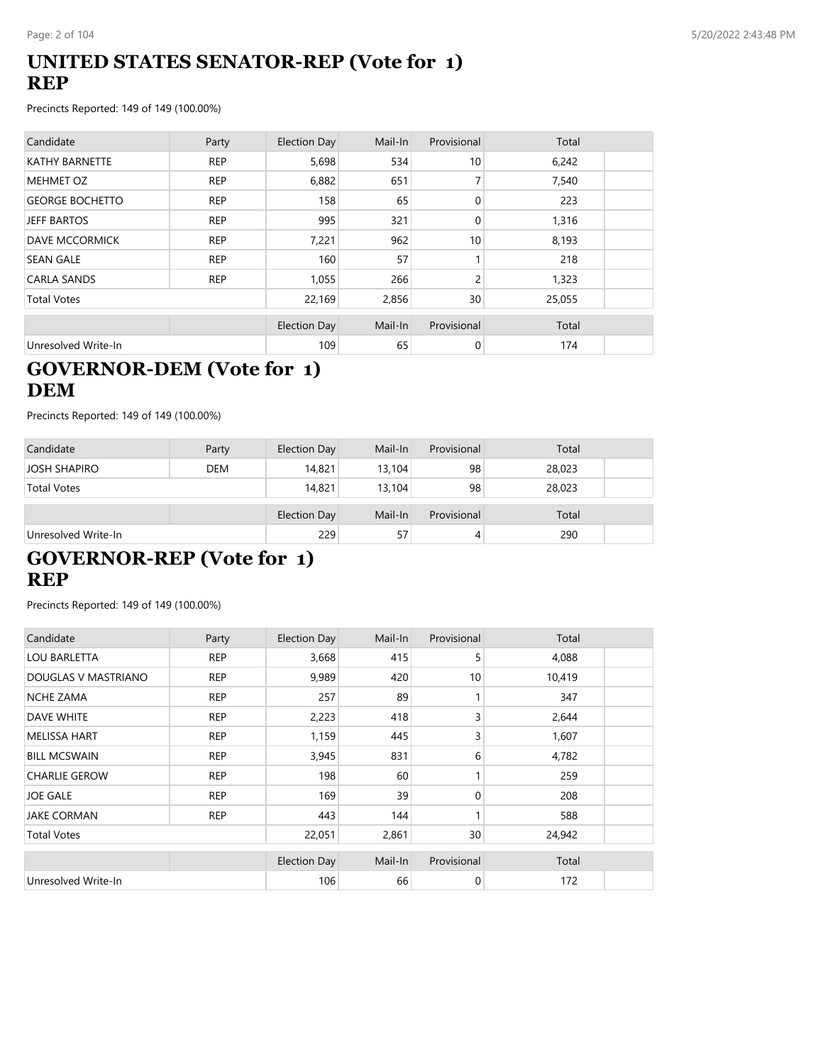## **UNITED STATES SENATOR-REP (Vote for 1) REP**

Precincts Reported: 149 of 149 (100.00%)

| Candidate              | Party      | Election Day        | Mail-In | Provisional     | Total  |  |
|------------------------|------------|---------------------|---------|-----------------|--------|--|
| <b>KATHY BARNETTE</b>  | <b>REP</b> | 5,698               | 534     | 10 <sup>1</sup> | 6,242  |  |
| <b>MEHMET OZ</b>       | <b>REP</b> | 6,882               | 651     | 7               | 7,540  |  |
| <b>GEORGE BOCHETTO</b> | <b>REP</b> | 158                 | 65      | $\mathbf{0}$    | 223    |  |
| <b>JEFF BARTOS</b>     | <b>REP</b> | 995                 | 321     | $\mathbf{0}$    | 1,316  |  |
| <b>DAVE MCCORMICK</b>  | <b>REP</b> | 7,221               | 962     | 10              | 8,193  |  |
| <b>SEAN GALE</b>       | <b>REP</b> | 160                 | 57      |                 | 218    |  |
| <b>CARLA SANDS</b>     | <b>REP</b> | 1,055               | 266     | 2               | 1,323  |  |
| <b>Total Votes</b>     |            | 22,169              | 2,856   | 30 <sup>°</sup> | 25,055 |  |
|                        |            | <b>Election Day</b> | Mail-In | Provisional     | Total  |  |
| Unresolved Write-In    |            | 109                 | 65      | $\mathbf 0$     | 174    |  |

## **GOVERNOR-DEM (Vote for 1) DEM**

Precincts Reported: 149 of 149 (100.00%)

| Candidate           | Party      | Election Day        | Mail-In | Provisional | Total  |
|---------------------|------------|---------------------|---------|-------------|--------|
| <b>JOSH SHAPIRO</b> | <b>DEM</b> | 14,821              | 13,104  | 98          | 28,023 |
| <b>Total Votes</b>  |            | 14,821              | 13,104  | 98          | 28,023 |
|                     |            | <b>Election Day</b> | Mail-In | Provisional | Total  |
| Unresolved Write-In |            | 229                 | 57      | 4           | 290    |

# **GOVERNOR-REP (Vote for 1) REP**

| Candidate            | Party      | <b>Election Day</b> | Mail-In | Provisional | Total  |  |
|----------------------|------------|---------------------|---------|-------------|--------|--|
| <b>LOU BARLETTA</b>  | <b>REP</b> | 3,668               | 415     | 5           | 4,088  |  |
| DOUGLAS V MASTRIANO  | <b>REP</b> | 9,989               | 420     | 10          | 10,419 |  |
| <b>NCHE ZAMA</b>     | <b>REP</b> | 257                 | 89      |             | 347    |  |
| <b>DAVE WHITE</b>    | <b>REP</b> | 2,223               | 418     | 3           | 2,644  |  |
| <b>MELISSA HART</b>  | <b>REP</b> | 1,159               | 445     | 3           | 1,607  |  |
| <b>BILL MCSWAIN</b>  | <b>REP</b> | 3,945               | 831     | 6           | 4,782  |  |
| <b>CHARLIE GEROW</b> | <b>REP</b> | 198                 | 60      |             | 259    |  |
| <b>JOE GALE</b>      | <b>REP</b> | 169                 | 39      | 0           | 208    |  |
| <b>JAKE CORMAN</b>   | <b>REP</b> | 443                 | 144     |             | 588    |  |
| <b>Total Votes</b>   |            | 22,051              | 2,861   | 30          | 24,942 |  |
|                      |            | <b>Election Day</b> | Mail-In | Provisional | Total  |  |
| Unresolved Write-In  |            | 106                 | 66      | 0           | 172    |  |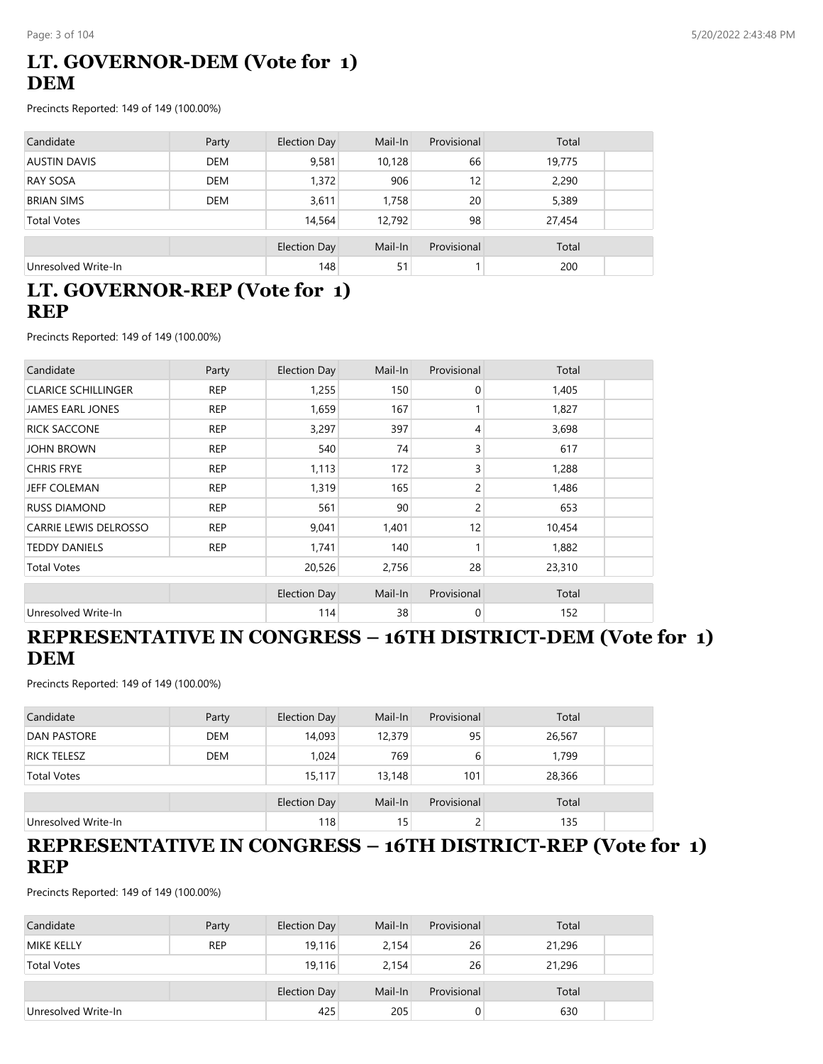## **LT. GOVERNOR-DEM (Vote for 1) DEM**

Precincts Reported: 149 of 149 (100.00%)

| Candidate           | Party      | <b>Election Day</b> | Mail-In | Provisional | Total  |
|---------------------|------------|---------------------|---------|-------------|--------|
| <b>AUSTIN DAVIS</b> | <b>DEM</b> | 9,581               | 10,128  | 66          | 19,775 |
| <b>RAY SOSA</b>     | <b>DEM</b> | 1,372               | 906     | 12          | 2,290  |
| <b>BRIAN SIMS</b>   | <b>DEM</b> | 3,611               | 1,758   | 20          | 5,389  |
| <b>Total Votes</b>  |            | 14,564              | 12,792  | 98          | 27,454 |
|                     |            | <b>Election Day</b> | Mail-In | Provisional | Total  |
| Unresolved Write-In |            | 148                 | 51      |             | 200    |

## **LT. GOVERNOR-REP (Vote for 1) REP**

Precincts Reported: 149 of 149 (100.00%)

| Candidate                    | Party      | <b>Election Day</b> | Mail-In | Provisional  | Total  |  |
|------------------------------|------------|---------------------|---------|--------------|--------|--|
| <b>CLARICE SCHILLINGER</b>   | <b>REP</b> | 1,255               | 150     | $\mathbf{0}$ | 1,405  |  |
| <b>JAMES EARL JONES</b>      | <b>REP</b> | 1,659               | 167     |              | 1,827  |  |
| <b>RICK SACCONE</b>          | <b>REP</b> | 3,297               | 397     | 4            | 3,698  |  |
| <b>JOHN BROWN</b>            | <b>REP</b> | 540                 | 74      | 3            | 617    |  |
| <b>CHRIS FRYE</b>            | <b>REP</b> | 1,113               | 172     | 3            | 1,288  |  |
| JEFF COLEMAN                 | <b>REP</b> | 1,319               | 165     | 2            | 1,486  |  |
| <b>RUSS DIAMOND</b>          | <b>REP</b> | 561                 | 90      | 2            | 653    |  |
| <b>CARRIE LEWIS DELROSSO</b> | <b>REP</b> | 9,041               | 1,401   | 12           | 10,454 |  |
| <b>TEDDY DANIELS</b>         | <b>REP</b> | 1,741               | 140     |              | 1,882  |  |
| <b>Total Votes</b>           |            | 20,526              | 2,756   | 28           | 23,310 |  |
|                              |            | <b>Election Day</b> | Mail-In | Provisional  | Total  |  |
| Unresolved Write-In          |            | 114                 | 38      | 0            | 152    |  |

## **REPRESENTATIVE IN CONGRESS – 16TH DISTRICT-DEM (Vote for 1) DEM**

Precincts Reported: 149 of 149 (100.00%)

| Candidate           | Party      | Election Day        | Mail-In | Provisional | Total  |  |
|---------------------|------------|---------------------|---------|-------------|--------|--|
| <b>DAN PASTORE</b>  | <b>DEM</b> | 14,093              | 12,379  | 95          | 26,567 |  |
| <b>RICK TELESZ</b>  | <b>DEM</b> | 1,024               | 769     | 6           | 1,799  |  |
| <b>Total Votes</b>  |            | 15.117              | 13,148  | 101         | 28,366 |  |
|                     |            | <b>Election Day</b> | Mail-In | Provisional | Total  |  |
| Unresolved Write-In |            | 118                 | 15      |             | 135    |  |

### **REPRESENTATIVE IN CONGRESS – 16TH DISTRICT-REP (Vote for 1) REP**

| Candidate           | Party      | Election Day | Mail-In | Provisional | Total  |  |
|---------------------|------------|--------------|---------|-------------|--------|--|
| <b>MIKE KELLY</b>   | <b>REP</b> | 19,116       | 2,154   | 26          | 21,296 |  |
| <b>Total Votes</b>  |            | 19,116       | 2,154   | 26          | 21,296 |  |
|                     |            | Election Day | Mail-In | Provisional | Total  |  |
| Unresolved Write-In |            | 425          | 205     | 0           | 630    |  |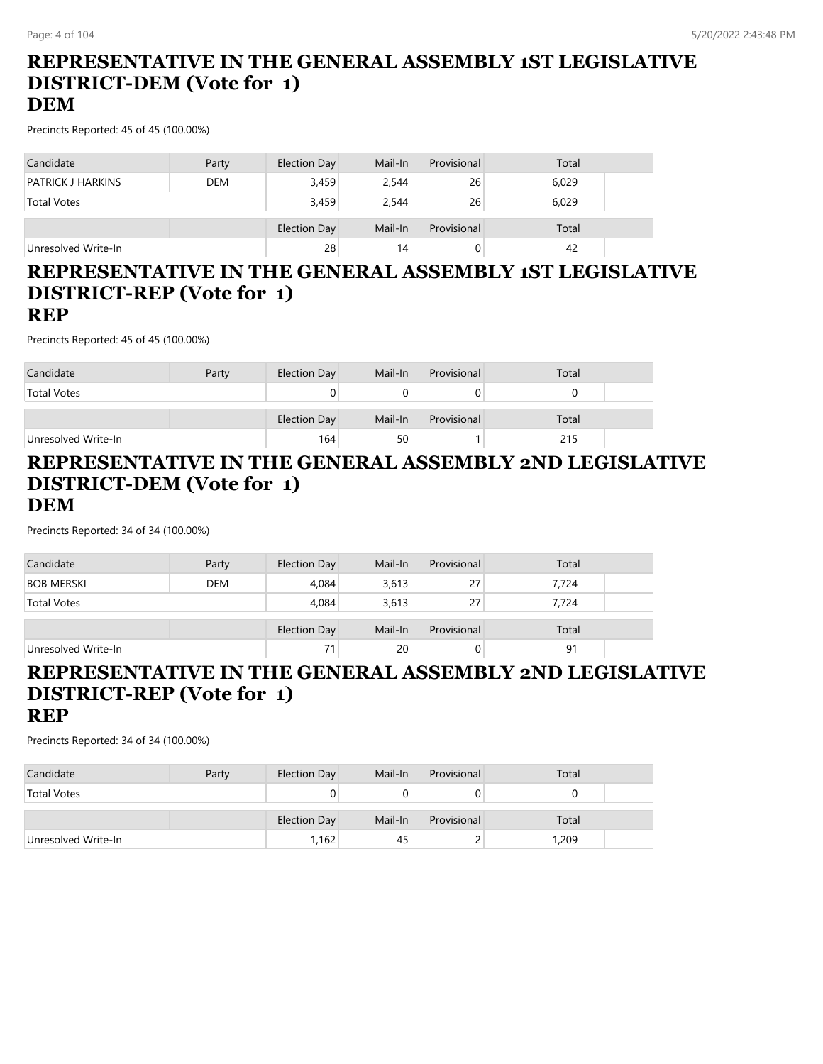# **REPRESENTATIVE IN THE GENERAL ASSEMBLY 1ST LEGISLATIVE DISTRICT-DEM (Vote for 1)**

## **DEM**

Precincts Reported: 45 of 45 (100.00%)

| Candidate                | Party      | Election Day        | Mail-In | Provisional | Total |
|--------------------------|------------|---------------------|---------|-------------|-------|
| <b>PATRICK J HARKINS</b> | <b>DEM</b> | 3,459               | 2,544   | 26          | 6,029 |
| <b>Total Votes</b>       |            | 3,459               | 2,544   | 26          | 6,029 |
|                          |            | <b>Election Day</b> | Mail-In | Provisional | Total |
|                          |            |                     |         |             |       |
| Unresolved Write-In      |            | 28                  | 14      |             | 42    |

#### **REPRESENTATIVE IN THE GENERAL ASSEMBLY 1ST LEGISLATIVE DISTRICT-REP (Vote for 1) REP**

Precincts Reported: 45 of 45 (100.00%)

| Candidate           | Party | <b>Election Day</b> | Mail-In | Provisional | Total |  |
|---------------------|-------|---------------------|---------|-------------|-------|--|
| <b>Total Votes</b>  |       |                     |         |             |       |  |
|                     |       | Election Day        | Mail-In | Provisional | Total |  |
| Unresolved Write-In |       | 164                 | 50      |             | 215   |  |

#### **REPRESENTATIVE IN THE GENERAL ASSEMBLY 2ND LEGISLATIVE DISTRICT-DEM (Vote for 1) DEM**

Precincts Reported: 34 of 34 (100.00%)

| Candidate           | Party      | <b>Election Day</b> | Mail-In | Provisional | Total |
|---------------------|------------|---------------------|---------|-------------|-------|
| <b>BOB MERSKI</b>   | <b>DEM</b> | 4,084               | 3,613   | 27          | 7,724 |
| <b>Total Votes</b>  |            | 4,084               | 3,613   | 27          | 7.724 |
|                     |            | <b>Election Day</b> | Mail-In | Provisional | Total |
| Unresolved Write-In |            | 71                  | 20      | 0           | 91    |

### **REPRESENTATIVE IN THE GENERAL ASSEMBLY 2ND LEGISLATIVE DISTRICT-REP (Vote for 1) REP**

| Candidate           | Party | Election Day | Mail-In | Provisional | Total |  |
|---------------------|-------|--------------|---------|-------------|-------|--|
| <b>Total Votes</b>  |       |              |         |             |       |  |
|                     |       |              |         |             |       |  |
|                     |       | Election Day | Mail-In | Provisional | Total |  |
| Unresolved Write-In |       | 1,162        | 45      | ∼           | 1,209 |  |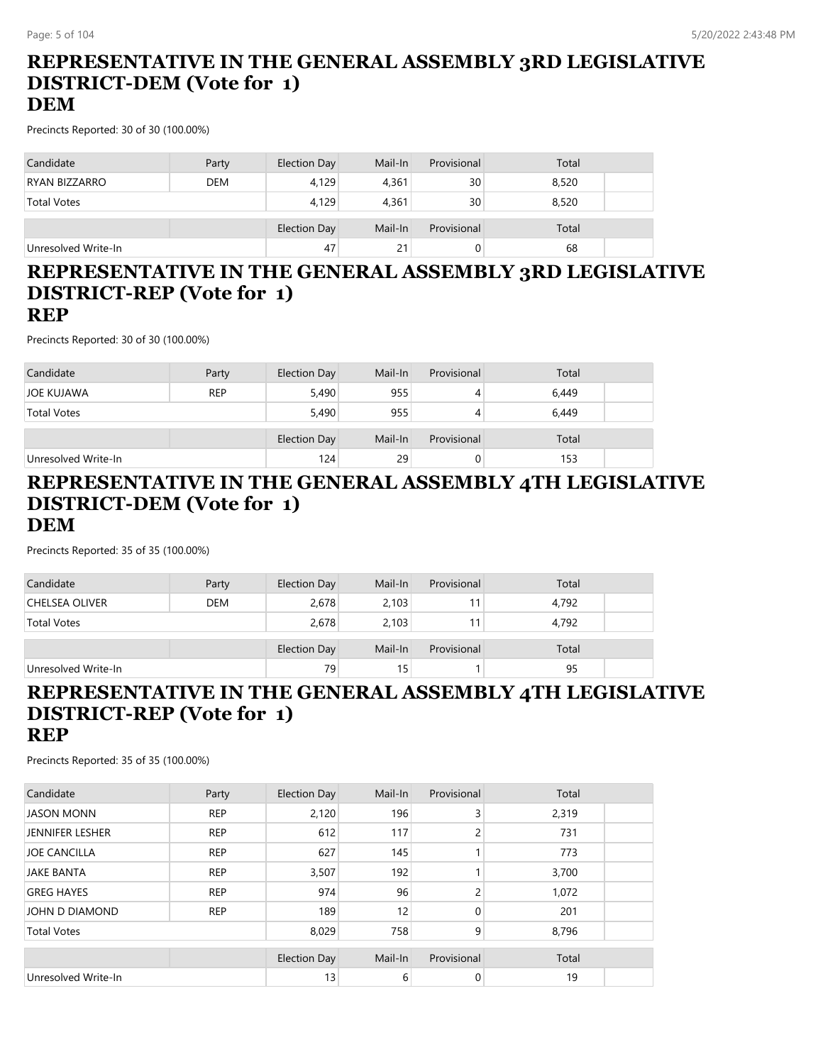# **REPRESENTATIVE IN THE GENERAL ASSEMBLY 3RD LEGISLATIVE DISTRICT-DEM (Vote for 1)**

### **DEM**

Precincts Reported: 30 of 30 (100.00%)

| Candidate            | Party      | Election Day | Mail-In | Provisional | Total |
|----------------------|------------|--------------|---------|-------------|-------|
| <b>RYAN BIZZARRO</b> | <b>DEM</b> | 4,129        | 4,361   | 30          | 8,520 |
| <b>Total Votes</b>   |            | 4,129        | 4,361   | 30          | 8,520 |
|                      |            | Election Day | Mail-In | Provisional | Total |
| Unresolved Write-In  |            | 47           | 21      |             | 68    |

#### **REPRESENTATIVE IN THE GENERAL ASSEMBLY 3RD LEGISLATIVE DISTRICT-REP (Vote for 1) REP**

Precincts Reported: 30 of 30 (100.00%)

| Candidate           | Party      | <b>Election Day</b> | Mail-In | Provisional | Total |  |
|---------------------|------------|---------------------|---------|-------------|-------|--|
| JOE KUJAWA          | <b>REP</b> | 5,490               | 955     | 4           | 6,449 |  |
| <b>Total Votes</b>  |            | 5,490               | 955     | 4           | 6,449 |  |
|                     |            | <b>Election Day</b> | Mail-In | Provisional | Total |  |
| Unresolved Write-In |            | 124                 | 29      | O           | 153   |  |

## **REPRESENTATIVE IN THE GENERAL ASSEMBLY 4TH LEGISLATIVE DISTRICT-DEM (Vote for 1) DEM**

Precincts Reported: 35 of 35 (100.00%)

| Candidate             | Party      | Election Day | Mail-In | Provisional | Total |
|-----------------------|------------|--------------|---------|-------------|-------|
| <b>CHELSEA OLIVER</b> | <b>DEM</b> | 2,678        | 2,103   |             | 4,792 |
| <b>Total Votes</b>    |            | 2,678        | 2,103   |             | 4,792 |
|                       |            | Election Day | Mail-In | Provisional | Total |
| Unresolved Write-In   |            | 79           | 15      |             | 95    |

#### **REPRESENTATIVE IN THE GENERAL ASSEMBLY 4TH LEGISLATIVE DISTRICT-REP (Vote for 1) REP**

| Candidate              | Party      | <b>Election Day</b> | Mail-In | Provisional | Total |  |
|------------------------|------------|---------------------|---------|-------------|-------|--|
| <b>JASON MONN</b>      | <b>REP</b> | 2,120               | 196     | 3           | 2,319 |  |
| <b>JENNIFER LESHER</b> | <b>REP</b> | 612                 | 117     | 2           | 731   |  |
| <b>JOE CANCILLA</b>    | <b>REP</b> | 627                 | 145     |             | 773   |  |
| <b>JAKE BANTA</b>      | <b>REP</b> | 3,507               | 192     |             | 3,700 |  |
| <b>GREG HAYES</b>      | <b>REP</b> | 974                 | 96      | 2           | 1,072 |  |
| JOHN D DIAMOND         | <b>REP</b> | 189                 | 12      | $\Omega$    | 201   |  |
| <b>Total Votes</b>     |            | 8,029               | 758     | 9           | 8,796 |  |
|                        |            | <b>Election Day</b> | Mail-In | Provisional | Total |  |
| Unresolved Write-In    |            | 13                  | 6       | 0           | 19    |  |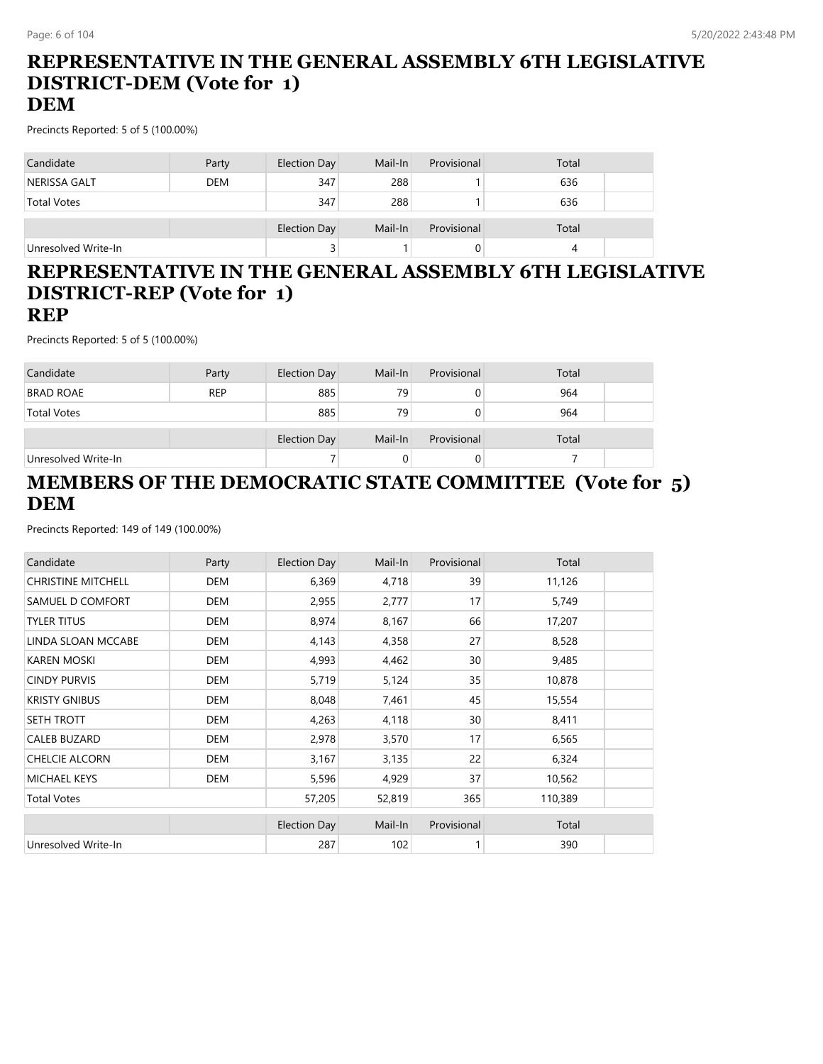# **REPRESENTATIVE IN THE GENERAL ASSEMBLY 6TH LEGISLATIVE DISTRICT-DEM (Vote for 1)**

## **DEM**

Precincts Reported: 5 of 5 (100.00%)

| Candidate           | Party      | <b>Election Day</b> | Mail-In | Provisional | Total |
|---------------------|------------|---------------------|---------|-------------|-------|
| NERISSA GALT        | <b>DEM</b> | 347                 | 288     |             | 636   |
| <b>Total Votes</b>  |            | 347                 | 288     |             | 636   |
|                     |            | <b>Election Day</b> | Mail-In | Provisional | Total |
| Unresolved Write-In |            |                     |         |             |       |

### **REPRESENTATIVE IN THE GENERAL ASSEMBLY 6TH LEGISLATIVE DISTRICT-REP (Vote for 1) REP**

Precincts Reported: 5 of 5 (100.00%)

| Candidate           | Party      | Election Day | Mail-In | Provisional | Total |  |
|---------------------|------------|--------------|---------|-------------|-------|--|
| <b>BRAD ROAE</b>    | <b>REP</b> | 885          | 79      | O           | 964   |  |
| <b>Total Votes</b>  |            | 885          | 79      |             | 964   |  |
|                     |            | Election Day | Mail-In | Provisional | Total |  |
| Unresolved Write-In |            |              |         |             |       |  |

## **MEMBERS OF THE DEMOCRATIC STATE COMMITTEE (Vote for 5) DEM**

| Candidate                 | Party      | <b>Election Day</b> | Mail-In | Provisional | Total   |
|---------------------------|------------|---------------------|---------|-------------|---------|
| <b>CHRISTINE MITCHELL</b> | DEM        | 6,369               | 4,718   | 39          | 11,126  |
| SAMUEL D COMFORT          | <b>DEM</b> | 2,955               | 2,777   | 17          | 5,749   |
| <b>TYLER TITUS</b>        | DEM        | 8,974               | 8,167   | 66          | 17,207  |
| LINDA SLOAN MCCABE        | DEM        | 4,143               | 4,358   | 27          | 8,528   |
| <b>KAREN MOSKI</b>        | DEM        | 4,993               | 4,462   | 30          | 9,485   |
| <b>CINDY PURVIS</b>       | DEM        | 5,719               | 5,124   | 35          | 10,878  |
| <b>KRISTY GNIBUS</b>      | DEM        | 8,048               | 7,461   | 45          | 15,554  |
| SETH TROTT                | DEM        | 4,263               | 4,118   | 30          | 8,411   |
| CALEB BUZARD              | DEM        | 2,978               | 3,570   | 17          | 6,565   |
| <b>CHELCIE ALCORN</b>     | <b>DEM</b> | 3,167               | 3,135   | 22          | 6,324   |
| <b>MICHAEL KEYS</b>       | DEM        | 5,596               | 4,929   | 37          | 10,562  |
| <b>Total Votes</b>        |            | 57,205              | 52,819  | 365         | 110,389 |
|                           |            | <b>Election Day</b> | Mail-In | Provisional | Total   |
| Unresolved Write-In       |            | 287                 | 102     |             | 390     |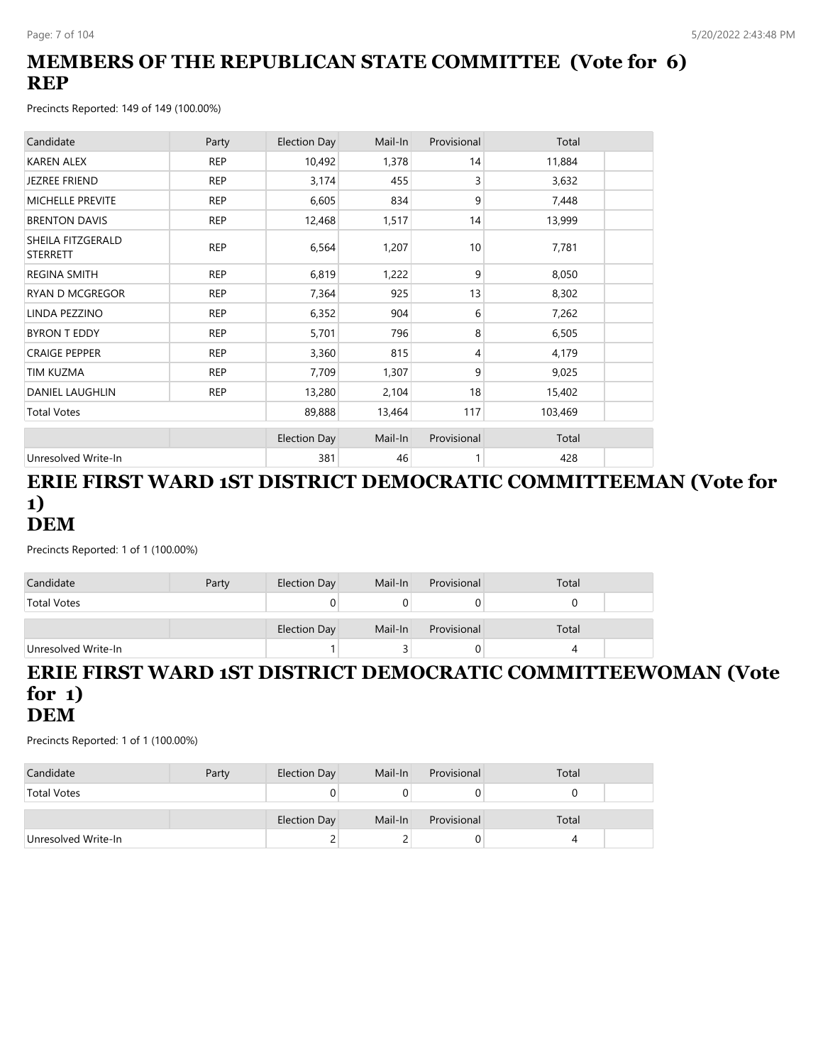## **MEMBERS OF THE REPUBLICAN STATE COMMITTEE (Vote for 6) REP**

Precincts Reported: 149 of 149 (100.00%)

| Candidate                            | Party      | <b>Election Day</b> | Mail-In | Provisional | Total   |  |
|--------------------------------------|------------|---------------------|---------|-------------|---------|--|
| <b>KAREN ALEX</b>                    | <b>REP</b> | 10,492              | 1,378   | 14          | 11,884  |  |
| <b>JEZREE FRIEND</b>                 | <b>REP</b> | 3,174               | 455     | 3           | 3,632   |  |
| <b>MICHELLE PREVITE</b>              | <b>REP</b> | 6,605               | 834     | 9           | 7,448   |  |
| <b>BRENTON DAVIS</b>                 | <b>REP</b> | 12,468              | 1,517   | 14          | 13,999  |  |
| SHEILA FITZGERALD<br><b>STERRETT</b> | <b>REP</b> | 6,564               | 1,207   | 10          | 7,781   |  |
| <b>REGINA SMITH</b>                  | <b>REP</b> | 6,819               | 1,222   | 9           | 8,050   |  |
| <b>RYAN D MCGREGOR</b>               | <b>REP</b> | 7,364               | 925     | 13          | 8,302   |  |
| LINDA PEZZINO                        | <b>REP</b> | 6,352               | 904     | 6           | 7,262   |  |
| <b>BYRON T EDDY</b>                  | <b>REP</b> | 5,701               | 796     | 8           | 6,505   |  |
| <b>CRAIGE PEPPER</b>                 | <b>REP</b> | 3,360               | 815     | 4           | 4,179   |  |
| TIM KUZMA                            | <b>REP</b> | 7,709               | 1,307   | 9           | 9,025   |  |
| <b>DANIEL LAUGHLIN</b>               | <b>REP</b> | 13,280              | 2,104   | 18          | 15,402  |  |
| <b>Total Votes</b>                   |            | 89,888              | 13,464  | 117         | 103,469 |  |
|                                      |            | <b>Election Day</b> | Mail-In | Provisional | Total   |  |
| Unresolved Write-In                  |            | 381                 | 46      |             | 428     |  |

## **ERIE FIRST WARD 1ST DISTRICT DEMOCRATIC COMMITTEEMAN (Vote for 1) DEM**

Precincts Reported: 1 of 1 (100.00%)

| Candidate           | Party | Election Day | Mail-In | Provisional | Total |  |
|---------------------|-------|--------------|---------|-------------|-------|--|
| <b>Total Votes</b>  |       |              |         |             |       |  |
|                     |       | Election Day | Mail-In | Provisional | Total |  |
| Unresolved Write-In |       |              |         | U           |       |  |

#### **ERIE FIRST WARD 1ST DISTRICT DEMOCRATIC COMMITTEEWOMAN (Vote for 1) DEM**

| Candidate           | Party | Election Day | Mail-In | Provisional | Total |  |
|---------------------|-------|--------------|---------|-------------|-------|--|
| <b>Total Votes</b>  |       |              |         |             |       |  |
|                     |       |              |         |             |       |  |
|                     |       | Election Day | Mail-In | Provisional | Total |  |
| Unresolved Write-In |       |              |         | U           |       |  |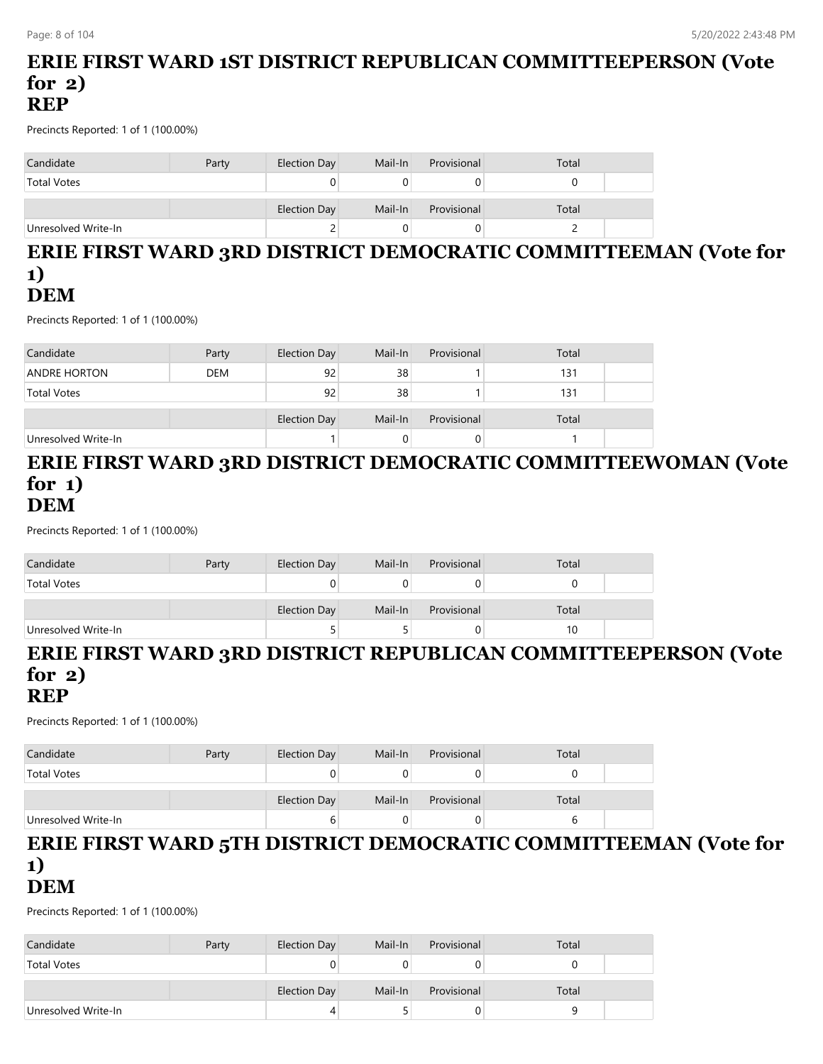## **ERIE FIRST WARD 1ST DISTRICT REPUBLICAN COMMITTEEPERSON (Vote for 2) REP**

Precincts Reported: 1 of 1 (100.00%)

| Candidate           | Party | Election Day | Mail-In | Provisional | Total |  |
|---------------------|-------|--------------|---------|-------------|-------|--|
| <b>Total Votes</b>  |       |              |         |             |       |  |
|                     |       | Election Day | Mail-In | Provisional | Total |  |
| Unresolved Write-In |       | ے            |         |             |       |  |

## **ERIE FIRST WARD 3RD DISTRICT DEMOCRATIC COMMITTEEMAN (Vote for 1) DEM**

Precincts Reported: 1 of 1 (100.00%)

| Candidate           | Party      | Election Day | Mail-In | Provisional | Total |  |
|---------------------|------------|--------------|---------|-------------|-------|--|
| <b>ANDRE HORTON</b> | <b>DEM</b> | 92           | 38      |             | 131   |  |
| <b>Total Votes</b>  |            | 92           | 38      |             | 131   |  |
|                     |            |              |         |             |       |  |
|                     |            | Election Day | Mail-In | Provisional | Total |  |
| Unresolved Write-In |            |              |         |             |       |  |

#### **ERIE FIRST WARD 3RD DISTRICT DEMOCRATIC COMMITTEEWOMAN (Vote for 1) DEM**

Precincts Reported: 1 of 1 (100.00%)

| Candidate           | Party | Election Day | Mail-In | Provisional | Total |  |
|---------------------|-------|--------------|---------|-------------|-------|--|
| <b>Total Votes</b>  |       | U            |         |             |       |  |
|                     |       | Election Day | Mail-In | Provisional | Total |  |
| Unresolved Write-In |       |              |         |             | 10    |  |

# **ERIE FIRST WARD 3RD DISTRICT REPUBLICAN COMMITTEEPERSON (Vote for 2)**

**REP**

Precincts Reported: 1 of 1 (100.00%)

| Candidate           | Party | Election Day        | Mail-In | Provisional | Total |  |
|---------------------|-------|---------------------|---------|-------------|-------|--|
| <b>Total Votes</b>  |       |                     |         |             |       |  |
|                     |       | <b>Election Day</b> | Mail-In | Provisional | Total |  |
| Unresolved Write-In |       |                     | O       |             |       |  |

### **ERIE FIRST WARD 5TH DISTRICT DEMOCRATIC COMMITTEEMAN (Vote for 1) DEM**

| Candidate           | Party | Election Day | Mail-In | Provisional | Total |  |
|---------------------|-------|--------------|---------|-------------|-------|--|
| <b>Total Votes</b>  |       |              |         |             |       |  |
|                     |       |              |         |             |       |  |
|                     |       | Election Day | Mail-In | Provisional | Total |  |
| Unresolved Write-In |       |              |         |             |       |  |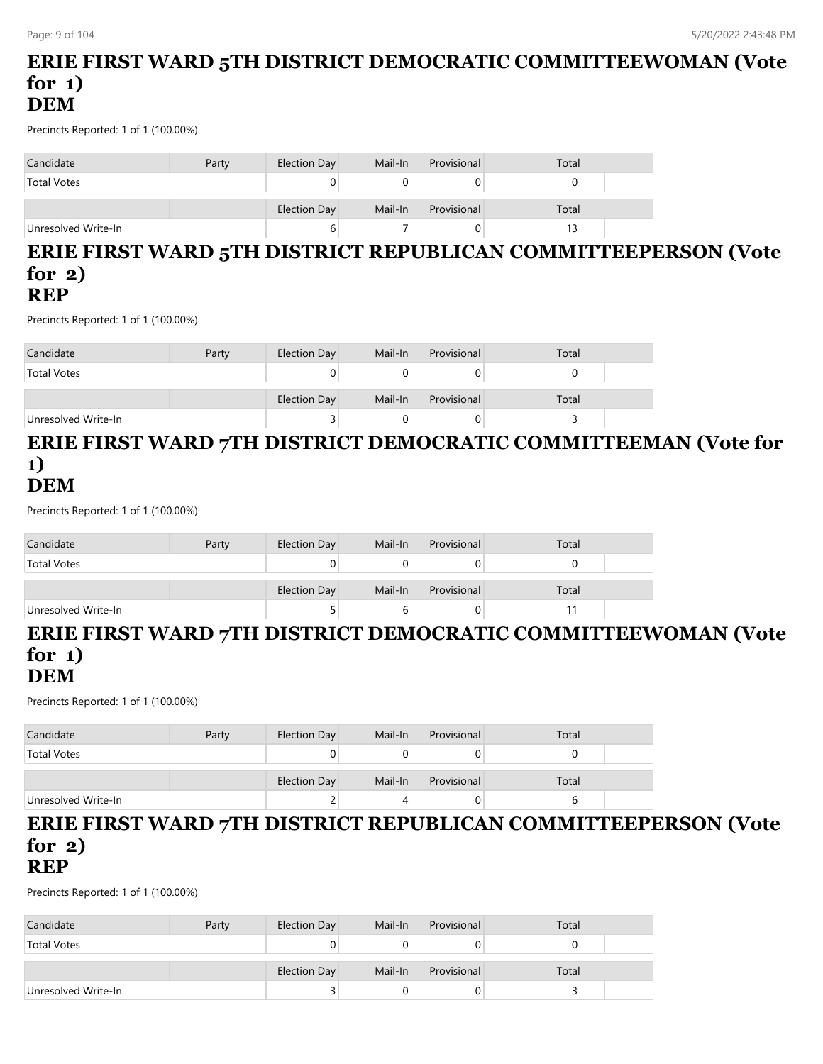## **ERIE FIRST WARD 5TH DISTRICT DEMOCRATIC COMMITTEEWOMAN (Vote for 1) DEM**

Precincts Reported: 1 of 1 (100.00%)

| Candidate           | Party | Election Day | Mail-In | Provisional | Total |
|---------------------|-------|--------------|---------|-------------|-------|
| <b>Total Votes</b>  |       | U            |         |             |       |
|                     |       | Election Day | Mail-In | Provisional | Total |
| Unresolved Write-In |       | ь            |         |             |       |

#### **ERIE FIRST WARD 5TH DISTRICT REPUBLICAN COMMITTEEPERSON (Vote for 2) REP**

Precincts Reported: 1 of 1 (100.00%)

| Candidate           | Party | Election Day | Mail-In | Provisional | Total |  |
|---------------------|-------|--------------|---------|-------------|-------|--|
| <b>Total Votes</b>  |       |              |         |             |       |  |
|                     |       | Election Day | Mail-In | Provisional | Total |  |
| Unresolved Write-In |       | ت            |         |             |       |  |

#### **ERIE FIRST WARD 7TH DISTRICT DEMOCRATIC COMMITTEEMAN (Vote for 1) DEM**

Precincts Reported: 1 of 1 (100.00%)

| Candidate           | Party | Election Day | Mail-In | Provisional | Total |  |
|---------------------|-------|--------------|---------|-------------|-------|--|
| <b>Total Votes</b>  |       |              |         |             |       |  |
|                     |       | Election Day | Mail-In | Provisional | Total |  |
| Unresolved Write-In |       |              |         |             |       |  |

## **ERIE FIRST WARD 7TH DISTRICT DEMOCRATIC COMMITTEEWOMAN (Vote for 1)**

## **DEM**

Precincts Reported: 1 of 1 (100.00%)

| Candidate           | Party | Election Day | Mail-In | Provisional | Total |  |
|---------------------|-------|--------------|---------|-------------|-------|--|
| <b>Total Votes</b>  |       |              |         |             |       |  |
|                     |       | Election Day | Mail-In | Provisional | Total |  |
| Unresolved Write-In |       |              |         |             | h     |  |

#### **ERIE FIRST WARD 7TH DISTRICT REPUBLICAN COMMITTEEPERSON (Vote for 2) REP**

| Candidate           | Party | Election Day        | Mail-In | Provisional | Total |  |
|---------------------|-------|---------------------|---------|-------------|-------|--|
| <b>Total Votes</b>  |       |                     |         |             |       |  |
|                     |       |                     |         |             |       |  |
|                     |       | <b>Election Day</b> | Mail-In | Provisional | Total |  |
| Unresolved Write-In |       |                     |         |             |       |  |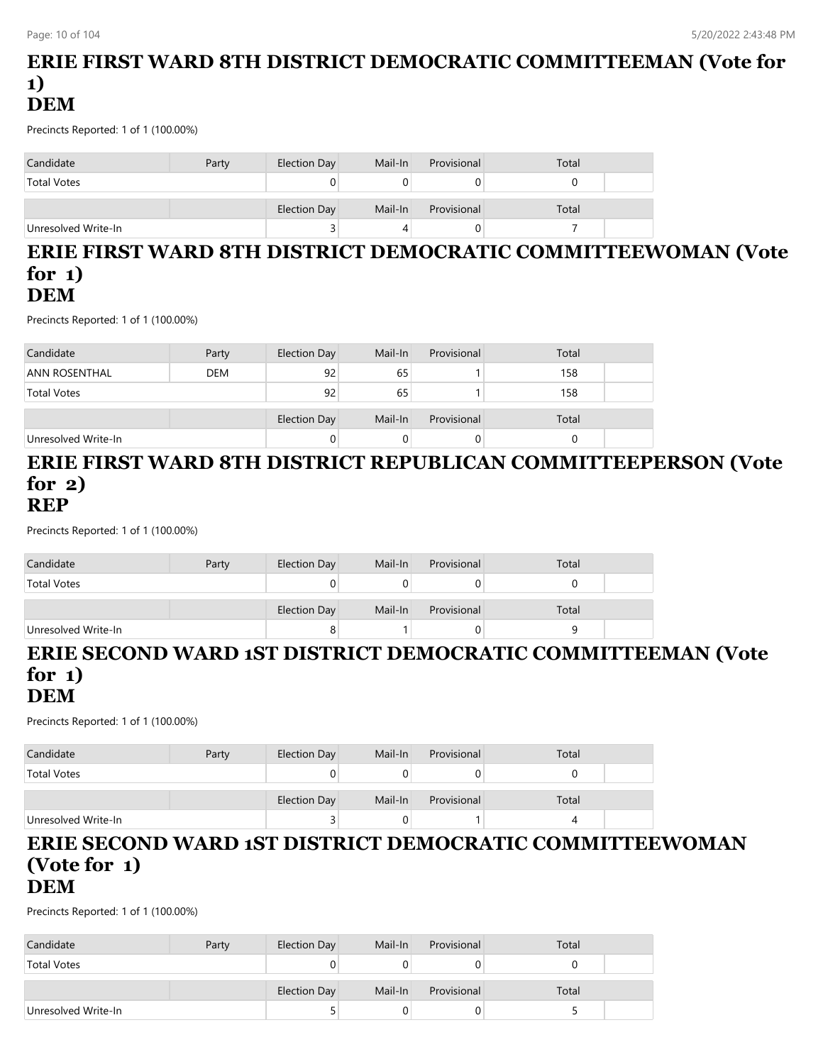## **ERIE FIRST WARD 8TH DISTRICT DEMOCRATIC COMMITTEEMAN (Vote for 1) DEM**

Precincts Reported: 1 of 1 (100.00%)

| Candidate           | Party | Election Day | Mail-In | Provisional | Total |  |
|---------------------|-------|--------------|---------|-------------|-------|--|
| <b>Total Votes</b>  |       |              |         |             |       |  |
|                     |       | Election Day | Mail-In | Provisional | Total |  |
| Unresolved Write-In |       |              |         |             |       |  |

### **ERIE FIRST WARD 8TH DISTRICT DEMOCRATIC COMMITTEEWOMAN (Vote for 1) DEM**

Precincts Reported: 1 of 1 (100.00%)

| Candidate           | Party      | <b>Election Day</b> | Mail-In | Provisional | Total |  |
|---------------------|------------|---------------------|---------|-------------|-------|--|
| ANN ROSENTHAL       | <b>DEM</b> | 92                  | 65      |             | 158   |  |
| <b>Total Votes</b>  |            | 92                  | 65      |             | 158   |  |
|                     |            |                     |         |             |       |  |
|                     |            | Election Day        | Mail-In | Provisional | Total |  |
| Unresolved Write-In |            |                     |         |             |       |  |

#### **ERIE FIRST WARD 8TH DISTRICT REPUBLICAN COMMITTEEPERSON (Vote for 2) REP**

Precincts Reported: 1 of 1 (100.00%)

| Candidate           | Party | Election Day | Mail-In | Provisional | Total |  |
|---------------------|-------|--------------|---------|-------------|-------|--|
| <b>Total Votes</b>  |       |              |         |             |       |  |
|                     |       | Election Day | Mail-In | Provisional | Total |  |
| Unresolved Write-In |       | 8            |         |             |       |  |

#### **ERIE SECOND WARD 1ST DISTRICT DEMOCRATIC COMMITTEEMAN (Vote for 1) DEM**

Precincts Reported: 1 of 1 (100.00%)

| Candidate           | Party | Election Day | Mail-In | Provisional | Total |  |
|---------------------|-------|--------------|---------|-------------|-------|--|
| <b>Total Votes</b>  |       | U            |         |             |       |  |
|                     |       | Election Day | Mail-In | Provisional | Total |  |
| Unresolved Write-In |       | ت            |         |             |       |  |

#### **ERIE SECOND WARD 1ST DISTRICT DEMOCRATIC COMMITTEEWOMAN (Vote for 1) DEM**

| Candidate           | Party | Election Day | Mail-In | Provisional | Total |  |
|---------------------|-------|--------------|---------|-------------|-------|--|
| <b>Total Votes</b>  |       |              |         |             |       |  |
|                     |       |              |         |             |       |  |
|                     |       | Election Day | Mail-In | Provisional | Total |  |
| Unresolved Write-In |       |              |         |             |       |  |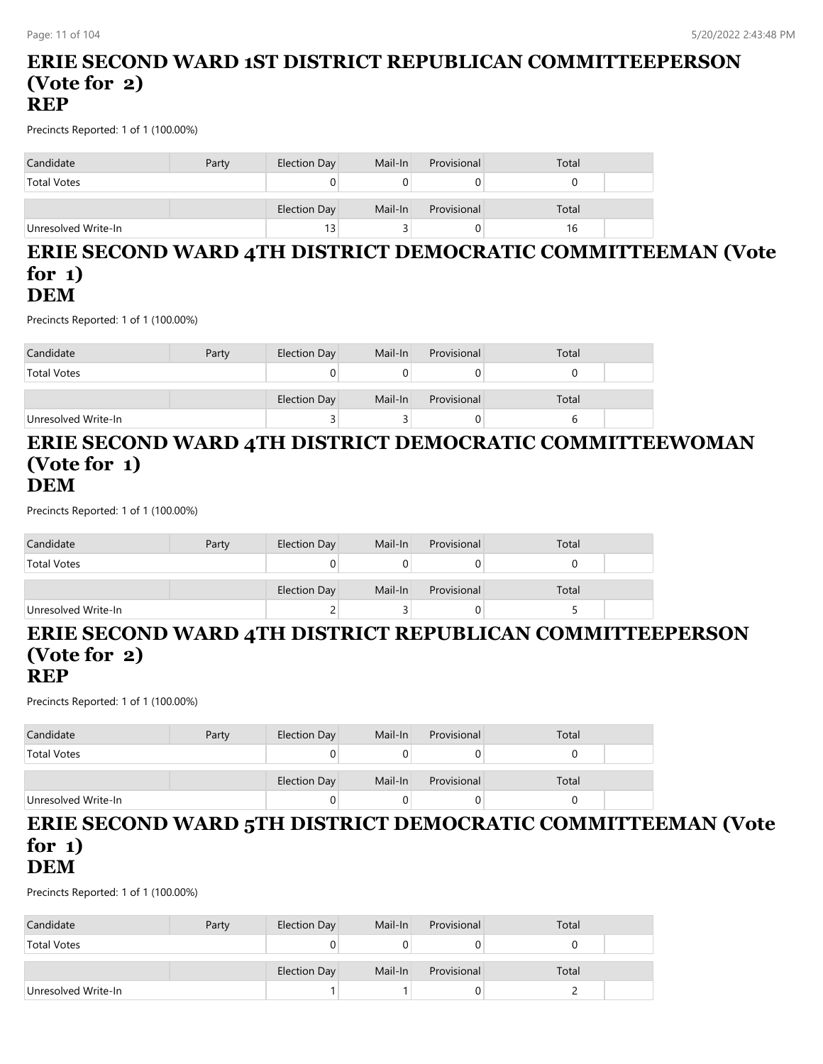## **ERIE SECOND WARD 1ST DISTRICT REPUBLICAN COMMITTEEPERSON (Vote for 2) REP**

Precincts Reported: 1 of 1 (100.00%)

| Candidate           | Party | Election Day    | Mail-In | Provisional | Total |  |
|---------------------|-------|-----------------|---------|-------------|-------|--|
| <b>Total Votes</b>  |       | Ü               |         |             |       |  |
|                     |       | Election Day    | Mail-In | Provisional | Total |  |
| Unresolved Write-In |       | 13 <sub>1</sub> |         |             | 16    |  |

#### **ERIE SECOND WARD 4TH DISTRICT DEMOCRATIC COMMITTEEMAN (Vote for 1) DEM**

Precincts Reported: 1 of 1 (100.00%)

| Candidate           | Party | Election Day | Mail-In | Provisional | Total |  |
|---------------------|-------|--------------|---------|-------------|-------|--|
| <b>Total Votes</b>  |       |              |         |             |       |  |
|                     |       | Election Day | Mail-In | Provisional | Total |  |
| Unresolved Write-In |       |              |         |             |       |  |

## **ERIE SECOND WARD 4TH DISTRICT DEMOCRATIC COMMITTEEWOMAN (Vote for 1) DEM**

Precincts Reported: 1 of 1 (100.00%)

| Candidate           | Party | Election Day | Mail-In | Provisional | Total |  |
|---------------------|-------|--------------|---------|-------------|-------|--|
| <b>Total Votes</b>  |       |              |         |             |       |  |
|                     |       | Election Day | Mail-In | Provisional | Total |  |
| Unresolved Write-In |       |              |         |             |       |  |

## **ERIE SECOND WARD 4TH DISTRICT REPUBLICAN COMMITTEEPERSON (Vote for 2)**

#### **REP**

Precincts Reported: 1 of 1 (100.00%)

| Candidate           | Party | Election Day | Mail-In | Provisional | Total |  |
|---------------------|-------|--------------|---------|-------------|-------|--|
| <b>Total Votes</b>  |       |              |         | U           |       |  |
|                     |       | Election Day | Mail-In | Provisional | Total |  |
| Unresolved Write-In |       |              |         | 0           |       |  |

#### **ERIE SECOND WARD 5TH DISTRICT DEMOCRATIC COMMITTEEMAN (Vote for 1) DEM**

| Candidate           | Party | Election Day | Mail-In | Provisional | Total |  |
|---------------------|-------|--------------|---------|-------------|-------|--|
| <b>Total Votes</b>  |       |              |         |             |       |  |
|                     |       | Election Day | Mail-In | Provisional | Total |  |
| Unresolved Write-In |       |              |         |             |       |  |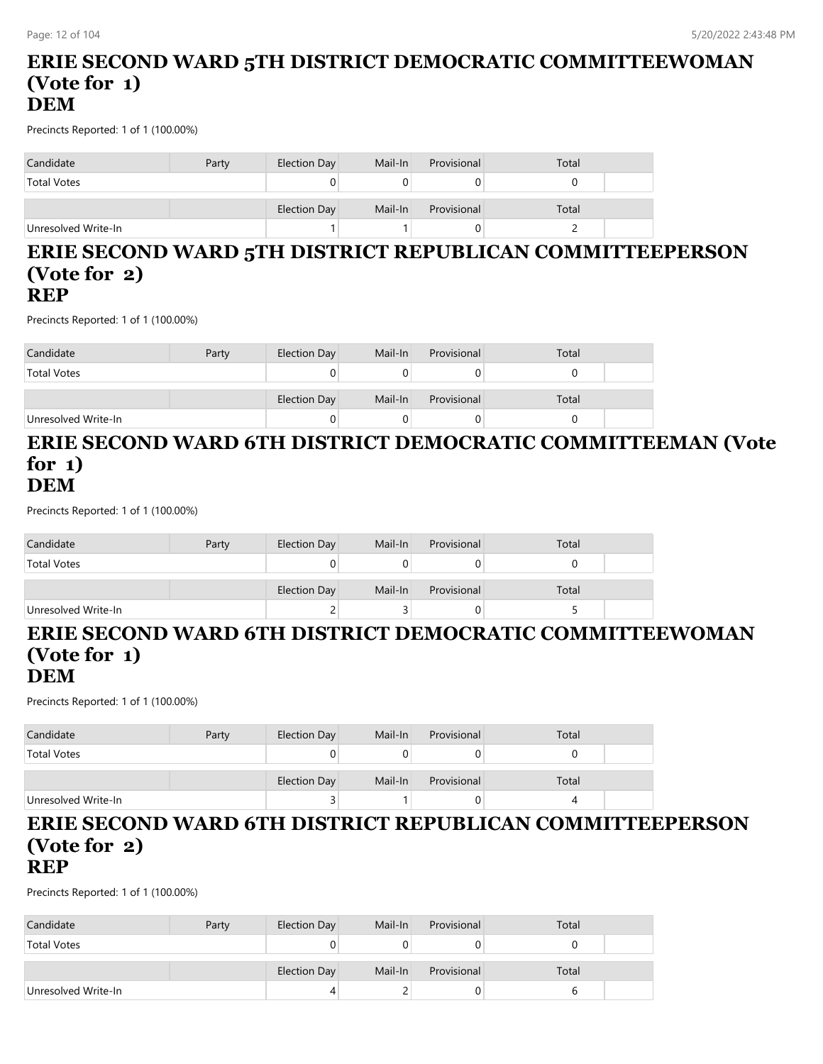## **ERIE SECOND WARD 5TH DISTRICT DEMOCRATIC COMMITTEEWOMAN (Vote for 1) DEM**

Precincts Reported: 1 of 1 (100.00%)

| Candidate           | Party | Election Day | Mail-In | Provisional | Total |  |
|---------------------|-------|--------------|---------|-------------|-------|--|
| <b>Total Votes</b>  |       |              |         |             |       |  |
|                     |       | Election Day | Mail-In | Provisional | Total |  |
| Unresolved Write-In |       |              |         |             |       |  |

#### **ERIE SECOND WARD 5TH DISTRICT REPUBLICAN COMMITTEEPERSON (Vote for 2) REP**

Precincts Reported: 1 of 1 (100.00%)

| Candidate           | Party | Election Day | Mail-In | Provisional | Total |  |
|---------------------|-------|--------------|---------|-------------|-------|--|
| <b>Total Votes</b>  |       |              |         |             |       |  |
|                     |       | Election Day | Mail-In | Provisional | Total |  |
| Unresolved Write-In |       |              |         |             |       |  |

#### **ERIE SECOND WARD 6TH DISTRICT DEMOCRATIC COMMITTEEMAN (Vote for 1) DEM**

Precincts Reported: 1 of 1 (100.00%)

| Candidate           | Party | Election Day | Mail-In | Provisional | Total |  |
|---------------------|-------|--------------|---------|-------------|-------|--|
| <b>Total Votes</b>  |       |              |         |             |       |  |
|                     |       | Election Day | Mail-In | Provisional | Total |  |
| Unresolved Write-In |       |              |         |             |       |  |

# **ERIE SECOND WARD 6TH DISTRICT DEMOCRATIC COMMITTEEWOMAN (Vote for 1)**

#### **DEM**

Precincts Reported: 1 of 1 (100.00%)

| Candidate           | Party | Election Day | Mail-In | Provisional | Total |  |
|---------------------|-------|--------------|---------|-------------|-------|--|
| <b>Total Votes</b>  |       |              |         |             |       |  |
|                     |       | Election Day | Mail-In | Provisional | Total |  |
| Unresolved Write-In |       |              |         |             | 4     |  |

#### **ERIE SECOND WARD 6TH DISTRICT REPUBLICAN COMMITTEEPERSON (Vote for 2) REP**

| Candidate           | Party | Election Day | Mail-In | Provisional | Total |  |
|---------------------|-------|--------------|---------|-------------|-------|--|
| <b>Total Votes</b>  |       |              |         |             |       |  |
|                     |       | Election Day | Mail-In | Provisional | Total |  |
| Unresolved Write-In |       |              |         | U           |       |  |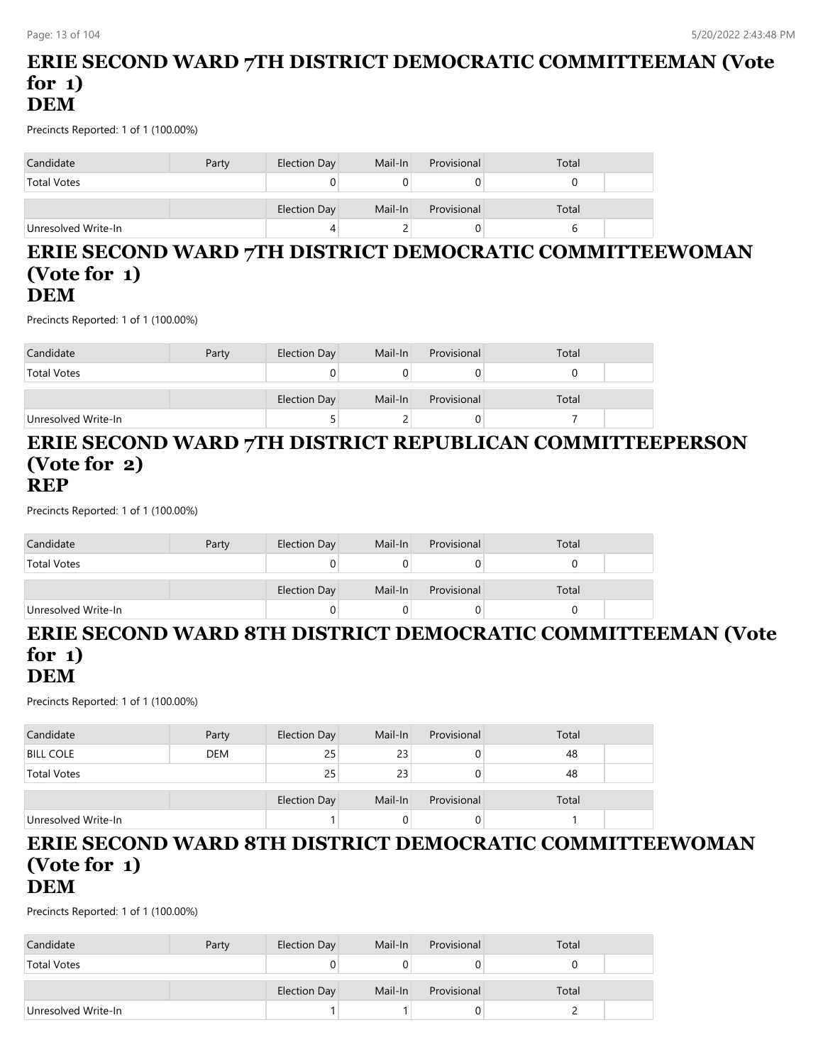## **ERIE SECOND WARD 7TH DISTRICT DEMOCRATIC COMMITTEEMAN (Vote for 1) DEM**

Precincts Reported: 1 of 1 (100.00%)

| Candidate           | Party | Election Day | Mail-In | Provisional | Total |  |
|---------------------|-------|--------------|---------|-------------|-------|--|
| <b>Total Votes</b>  |       | 0            |         |             |       |  |
|                     |       | Election Day | Mail-In | Provisional | Total |  |
| Unresolved Write-In |       | 4            |         |             |       |  |

#### **ERIE SECOND WARD 7TH DISTRICT DEMOCRATIC COMMITTEEWOMAN (Vote for 1) DEM**

Precincts Reported: 1 of 1 (100.00%)

| Candidate           | Party | Election Day | Mail-In | Provisional | Total |  |
|---------------------|-------|--------------|---------|-------------|-------|--|
| <b>Total Votes</b>  |       |              |         |             |       |  |
|                     |       | Election Day | Mail-In | Provisional | Total |  |
| Unresolved Write-In |       |              |         |             |       |  |

### **ERIE SECOND WARD 7TH DISTRICT REPUBLICAN COMMITTEEPERSON (Vote for 2) REP**

Precincts Reported: 1 of 1 (100.00%)

| Candidate           | Party | Election Day | Mail-In | Provisional | Total |  |
|---------------------|-------|--------------|---------|-------------|-------|--|
| <b>Total Votes</b>  |       |              |         |             |       |  |
|                     |       | Election Day | Mail-In | Provisional | Total |  |
| Unresolved Write-In |       |              |         |             |       |  |

# **ERIE SECOND WARD 8TH DISTRICT DEMOCRATIC COMMITTEEMAN (Vote for 1)**

## **DEM**

Precincts Reported: 1 of 1 (100.00%)

| Candidate           | Party      | <b>Election Day</b> | Mail-In | Provisional | Total |  |
|---------------------|------------|---------------------|---------|-------------|-------|--|
| <b>BILL COLE</b>    | <b>DEM</b> | 25                  | 23      | U           | 48    |  |
| <b>Total Votes</b>  |            | 25                  | 23      |             | 48    |  |
|                     |            |                     |         |             |       |  |
|                     |            | <b>Election Day</b> | Mail-In | Provisional | Total |  |
| Unresolved Write-In |            |                     |         |             |       |  |

### **ERIE SECOND WARD 8TH DISTRICT DEMOCRATIC COMMITTEEWOMAN (Vote for 1) DEM**

| Candidate           | Party | Election Day | Mail-In | Provisional | Total |  |
|---------------------|-------|--------------|---------|-------------|-------|--|
| <b>Total Votes</b>  |       |              |         |             |       |  |
|                     |       |              |         |             |       |  |
|                     |       | Election Day | Mail-In | Provisional | Total |  |
| Unresolved Write-In |       |              |         |             |       |  |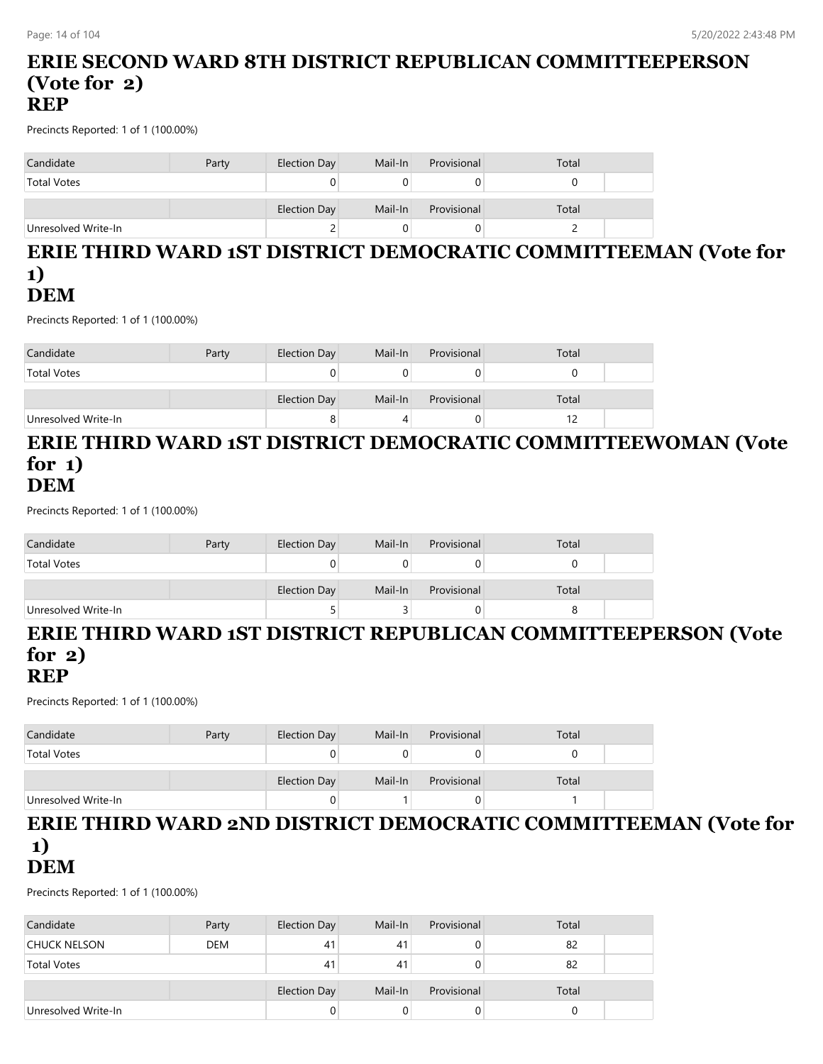## **ERIE SECOND WARD 8TH DISTRICT REPUBLICAN COMMITTEEPERSON (Vote for 2) REP**

Precincts Reported: 1 of 1 (100.00%)

| Candidate           | Party | Election Day | Mail-In | Provisional | Total |
|---------------------|-------|--------------|---------|-------------|-------|
| <b>Total Votes</b>  |       |              |         |             |       |
|                     |       | Election Day | Mail-In | Provisional | Total |
| Unresolved Write-In |       | ے            |         |             |       |

## **ERIE THIRD WARD 1ST DISTRICT DEMOCRATIC COMMITTEEMAN (Vote for 1) DEM**

Precincts Reported: 1 of 1 (100.00%)

| Candidate           | Party | Election Day | Mail-In | Provisional | Total |  |
|---------------------|-------|--------------|---------|-------------|-------|--|
| <b>Total Votes</b>  |       |              |         |             |       |  |
|                     |       | Election Day | Mail-In | Provisional | Total |  |
| Unresolved Write-In |       | ۰            |         |             |       |  |

#### **ERIE THIRD WARD 1ST DISTRICT DEMOCRATIC COMMITTEEWOMAN (Vote for 1) DEM**

Precincts Reported: 1 of 1 (100.00%)

| Candidate           | Party | Election Day | Mail-In | Provisional | Total |  |
|---------------------|-------|--------------|---------|-------------|-------|--|
| <b>Total Votes</b>  |       |              |         |             |       |  |
|                     |       | Election Day | Mail-In | Provisional | Total |  |
| Unresolved Write-In |       |              |         |             |       |  |

## **ERIE THIRD WARD 1ST DISTRICT REPUBLICAN COMMITTEEPERSON (Vote for 2)**

## **REP**

Precincts Reported: 1 of 1 (100.00%)

| Candidate           | Party | Election Day        | Mail-In | Provisional | Total |  |
|---------------------|-------|---------------------|---------|-------------|-------|--|
| <b>Total Votes</b>  |       |                     |         |             |       |  |
|                     |       | <b>Election Day</b> | Mail-In | Provisional | Total |  |
| Unresolved Write-In |       |                     |         |             |       |  |

#### **ERIE THIRD WARD 2ND DISTRICT DEMOCRATIC COMMITTEEMAN (Vote for 1) DEM**

| Candidate           | Party      | <b>Election Day</b> | Mail-In | Provisional | Total |  |
|---------------------|------------|---------------------|---------|-------------|-------|--|
| CHUCK NELSON        | <b>DEM</b> | 41                  | 41      |             | 82    |  |
| <b>Total Votes</b>  |            | 41                  | 41      |             | 82    |  |
|                     |            | Election Day        | Mail-In | Provisional | Total |  |
| Unresolved Write-In |            |                     |         | U           |       |  |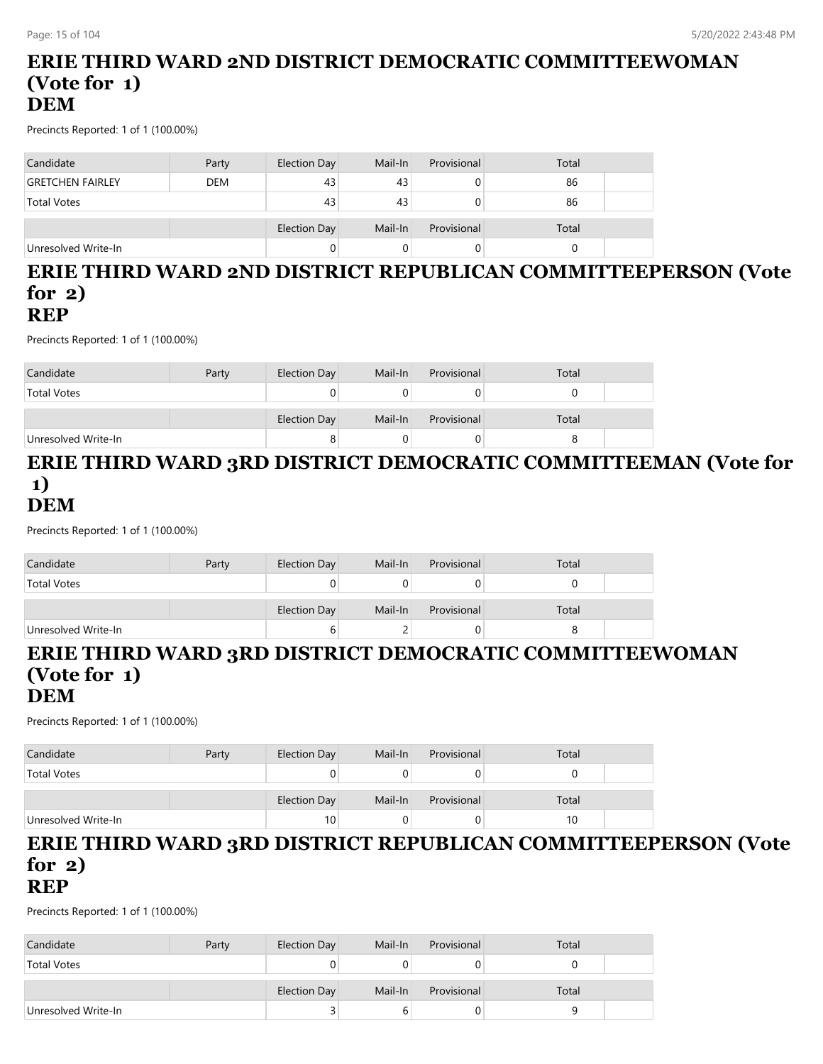## **ERIE THIRD WARD 2ND DISTRICT DEMOCRATIC COMMITTEEWOMAN (Vote for 1) DEM**

Precincts Reported: 1 of 1 (100.00%)

| Candidate               | Party      | Election Day | Mail-In | Provisional | Total |  |
|-------------------------|------------|--------------|---------|-------------|-------|--|
| <b>GRETCHEN FAIRLEY</b> | <b>DEM</b> | 43           | 43      |             | 86    |  |
| <b>Total Votes</b>      |            | 43           | 43      |             | 86    |  |
|                         |            |              |         |             |       |  |
|                         |            | Election Day | Mail-In | Provisional | Total |  |
| Unresolved Write-In     |            |              |         |             |       |  |

# **ERIE THIRD WARD 2ND DISTRICT REPUBLICAN COMMITTEEPERSON (Vote for 2)**

## **REP**

Precincts Reported: 1 of 1 (100.00%)

| Candidate           | Party | Election Day | Mail-In | Provisional | Total |  |
|---------------------|-------|--------------|---------|-------------|-------|--|
| <b>Total Votes</b>  |       |              |         |             |       |  |
|                     |       | Election Day | Mail-In | Provisional | Total |  |
| Unresolved Write-In |       |              |         |             |       |  |

## **ERIE THIRD WARD 3RD DISTRICT DEMOCRATIC COMMITTEEMAN (Vote for 1) DEM**

Precincts Reported: 1 of 1 (100.00%)

| Candidate           | Party | Election Day | Mail-In | Provisional | Total |  |
|---------------------|-------|--------------|---------|-------------|-------|--|
| <b>Total Votes</b>  |       | U            |         |             |       |  |
|                     |       | Election Day | Mail-In | Provisional | Total |  |
| Unresolved Write-In |       | b            |         |             |       |  |

#### **ERIE THIRD WARD 3RD DISTRICT DEMOCRATIC COMMITTEEWOMAN (Vote for 1) DEM**

Precincts Reported: 1 of 1 (100.00%)

| Candidate           | Party | Election Day        | Mail-In | Provisional | Total |  |
|---------------------|-------|---------------------|---------|-------------|-------|--|
| <b>Total Votes</b>  |       |                     |         |             |       |  |
|                     |       | <b>Election Day</b> | Mail-In | Provisional | Total |  |
| Unresolved Write-In |       | 10                  |         |             | 10    |  |

# **ERIE THIRD WARD 3RD DISTRICT REPUBLICAN COMMITTEEPERSON (Vote for 2)**

**REP**

| Candidate           | Party | Election Day | Mail-In | Provisional | Total |  |
|---------------------|-------|--------------|---------|-------------|-------|--|
| <b>Total Votes</b>  |       |              |         |             |       |  |
|                     |       |              |         |             |       |  |
|                     |       | Election Day | Mail-In | Provisional | Total |  |
| Unresolved Write-In |       |              |         |             | a     |  |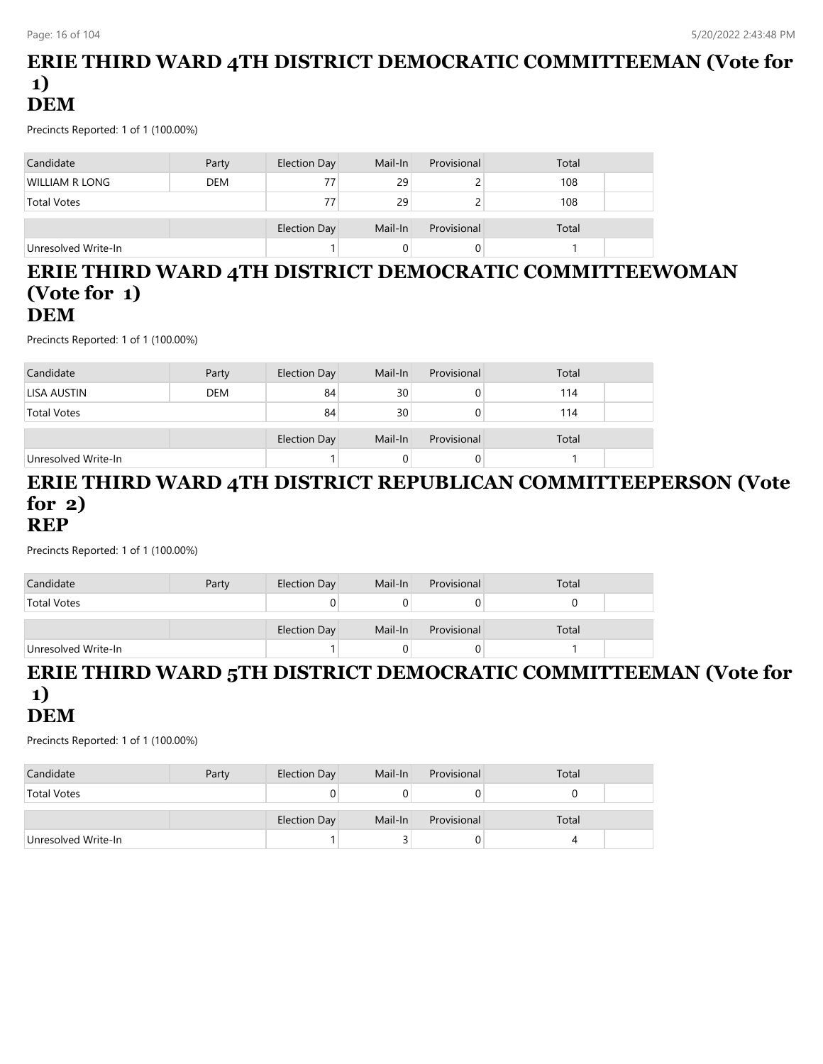## **ERIE THIRD WARD 4TH DISTRICT DEMOCRATIC COMMITTEEMAN (Vote for 1) DEM**

Precincts Reported: 1 of 1 (100.00%)

| Candidate           | Party      | Election Day | Mail-In | Provisional | Total |  |
|---------------------|------------|--------------|---------|-------------|-------|--|
| WILLIAM R LONG      | <b>DEM</b> | 77           | 29      |             | 108   |  |
| <b>Total Votes</b>  |            | 77           | 29      |             | 108   |  |
|                     |            | Election Day | Mail-In | Provisional | Total |  |
| Unresolved Write-In |            |              |         |             |       |  |

### **ERIE THIRD WARD 4TH DISTRICT DEMOCRATIC COMMITTEEWOMAN (Vote for 1) DEM**

Precincts Reported: 1 of 1 (100.00%)

| Candidate           | Party      | Election Day | Mail-In | Provisional | Total |  |
|---------------------|------------|--------------|---------|-------------|-------|--|
| LISA AUSTIN         | <b>DEM</b> | 84           | 30      |             | 114   |  |
| <b>Total Votes</b>  |            | 84           | 30      |             | 114   |  |
|                     |            |              |         |             |       |  |
|                     |            | Election Day | Mail-In | Provisional | Total |  |
| Unresolved Write-In |            |              |         |             |       |  |

# **ERIE THIRD WARD 4TH DISTRICT REPUBLICAN COMMITTEEPERSON (Vote for 2)**

#### **REP**

Precincts Reported: 1 of 1 (100.00%)

| Candidate           | Party | Election Day | Mail-In | Provisional | Total |  |
|---------------------|-------|--------------|---------|-------------|-------|--|
| <b>Total Votes</b>  |       |              |         |             |       |  |
|                     |       | Election Day | Mail-In | Provisional | Total |  |
| Unresolved Write-In |       |              |         |             |       |  |

### **ERIE THIRD WARD 5TH DISTRICT DEMOCRATIC COMMITTEEMAN (Vote for 1) DEM**

| Candidate           | Party | Election Day | Mail-In | Provisional | Total |  |
|---------------------|-------|--------------|---------|-------------|-------|--|
| <b>Total Votes</b>  |       |              |         |             |       |  |
|                     |       |              |         |             |       |  |
|                     |       | Election Day | Mail-In | Provisional | Total |  |
| Unresolved Write-In |       |              |         |             |       |  |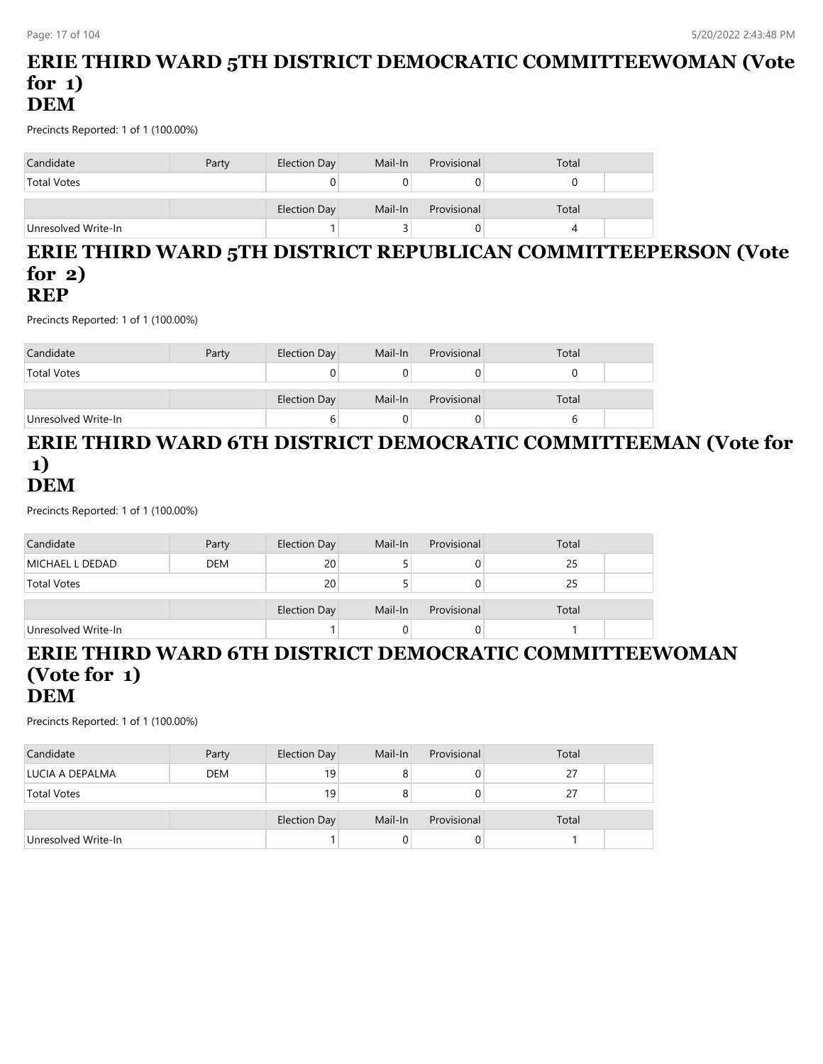## **ERIE THIRD WARD 5TH DISTRICT DEMOCRATIC COMMITTEEWOMAN (Vote for 1) DEM**

Precincts Reported: 1 of 1 (100.00%)

| Candidate           | Party | Election Day | Mail-In | Provisional | Total |  |
|---------------------|-------|--------------|---------|-------------|-------|--|
| <b>Total Votes</b>  |       |              |         |             |       |  |
|                     |       | Election Day | Mail-In | Provisional | Total |  |
| Unresolved Write-In |       |              |         |             |       |  |

#### **ERIE THIRD WARD 5TH DISTRICT REPUBLICAN COMMITTEEPERSON (Vote for 2) REP**

Precincts Reported: 1 of 1 (100.00%)

| Candidate           | Party | Election Day | Mail-In | Provisional | Total |  |
|---------------------|-------|--------------|---------|-------------|-------|--|
| <b>Total Votes</b>  |       |              |         |             |       |  |
|                     |       | Election Day | Mail-In | Provisional | Total |  |
| Unresolved Write-In |       | b            |         |             |       |  |

## **ERIE THIRD WARD 6TH DISTRICT DEMOCRATIC COMMITTEEMAN (Vote for 1) DEM**

Precincts Reported: 1 of 1 (100.00%)

| Candidate           | Party      | Election Day | Mail-In | Provisional | Total |  |
|---------------------|------------|--------------|---------|-------------|-------|--|
| MICHAEL L DEDAD     | <b>DEM</b> | 20           |         |             | 25    |  |
| <b>Total Votes</b>  |            | 20           |         | O           | 25    |  |
|                     |            |              |         |             |       |  |
|                     |            | Election Day | Mail-In | Provisional | Total |  |
| Unresolved Write-In |            |              |         |             |       |  |

#### **ERIE THIRD WARD 6TH DISTRICT DEMOCRATIC COMMITTEEWOMAN (Vote for 1) DEM**

| Candidate           | Party      | <b>Election Day</b> | Mail-In | Provisional | Total |  |
|---------------------|------------|---------------------|---------|-------------|-------|--|
| LUCIA A DEPALMA     | <b>DEM</b> | 19                  |         |             | 27    |  |
| <b>Total Votes</b>  |            | 19                  |         |             | 27    |  |
|                     |            | <b>Election Day</b> | Mail-In | Provisional | Total |  |
| Unresolved Write-In |            |                     |         |             |       |  |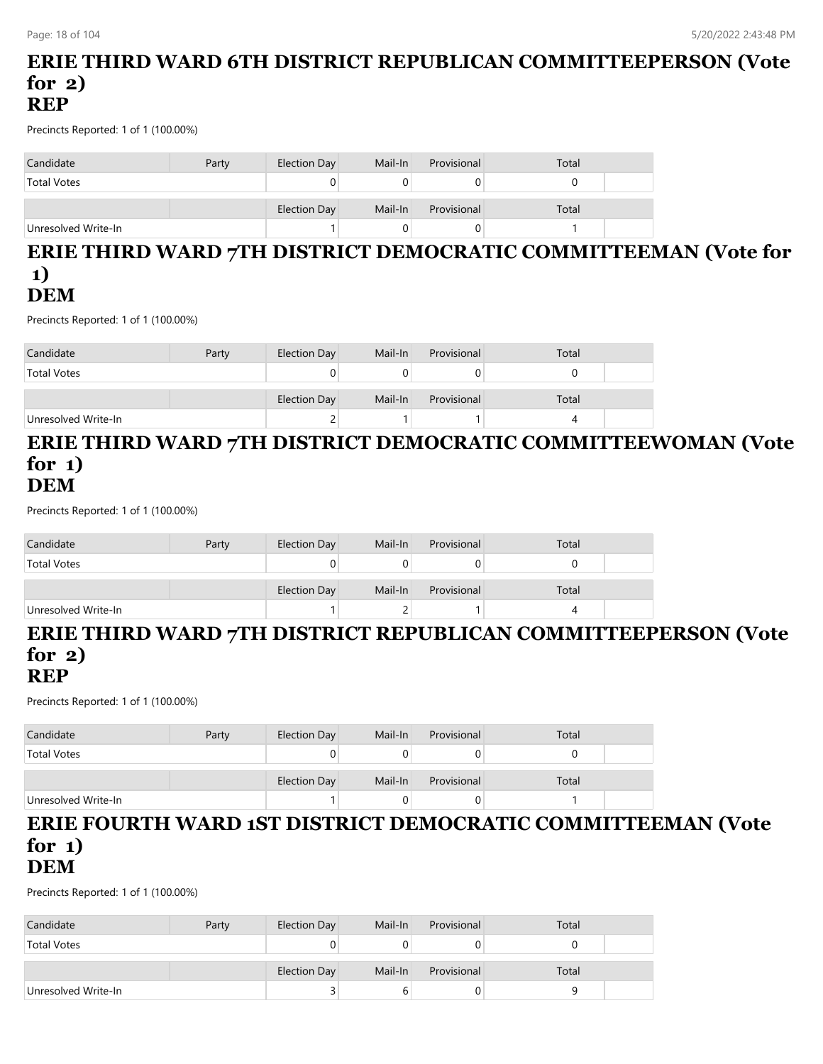### **ERIE THIRD WARD 6TH DISTRICT REPUBLICAN COMMITTEEPERSON (Vote for 2) REP**

Precincts Reported: 1 of 1 (100.00%)

| Candidate           | Party | Election Day | Mail-In | Provisional | Total |
|---------------------|-------|--------------|---------|-------------|-------|
| <b>Total Votes</b>  |       |              |         |             |       |
|                     |       | Election Day | Mail-In | Provisional | Total |
| Unresolved Write-In |       |              |         |             |       |

### **ERIE THIRD WARD 7TH DISTRICT DEMOCRATIC COMMITTEEMAN (Vote for 1) DEM**

Precincts Reported: 1 of 1 (100.00%)

| Candidate           | Party | Election Day | Mail-In | Provisional | Total |  |
|---------------------|-------|--------------|---------|-------------|-------|--|
| <b>Total Votes</b>  |       |              |         |             |       |  |
|                     |       | Election Day | Mail-In | Provisional | Total |  |
| Unresolved Write-In |       | ▃            |         |             |       |  |

#### **ERIE THIRD WARD 7TH DISTRICT DEMOCRATIC COMMITTEEWOMAN (Vote for 1) DEM**

Precincts Reported: 1 of 1 (100.00%)

| Candidate           | Party | Election Day | Mail-In | Provisional | Total |  |
|---------------------|-------|--------------|---------|-------------|-------|--|
| <b>Total Votes</b>  |       |              |         |             |       |  |
|                     |       | Election Day | Mail-In | Provisional | Total |  |
| Unresolved Write-In |       |              |         |             |       |  |

## **ERIE THIRD WARD 7TH DISTRICT REPUBLICAN COMMITTEEPERSON (Vote for 2)**

## **REP**

Precincts Reported: 1 of 1 (100.00%)

| Candidate           | Party | Election Day | Mail-In | Provisional | Total |  |
|---------------------|-------|--------------|---------|-------------|-------|--|
| <b>Total Votes</b>  |       |              |         |             |       |  |
|                     |       | Election Day | Mail-In | Provisional | Total |  |
| Unresolved Write-In |       |              |         |             |       |  |

#### **ERIE FOURTH WARD 1ST DISTRICT DEMOCRATIC COMMITTEEMAN (Vote for 1) DEM**

| Candidate           | Party | Election Day | Mail-In | Provisional | Total |  |
|---------------------|-------|--------------|---------|-------------|-------|--|
| <b>Total Votes</b>  |       |              |         |             |       |  |
|                     |       | Election Day | Mail-In | Provisional | Total |  |
| Unresolved Write-In |       |              |         |             |       |  |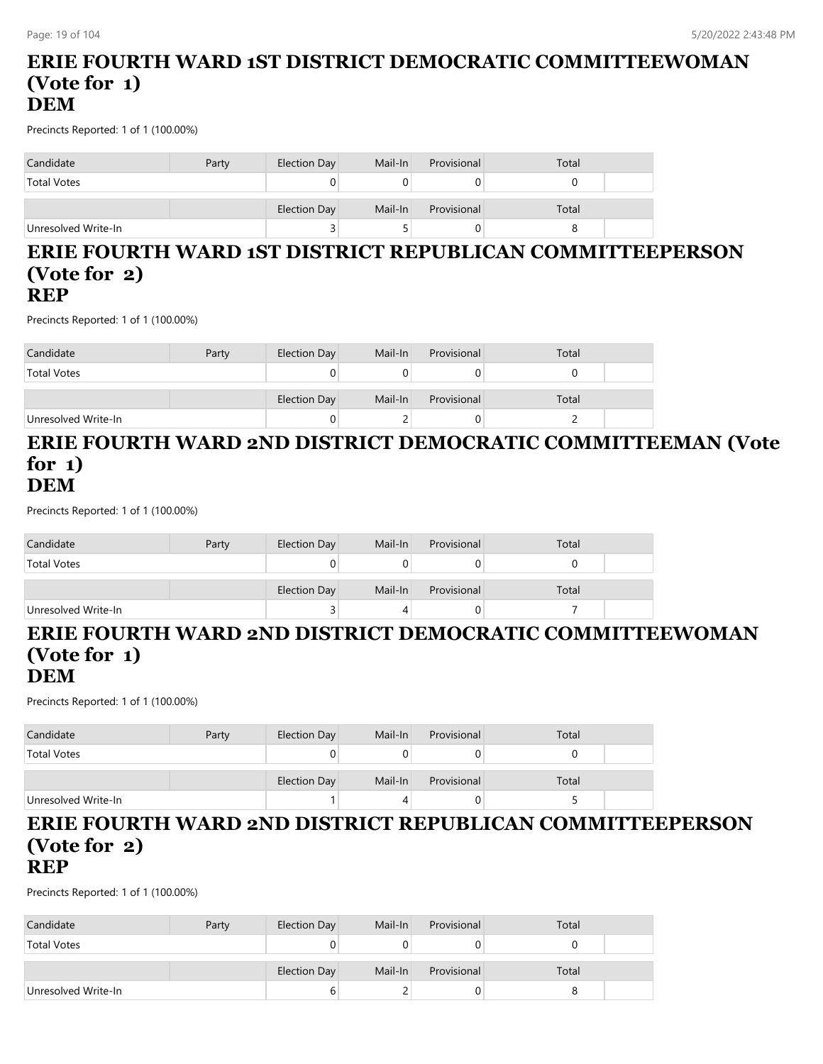### **ERIE FOURTH WARD 1ST DISTRICT DEMOCRATIC COMMITTEEWOMAN (Vote for 1) DEM**

Precincts Reported: 1 of 1 (100.00%)

| Candidate           | Party | Election Day | Mail-In | Provisional | Total |  |
|---------------------|-------|--------------|---------|-------------|-------|--|
| <b>Total Votes</b>  |       | 0            |         |             |       |  |
|                     |       | Election Day | Mail-In | Provisional | Total |  |
| Unresolved Write-In |       | ت            |         |             |       |  |

#### **ERIE FOURTH WARD 1ST DISTRICT REPUBLICAN COMMITTEEPERSON (Vote for 2) REP**

Precincts Reported: 1 of 1 (100.00%)

| Candidate           | Party | Election Day | Mail-In | Provisional | Total |  |
|---------------------|-------|--------------|---------|-------------|-------|--|
| <b>Total Votes</b>  |       |              |         |             |       |  |
|                     |       | Election Day | Mail-In | Provisional | Total |  |
| Unresolved Write-In |       |              |         |             |       |  |

#### **ERIE FOURTH WARD 2ND DISTRICT DEMOCRATIC COMMITTEEMAN (Vote for 1) DEM**

Precincts Reported: 1 of 1 (100.00%)

| Candidate           | Party | Election Day | Mail-In | Provisional | Total |  |
|---------------------|-------|--------------|---------|-------------|-------|--|
| <b>Total Votes</b>  |       |              |         | 0           |       |  |
|                     |       | Election Day | Mail-In | Provisional | Total |  |
| Unresolved Write-In |       |              |         | O           |       |  |

# **ERIE FOURTH WARD 2ND DISTRICT DEMOCRATIC COMMITTEEWOMAN (Vote for 1)**

#### **DEM**

Precincts Reported: 1 of 1 (100.00%)

| Candidate           | Party | Election Day | Mail-In | Provisional | Total |  |
|---------------------|-------|--------------|---------|-------------|-------|--|
| <b>Total Votes</b>  |       |              |         |             |       |  |
|                     |       | Election Day | Mail-In | Provisional | Total |  |
| Unresolved Write-In |       |              |         |             |       |  |

# **ERIE FOURTH WARD 2ND DISTRICT REPUBLICAN COMMITTEEPERSON (Vote for 2)**

## **REP**

| Candidate           | Party | Election Day | Mail-In | Provisional | Total |  |
|---------------------|-------|--------------|---------|-------------|-------|--|
| <b>Total Votes</b>  |       |              |         |             |       |  |
|                     |       |              |         |             |       |  |
|                     |       | Election Day | Mail-In | Provisional | Total |  |
| Unresolved Write-In |       |              |         | U           |       |  |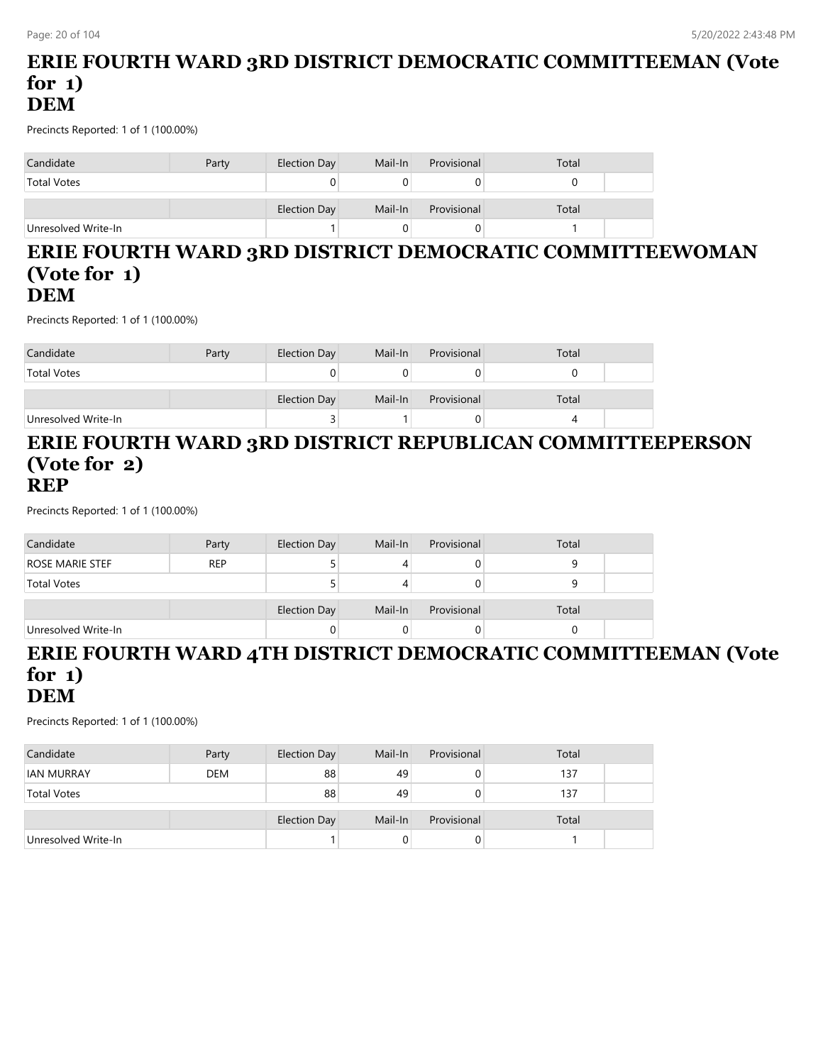## **ERIE FOURTH WARD 3RD DISTRICT DEMOCRATIC COMMITTEEMAN (Vote for 1) DEM**

Precincts Reported: 1 of 1 (100.00%)

| Candidate           | Party | Election Day        | Mail-In | Provisional | Total |
|---------------------|-------|---------------------|---------|-------------|-------|
| <b>Total Votes</b>  |       |                     |         |             |       |
|                     |       | <b>Election Day</b> | Mail-In | Provisional | Total |
| Unresolved Write-In |       |                     |         |             |       |

#### **ERIE FOURTH WARD 3RD DISTRICT DEMOCRATIC COMMITTEEWOMAN (Vote for 1) DEM**

Precincts Reported: 1 of 1 (100.00%)

| Candidate           | Party | Election Day | Mail-In | Provisional | Total |  |
|---------------------|-------|--------------|---------|-------------|-------|--|
| <b>Total Votes</b>  |       |              |         |             |       |  |
|                     |       |              |         |             |       |  |
|                     |       | Election Day | Mail-In | Provisional | Total |  |
| Unresolved Write-In |       |              |         |             |       |  |

### **ERIE FOURTH WARD 3RD DISTRICT REPUBLICAN COMMITTEEPERSON (Vote for 2) REP**

Precincts Reported: 1 of 1 (100.00%)

| Candidate              | Party      | Election Day | Mail-In | Provisional | Total |  |
|------------------------|------------|--------------|---------|-------------|-------|--|
| <b>ROSE MARIE STEF</b> | <b>REP</b> |              | 4       |             |       |  |
| <b>Total Votes</b>     |            |              |         |             |       |  |
|                        |            |              |         |             |       |  |
|                        |            | Election Day | Mail-In | Provisional | Total |  |
| Unresolved Write-In    |            |              |         |             |       |  |

#### **ERIE FOURTH WARD 4TH DISTRICT DEMOCRATIC COMMITTEEMAN (Vote for 1) DEM**

| Candidate           | Party      | <b>Election Day</b> | Mail-In | Provisional  | Total |  |
|---------------------|------------|---------------------|---------|--------------|-------|--|
| <b>IAN MURRAY</b>   | <b>DEM</b> | 88                  | 49      | 0            | 137   |  |
| <b>Total Votes</b>  |            | 88                  | 49      | 0            | 137   |  |
|                     |            | <b>Election Day</b> | Mail-In | Provisional  | Total |  |
| Unresolved Write-In |            |                     | 0       | $\mathbf{0}$ |       |  |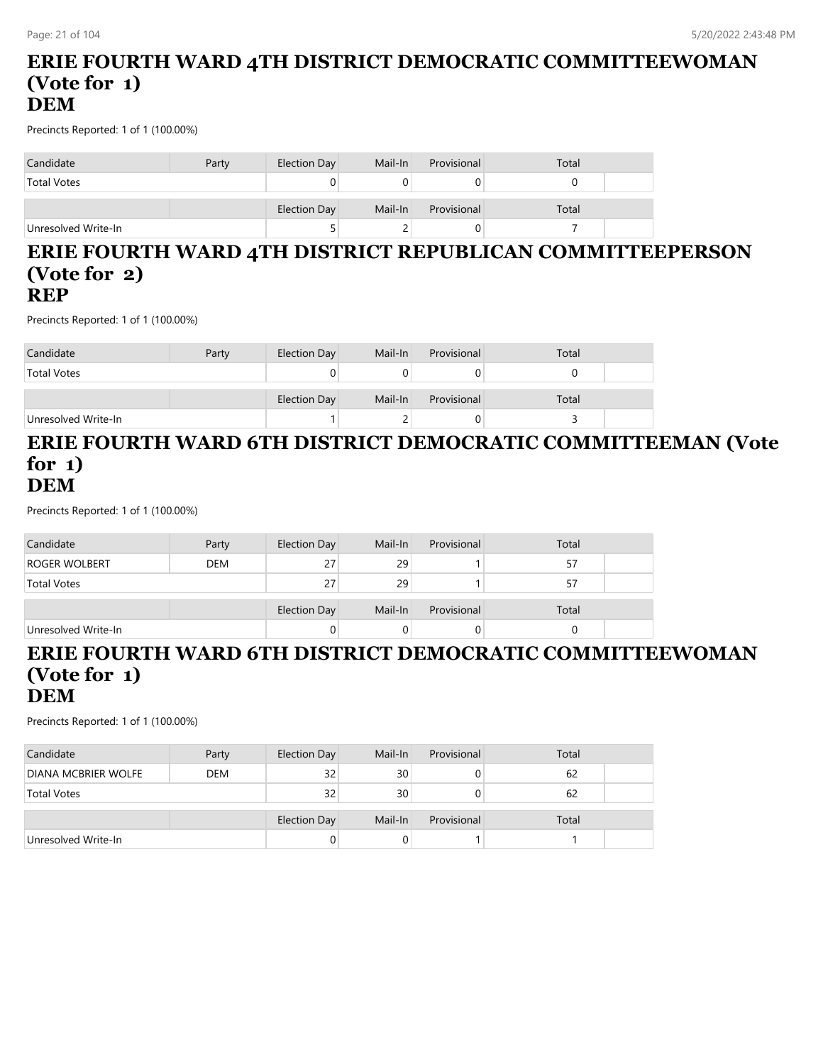### **ERIE FOURTH WARD 4TH DISTRICT DEMOCRATIC COMMITTEEWOMAN (Vote for 1) DEM**

Precincts Reported: 1 of 1 (100.00%)

| Candidate           | Party | Election Day        | Mail-In | Provisional | Total |
|---------------------|-------|---------------------|---------|-------------|-------|
| <b>Total Votes</b>  |       |                     |         |             |       |
|                     |       | <b>Election Day</b> | Mail-In | Provisional | Total |
| Unresolved Write-In |       | ◡                   |         |             |       |

#### **ERIE FOURTH WARD 4TH DISTRICT REPUBLICAN COMMITTEEPERSON (Vote for 2) REP**

Precincts Reported: 1 of 1 (100.00%)

| Candidate           | Party | Election Day | Mail-In | Provisional | Total |  |
|---------------------|-------|--------------|---------|-------------|-------|--|
| <b>Total Votes</b>  |       |              |         |             |       |  |
|                     |       | Election Day | Mail-In | Provisional | Total |  |
| Unresolved Write-In |       |              |         |             |       |  |

## **ERIE FOURTH WARD 6TH DISTRICT DEMOCRATIC COMMITTEEMAN (Vote for 1) DEM**

Precincts Reported: 1 of 1 (100.00%)

| Candidate           | Party      | Election Day | Mail-In | Provisional | Total |  |
|---------------------|------------|--------------|---------|-------------|-------|--|
| ROGER WOLBERT       | <b>DEM</b> | 27           | 29      |             | 57    |  |
| <b>Total Votes</b>  |            | 27           | 29      |             | 57    |  |
|                     |            |              |         |             |       |  |
|                     |            | Election Day | Mail-In | Provisional | Total |  |
| Unresolved Write-In |            |              |         |             |       |  |

#### **ERIE FOURTH WARD 6TH DISTRICT DEMOCRATIC COMMITTEEWOMAN (Vote for 1) DEM**

| Candidate                  | Party      | Election Day        | Mail-In | Provisional | Total |  |
|----------------------------|------------|---------------------|---------|-------------|-------|--|
| <b>DIANA MCBRIER WOLFE</b> | <b>DEM</b> | 32                  | 30      | 0           | 62    |  |
| <b>Total Votes</b>         |            | 32                  | 30      | 0           | 62    |  |
|                            |            | <b>Election Day</b> | Mail-In | Provisional | Total |  |
| Unresolved Write-In        |            |                     |         |             |       |  |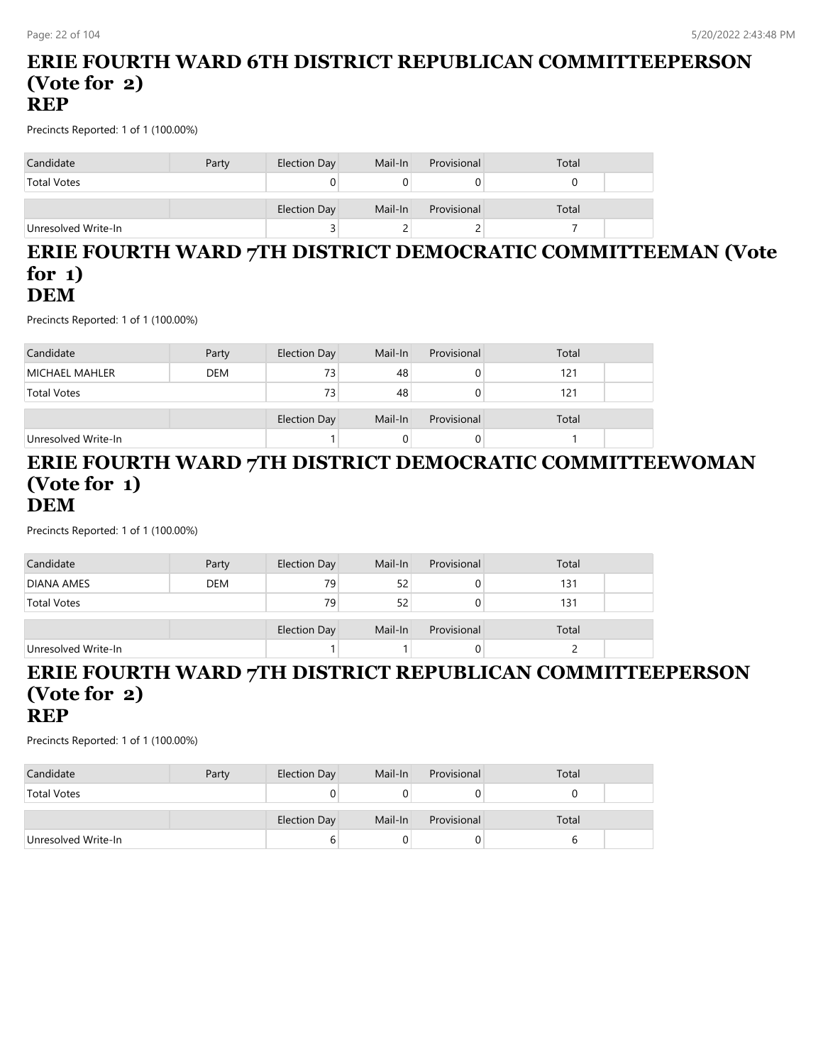### **ERIE FOURTH WARD 6TH DISTRICT REPUBLICAN COMMITTEEPERSON (Vote for 2) REP**

Precincts Reported: 1 of 1 (100.00%)

| Candidate           | Party | Election Day | Mail-In | Provisional | Total |  |
|---------------------|-------|--------------|---------|-------------|-------|--|
| <b>Total Votes</b>  |       |              |         |             |       |  |
|                     |       | Election Day | Mail-In | Provisional | Total |  |
| Unresolved Write-In |       |              |         |             |       |  |

### **ERIE FOURTH WARD 7TH DISTRICT DEMOCRATIC COMMITTEEMAN (Vote for 1) DEM**

Precincts Reported: 1 of 1 (100.00%)

| Candidate           | Party      | Election Day | Mail-In | Provisional | Total |  |
|---------------------|------------|--------------|---------|-------------|-------|--|
| MICHAEL MAHLER      | <b>DEM</b> | 73           | 48      |             | 121   |  |
| <b>Total Votes</b>  |            | 73           | 48      |             | 121   |  |
|                     |            |              |         |             |       |  |
|                     |            | Election Day | Mail-In | Provisional | Total |  |
| Unresolved Write-In |            |              |         |             |       |  |

#### **ERIE FOURTH WARD 7TH DISTRICT DEMOCRATIC COMMITTEEWOMAN (Vote for 1) DEM**

Precincts Reported: 1 of 1 (100.00%)

| Candidate           | Party      | Election Day | Mail-In | Provisional | Total |  |
|---------------------|------------|--------------|---------|-------------|-------|--|
| <b>DIANA AMES</b>   | <b>DEM</b> | 79           | 52      |             | 131   |  |
| <b>Total Votes</b>  |            | 79           | 52      |             | 131   |  |
|                     |            | Election Day | Mail-In | Provisional | Total |  |
| Unresolved Write-In |            |              |         | 0.          |       |  |

## **ERIE FOURTH WARD 7TH DISTRICT REPUBLICAN COMMITTEEPERSON (Vote for 2) REP**

| Candidate           | Party | Election Day | Mail-In | Provisional | Total |  |
|---------------------|-------|--------------|---------|-------------|-------|--|
| <b>Total Votes</b>  |       |              |         |             |       |  |
|                     |       |              |         |             |       |  |
|                     |       | Election Day | Mail-In | Provisional | Total |  |
| Unresolved Write-In |       |              |         |             |       |  |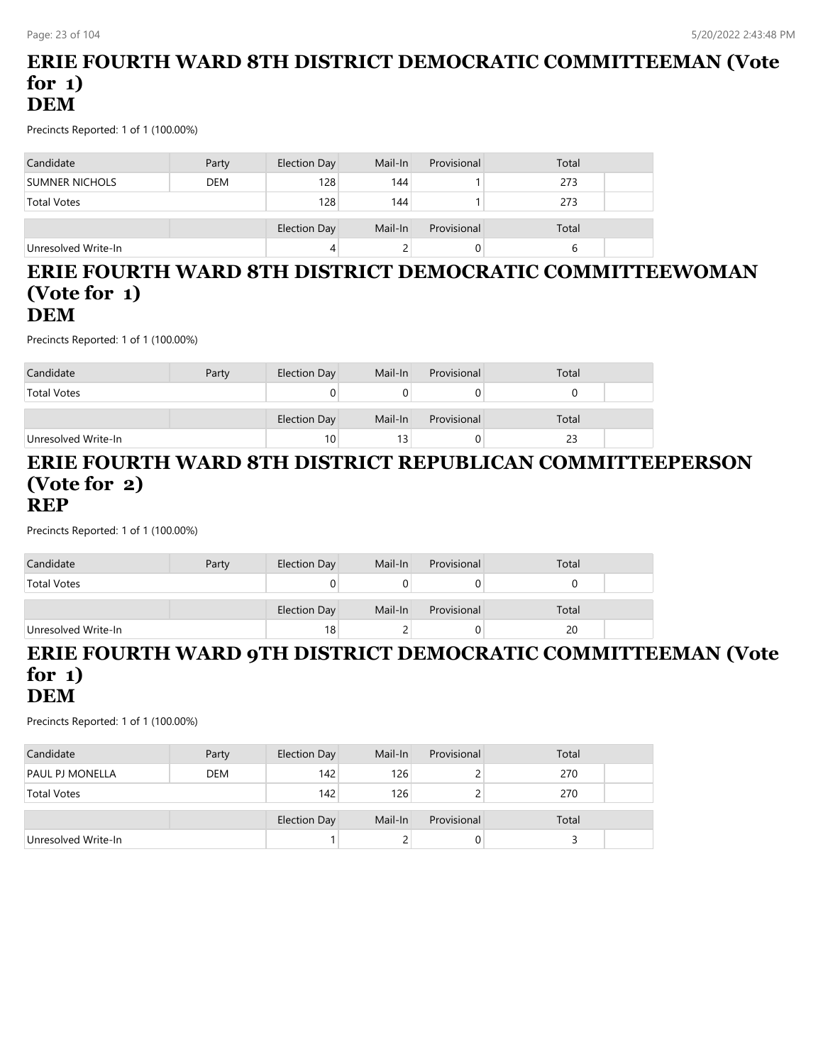## **ERIE FOURTH WARD 8TH DISTRICT DEMOCRATIC COMMITTEEMAN (Vote for 1) DEM**

Precincts Reported: 1 of 1 (100.00%)

| Candidate             | Party      | Election Day        | Mail-In | Provisional | Total |  |
|-----------------------|------------|---------------------|---------|-------------|-------|--|
| <b>SUMNER NICHOLS</b> | <b>DEM</b> | 128                 | 144     |             | 273   |  |
| <b>Total Votes</b>    |            | 128                 | 144     |             | 273   |  |
|                       |            | <b>Election Day</b> | Mail-In | Provisional | Total |  |
| Unresolved Write-In   |            | 4                   |         |             |       |  |

### **ERIE FOURTH WARD 8TH DISTRICT DEMOCRATIC COMMITTEEWOMAN (Vote for 1) DEM**

Precincts Reported: 1 of 1 (100.00%)

| Candidate           | Party | Election Day    | Mail-In         | Provisional | Total |  |
|---------------------|-------|-----------------|-----------------|-------------|-------|--|
| <b>Total Votes</b>  |       |                 |                 |             |       |  |
|                     |       | Election Day    | Mail-In         | Provisional | Total |  |
| Unresolved Write-In |       | 10 <sub>1</sub> | 13 <sub>1</sub> |             | 23    |  |

#### **ERIE FOURTH WARD 8TH DISTRICT REPUBLICAN COMMITTEEPERSON (Vote for 2) REP**

Precincts Reported: 1 of 1 (100.00%)

| Candidate           | Party | Election Day | Mail-In | Provisional | Total |  |
|---------------------|-------|--------------|---------|-------------|-------|--|
| <b>Total Votes</b>  |       |              |         |             |       |  |
|                     |       | Election Day | Mail-In | Provisional | Total |  |
| Unresolved Write-In |       | 18           |         |             | 20    |  |

#### **ERIE FOURTH WARD 9TH DISTRICT DEMOCRATIC COMMITTEEMAN (Vote for 1) DEM**

| Candidate           | Party      | Election Day        | Mail-In | Provisional | Total |  |
|---------------------|------------|---------------------|---------|-------------|-------|--|
| PAUL PJ MONELLA     | <b>DEM</b> | 142                 | 126     |             | 270   |  |
| <b>Total Votes</b>  |            | 142                 | 126     |             | 270   |  |
|                     |            | <b>Election Day</b> | Mail-In | Provisional | Total |  |
| Unresolved Write-In |            |                     |         | $\theta$    |       |  |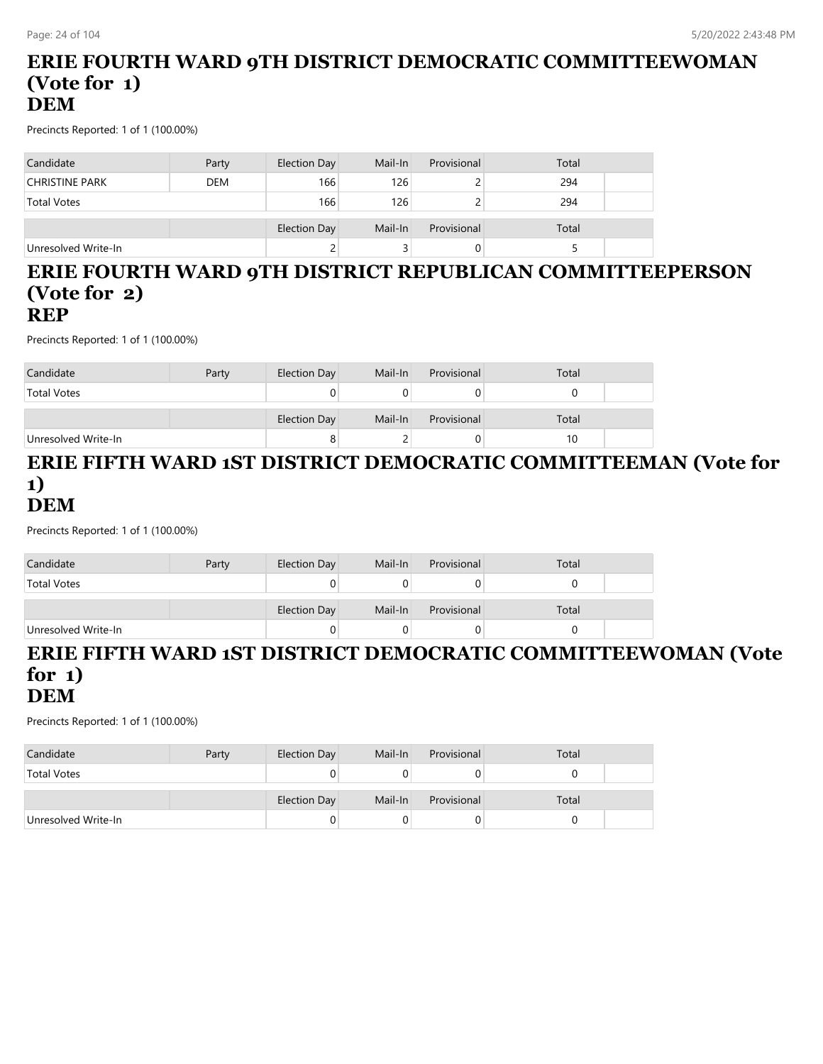### **ERIE FOURTH WARD 9TH DISTRICT DEMOCRATIC COMMITTEEWOMAN (Vote for 1) DEM**

Precincts Reported: 1 of 1 (100.00%)

| Candidate             | Party      | Election Day        | Mail-In | Provisional | Total |  |
|-----------------------|------------|---------------------|---------|-------------|-------|--|
| <b>CHRISTINE PARK</b> | <b>DEM</b> | 166                 | 126     |             | 294   |  |
| <b>Total Votes</b>    |            | 166                 | 126     |             | 294   |  |
|                       |            | <b>Election Day</b> | Mail-In | Provisional | Total |  |
| Unresolved Write-In   |            |                     |         |             |       |  |

## **ERIE FOURTH WARD 9TH DISTRICT REPUBLICAN COMMITTEEPERSON (Vote for 2) REP**

Precincts Reported: 1 of 1 (100.00%)

| Candidate           | Party | Election Day | Mail-In | Provisional | Total |  |
|---------------------|-------|--------------|---------|-------------|-------|--|
| <b>Total Votes</b>  |       |              |         |             |       |  |
|                     |       | Election Day | Mail-In | Provisional | Total |  |
| Unresolved Write-In |       |              |         | O           | 10    |  |

### **ERIE FIFTH WARD 1ST DISTRICT DEMOCRATIC COMMITTEEMAN (Vote for 1) DEM**

Precincts Reported: 1 of 1 (100.00%)

| Candidate           | Party | Election Day | Mail-In | Provisional | Total |  |
|---------------------|-------|--------------|---------|-------------|-------|--|
| <b>Total Votes</b>  |       | 0            |         |             |       |  |
|                     |       | Election Day | Mail-In | Provisional | Total |  |
| Unresolved Write-In |       | U            |         |             |       |  |

#### **ERIE FIFTH WARD 1ST DISTRICT DEMOCRATIC COMMITTEEWOMAN (Vote for 1) DEM**

| Candidate           | Party | Election Day | Mail-In | Provisional | Total |  |
|---------------------|-------|--------------|---------|-------------|-------|--|
| <b>Total Votes</b>  |       |              |         |             |       |  |
|                     |       | Election Day | Mail-In | Provisional | Total |  |
| Unresolved Write-In |       |              |         |             |       |  |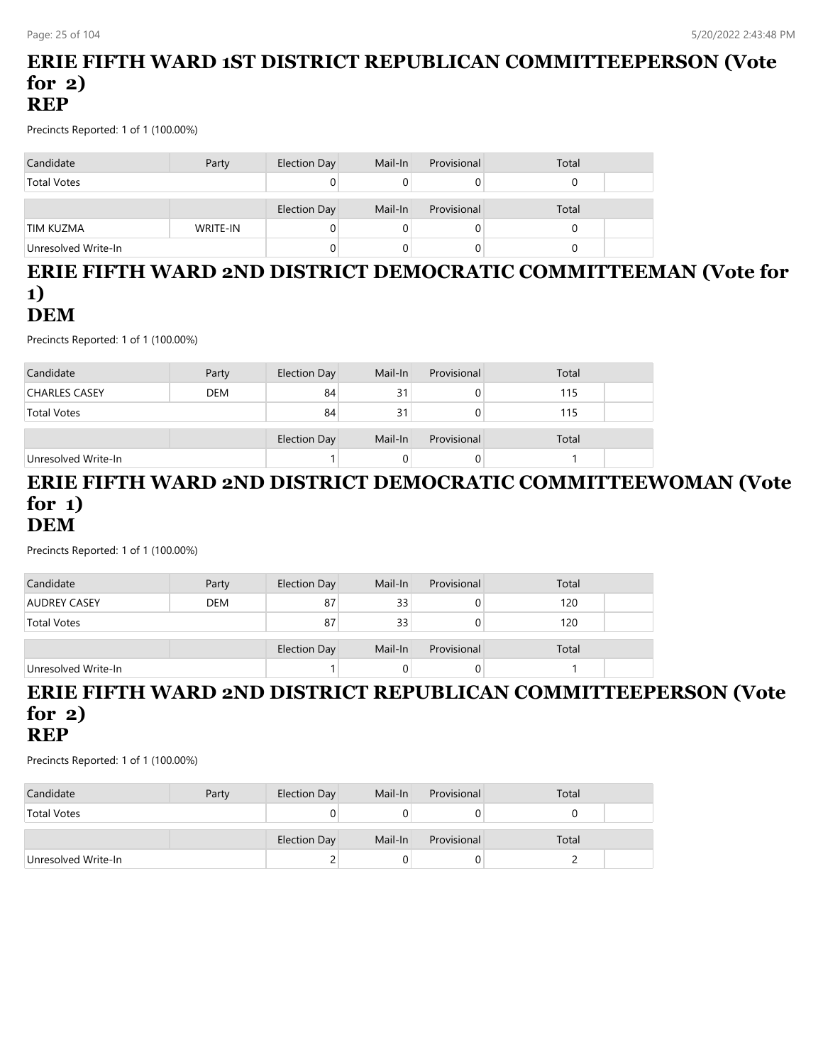## **ERIE FIFTH WARD 1ST DISTRICT REPUBLICAN COMMITTEEPERSON (Vote for 2) REP**

Precincts Reported: 1 of 1 (100.00%)

| Candidate           | Party    | Election Day | Mail-In | Provisional | Total |  |
|---------------------|----------|--------------|---------|-------------|-------|--|
| <b>Total Votes</b>  |          |              |         |             |       |  |
|                     |          | Election Day | Mail-In | Provisional | Total |  |
| TIM KUZMA           | WRITE-IN |              |         |             |       |  |
| Unresolved Write-In |          |              |         |             |       |  |

## **ERIE FIFTH WARD 2ND DISTRICT DEMOCRATIC COMMITTEEMAN (Vote for 1)**

## **DEM**

Precincts Reported: 1 of 1 (100.00%)

| Candidate            | Party      | Election Day | Mail-In | Provisional | Total |  |
|----------------------|------------|--------------|---------|-------------|-------|--|
| <b>CHARLES CASEY</b> | <b>DEM</b> | 84           | 31      |             | 115   |  |
| <b>Total Votes</b>   |            | 84           | 31      |             | 115   |  |
|                      |            | Election Day | Mail-In | Provisional | Total |  |
| Unresolved Write-In  |            |              |         |             |       |  |

### **ERIE FIFTH WARD 2ND DISTRICT DEMOCRATIC COMMITTEEWOMAN (Vote for 1) DEM**

Precincts Reported: 1 of 1 (100.00%)

| Candidate           | Party      | Election Day        | Mail-In | Provisional | Total |
|---------------------|------------|---------------------|---------|-------------|-------|
| <b>AUDREY CASEY</b> | <b>DEM</b> | 87                  | 33      |             | 120   |
| <b>Total Votes</b>  |            | 87                  | 33      |             | 120   |
|                     |            | <b>Election Day</b> | Mail-In | Provisional | Total |
| Unresolved Write-In |            |                     |         |             |       |

#### **ERIE FIFTH WARD 2ND DISTRICT REPUBLICAN COMMITTEEPERSON (Vote for 2) REP**

| Candidate           | Party | Election Day | Mail-In | Provisional | Total |  |
|---------------------|-------|--------------|---------|-------------|-------|--|
| <b>Total Votes</b>  |       |              |         |             |       |  |
|                     |       | Election Day | Mail-In | Provisional | Total |  |
| Unresolved Write-In |       |              |         |             |       |  |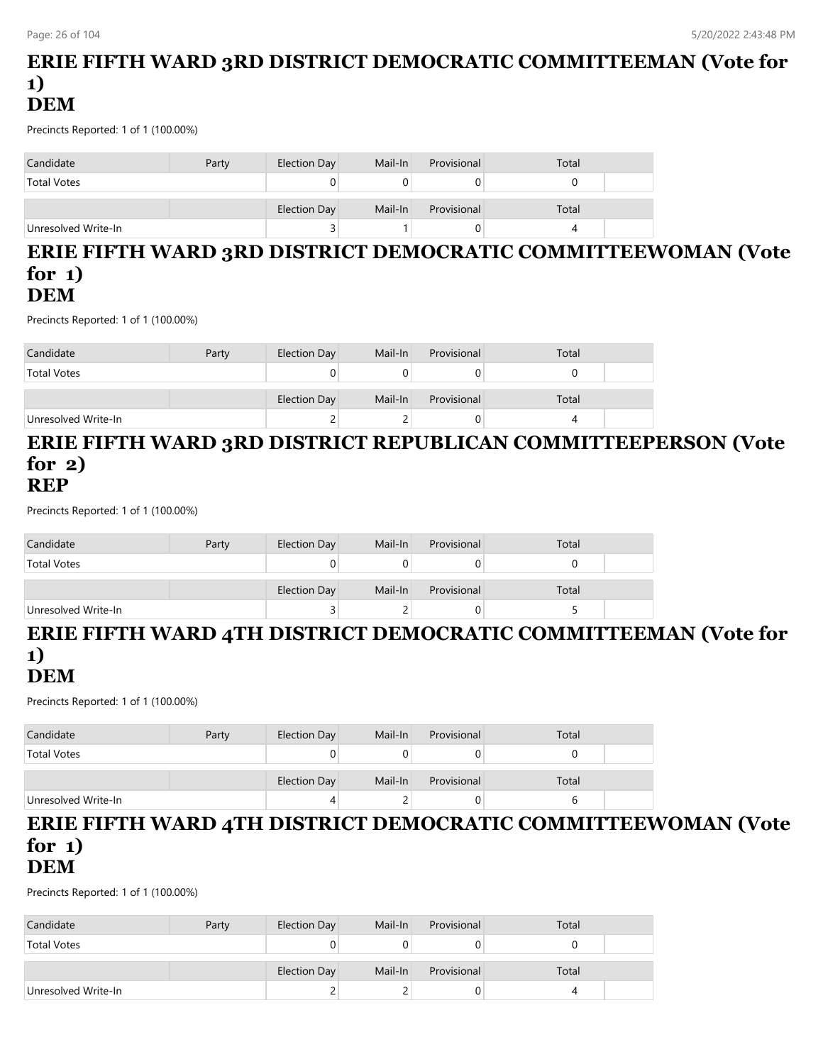## **ERIE FIFTH WARD 3RD DISTRICT DEMOCRATIC COMMITTEEMAN (Vote for 1) DEM**

Precincts Reported: 1 of 1 (100.00%)

| Candidate           | Party | Election Day | Mail-In | Provisional | Total |
|---------------------|-------|--------------|---------|-------------|-------|
| <b>Total Votes</b>  |       |              |         |             |       |
|                     |       | Election Day | Mail-In | Provisional | Total |
| Unresolved Write-In |       |              |         |             |       |

#### **ERIE FIFTH WARD 3RD DISTRICT DEMOCRATIC COMMITTEEWOMAN (Vote for 1) DEM**

Precincts Reported: 1 of 1 (100.00%)

| Candidate           | Party | Election Day | Mail-In | Provisional | Total |  |
|---------------------|-------|--------------|---------|-------------|-------|--|
| <b>Total Votes</b>  |       |              |         |             |       |  |
|                     |       | Election Day | Mail-In | Provisional | Total |  |
| Unresolved Write-In |       |              |         |             |       |  |

#### **ERIE FIFTH WARD 3RD DISTRICT REPUBLICAN COMMITTEEPERSON (Vote for 2) REP**

Precincts Reported: 1 of 1 (100.00%)

| Candidate           | Party | Election Day | Mail-In | Provisional | Total |  |
|---------------------|-------|--------------|---------|-------------|-------|--|
| <b>Total Votes</b>  |       |              |         |             |       |  |
|                     |       | Election Day | Mail-In | Provisional | Total |  |
| Unresolved Write-In |       |              |         |             |       |  |

# **ERIE FIFTH WARD 4TH DISTRICT DEMOCRATIC COMMITTEEMAN (Vote for 1)**

## **DEM**

Precincts Reported: 1 of 1 (100.00%)

| Candidate           | Party | Election Day        | Mail-In | Provisional | Total |  |
|---------------------|-------|---------------------|---------|-------------|-------|--|
| <b>Total Votes</b>  |       |                     |         |             |       |  |
|                     |       | <b>Election Day</b> | Mail-In | Provisional | Total |  |
| Unresolved Write-In |       |                     |         |             | n     |  |

#### **ERIE FIFTH WARD 4TH DISTRICT DEMOCRATIC COMMITTEEWOMAN (Vote for 1) DEM**

| Candidate           | Party | Election Day | Mail-In | Provisional | Total |  |
|---------------------|-------|--------------|---------|-------------|-------|--|
| <b>Total Votes</b>  |       |              |         |             |       |  |
|                     |       | Election Day | Mail-In | Provisional | Total |  |
| Unresolved Write-In |       |              |         |             |       |  |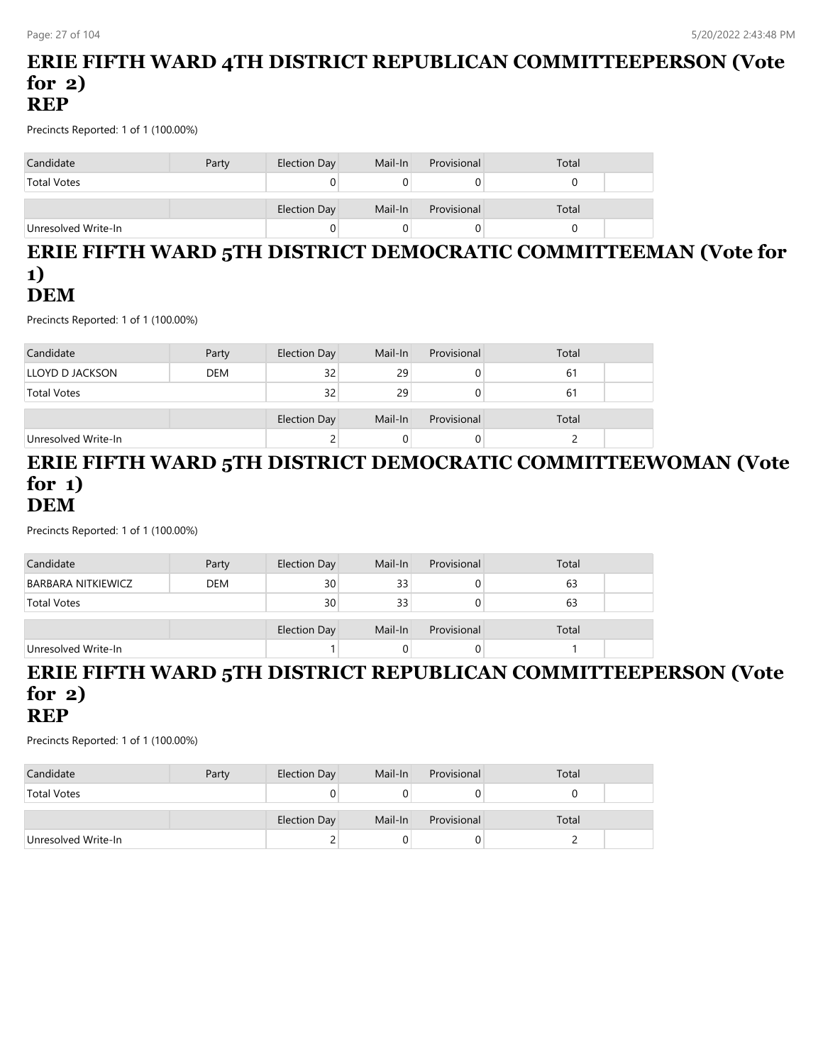## **ERIE FIFTH WARD 4TH DISTRICT REPUBLICAN COMMITTEEPERSON (Vote for 2) REP**

Precincts Reported: 1 of 1 (100.00%)

| Candidate           | Party | Election Day        | Mail-In | Provisional | Total |  |
|---------------------|-------|---------------------|---------|-------------|-------|--|
| <b>Total Votes</b>  |       | 0                   |         |             |       |  |
|                     |       | <b>Election Day</b> | Mail-In | Provisional | Total |  |
| Unresolved Write-In |       | 0                   |         |             |       |  |

## **ERIE FIFTH WARD 5TH DISTRICT DEMOCRATIC COMMITTEEMAN (Vote for 1) DEM**

Precincts Reported: 1 of 1 (100.00%)

| Candidate           | Party      | Election Day | Mail-In | Provisional | Total |  |
|---------------------|------------|--------------|---------|-------------|-------|--|
| LLOYD D JACKSON     | <b>DEM</b> | 32           | 29      | 0           | 61    |  |
| <b>Total Votes</b>  |            | 32           | 29      | 0           | -61   |  |
|                     |            |              |         |             |       |  |
|                     |            | Election Day | Mail-In | Provisional | Total |  |
| Unresolved Write-In |            |              |         | U           |       |  |

#### **ERIE FIFTH WARD 5TH DISTRICT DEMOCRATIC COMMITTEEWOMAN (Vote for 1) DEM**

Precincts Reported: 1 of 1 (100.00%)

| Candidate                 | Party      | Election Day | Mail-In | Provisional | Total |  |
|---------------------------|------------|--------------|---------|-------------|-------|--|
| <b>BARBARA NITKIEWICZ</b> | <b>DEM</b> | 30           | 33      |             | 63    |  |
| <b>Total Votes</b>        |            | 30           | 33      |             | 63    |  |
|                           |            | Election Day | Mail-In | Provisional | Total |  |
| Unresolved Write-In       |            |              |         | 0           |       |  |

## **ERIE FIFTH WARD 5TH DISTRICT REPUBLICAN COMMITTEEPERSON (Vote for 2) REP**

| Candidate           | Party | Election Day | Mail-In | Provisional | Total |  |
|---------------------|-------|--------------|---------|-------------|-------|--|
| <b>Total Votes</b>  |       |              |         |             |       |  |
|                     |       |              |         |             |       |  |
|                     |       | Election Day | Mail-In | Provisional | Total |  |
| Unresolved Write-In |       |              |         |             |       |  |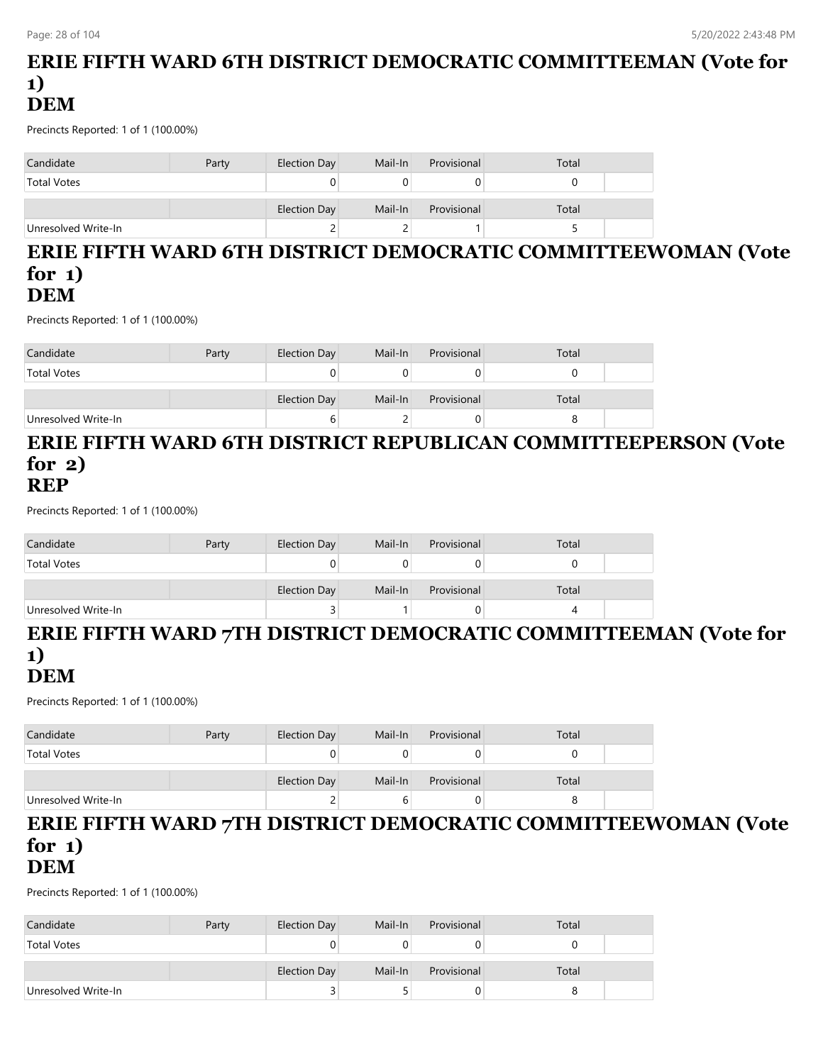## **ERIE FIFTH WARD 6TH DISTRICT DEMOCRATIC COMMITTEEMAN (Vote for 1) DEM**

Precincts Reported: 1 of 1 (100.00%)

| Candidate           | Party | Election Day | Mail-In | Provisional | Total |
|---------------------|-------|--------------|---------|-------------|-------|
| <b>Total Votes</b>  |       |              |         |             |       |
|                     |       | Election Day | Mail-In | Provisional | Total |
| Unresolved Write-In |       | ←            |         |             |       |

### **ERIE FIFTH WARD 6TH DISTRICT DEMOCRATIC COMMITTEEWOMAN (Vote for 1) DEM**

Precincts Reported: 1 of 1 (100.00%)

| Candidate           | Party | Election Day | Mail-In | Provisional | Total |  |
|---------------------|-------|--------------|---------|-------------|-------|--|
| <b>Total Votes</b>  |       |              |         |             |       |  |
|                     |       | Election Day | Mail-In | Provisional | Total |  |
| Unresolved Write-In |       |              |         |             |       |  |

#### **ERIE FIFTH WARD 6TH DISTRICT REPUBLICAN COMMITTEEPERSON (Vote for 2) REP**

Precincts Reported: 1 of 1 (100.00%)

| Candidate           | Party | Election Day | Mail-In | Provisional | Total |  |
|---------------------|-------|--------------|---------|-------------|-------|--|
| <b>Total Votes</b>  |       |              |         |             |       |  |
|                     |       | Election Day | Mail-In | Provisional | Total |  |
| Unresolved Write-In |       |              |         |             |       |  |

# **ERIE FIFTH WARD 7TH DISTRICT DEMOCRATIC COMMITTEEMAN (Vote for 1)**

## **DEM**

Precincts Reported: 1 of 1 (100.00%)

| Candidate           | Party | Election Day | Mail-In | Provisional | Total |  |
|---------------------|-------|--------------|---------|-------------|-------|--|
| <b>Total Votes</b>  |       |              |         |             |       |  |
|                     |       | Election Day | Mail-In | Provisional | Total |  |
| Unresolved Write-In |       |              |         |             |       |  |

#### **ERIE FIFTH WARD 7TH DISTRICT DEMOCRATIC COMMITTEEWOMAN (Vote for 1) DEM**

| Candidate           | Party | Election Day        | Mail-In | Provisional | Total |  |
|---------------------|-------|---------------------|---------|-------------|-------|--|
| <b>Total Votes</b>  |       |                     |         |             |       |  |
|                     |       | <b>Election Day</b> | Mail-In | Provisional | Total |  |
| Unresolved Write-In |       |                     |         |             |       |  |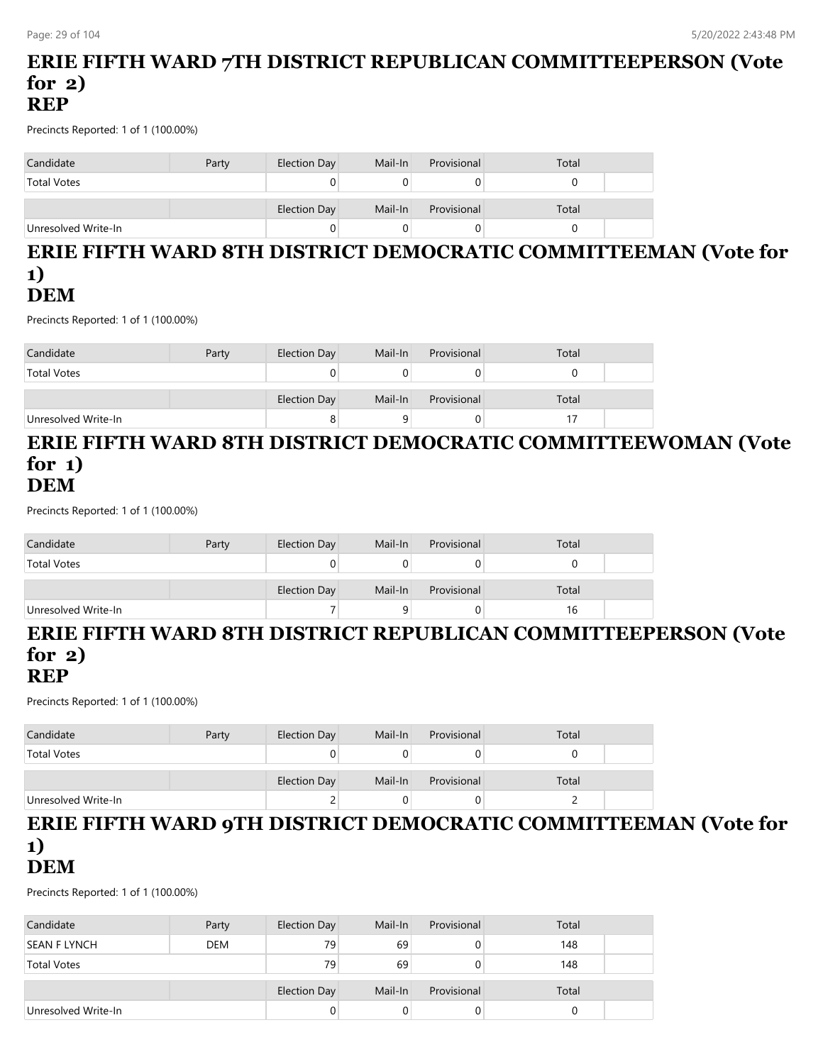## **ERIE FIFTH WARD 7TH DISTRICT REPUBLICAN COMMITTEEPERSON (Vote for 2) REP**

Precincts Reported: 1 of 1 (100.00%)

| Candidate           | Party | Election Day        | Mail-In | Provisional | Total |  |
|---------------------|-------|---------------------|---------|-------------|-------|--|
| <b>Total Votes</b>  |       |                     |         |             |       |  |
|                     |       | <b>Election Day</b> | Mail-In | Provisional | Total |  |
| Unresolved Write-In |       |                     |         |             |       |  |

### **ERIE FIFTH WARD 8TH DISTRICT DEMOCRATIC COMMITTEEMAN (Vote for 1) DEM**

Precincts Reported: 1 of 1 (100.00%)

| Candidate           | Party | Election Day | Mail-In | Provisional | Total |  |
|---------------------|-------|--------------|---------|-------------|-------|--|
| <b>Total Votes</b>  |       |              |         |             |       |  |
|                     |       | Election Day | Mail-In | Provisional | Total |  |
| Unresolved Write-In |       | o            |         |             |       |  |

### **ERIE FIFTH WARD 8TH DISTRICT DEMOCRATIC COMMITTEEWOMAN (Vote for 1) DEM**

Precincts Reported: 1 of 1 (100.00%)

| Candidate           | Party | Election Day | Mail-In | Provisional | Total |  |
|---------------------|-------|--------------|---------|-------------|-------|--|
| <b>Total Votes</b>  |       |              |         |             |       |  |
|                     |       | Election Day | Mail-In | Provisional | Total |  |
| Unresolved Write-In |       |              |         |             | 16    |  |

## **ERIE FIFTH WARD 8TH DISTRICT REPUBLICAN COMMITTEEPERSON (Vote for 2)**

## **REP**

Precincts Reported: 1 of 1 (100.00%)

| Candidate           | Party | Election Day        | Mail-In | Provisional | Total |  |
|---------------------|-------|---------------------|---------|-------------|-------|--|
| <b>Total Votes</b>  |       |                     |         |             |       |  |
|                     |       | <b>Election Day</b> | Mail-In | Provisional | Total |  |
| Unresolved Write-In |       |                     |         |             |       |  |

#### **ERIE FIFTH WARD 9TH DISTRICT DEMOCRATIC COMMITTEEMAN (Vote for 1) DEM**

| Candidate           | Party      | Election Day | Mail-In | Provisional | Total |  |
|---------------------|------------|--------------|---------|-------------|-------|--|
| SEAN F LYNCH        | <b>DEM</b> | 79           | 69      |             | 148   |  |
| <b>Total Votes</b>  |            | 79           | 69      |             | 148   |  |
|                     |            | Election Day | Mail-In | Provisional | Total |  |
| Unresolved Write-In |            |              | O       | U           |       |  |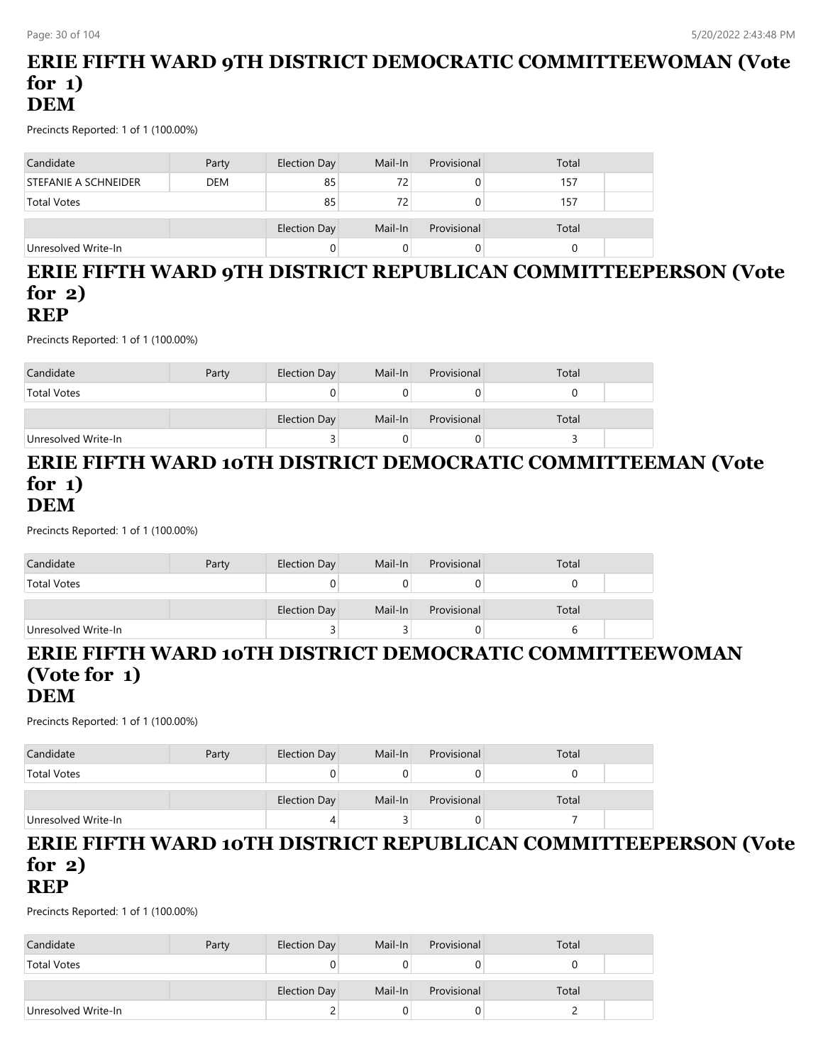## **ERIE FIFTH WARD 9TH DISTRICT DEMOCRATIC COMMITTEEWOMAN (Vote for 1) DEM**

Precincts Reported: 1 of 1 (100.00%)

| Candidate            | Party      | Election Day | Mail-In | Provisional | Total |  |
|----------------------|------------|--------------|---------|-------------|-------|--|
| STEFANIE A SCHNEIDER | <b>DEM</b> | 85           | 72      |             | 157   |  |
| <b>Total Votes</b>   |            | 85           | 72      |             | 157   |  |
|                      |            | Election Day | Mail-In | Provisional | Total |  |
| Unresolved Write-In  |            |              |         |             |       |  |

## **ERIE FIFTH WARD 9TH DISTRICT REPUBLICAN COMMITTEEPERSON (Vote for 2) REP**

Precincts Reported: 1 of 1 (100.00%)

| Candidate           | Party | Election Day | Mail-In | Provisional | Total |  |
|---------------------|-------|--------------|---------|-------------|-------|--|
| <b>Total Votes</b>  |       |              |         |             |       |  |
|                     |       | Election Day | Mail-In | Provisional | Total |  |
| Unresolved Write-In |       |              |         |             |       |  |

### **ERIE FIFTH WARD 10TH DISTRICT DEMOCRATIC COMMITTEEMAN (Vote for 1) DEM**

Precincts Reported: 1 of 1 (100.00%)

| Candidate           | Party | Election Day | Mail-In | Provisional | Total |  |
|---------------------|-------|--------------|---------|-------------|-------|--|
| <b>Total Votes</b>  |       |              |         |             |       |  |
|                     |       | Election Day | Mail-In | Provisional | Total |  |
| Unresolved Write-In |       |              |         |             |       |  |

#### **ERIE FIFTH WARD 10TH DISTRICT DEMOCRATIC COMMITTEEWOMAN (Vote for 1) DEM**

Precincts Reported: 1 of 1 (100.00%)

| Candidate           | Party | Election Day | Mail-In | Provisional | Total |  |
|---------------------|-------|--------------|---------|-------------|-------|--|
| <b>Total Votes</b>  |       |              |         |             |       |  |
|                     |       | Election Day | Mail-In | Provisional | Total |  |
| Unresolved Write-In |       |              |         |             |       |  |

#### **ERIE FIFTH WARD 10TH DISTRICT REPUBLICAN COMMITTEEPERSON (Vote for 2) REP**

| Candidate           | Party | Election Day | Mail-In | Provisional | Total |  |
|---------------------|-------|--------------|---------|-------------|-------|--|
| <b>Total Votes</b>  |       |              |         |             |       |  |
|                     |       |              |         |             |       |  |
|                     |       | Election Day | Mail-In | Provisional | Total |  |
| Unresolved Write-In |       |              |         |             |       |  |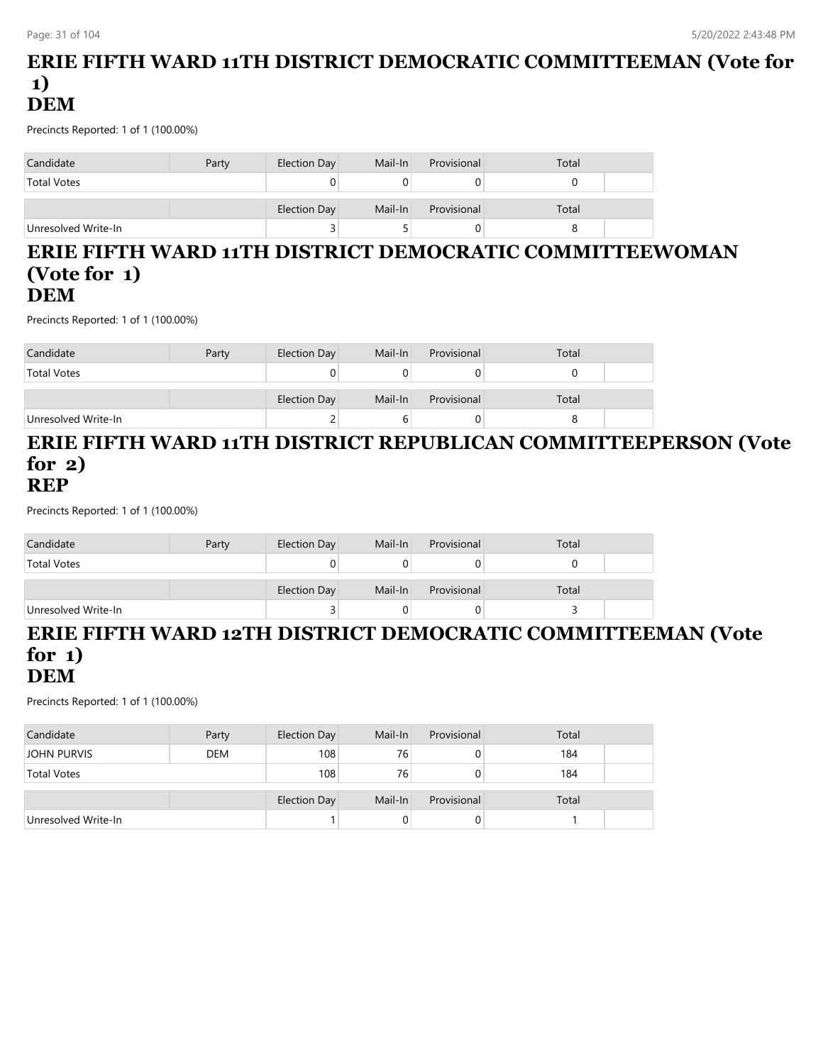## **ERIE FIFTH WARD 11TH DISTRICT DEMOCRATIC COMMITTEEMAN (Vote for 1) DEM**

Precincts Reported: 1 of 1 (100.00%)

| Candidate           | Party | Election Day | Mail-In | Provisional | Total |  |
|---------------------|-------|--------------|---------|-------------|-------|--|
| <b>Total Votes</b>  |       |              |         |             |       |  |
|                     |       | Election Day | Mail-In | Provisional | Total |  |
| Unresolved Write-In |       | ت            |         |             |       |  |

#### **ERIE FIFTH WARD 11TH DISTRICT DEMOCRATIC COMMITTEEWOMAN (Vote for 1) DEM**

Precincts Reported: 1 of 1 (100.00%)

| Candidate           | Party | Election Day | Mail-In | Provisional | Total |  |
|---------------------|-------|--------------|---------|-------------|-------|--|
| <b>Total Votes</b>  |       |              |         |             |       |  |
|                     |       | Election Day | Mail-In | Provisional | Total |  |
| Unresolved Write-In |       |              |         |             |       |  |

#### **ERIE FIFTH WARD 11TH DISTRICT REPUBLICAN COMMITTEEPERSON (Vote for 2) REP**

Precincts Reported: 1 of 1 (100.00%)

| Candidate           | Party | Election Day | Mail-In | Provisional | Total |  |
|---------------------|-------|--------------|---------|-------------|-------|--|
| <b>Total Votes</b>  |       |              |         |             |       |  |
|                     |       | Election Day | Mail-In | Provisional | Total |  |
| Unresolved Write-In |       |              |         | O           |       |  |

# **ERIE FIFTH WARD 12TH DISTRICT DEMOCRATIC COMMITTEEMAN (Vote for 1)**

## **DEM**

| Candidate           | Party      | Election Day | Mail-In | Provisional | Total |  |
|---------------------|------------|--------------|---------|-------------|-------|--|
| JOHN PURVIS         | <b>DEM</b> | 108          | 76      | 0           | 184   |  |
| <b>Total Votes</b>  |            | 108          | 76      | 0           | 184   |  |
|                     |            | Election Day | Mail-In | Provisional | Total |  |
| Unresolved Write-In |            |              |         | 0           |       |  |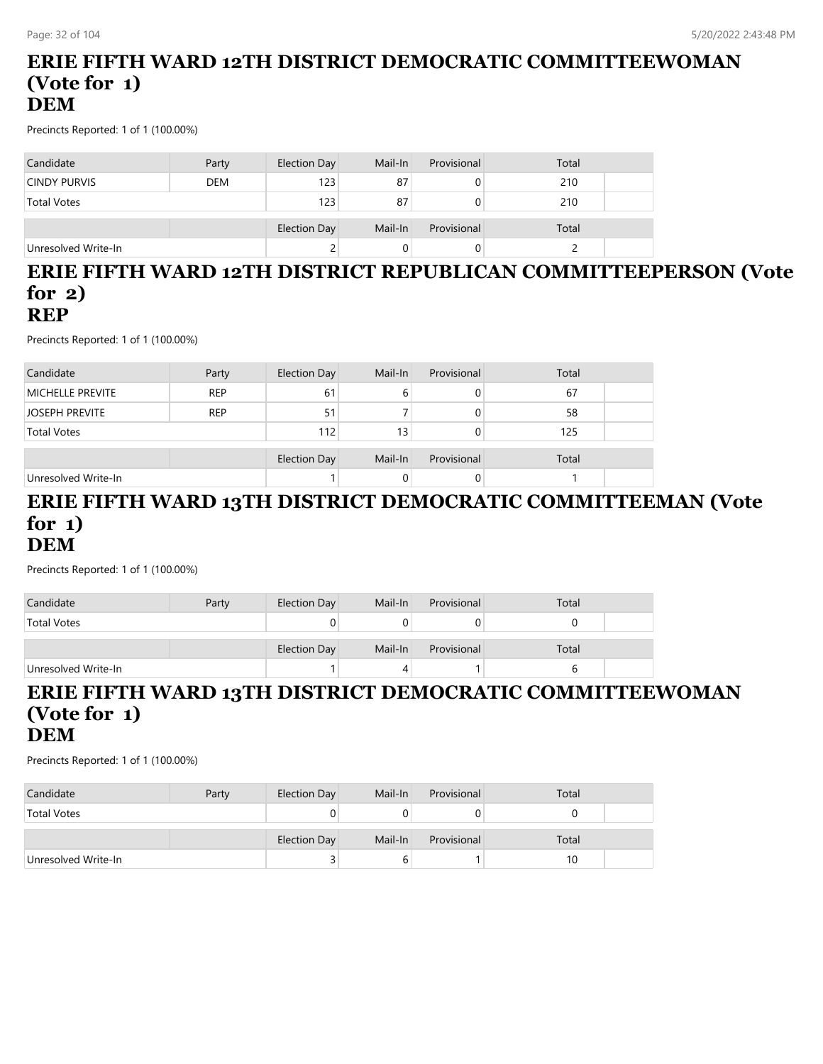## **ERIE FIFTH WARD 12TH DISTRICT DEMOCRATIC COMMITTEEWOMAN (Vote for 1) DEM**

Precincts Reported: 1 of 1 (100.00%)

| Candidate           | Party      | Election Day | Mail-In | Provisional | Total |  |
|---------------------|------------|--------------|---------|-------------|-------|--|
| <b>CINDY PURVIS</b> | <b>DEM</b> | 123          | 87      |             | 210   |  |
| <b>Total Votes</b>  |            | 123          | 87      |             | 210   |  |
|                     |            | Election Day | Mail-In | Provisional | Total |  |
| Unresolved Write-In |            |              |         |             |       |  |

#### **ERIE FIFTH WARD 12TH DISTRICT REPUBLICAN COMMITTEEPERSON (Vote for 2) REP**

Precincts Reported: 1 of 1 (100.00%)

| Candidate               | Party      | Election Day        | Mail-In | Provisional | Total |  |
|-------------------------|------------|---------------------|---------|-------------|-------|--|
| <b>MICHELLE PREVITE</b> | <b>REP</b> | 61                  | b       |             | 67    |  |
| <b>JOSEPH PREVITE</b>   | <b>REP</b> | 51                  |         |             | 58    |  |
| <b>Total Votes</b>      |            | 112                 | 13      |             | 125   |  |
|                         |            | <b>Election Day</b> | Mail-In | Provisional | Total |  |
| Unresolved Write-In     |            |                     |         | 0           |       |  |

#### **ERIE FIFTH WARD 13TH DISTRICT DEMOCRATIC COMMITTEEMAN (Vote for 1) DEM**

Precincts Reported: 1 of 1 (100.00%)

| Candidate           | Party | <b>Election Day</b> | Mail-In | Provisional | Total |  |
|---------------------|-------|---------------------|---------|-------------|-------|--|
| <b>Total Votes</b>  |       |                     |         |             |       |  |
|                     |       | Election Day        | Mail-In | Provisional | Total |  |
| Unresolved Write-In |       |                     |         |             |       |  |

#### **ERIE FIFTH WARD 13TH DISTRICT DEMOCRATIC COMMITTEEWOMAN (Vote for 1) DEM**

| Candidate           | Party | Election Day | Mail-In | Provisional | Total |  |
|---------------------|-------|--------------|---------|-------------|-------|--|
| <b>Total Votes</b>  |       |              |         |             |       |  |
|                     |       |              |         |             |       |  |
|                     |       | Election Day | Mail-In | Provisional | Total |  |
| Unresolved Write-In |       |              |         |             | 10    |  |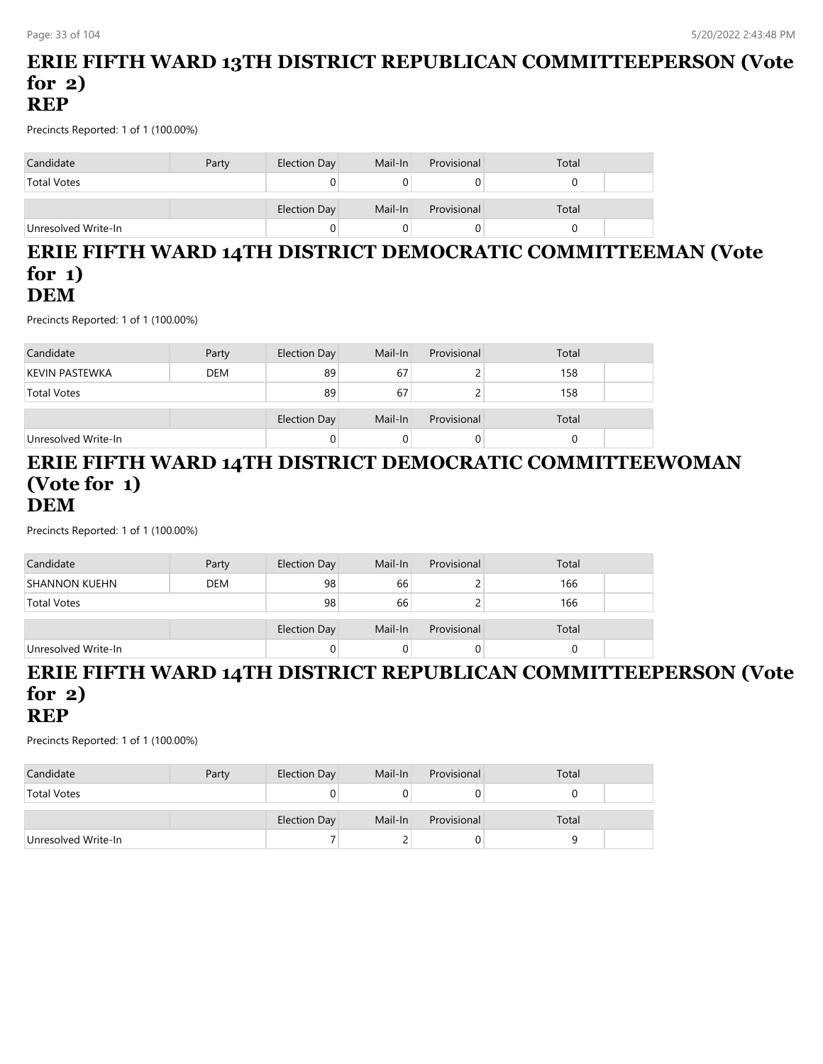## **ERIE FIFTH WARD 13TH DISTRICT REPUBLICAN COMMITTEEPERSON (Vote for 2) REP**

Precincts Reported: 1 of 1 (100.00%)

| Candidate           | Party | Election Day | Mail-In | Provisional | Total |  |
|---------------------|-------|--------------|---------|-------------|-------|--|
| <b>Total Votes</b>  |       |              |         |             |       |  |
|                     |       | Election Day | Mail-In | Provisional | Total |  |
| Unresolved Write-In |       |              |         |             |       |  |

#### **ERIE FIFTH WARD 14TH DISTRICT DEMOCRATIC COMMITTEEMAN (Vote for 1) DEM**

Precincts Reported: 1 of 1 (100.00%)

| Candidate           | Party      | <b>Election Day</b> | Mail-In | Provisional | Total |  |
|---------------------|------------|---------------------|---------|-------------|-------|--|
| KEVIN PASTEWKA      | <b>DEM</b> | 89                  | 67      |             | 158   |  |
| <b>Total Votes</b>  |            | 89                  | 67      |             | 158   |  |
|                     |            |                     | Mail-In | Provisional | Total |  |
|                     |            | Election Day        |         |             |       |  |
| Unresolved Write-In |            |                     |         |             |       |  |

#### **ERIE FIFTH WARD 14TH DISTRICT DEMOCRATIC COMMITTEEWOMAN (Vote for 1) DEM**

Precincts Reported: 1 of 1 (100.00%)

| Candidate            | Party      | <b>Election Day</b> | Mail-In | Provisional | Total |  |
|----------------------|------------|---------------------|---------|-------------|-------|--|
| <b>SHANNON KUEHN</b> | <b>DEM</b> | 98                  | 66      |             | 166   |  |
| <b>Total Votes</b>   |            | 98                  | 66      |             | 166   |  |
|                      |            |                     |         |             |       |  |
|                      |            | <b>Election Day</b> | Mail-In | Provisional | Total |  |
| Unresolved Write-In  |            |                     | 0       |             |       |  |

#### **ERIE FIFTH WARD 14TH DISTRICT REPUBLICAN COMMITTEEPERSON (Vote for 2) REP**

| Candidate           | Party | Election Day | Mail-In | Provisional | Total |  |
|---------------------|-------|--------------|---------|-------------|-------|--|
| <b>Total Votes</b>  |       |              |         |             |       |  |
|                     |       |              |         |             |       |  |
|                     |       | Election Day | Mail-In | Provisional | Total |  |
| Unresolved Write-In |       |              |         |             |       |  |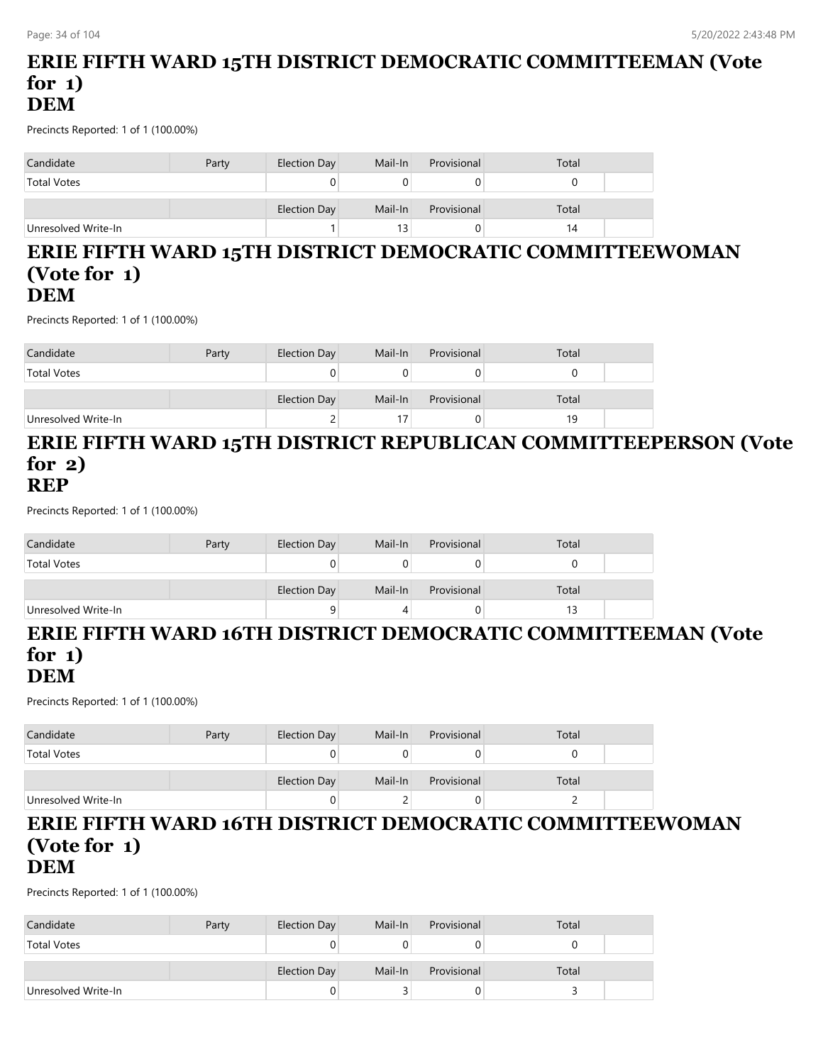## **ERIE FIFTH WARD 15TH DISTRICT DEMOCRATIC COMMITTEEMAN (Vote for 1) DEM**

Precincts Reported: 1 of 1 (100.00%)

| Candidate           | Party | Election Day | Mail-In | Provisional | Total |
|---------------------|-------|--------------|---------|-------------|-------|
| <b>Total Votes</b>  |       |              |         |             |       |
|                     |       | Election Day | Mail-In | Provisional | Total |
| Unresolved Write-In |       |              | 13      |             | 14    |

#### **ERIE FIFTH WARD 15TH DISTRICT DEMOCRATIC COMMITTEEWOMAN (Vote for 1) DEM**

Precincts Reported: 1 of 1 (100.00%)

| Candidate           | Party | Election Day | Mail-In | Provisional | Total |  |
|---------------------|-------|--------------|---------|-------------|-------|--|
| <b>Total Votes</b>  |       |              |         |             |       |  |
|                     |       | Election Day | Mail-In | Provisional | Total |  |
| Unresolved Write-In |       | ∸            |         |             | 19    |  |

#### **ERIE FIFTH WARD 15TH DISTRICT REPUBLICAN COMMITTEEPERSON (Vote for 2) REP**

Precincts Reported: 1 of 1 (100.00%)

| Candidate           | Party | <b>Election Day</b> | Mail-In | Provisional | Total |  |
|---------------------|-------|---------------------|---------|-------------|-------|--|
| <b>Total Votes</b>  |       |                     |         |             |       |  |
|                     |       | Election Day        | Mail-In | Provisional | Total |  |
| Unresolved Write-In |       | a                   |         |             |       |  |

## **ERIE FIFTH WARD 16TH DISTRICT DEMOCRATIC COMMITTEEMAN (Vote for 1)**

## **DEM**

Precincts Reported: 1 of 1 (100.00%)

| Candidate           | Party | Election Day | Mail-In | Provisional | Total |  |
|---------------------|-------|--------------|---------|-------------|-------|--|
| <b>Total Votes</b>  |       |              |         | U           |       |  |
|                     |       | Election Day | Mail-In | Provisional | Total |  |
| Unresolved Write-In |       |              |         | 0           |       |  |

#### **ERIE FIFTH WARD 16TH DISTRICT DEMOCRATIC COMMITTEEWOMAN (Vote for 1) DEM**

| Candidate           | Party | Election Day | Mail-In | Provisional | Total |  |
|---------------------|-------|--------------|---------|-------------|-------|--|
| <b>Total Votes</b>  |       |              |         |             |       |  |
|                     |       | Election Day | Mail-In | Provisional | Total |  |
| Unresolved Write-In |       |              |         |             |       |  |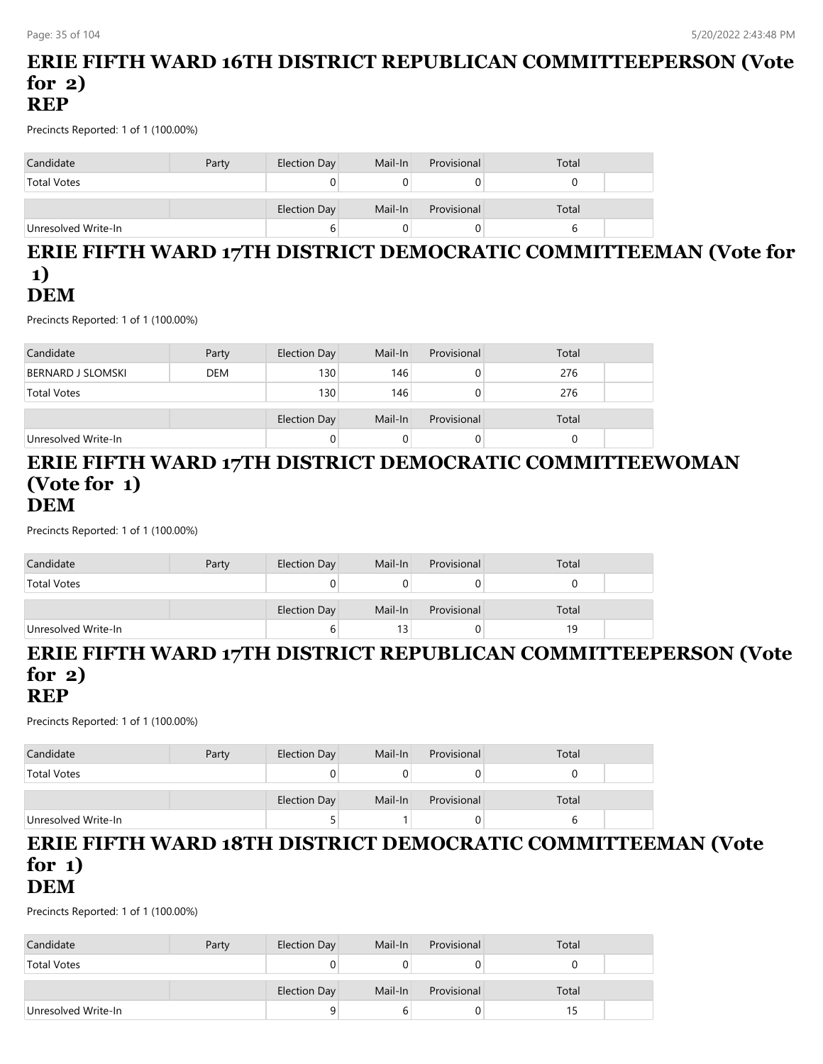## **ERIE FIFTH WARD 16TH DISTRICT REPUBLICAN COMMITTEEPERSON (Vote for 2) REP**

Precincts Reported: 1 of 1 (100.00%)

| Candidate           | Party | Election Day        | Mail-In | Provisional | Total |  |
|---------------------|-------|---------------------|---------|-------------|-------|--|
| <b>Total Votes</b>  |       |                     |         |             |       |  |
|                     |       | <b>Election Day</b> | Mail-In | Provisional | Total |  |
| Unresolved Write-In |       | b                   |         |             |       |  |

### **ERIE FIFTH WARD 17TH DISTRICT DEMOCRATIC COMMITTEEMAN (Vote for 1) DEM**

Precincts Reported: 1 of 1 (100.00%)

| Candidate                | Party      | Election Day     | Mail-In | Provisional | Total |  |
|--------------------------|------------|------------------|---------|-------------|-------|--|
| <b>BERNARD J SLOMSKI</b> | <b>DEM</b> | 130 <sub>1</sub> | 146     | 0           | 276   |  |
| <b>Total Votes</b>       |            | 130              | 146     | 0           | 276   |  |
|                          |            |                  |         |             |       |  |
|                          |            | Election Day     | Mail-In | Provisional | Total |  |
| Unresolved Write-In      |            |                  | O       | 0           |       |  |

#### **ERIE FIFTH WARD 17TH DISTRICT DEMOCRATIC COMMITTEEWOMAN (Vote for 1) DEM**

Precincts Reported: 1 of 1 (100.00%)

| Candidate           | Party | Election Day | Mail-In | Provisional | Total |  |
|---------------------|-------|--------------|---------|-------------|-------|--|
| <b>Total Votes</b>  |       |              |         |             |       |  |
|                     |       | Election Day | Mail-In | Provisional | Total |  |
| Unresolved Write-In |       |              |         |             | 19    |  |

## **ERIE FIFTH WARD 17TH DISTRICT REPUBLICAN COMMITTEEPERSON (Vote for 2)**

**REP**

Precincts Reported: 1 of 1 (100.00%)

| Candidate           | Party | Election Day        | Mail-In | Provisional | Total |  |
|---------------------|-------|---------------------|---------|-------------|-------|--|
| <b>Total Votes</b>  |       |                     |         |             |       |  |
|                     |       | <b>Election Day</b> | Mail-In | Provisional | Total |  |
| Unresolved Write-In |       |                     |         | 0.          |       |  |

# **ERIE FIFTH WARD 18TH DISTRICT DEMOCRATIC COMMITTEEMAN (Vote for 1)**

**DEM**

| Candidate           | Party | Election Day | Mail-In | Provisional | Total |  |
|---------------------|-------|--------------|---------|-------------|-------|--|
| <b>Total Votes</b>  |       |              |         |             |       |  |
|                     |       |              |         |             |       |  |
|                     |       | Election Day | Mail-In | Provisional | Total |  |
| Unresolved Write-In |       |              | b       |             | 15    |  |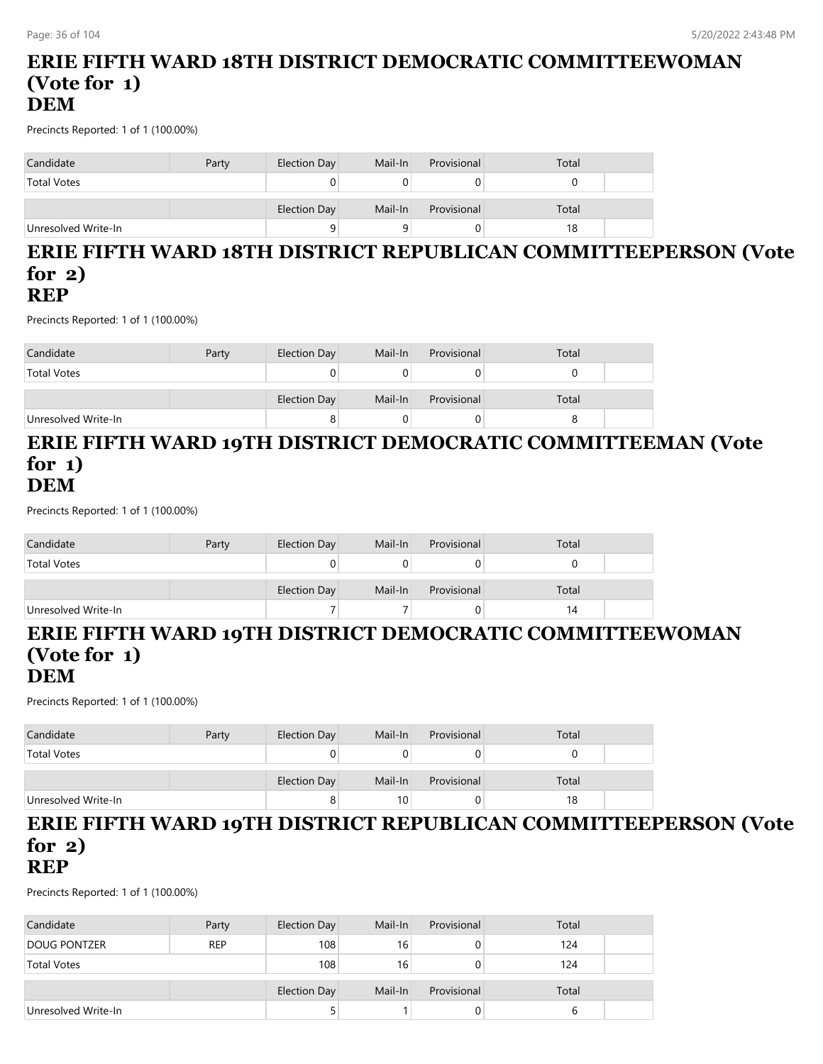## **ERIE FIFTH WARD 18TH DISTRICT DEMOCRATIC COMMITTEEWOMAN (Vote for 1) DEM**

Precincts Reported: 1 of 1 (100.00%)

| Candidate           | Party | Election Day | Mail-In | Provisional | Total |  |
|---------------------|-------|--------------|---------|-------------|-------|--|
| <b>Total Votes</b>  |       |              |         |             |       |  |
|                     |       | Election Day | Mail-In | Provisional | Total |  |
| Unresolved Write-In |       | 9            |         |             | 18    |  |

#### **ERIE FIFTH WARD 18TH DISTRICT REPUBLICAN COMMITTEEPERSON (Vote for 2) REP**

Precincts Reported: 1 of 1 (100.00%)

| Candidate           | Party | Election Day | Mail-In | Provisional | Total |  |
|---------------------|-------|--------------|---------|-------------|-------|--|
| <b>Total Votes</b>  |       |              |         |             |       |  |
|                     |       |              |         |             |       |  |
|                     |       | Election Day | Mail-In | Provisional | Total |  |
| Unresolved Write-In |       |              |         |             |       |  |

## **ERIE FIFTH WARD 19TH DISTRICT DEMOCRATIC COMMITTEEMAN (Vote for 1) DEM**

Precincts Reported: 1 of 1 (100.00%)

| Candidate           | Party | <b>Election Day</b> | Mail-In | Provisional | Total |  |
|---------------------|-------|---------------------|---------|-------------|-------|--|
| <b>Total Votes</b>  |       |                     |         |             |       |  |
|                     |       | Election Day        | Mail-In | Provisional | Total |  |
| Unresolved Write-In |       |                     |         |             | 14    |  |

# **ERIE FIFTH WARD 19TH DISTRICT DEMOCRATIC COMMITTEEWOMAN (Vote for 1)**

#### **DEM**

Precincts Reported: 1 of 1 (100.00%)

| Candidate           | Party | Election Day | Mail-In | Provisional | Total |  |
|---------------------|-------|--------------|---------|-------------|-------|--|
| <b>Total Votes</b>  |       |              |         | 0           |       |  |
|                     |       | Election Day | Mail-In | Provisional | Total |  |
| Unresolved Write-In |       |              | 10      | 0           | 18    |  |

#### **ERIE FIFTH WARD 19TH DISTRICT REPUBLICAN COMMITTEEPERSON (Vote for 2) REP**

| Candidate           | Party      | <b>Election Day</b> | Mail-In         | Provisional | Total |  |
|---------------------|------------|---------------------|-----------------|-------------|-------|--|
| <b>DOUG PONTZER</b> | <b>REP</b> | 108                 | 16 <sub>1</sub> |             | 124   |  |
| <b>Total Votes</b>  |            | 108                 | 16              |             | 124   |  |
|                     |            | Election Day        | Mail-In         | Provisional | Total |  |
| Unresolved Write-In |            |                     |                 |             | b     |  |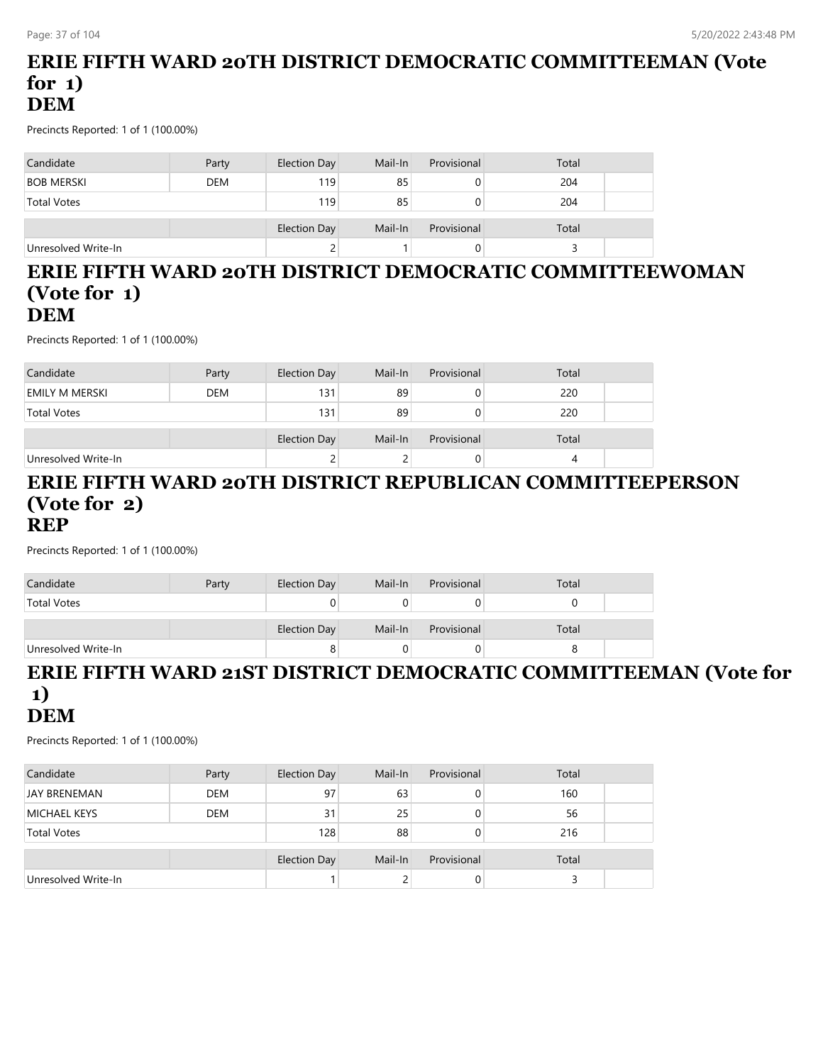#### **ERIE FIFTH WARD 20TH DISTRICT DEMOCRATIC COMMITTEEMAN (Vote for 1) DEM**

Precincts Reported: 1 of 1 (100.00%)

| Candidate           | Party      | Election Day | Mail-In | Provisional | Total |  |
|---------------------|------------|--------------|---------|-------------|-------|--|
| <b>BOB MERSKI</b>   | <b>DEM</b> | 119          | 85      |             | 204   |  |
| <b>Total Votes</b>  |            | 119          | 85      | O           | 204   |  |
|                     |            | Election Day | Mail-In | Provisional | Total |  |
| Unresolved Write-In |            |              |         |             |       |  |

#### **ERIE FIFTH WARD 20TH DISTRICT DEMOCRATIC COMMITTEEWOMAN (Vote for 1) DEM**

Precincts Reported: 1 of 1 (100.00%)

| Candidate           | Party      | Election Day | Mail-In | Provisional | Total |  |
|---------------------|------------|--------------|---------|-------------|-------|--|
| EMILY M MERSKI      | <b>DEM</b> | 131          | 89      | O           | 220   |  |
| <b>Total Votes</b>  |            | 131          | 89      | 0           | 220   |  |
|                     |            |              |         |             |       |  |
|                     |            | Election Day | Mail-In | Provisional | Total |  |
| Unresolved Write-In |            |              |         | 0           |       |  |

#### **ERIE FIFTH WARD 20TH DISTRICT REPUBLICAN COMMITTEEPERSON (Vote for 2) REP**

Precincts Reported: 1 of 1 (100.00%)

| Candidate           | Party | Election Day        | Mail-In | Provisional | Total |  |
|---------------------|-------|---------------------|---------|-------------|-------|--|
| <b>Total Votes</b>  |       |                     |         |             |       |  |
|                     |       | <b>Election Day</b> | Mail-In | Provisional | Total |  |
| Unresolved Write-In |       |                     |         |             |       |  |

#### **ERIE FIFTH WARD 21ST DISTRICT DEMOCRATIC COMMITTEEMAN (Vote for 1) DEM**

| Candidate           | Party      | Election Day        | Mail-In | Provisional | Total |  |
|---------------------|------------|---------------------|---------|-------------|-------|--|
| <b>JAY BRENEMAN</b> | <b>DEM</b> | 97                  | 63      | 0           | 160   |  |
| <b>MICHAEL KEYS</b> | <b>DEM</b> | 31                  | 25      | 0           | 56    |  |
| <b>Total Votes</b>  |            | 128                 | 88      |             | 216   |  |
|                     |            | <b>Election Day</b> | Mail-In | Provisional | Total |  |
| Unresolved Write-In |            |                     |         | 0           |       |  |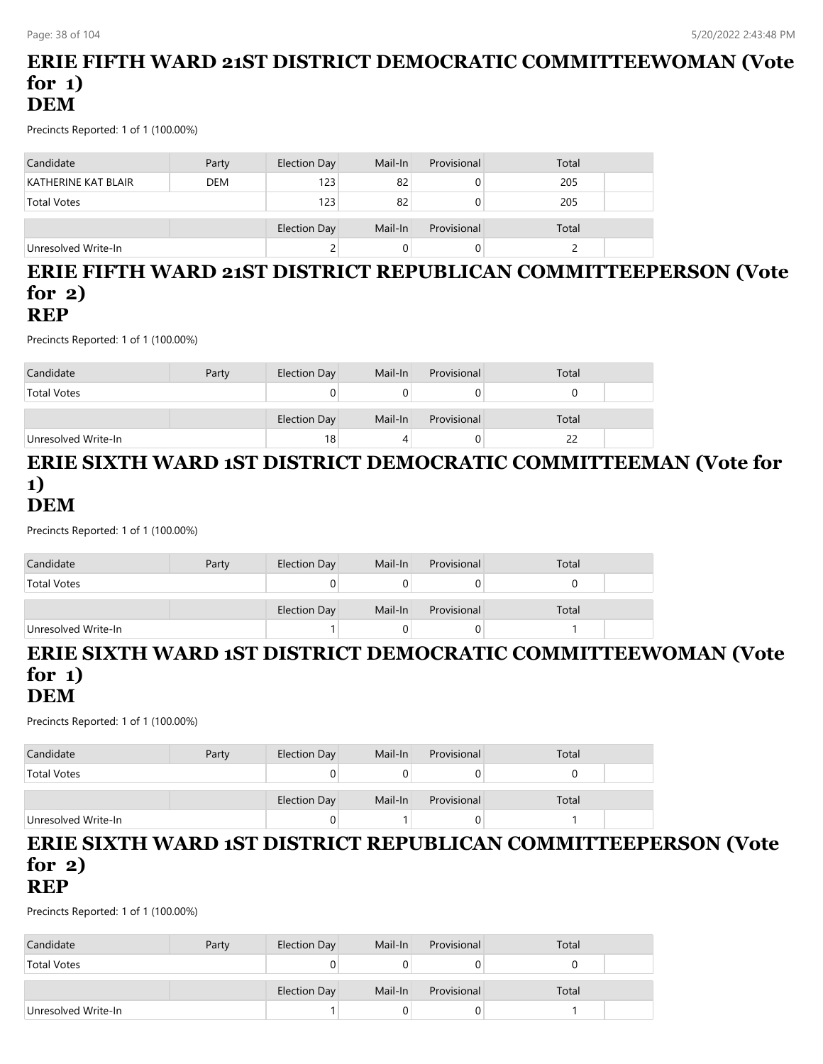#### **ERIE FIFTH WARD 21ST DISTRICT DEMOCRATIC COMMITTEEWOMAN (Vote for 1) DEM**

Precincts Reported: 1 of 1 (100.00%)

| Candidate           | Party      | Election Day | Mail-In | Provisional | Total |  |
|---------------------|------------|--------------|---------|-------------|-------|--|
| KATHERINE KAT BLAIR | <b>DEM</b> | 123          | 82      |             | 205   |  |
| <b>Total Votes</b>  |            | 123          | 82      |             | 205   |  |
|                     |            | Election Day | Mail-In | Provisional | Total |  |
| Unresolved Write-In |            | ے            |         |             |       |  |

#### **ERIE FIFTH WARD 21ST DISTRICT REPUBLICAN COMMITTEEPERSON (Vote for 2) REP**

Precincts Reported: 1 of 1 (100.00%)

| Candidate           | Party | Election Day | Mail-In | Provisional | Total |  |
|---------------------|-------|--------------|---------|-------------|-------|--|
| <b>Total Votes</b>  |       |              |         |             |       |  |
|                     |       | Election Day | Mail-In | Provisional | Total |  |
| Unresolved Write-In |       | 18           |         |             | 22    |  |

#### **ERIE SIXTH WARD 1ST DISTRICT DEMOCRATIC COMMITTEEMAN (Vote for 1) DEM**

Precincts Reported: 1 of 1 (100.00%)

| Candidate           | Party | Election Day | Mail-In | Provisional | Total |  |
|---------------------|-------|--------------|---------|-------------|-------|--|
| <b>Total Votes</b>  |       |              |         |             |       |  |
|                     |       | Election Day | Mail-In | Provisional | Total |  |
| Unresolved Write-In |       |              |         |             |       |  |

#### **ERIE SIXTH WARD 1ST DISTRICT DEMOCRATIC COMMITTEEWOMAN (Vote for 1) DEM**

Precincts Reported: 1 of 1 (100.00%)

| Candidate           | Party | Election Day | Mail-In | Provisional | Total |  |
|---------------------|-------|--------------|---------|-------------|-------|--|
| <b>Total Votes</b>  |       |              |         |             |       |  |
|                     |       | Election Day | Mail-In | Provisional | Total |  |
| Unresolved Write-In |       |              |         |             |       |  |

# **ERIE SIXTH WARD 1ST DISTRICT REPUBLICAN COMMITTEEPERSON (Vote for 2)**

**REP**

| Candidate           | Party | Election Day | Mail-In | Provisional | Total |  |
|---------------------|-------|--------------|---------|-------------|-------|--|
| <b>Total Votes</b>  |       |              |         |             |       |  |
|                     |       |              |         |             |       |  |
|                     |       | Election Day | Mail-In | Provisional | Total |  |
| Unresolved Write-In |       |              |         |             |       |  |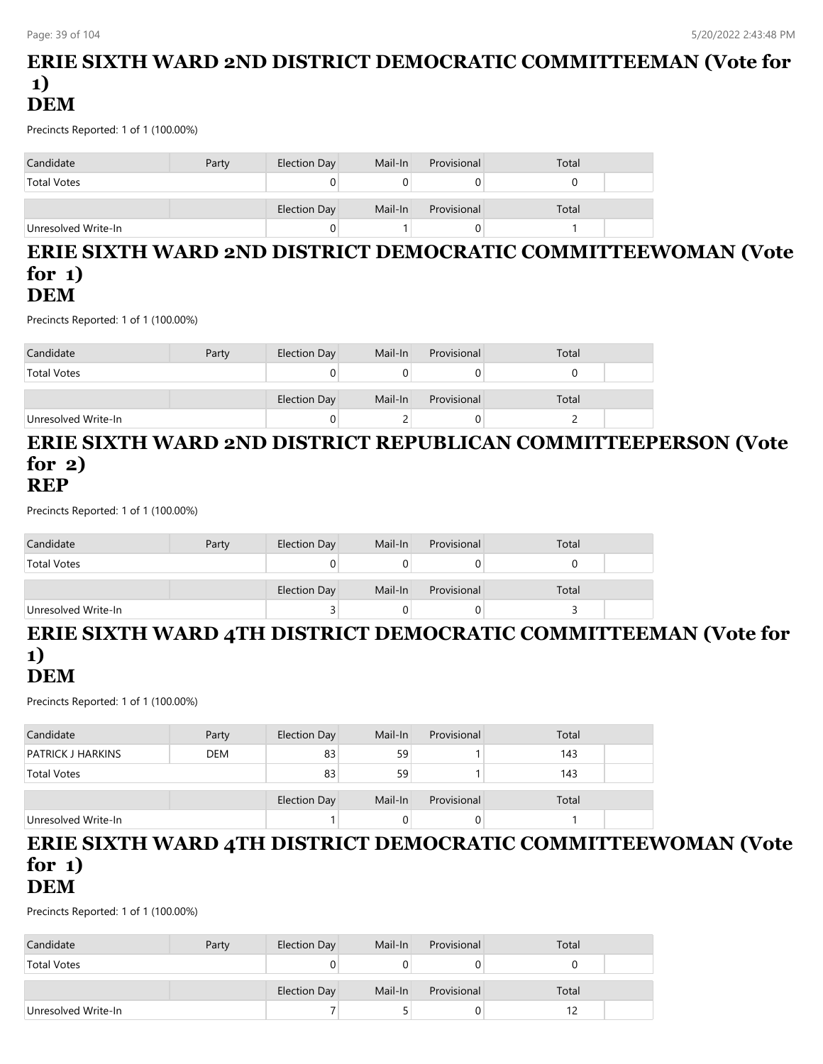#### **ERIE SIXTH WARD 2ND DISTRICT DEMOCRATIC COMMITTEEMAN (Vote for 1) DEM**

Precincts Reported: 1 of 1 (100.00%)

| Candidate           | Party | Election Day | Mail-In | Provisional | Total |  |
|---------------------|-------|--------------|---------|-------------|-------|--|
| <b>Total Votes</b>  |       | Ü            |         |             |       |  |
|                     |       | Election Day | Mail-In | Provisional | Total |  |
| Unresolved Write-In |       | U            |         |             |       |  |

#### **ERIE SIXTH WARD 2ND DISTRICT DEMOCRATIC COMMITTEEWOMAN (Vote for 1) DEM**

Precincts Reported: 1 of 1 (100.00%)

| Candidate           | Party | Election Day | Mail-In | Provisional | Total |  |
|---------------------|-------|--------------|---------|-------------|-------|--|
| <b>Total Votes</b>  |       |              |         |             |       |  |
|                     |       | Election Day | Mail-In | Provisional | Total |  |
| Unresolved Write-In |       |              |         |             |       |  |

#### **ERIE SIXTH WARD 2ND DISTRICT REPUBLICAN COMMITTEEPERSON (Vote for 2) REP**

Precincts Reported: 1 of 1 (100.00%)

| Candidate           | Party | Election Day | Mail-In | Provisional | Total |  |
|---------------------|-------|--------------|---------|-------------|-------|--|
| <b>Total Votes</b>  |       |              |         |             |       |  |
|                     |       | Election Day | Mail-In | Provisional | Total |  |
| Unresolved Write-In |       |              |         | 0           |       |  |

# **ERIE SIXTH WARD 4TH DISTRICT DEMOCRATIC COMMITTEEMAN (Vote for 1)**

# **DEM**

Precincts Reported: 1 of 1 (100.00%)

| Candidate                | Party      | Election Day | Mail-In         | Provisional | Total |  |
|--------------------------|------------|--------------|-----------------|-------------|-------|--|
| <b>PATRICK J HARKINS</b> | <b>DEM</b> | 83           | 59 <sub>1</sub> |             | 143   |  |
| <b>Total Votes</b>       |            | 83           | 59              |             | 143   |  |
|                          |            |              |                 |             |       |  |
|                          |            | Election Day | Mail-In         | Provisional | Total |  |
| Unresolved Write-In      |            |              |                 |             |       |  |

# **ERIE SIXTH WARD 4TH DISTRICT DEMOCRATIC COMMITTEEWOMAN (Vote for 1)**

**DEM**

| Candidate           | Party | Election Day | Mail-In | Provisional | Total |  |
|---------------------|-------|--------------|---------|-------------|-------|--|
| <b>Total Votes</b>  |       |              |         |             |       |  |
|                     |       |              |         |             |       |  |
|                     |       | Election Day | Mail-In | Provisional | Total |  |
| Unresolved Write-In |       |              |         |             |       |  |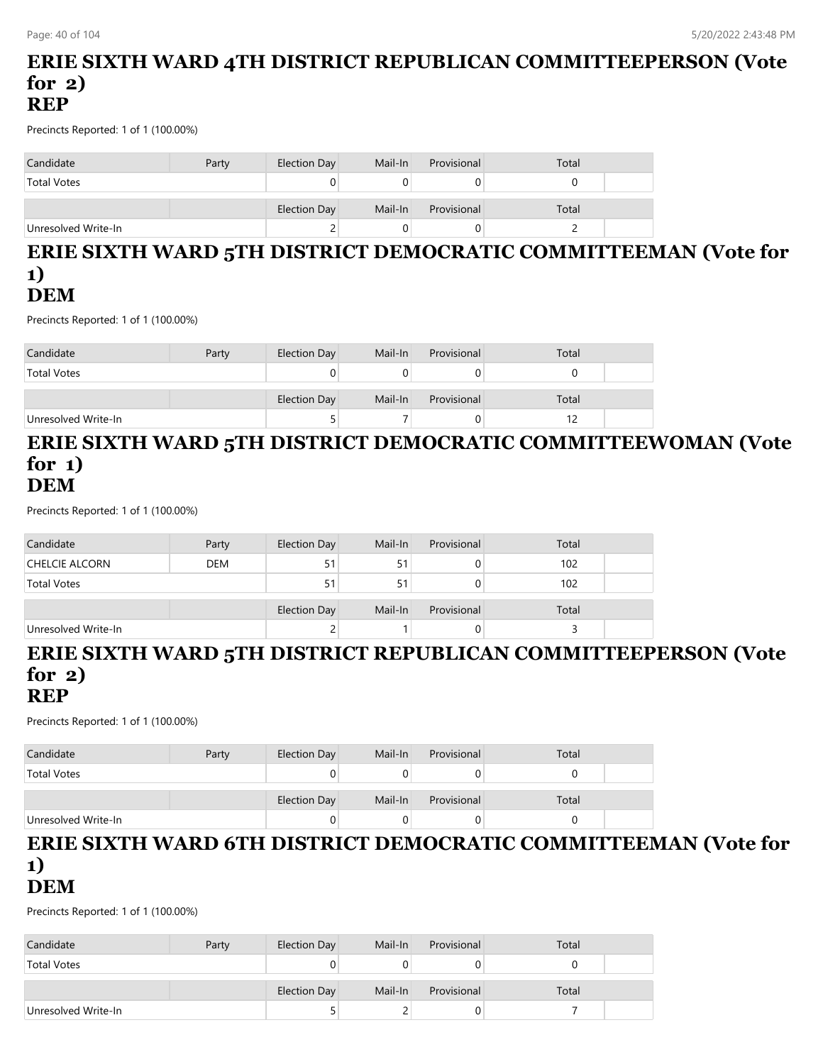#### **ERIE SIXTH WARD 4TH DISTRICT REPUBLICAN COMMITTEEPERSON (Vote for 2) REP**

Precincts Reported: 1 of 1 (100.00%)

| Candidate           | Party | Election Day | Mail-In | Provisional | Total |
|---------------------|-------|--------------|---------|-------------|-------|
| <b>Total Votes</b>  |       | U            |         |             |       |
|                     |       | Election Day | Mail-In | Provisional | Total |
| Unresolved Write-In |       | ے            |         |             |       |

#### **ERIE SIXTH WARD 5TH DISTRICT DEMOCRATIC COMMITTEEMAN (Vote for 1) DEM**

Precincts Reported: 1 of 1 (100.00%)

| Candidate           | Party | Election Day | Mail-In | Provisional | Total |  |
|---------------------|-------|--------------|---------|-------------|-------|--|
| <b>Total Votes</b>  |       | υ            |         |             |       |  |
|                     |       | Election Day | Mail-In | Provisional | Total |  |
| Unresolved Write-In |       |              |         |             |       |  |

#### **ERIE SIXTH WARD 5TH DISTRICT DEMOCRATIC COMMITTEEWOMAN (Vote for 1) DEM**

Precincts Reported: 1 of 1 (100.00%)

| Candidate           | Party      | Election Day | Mail-In | Provisional | Total |  |
|---------------------|------------|--------------|---------|-------------|-------|--|
| CHELCIE ALCORN      | <b>DEM</b> | 51           | 51      |             | 102   |  |
| <b>Total Votes</b>  |            | 51           |         |             | 102   |  |
|                     |            | Election Day | Mail-In | Provisional | Total |  |
| Unresolved Write-In |            |              |         |             |       |  |

# **ERIE SIXTH WARD 5TH DISTRICT REPUBLICAN COMMITTEEPERSON (Vote for 2)**

**REP**

Precincts Reported: 1 of 1 (100.00%)

| Candidate           | Party | Election Day        | Mail-In | Provisional | Total |  |
|---------------------|-------|---------------------|---------|-------------|-------|--|
| <b>Total Votes</b>  |       |                     |         |             |       |  |
|                     |       | <b>Election Day</b> | Mail-In | Provisional | Total |  |
| Unresolved Write-In |       |                     |         | J.          |       |  |

#### **ERIE SIXTH WARD 6TH DISTRICT DEMOCRATIC COMMITTEEMAN (Vote for 1) DEM**

| Candidate           | Party | Election Day | Mail-In | Provisional | Total |  |
|---------------------|-------|--------------|---------|-------------|-------|--|
| <b>Total Votes</b>  |       |              |         |             |       |  |
|                     |       |              |         |             |       |  |
|                     |       | Election Day | Mail-In | Provisional | Total |  |
| Unresolved Write-In |       |              |         |             |       |  |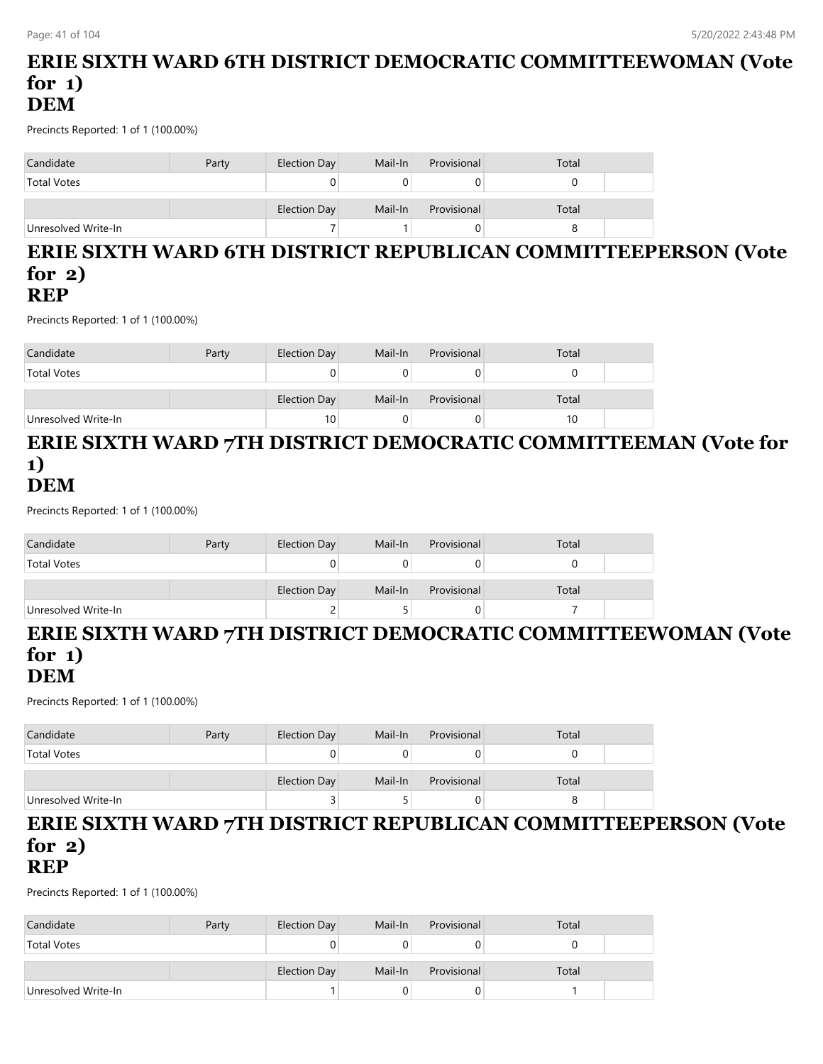#### **ERIE SIXTH WARD 6TH DISTRICT DEMOCRATIC COMMITTEEWOMAN (Vote for 1) DEM**

Precincts Reported: 1 of 1 (100.00%)

| Candidate           | Party | Election Day | Mail-In | Provisional | Total |
|---------------------|-------|--------------|---------|-------------|-------|
| <b>Total Votes</b>  |       |              |         |             |       |
|                     |       | Election Day | Mail-In | Provisional | Total |
| Unresolved Write-In |       |              |         |             |       |

# **ERIE SIXTH WARD 6TH DISTRICT REPUBLICAN COMMITTEEPERSON (Vote for 2)**

# **REP**

Precincts Reported: 1 of 1 (100.00%)

| Candidate           | Party | Election Day | Mail-In | Provisional | Total |  |
|---------------------|-------|--------------|---------|-------------|-------|--|
| <b>Total Votes</b>  |       |              |         |             |       |  |
|                     |       | Election Day | Mail-In | Provisional | Total |  |
| Unresolved Write-In |       | 10           |         |             | 10    |  |

#### **ERIE SIXTH WARD 7TH DISTRICT DEMOCRATIC COMMITTEEMAN (Vote for 1) DEM**

Precincts Reported: 1 of 1 (100.00%)

| Candidate           | Party | Election Day | Mail-In | Provisional | Total |  |
|---------------------|-------|--------------|---------|-------------|-------|--|
| <b>Total Votes</b>  |       |              |         |             |       |  |
|                     |       | Election Day | Mail-In | Provisional | Total |  |
| Unresolved Write-In |       |              |         |             |       |  |

# **ERIE SIXTH WARD 7TH DISTRICT DEMOCRATIC COMMITTEEWOMAN (Vote for 1)**

# **DEM**

Precincts Reported: 1 of 1 (100.00%)

| Candidate           | Party | Election Day | Mail-In | Provisional | Total |  |
|---------------------|-------|--------------|---------|-------------|-------|--|
| <b>Total Votes</b>  |       |              |         | U           |       |  |
|                     |       | Election Day | Mail-In | Provisional | Total |  |
| Unresolved Write-In |       |              |         | 0           |       |  |

#### **ERIE SIXTH WARD 7TH DISTRICT REPUBLICAN COMMITTEEPERSON (Vote for 2) REP**

| Candidate           | Party | Election Day | Mail-In | Provisional | Total |  |
|---------------------|-------|--------------|---------|-------------|-------|--|
| <b>Total Votes</b>  |       |              |         |             |       |  |
|                     |       | Election Day | Mail-In | Provisional | Total |  |
| Unresolved Write-In |       |              |         |             |       |  |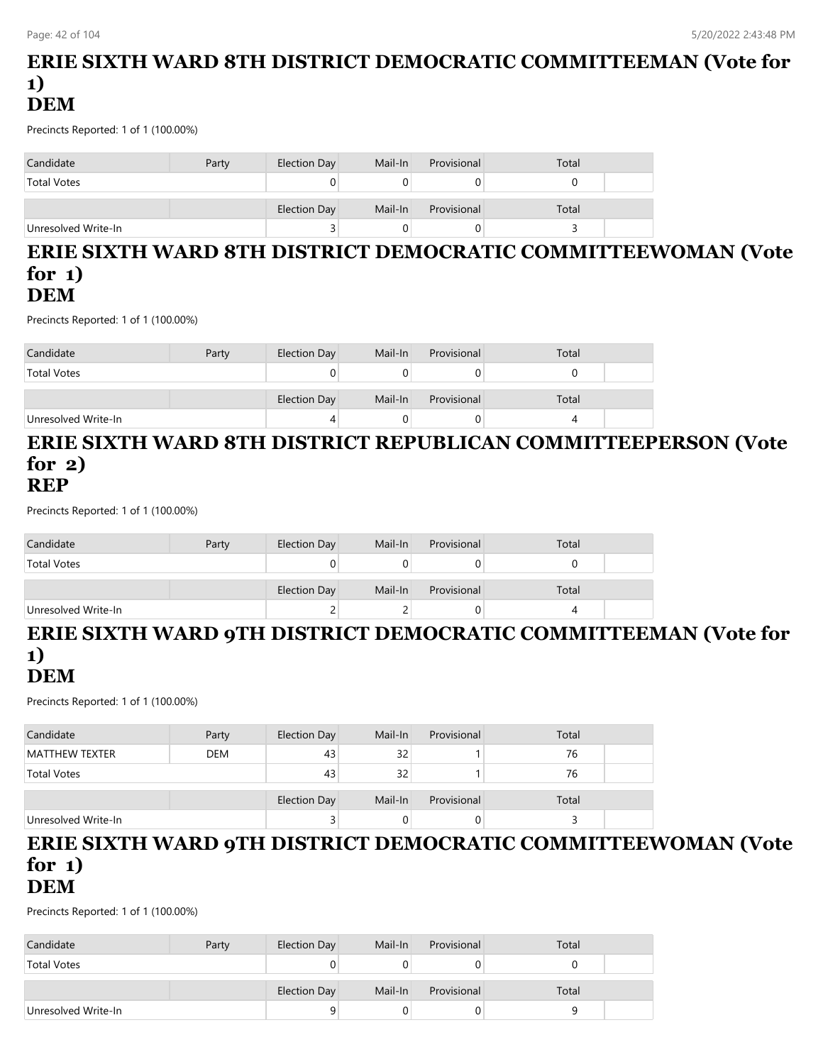#### **ERIE SIXTH WARD 8TH DISTRICT DEMOCRATIC COMMITTEEMAN (Vote for 1) DEM**

Precincts Reported: 1 of 1 (100.00%)

| Candidate           | Party | Election Day | Mail-In | Provisional | Total |  |
|---------------------|-------|--------------|---------|-------------|-------|--|
| <b>Total Votes</b>  |       |              |         |             |       |  |
|                     |       | Election Day | Mail-In | Provisional | Total |  |
| Unresolved Write-In |       |              |         |             |       |  |

#### **ERIE SIXTH WARD 8TH DISTRICT DEMOCRATIC COMMITTEEWOMAN (Vote for 1) DEM**

Precincts Reported: 1 of 1 (100.00%)

| Candidate           | Party | Election Day | Mail-In | Provisional | Total |  |
|---------------------|-------|--------------|---------|-------------|-------|--|
| <b>Total Votes</b>  |       |              |         |             |       |  |
|                     |       | Election Day | Mail-In | Provisional | Total |  |
| Unresolved Write-In |       | 4            |         |             |       |  |

#### **ERIE SIXTH WARD 8TH DISTRICT REPUBLICAN COMMITTEEPERSON (Vote for 2) REP**

Precincts Reported: 1 of 1 (100.00%)

| Candidate           | Party | Election Day | Mail-In | Provisional | Total |  |
|---------------------|-------|--------------|---------|-------------|-------|--|
| <b>Total Votes</b>  |       |              |         |             |       |  |
|                     |       | Election Day | Mail-In | Provisional | Total |  |
| Unresolved Write-In |       |              |         | U           |       |  |

# **ERIE SIXTH WARD 9TH DISTRICT DEMOCRATIC COMMITTEEMAN (Vote for 1)**

# **DEM**

Precincts Reported: 1 of 1 (100.00%)

| Candidate             | Party      | Election Day | Mail-In | Provisional | Total |  |
|-----------------------|------------|--------------|---------|-------------|-------|--|
| <b>MATTHEW TEXTER</b> | <b>DEM</b> | 43           | 32      |             | 76    |  |
| <b>Total Votes</b>    |            | 43           | 32      |             | 76    |  |
|                       |            | Election Day | Mail-In | Provisional | Total |  |
|                       |            |              |         |             |       |  |
| Unresolved Write-In   |            |              |         | 0           |       |  |

# **ERIE SIXTH WARD 9TH DISTRICT DEMOCRATIC COMMITTEEWOMAN (Vote for 1)**

**DEM**

| Candidate           | Party | Election Day | Mail-In | Provisional | Total |  |
|---------------------|-------|--------------|---------|-------------|-------|--|
| <b>Total Votes</b>  |       |              |         |             |       |  |
|                     |       |              |         |             |       |  |
|                     |       | Election Day | Mail-In | Provisional | Total |  |
| Unresolved Write-In |       |              |         |             |       |  |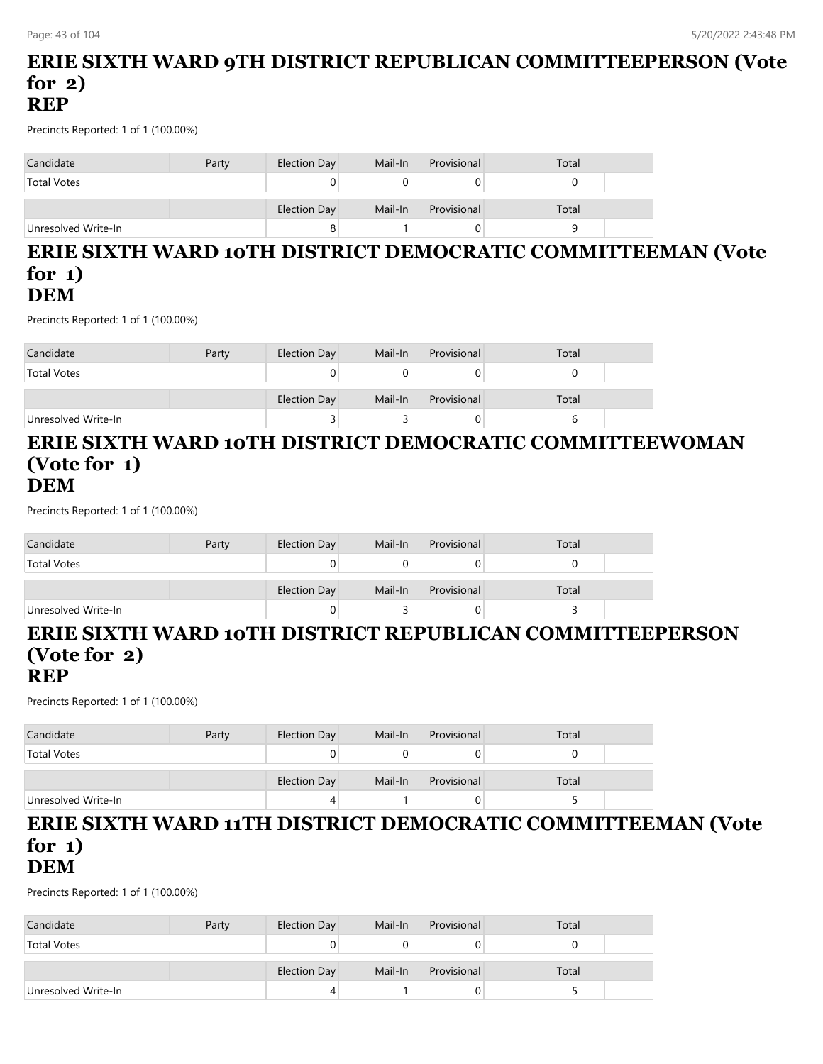#### **ERIE SIXTH WARD 9TH DISTRICT REPUBLICAN COMMITTEEPERSON (Vote for 2) REP**

Precincts Reported: 1 of 1 (100.00%)

| Candidate           | Party | Election Day | Mail-In | Provisional | Total |
|---------------------|-------|--------------|---------|-------------|-------|
| <b>Total Votes</b>  |       | U            |         |             |       |
|                     |       | Election Day | Mail-In | Provisional | Total |
| Unresolved Write-In |       | 8            |         |             |       |

#### **ERIE SIXTH WARD 10TH DISTRICT DEMOCRATIC COMMITTEEMAN (Vote for 1) DEM**

Precincts Reported: 1 of 1 (100.00%)

| Candidate           | Party | Election Day | Mail-In | Provisional | Total |  |
|---------------------|-------|--------------|---------|-------------|-------|--|
| <b>Total Votes</b>  |       |              |         |             |       |  |
|                     |       |              |         |             |       |  |
|                     |       | Election Day | Mail-In | Provisional | Total |  |
| Unresolved Write-In |       |              |         | Ü           |       |  |

#### **ERIE SIXTH WARD 10TH DISTRICT DEMOCRATIC COMMITTEEWOMAN (Vote for 1) DEM**

Precincts Reported: 1 of 1 (100.00%)

| Candidate           | Party | Election Day | Mail-In | Provisional | Total |  |
|---------------------|-------|--------------|---------|-------------|-------|--|
| <b>Total Votes</b>  |       |              |         |             |       |  |
|                     |       | Election Day | Mail-In | Provisional | Total |  |
| Unresolved Write-In |       |              |         |             |       |  |

# **ERIE SIXTH WARD 10TH DISTRICT REPUBLICAN COMMITTEEPERSON (Vote for 2)**

#### **REP**

Precincts Reported: 1 of 1 (100.00%)

| Candidate           | Party | Election Day | Mail-In | Provisional | Total |  |
|---------------------|-------|--------------|---------|-------------|-------|--|
| <b>Total Votes</b>  |       |              |         |             |       |  |
|                     |       | Election Day | Mail-In | Provisional | Total |  |
| Unresolved Write-In |       |              |         |             |       |  |

#### **ERIE SIXTH WARD 11TH DISTRICT DEMOCRATIC COMMITTEEMAN (Vote for 1) DEM**

| Candidate           | Party | Election Day        | Mail-In | Provisional | Total |  |
|---------------------|-------|---------------------|---------|-------------|-------|--|
| <b>Total Votes</b>  |       |                     |         |             |       |  |
|                     |       | <b>Election Day</b> | Mail-In | Provisional | Total |  |
| Unresolved Write-In |       |                     |         |             |       |  |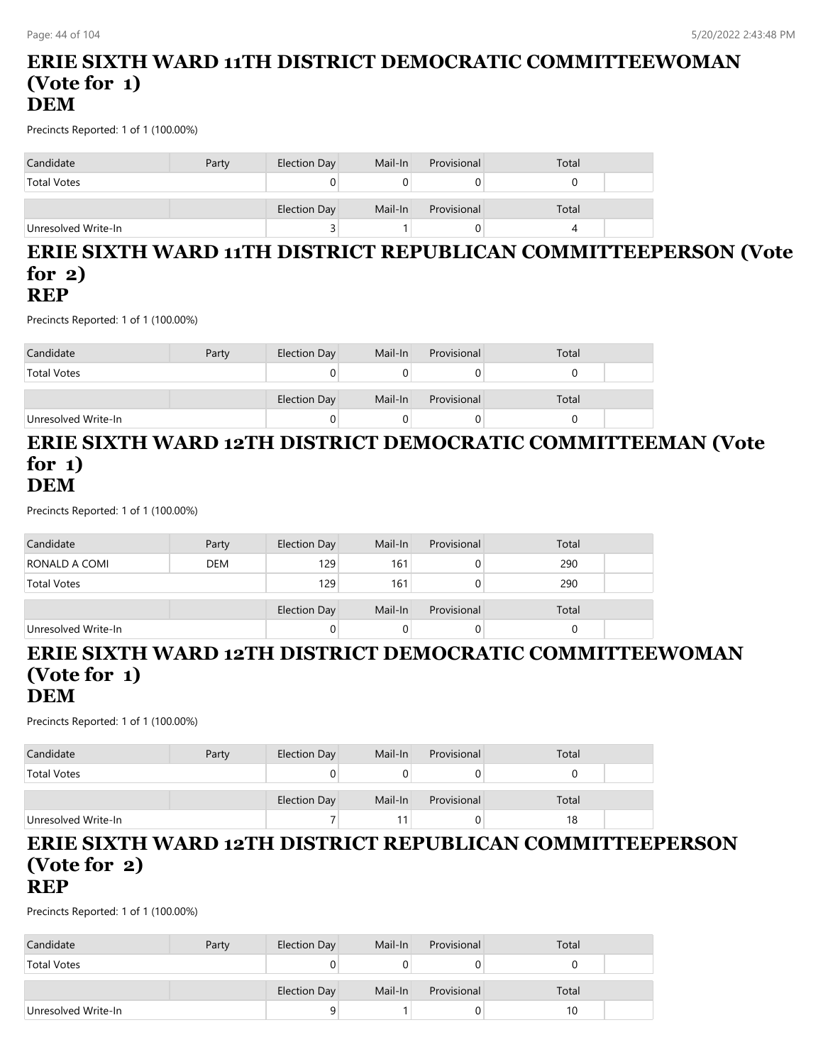#### **ERIE SIXTH WARD 11TH DISTRICT DEMOCRATIC COMMITTEEWOMAN (Vote for 1) DEM**

Precincts Reported: 1 of 1 (100.00%)

| Candidate           | Party | Election Day | Mail-In | Provisional | Total |  |
|---------------------|-------|--------------|---------|-------------|-------|--|
| <b>Total Votes</b>  |       |              |         |             |       |  |
|                     |       | Election Day | Mail-In | Provisional | Total |  |
| Unresolved Write-In |       |              |         |             |       |  |

#### **ERIE SIXTH WARD 11TH DISTRICT REPUBLICAN COMMITTEEPERSON (Vote for 2) REP**

Precincts Reported: 1 of 1 (100.00%)

| Candidate           | Party | Election Day | Mail-In | Provisional | Total |  |
|---------------------|-------|--------------|---------|-------------|-------|--|
| <b>Total Votes</b>  |       |              |         |             |       |  |
|                     |       |              |         |             |       |  |
|                     |       | Election Day | Mail-In | Provisional | Total |  |
| Unresolved Write-In |       |              |         |             |       |  |

#### **ERIE SIXTH WARD 12TH DISTRICT DEMOCRATIC COMMITTEEMAN (Vote for 1) DEM**

Precincts Reported: 1 of 1 (100.00%)

| Candidate           | Party      | Election Day        | Mail-In | Provisional | Total |  |
|---------------------|------------|---------------------|---------|-------------|-------|--|
| RONALD A COMI       | <b>DEM</b> | 129                 | 161     |             | 290   |  |
| <b>Total Votes</b>  |            | 129                 | 161     |             | 290   |  |
|                     |            | <b>Election Day</b> | Mail-In | Provisional | Total |  |
|                     |            |                     |         |             |       |  |
| Unresolved Write-In |            |                     |         |             |       |  |

#### **ERIE SIXTH WARD 12TH DISTRICT DEMOCRATIC COMMITTEEWOMAN (Vote for 1) DEM**

Precincts Reported: 1 of 1 (100.00%)

| Candidate           | Party | Election Day | Mail-In | Provisional | Total |  |
|---------------------|-------|--------------|---------|-------------|-------|--|
| <b>Total Votes</b>  |       |              |         |             |       |  |
|                     |       | Election Day | Mail-In | Provisional | Total |  |
| Unresolved Write-In |       |              |         | 0.          | 18    |  |

#### **ERIE SIXTH WARD 12TH DISTRICT REPUBLICAN COMMITTEEPERSON (Vote for 2) REP**

| Candidate           | Party | Election Day | Mail-In | Provisional | Total |  |
|---------------------|-------|--------------|---------|-------------|-------|--|
| <b>Total Votes</b>  |       |              |         |             |       |  |
|                     |       |              |         |             |       |  |
|                     |       | Election Day | Mail-In | Provisional | Total |  |
| Unresolved Write-In |       |              |         |             | 10    |  |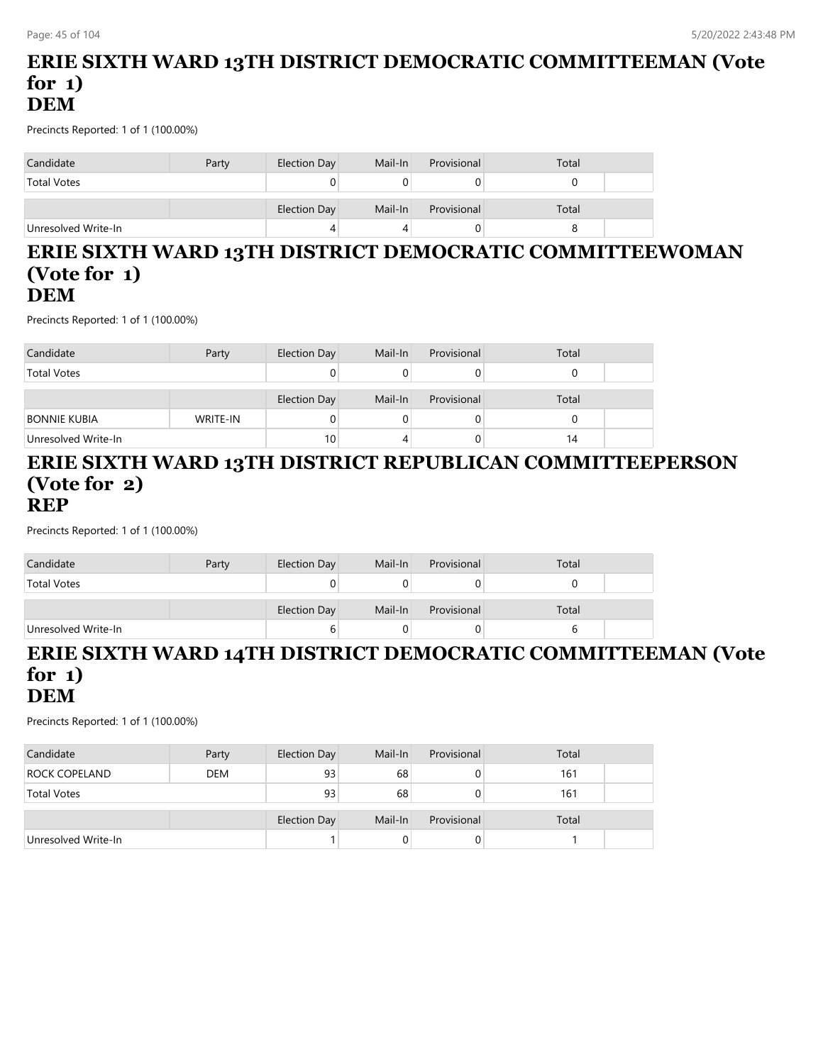### **ERIE SIXTH WARD 13TH DISTRICT DEMOCRATIC COMMITTEEMAN (Vote for 1) DEM**

Precincts Reported: 1 of 1 (100.00%)

| Candidate           | Party | Election Day | Mail-In | Provisional | Total |  |
|---------------------|-------|--------------|---------|-------------|-------|--|
| <b>Total Votes</b>  |       |              |         |             |       |  |
|                     |       | Election Day | Mail-In | Provisional | Total |  |
| Unresolved Write-In |       | 4            |         |             |       |  |

#### **ERIE SIXTH WARD 13TH DISTRICT DEMOCRATIC COMMITTEEWOMAN (Vote for 1) DEM**

Precincts Reported: 1 of 1 (100.00%)

| Candidate           | Party    | Election Day    | Mail-In | Provisional | Total |  |
|---------------------|----------|-----------------|---------|-------------|-------|--|
| <b>Total Votes</b>  |          |                 |         |             |       |  |
|                     |          |                 |         |             |       |  |
|                     |          | Election Day    | Mail-In | Provisional | Total |  |
| <b>BONNIE KUBIA</b> | WRITE-IN |                 |         | O           |       |  |
| Unresolved Write-In |          | 10 <sub>1</sub> |         |             | 14    |  |

#### **ERIE SIXTH WARD 13TH DISTRICT REPUBLICAN COMMITTEEPERSON (Vote for 2) REP**

Precincts Reported: 1 of 1 (100.00%)

| Candidate           | Party | Election Day | Mail-In | Provisional | Total |  |
|---------------------|-------|--------------|---------|-------------|-------|--|
| <b>Total Votes</b>  |       |              |         |             |       |  |
|                     |       | Election Day | Mail-In | Provisional | Total |  |
| Unresolved Write-In |       |              |         |             |       |  |

#### **ERIE SIXTH WARD 14TH DISTRICT DEMOCRATIC COMMITTEEMAN (Vote for 1) DEM**

| Candidate            | Party      | Election Day        | Mail-In | Provisional | Total |  |
|----------------------|------------|---------------------|---------|-------------|-------|--|
| <b>ROCK COPELAND</b> | <b>DEM</b> | 93                  | 68      | U           | 161   |  |
| <b>Total Votes</b>   |            | 93                  | 68      | 0           | 161   |  |
|                      |            | <b>Election Day</b> | Mail-In | Provisional | Total |  |
| Unresolved Write-In  |            |                     |         | U           |       |  |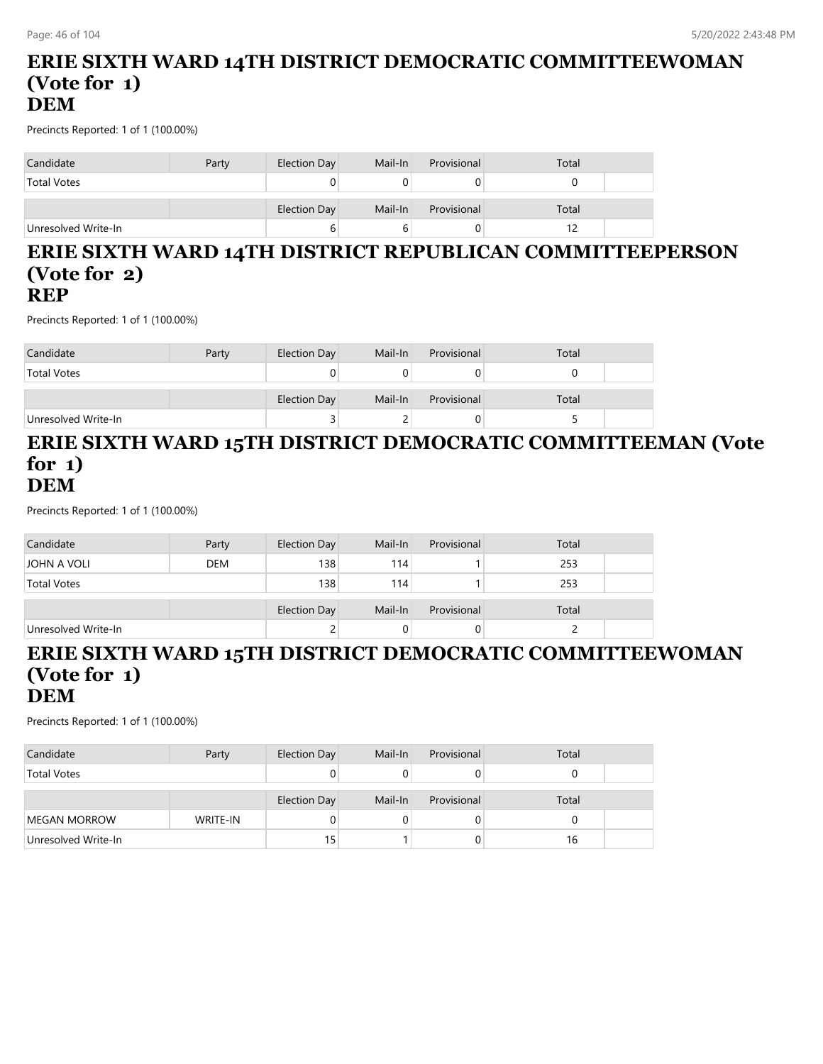#### **ERIE SIXTH WARD 14TH DISTRICT DEMOCRATIC COMMITTEEWOMAN (Vote for 1) DEM**

Precincts Reported: 1 of 1 (100.00%)

| Candidate           | Party | Election Day | Mail-In | Provisional | Total |  |
|---------------------|-------|--------------|---------|-------------|-------|--|
| <b>Total Votes</b>  |       |              |         |             |       |  |
|                     |       | Election Day | Mail-In | Provisional | Total |  |
| Unresolved Write-In |       | ь            |         |             |       |  |

#### **ERIE SIXTH WARD 14TH DISTRICT REPUBLICAN COMMITTEEPERSON (Vote for 2) REP**

Precincts Reported: 1 of 1 (100.00%)

| Candidate           | Party | Election Day | Mail-In | Provisional | Total |  |
|---------------------|-------|--------------|---------|-------------|-------|--|
| <b>Total Votes</b>  |       |              |         |             |       |  |
|                     |       |              |         |             |       |  |
|                     |       | Election Day | Mail-In | Provisional | Total |  |
| Unresolved Write-In |       |              |         |             |       |  |

#### **ERIE SIXTH WARD 15TH DISTRICT DEMOCRATIC COMMITTEEMAN (Vote for 1) DEM**

Precincts Reported: 1 of 1 (100.00%)

| Candidate           | Party      | Election Day | Mail-In | Provisional | Total |  |
|---------------------|------------|--------------|---------|-------------|-------|--|
| JOHN A VOLI         | <b>DEM</b> | 138          | 114     |             | 253   |  |
| <b>Total Votes</b>  |            | 138          | 114     |             | 253   |  |
|                     |            |              |         |             |       |  |
|                     |            | Election Day | Mail-In | Provisional | Total |  |
| Unresolved Write-In |            |              |         |             |       |  |

#### **ERIE SIXTH WARD 15TH DISTRICT DEMOCRATIC COMMITTEEWOMAN (Vote for 1) DEM**

| Candidate           | Party    | Election Day | Mail-In | Provisional | Total |  |
|---------------------|----------|--------------|---------|-------------|-------|--|
| <b>Total Votes</b>  |          |              |         |             |       |  |
|                     |          | Election Day | Mail-In | Provisional | Total |  |
| MEGAN MORROW        | WRITE-IN |              |         | 0           |       |  |
| Unresolved Write-In |          | 15           |         | 0           | 16    |  |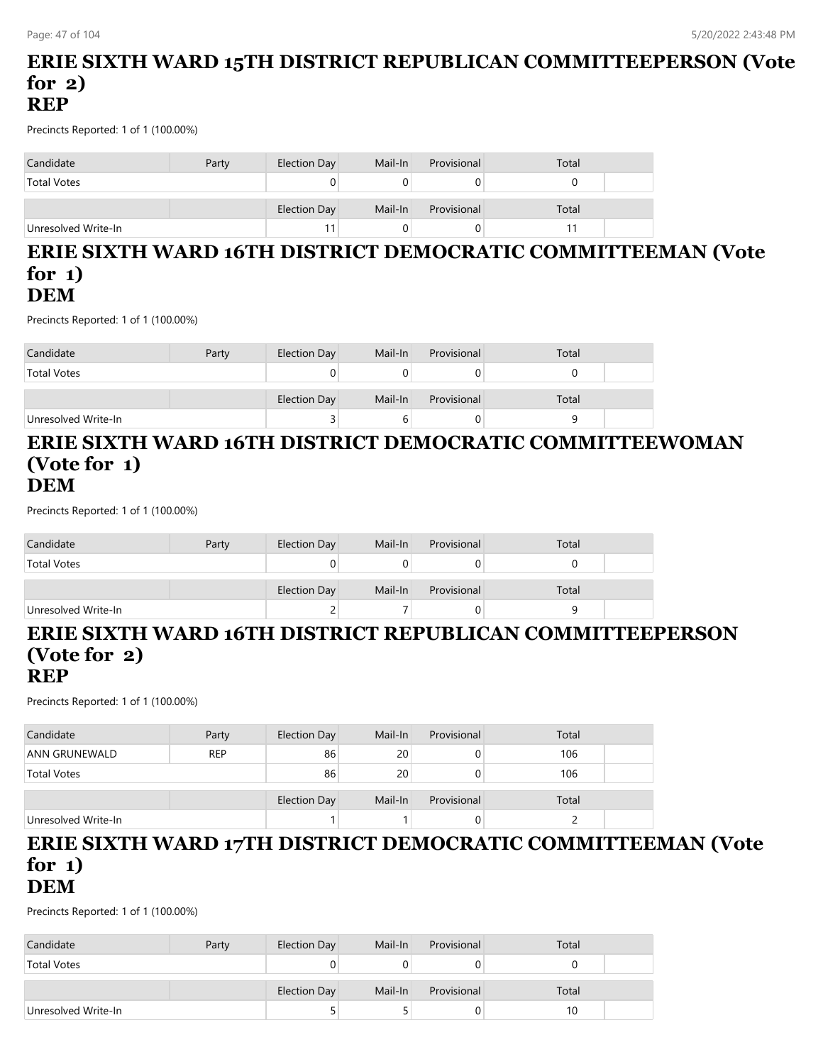#### **ERIE SIXTH WARD 15TH DISTRICT REPUBLICAN COMMITTEEPERSON (Vote for 2) REP**

Precincts Reported: 1 of 1 (100.00%)

| Candidate           | Party | Election Day | Mail-In | Provisional | Total |  |
|---------------------|-------|--------------|---------|-------------|-------|--|
| <b>Total Votes</b>  |       | 0            |         |             |       |  |
|                     |       | Election Day | Mail-In | Provisional | Total |  |
| Unresolved Write-In |       | 11           |         |             |       |  |

#### **ERIE SIXTH WARD 16TH DISTRICT DEMOCRATIC COMMITTEEMAN (Vote for 1) DEM**

Precincts Reported: 1 of 1 (100.00%)

| Candidate           | Party | Election Day | Mail-In | Provisional | Total |  |
|---------------------|-------|--------------|---------|-------------|-------|--|
| <b>Total Votes</b>  |       |              |         |             |       |  |
|                     |       | Election Day | Mail-In | Provisional | Total |  |
| Unresolved Write-In |       |              | b       |             |       |  |

#### **ERIE SIXTH WARD 16TH DISTRICT DEMOCRATIC COMMITTEEWOMAN (Vote for 1) DEM**

Precincts Reported: 1 of 1 (100.00%)

| Candidate           | Party | Election Day | Mail-In | Provisional | Total |  |
|---------------------|-------|--------------|---------|-------------|-------|--|
| <b>Total Votes</b>  |       |              |         |             |       |  |
|                     |       | Election Day | Mail-In | Provisional | Total |  |
| Unresolved Write-In |       |              |         |             | a     |  |

# **ERIE SIXTH WARD 16TH DISTRICT REPUBLICAN COMMITTEEPERSON (Vote for 2)**

**REP**

Precincts Reported: 1 of 1 (100.00%)

| Candidate            | Party      | Election Day | Mail-In | Provisional | Total |  |
|----------------------|------------|--------------|---------|-------------|-------|--|
| <b>ANN GRUNEWALD</b> | <b>REP</b> | 86           | 20      | O           | 106   |  |
| <b>Total Votes</b>   |            | 86           | 20      | O           | 106   |  |
|                      |            |              |         |             |       |  |
|                      |            | Election Day | Mail-In | Provisional | Total |  |
| Unresolved Write-In  |            |              |         | O           |       |  |

# **ERIE SIXTH WARD 17TH DISTRICT DEMOCRATIC COMMITTEEMAN (Vote for 1)**

**DEM**

| Candidate           | Party | Election Day | Mail-In | Provisional | Total |  |
|---------------------|-------|--------------|---------|-------------|-------|--|
| <b>Total Votes</b>  |       |              |         |             |       |  |
|                     |       |              |         |             |       |  |
|                     |       | Election Day | Mail-In | Provisional | Total |  |
| Unresolved Write-In |       |              |         |             | 10    |  |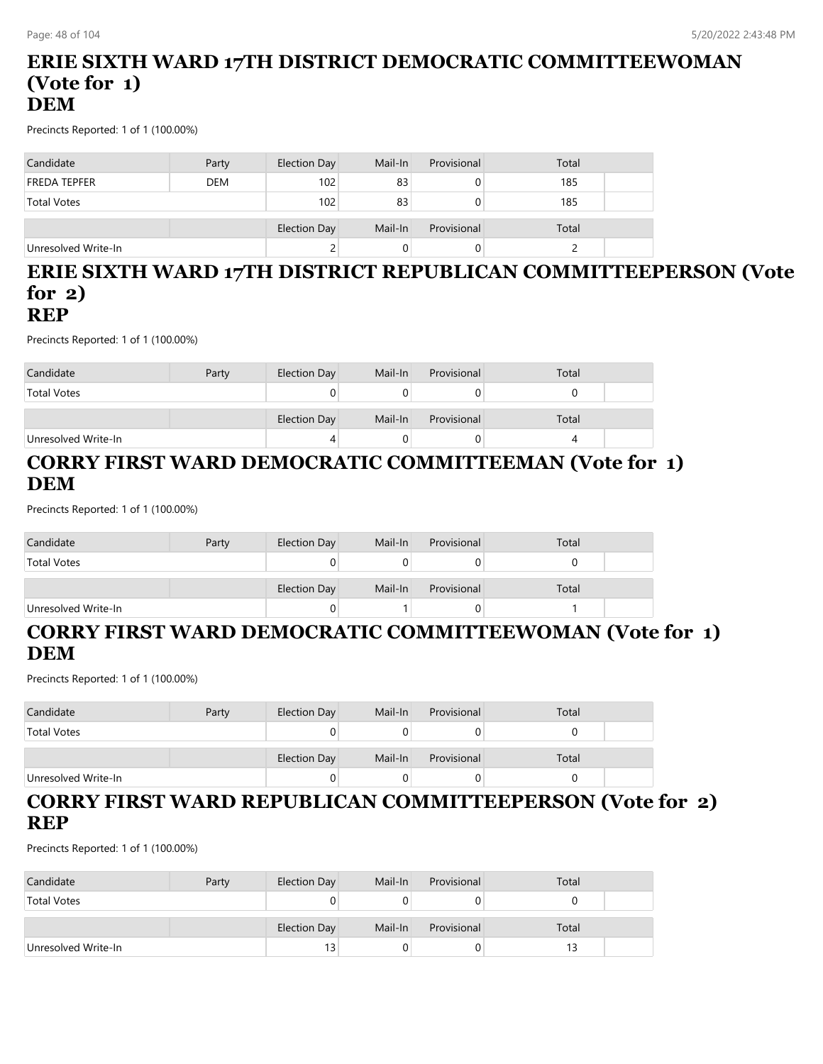#### **ERIE SIXTH WARD 17TH DISTRICT DEMOCRATIC COMMITTEEWOMAN (Vote for 1) DEM**

Precincts Reported: 1 of 1 (100.00%)

| Candidate           | Party      | Election Day | Mail-In | Provisional | Total |  |
|---------------------|------------|--------------|---------|-------------|-------|--|
| <b>FREDA TEPFER</b> | <b>DEM</b> | 102          | 83      |             | 185   |  |
| Total Votes         |            | 102          | 83      |             | 185   |  |
|                     |            |              |         |             |       |  |
|                     |            | Election Day | Mail-In | Provisional | Total |  |
| Unresolved Write-In |            |              |         |             |       |  |

# **ERIE SIXTH WARD 17TH DISTRICT REPUBLICAN COMMITTEEPERSON (Vote for 2)**

# **REP**

Precincts Reported: 1 of 1 (100.00%)

| Candidate           | Party | Election Day | Mail-In | Provisional | Total |  |
|---------------------|-------|--------------|---------|-------------|-------|--|
| <b>Total Votes</b>  |       |              |         |             |       |  |
|                     |       | Election Day | Mail-In | Provisional | Total |  |
| Unresolved Write-In |       |              |         |             |       |  |

# **CORRY FIRST WARD DEMOCRATIC COMMITTEEMAN (Vote for 1) DEM**

Precincts Reported: 1 of 1 (100.00%)

| Candidate           | Party | Election Day | Mail-In | Provisional | Total |  |
|---------------------|-------|--------------|---------|-------------|-------|--|
| <b>Total Votes</b>  |       |              |         |             |       |  |
|                     |       | Election Day | Mail-In | Provisional | Total |  |
| Unresolved Write-In |       |              |         |             |       |  |

### **CORRY FIRST WARD DEMOCRATIC COMMITTEEWOMAN (Vote for 1) DEM**

Precincts Reported: 1 of 1 (100.00%)

| Candidate           | Party | Election Day | Mail-In | Provisional | Total |  |
|---------------------|-------|--------------|---------|-------------|-------|--|
| <b>Total Votes</b>  |       |              |         |             |       |  |
|                     |       | Election Day | Mail-In | Provisional | Total |  |
| Unresolved Write-In |       |              |         | U           |       |  |

# **CORRY FIRST WARD REPUBLICAN COMMITTEEPERSON (Vote for 2) REP**

| Candidate           | Party | Election Day | Mail-In | Provisional | Total |  |
|---------------------|-------|--------------|---------|-------------|-------|--|
| <b>Total Votes</b>  |       |              |         |             |       |  |
|                     |       | Election Day | Mail-In | Provisional | Total |  |
| Unresolved Write-In |       | 13           |         |             |       |  |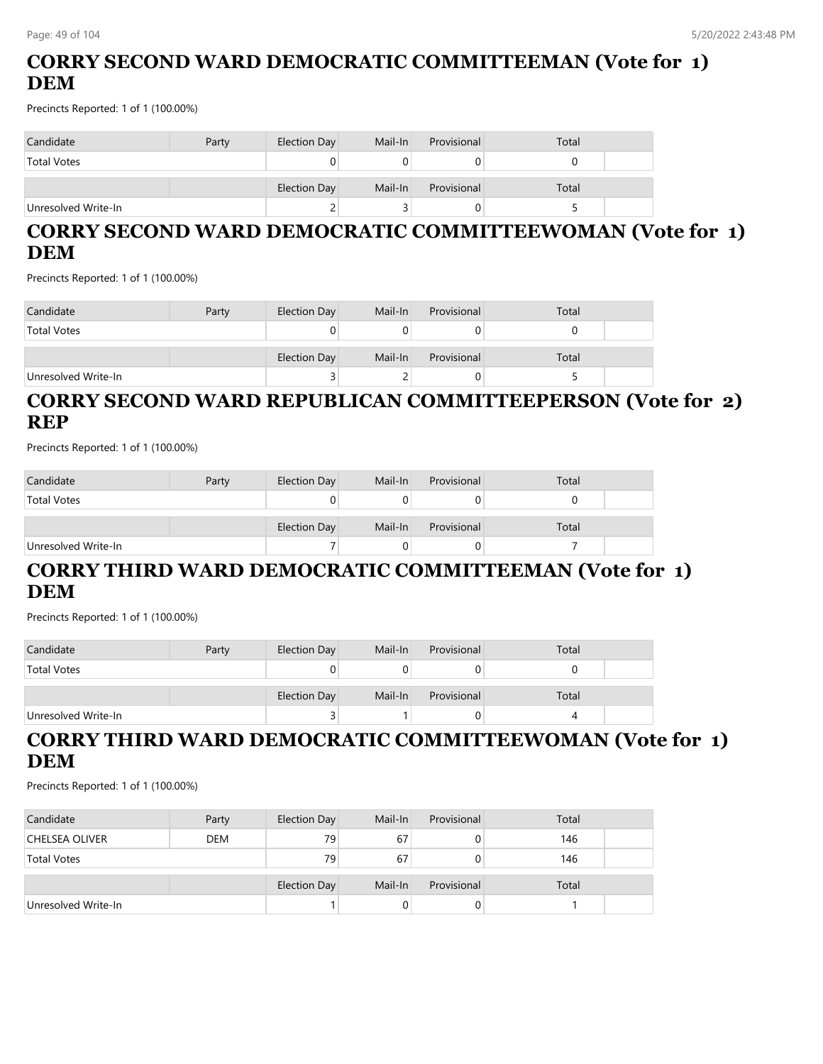# **CORRY SECOND WARD DEMOCRATIC COMMITTEEMAN (Vote for 1) DEM**

Precincts Reported: 1 of 1 (100.00%)

| Candidate           | Party | Election Day | Mail-In | Provisional | Total |  |
|---------------------|-------|--------------|---------|-------------|-------|--|
| <b>Total Votes</b>  |       |              |         |             |       |  |
|                     |       | Election Day | Mail-In | Provisional | Total |  |
| Unresolved Write-In |       |              |         |             |       |  |

# **CORRY SECOND WARD DEMOCRATIC COMMITTEEWOMAN (Vote for 1) DEM**

Precincts Reported: 1 of 1 (100.00%)

| Candidate           | Party | Election Day | Mail-In | Provisional | Total |  |
|---------------------|-------|--------------|---------|-------------|-------|--|
| <b>Total Votes</b>  |       | U            |         |             |       |  |
|                     |       | Election Day | Mail-In | Provisional | Total |  |
| Unresolved Write-In |       | ت            |         |             |       |  |

### **CORRY SECOND WARD REPUBLICAN COMMITTEEPERSON (Vote for 2) REP**

Precincts Reported: 1 of 1 (100.00%)

| Candidate           | Party | Election Day | Mail-In | Provisional | Total |  |
|---------------------|-------|--------------|---------|-------------|-------|--|
| <b>Total Votes</b>  |       |              |         |             |       |  |
|                     |       | Election Day | Mail-In | Provisional | Total |  |
| Unresolved Write-In |       |              |         |             |       |  |

### **CORRY THIRD WARD DEMOCRATIC COMMITTEEMAN (Vote for 1) DEM**

Precincts Reported: 1 of 1 (100.00%)

| Candidate           | Party | Election Day        | Mail-In | Provisional | Total |  |
|---------------------|-------|---------------------|---------|-------------|-------|--|
| <b>Total Votes</b>  |       |                     |         |             |       |  |
|                     |       |                     |         |             |       |  |
|                     |       | <b>Election Day</b> | Mail-In | Provisional | Total |  |
| Unresolved Write-In |       |                     |         |             |       |  |

# **CORRY THIRD WARD DEMOCRATIC COMMITTEEWOMAN (Vote for 1) DEM**

| Candidate           | Party      | Election Day | Mail-In | Provisional | Total |  |
|---------------------|------------|--------------|---------|-------------|-------|--|
| CHELSEA OLIVER      | <b>DEM</b> | 79           | 67      |             | 146   |  |
| <b>Total Votes</b>  |            | 79           | 67      |             | 146   |  |
|                     |            | Election Day | Mail-In | Provisional | Total |  |
| Unresolved Write-In |            |              |         |             |       |  |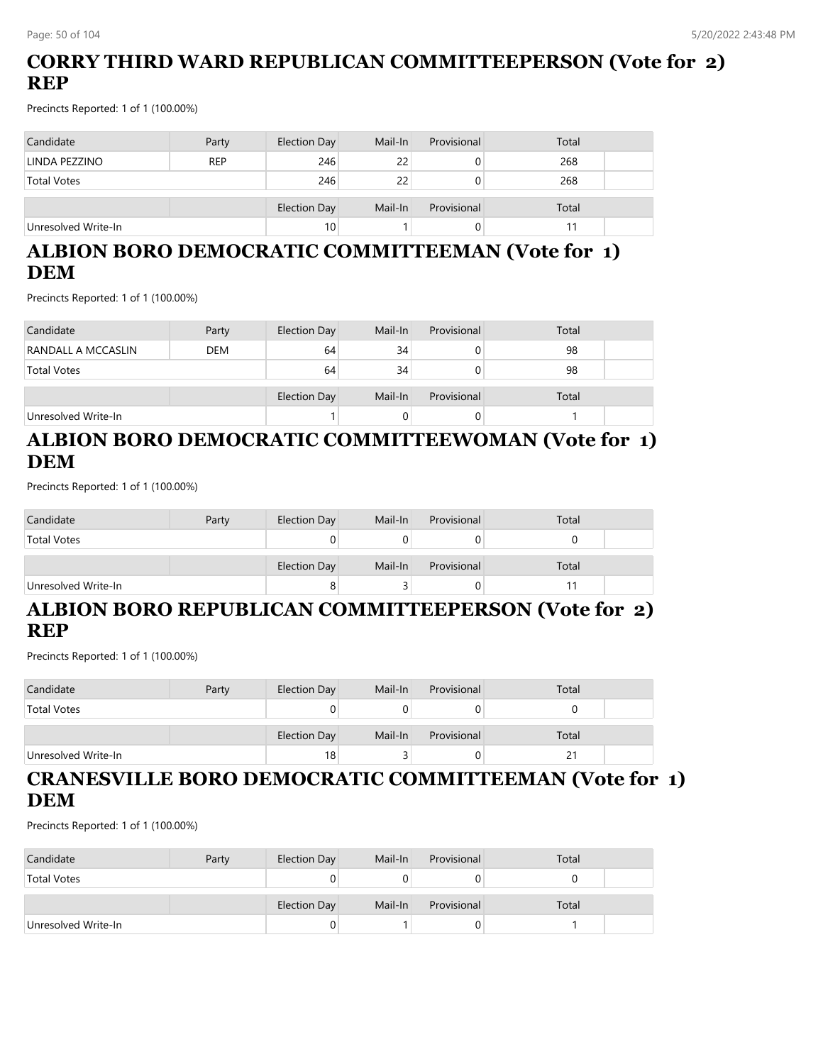# **CORRY THIRD WARD REPUBLICAN COMMITTEEPERSON (Vote for 2) REP**

Precincts Reported: 1 of 1 (100.00%)

| Candidate           | Party      | Election Day | Mail-In | Provisional | Total |  |
|---------------------|------------|--------------|---------|-------------|-------|--|
| LINDA PEZZINO       | <b>REP</b> | 246          | 22      |             | 268   |  |
| <b>Total Votes</b>  |            | 246          | 22      |             | 268   |  |
|                     |            | Election Day | Mail-In | Provisional | Total |  |
| Unresolved Write-In |            | 10           |         |             |       |  |

# **ALBION BORO DEMOCRATIC COMMITTEEMAN (Vote for 1) DEM**

Precincts Reported: 1 of 1 (100.00%)

| Candidate           | Party      | Election Day | Mail-In | Provisional | Total |  |
|---------------------|------------|--------------|---------|-------------|-------|--|
| RANDALL A MCCASLIN  | <b>DEM</b> | 64           | 34      |             | 98    |  |
| <b>Total Votes</b>  |            | 64           | 34      |             | 98    |  |
|                     |            | Election Day | Mail-In | Provisional | Total |  |
| Unresolved Write-In |            |              |         |             |       |  |

# **ALBION BORO DEMOCRATIC COMMITTEEWOMAN (Vote for 1) DEM**

Precincts Reported: 1 of 1 (100.00%)

| Candidate           | Party | Election Day | Mail-In | Provisional | Total |  |
|---------------------|-------|--------------|---------|-------------|-------|--|
| <b>Total Votes</b>  |       | U            |         |             |       |  |
|                     |       | Election Day | Mail-In | Provisional | Total |  |
| Unresolved Write-In |       | 8            |         |             |       |  |

#### **ALBION BORO REPUBLICAN COMMITTEEPERSON (Vote for 2) REP**

Precincts Reported: 1 of 1 (100.00%)

| Candidate           | Party | Election Day | Mail-In | Provisional | Total |  |
|---------------------|-------|--------------|---------|-------------|-------|--|
| <b>Total Votes</b>  |       |              |         |             |       |  |
|                     |       | Election Day | Mail-In | Provisional | Total |  |
| Unresolved Write-In |       | 18           |         |             |       |  |

### **CRANESVILLE BORO DEMOCRATIC COMMITTEEMAN (Vote for 1) DEM**

| Candidate           | Party | Election Day | Mail-In | Provisional | Total |  |
|---------------------|-------|--------------|---------|-------------|-------|--|
| <b>Total Votes</b>  |       |              |         |             |       |  |
|                     |       | Election Day | Mail-In | Provisional | Total |  |
| Unresolved Write-In |       |              |         |             |       |  |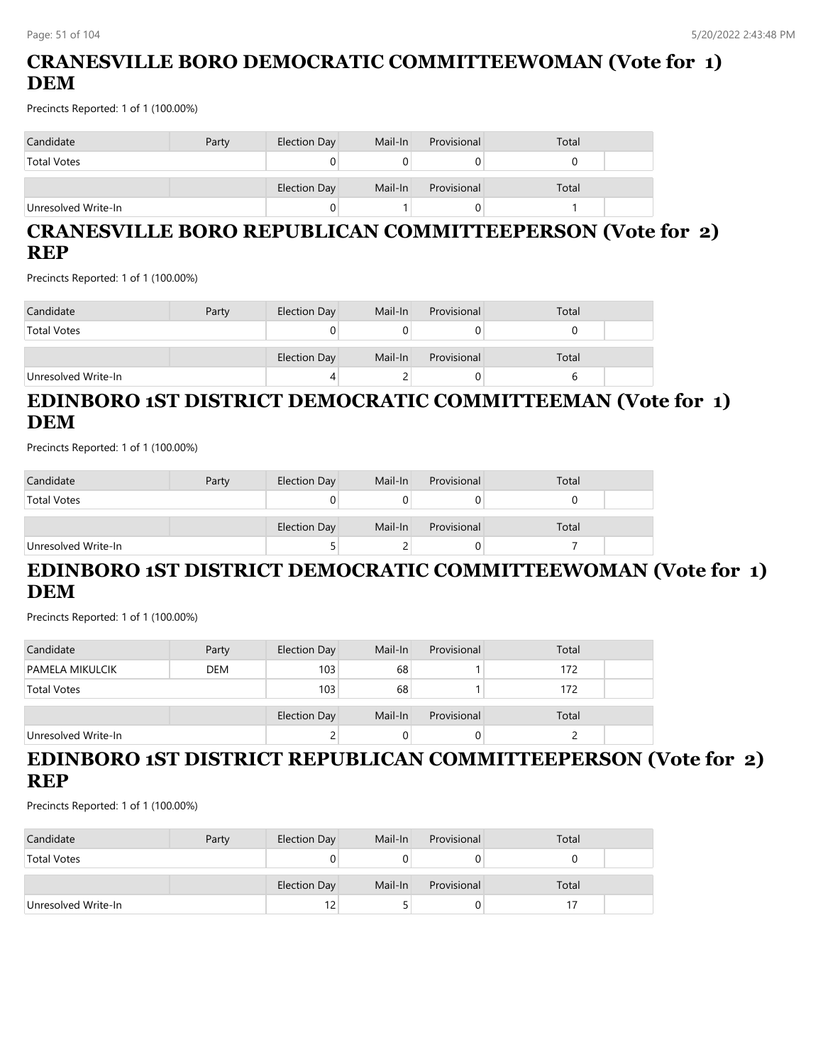# **CRANESVILLE BORO DEMOCRATIC COMMITTEEWOMAN (Vote for 1) DEM**

Precincts Reported: 1 of 1 (100.00%)

| Candidate           | Party | Election Day | Mail-In | Provisional | Total |  |
|---------------------|-------|--------------|---------|-------------|-------|--|
| <b>Total Votes</b>  |       |              |         |             |       |  |
|                     |       | Election Day | Mail-In | Provisional | Total |  |
| Unresolved Write-In |       |              |         |             |       |  |

# **CRANESVILLE BORO REPUBLICAN COMMITTEEPERSON (Vote for 2) REP**

Precincts Reported: 1 of 1 (100.00%)

| Candidate           | Party | Election Day | Mail-In | Provisional | Total |  |
|---------------------|-------|--------------|---------|-------------|-------|--|
| <b>Total Votes</b>  |       |              |         |             |       |  |
|                     |       | Election Day | Mail-In | Provisional | Total |  |
| Unresolved Write-In |       | 4            |         |             |       |  |

# **EDINBORO 1ST DISTRICT DEMOCRATIC COMMITTEEMAN (Vote for 1) DEM**

Precincts Reported: 1 of 1 (100.00%)

| Candidate           | Party | Election Day | Mail-In | Provisional | Total |  |
|---------------------|-------|--------------|---------|-------------|-------|--|
| <b>Total Votes</b>  |       |              |         |             |       |  |
|                     |       | Election Day | Mail-In | Provisional | Total |  |
| Unresolved Write-In |       |              |         |             |       |  |

### **EDINBORO 1ST DISTRICT DEMOCRATIC COMMITTEEWOMAN (Vote for 1) DEM**

Precincts Reported: 1 of 1 (100.00%)

| Candidate              | Party      | Election Day        | Mail-In | Provisional | Total |  |
|------------------------|------------|---------------------|---------|-------------|-------|--|
| <b>PAMELA MIKULCIK</b> | <b>DEM</b> | 103 <sub>1</sub>    | 68      |             | 172   |  |
| <b>Total Votes</b>     |            | 103                 | 68      |             | 172   |  |
|                        |            | <b>Election Day</b> | Mail-In | Provisional | Total |  |
| Unresolved Write-In    |            | ۷                   |         |             |       |  |

### **EDINBORO 1ST DISTRICT REPUBLICAN COMMITTEEPERSON (Vote for 2) REP**

| Candidate           | Party | Election Day | Mail-In | Provisional | Total |  |
|---------------------|-------|--------------|---------|-------------|-------|--|
| <b>Total Votes</b>  |       | 0            |         |             |       |  |
|                     |       | Election Day | Mail-In | Provisional | Total |  |
| Unresolved Write-In |       | 12           |         |             |       |  |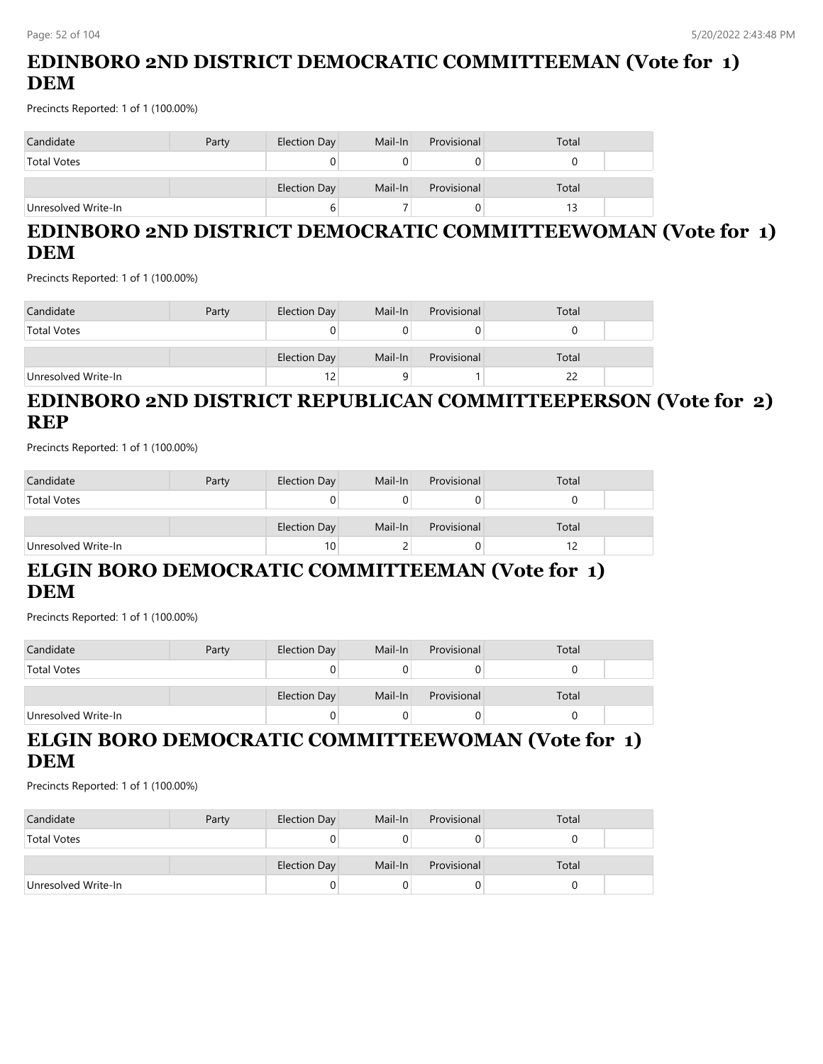# **EDINBORO 2ND DISTRICT DEMOCRATIC COMMITTEEMAN (Vote for 1) DEM**

Precincts Reported: 1 of 1 (100.00%)

| Candidate           | Party | Election Day | Mail-In | Provisional | Total |  |
|---------------------|-------|--------------|---------|-------------|-------|--|
| <b>Total Votes</b>  |       |              |         |             |       |  |
|                     |       | Election Day | Mail-In | Provisional | Total |  |
| Unresolved Write-In |       |              |         |             |       |  |

# **EDINBORO 2ND DISTRICT DEMOCRATIC COMMITTEEWOMAN (Vote for 1) DEM**

Precincts Reported: 1 of 1 (100.00%)

| Candidate           | Party | Election Day | Mail-In | Provisional | Total |  |
|---------------------|-------|--------------|---------|-------------|-------|--|
| <b>Total Votes</b>  |       |              |         |             |       |  |
|                     |       | Election Day | Mail-In | Provisional | Total |  |
| Unresolved Write-In |       | 12           |         |             |       |  |

### **EDINBORO 2ND DISTRICT REPUBLICAN COMMITTEEPERSON (Vote for 2) REP**

Precincts Reported: 1 of 1 (100.00%)

| Candidate           | Party | Election Day    | Mail-In | Provisional | Total |  |
|---------------------|-------|-----------------|---------|-------------|-------|--|
| <b>Total Votes</b>  |       | 0               |         |             |       |  |
|                     |       |                 |         |             |       |  |
|                     |       | Election Day    | Mail-In | Provisional | Total |  |
| Unresolved Write-In |       | 10 <sub>1</sub> |         |             |       |  |

# **ELGIN BORO DEMOCRATIC COMMITTEEMAN (Vote for 1) DEM**

Precincts Reported: 1 of 1 (100.00%)

| Candidate           | Party | Election Day | Mail-In | Provisional | Total |  |
|---------------------|-------|--------------|---------|-------------|-------|--|
| <b>Total Votes</b>  |       |              |         |             |       |  |
|                     |       | Election Day | Mail-In | Provisional | Total |  |
| Unresolved Write-In |       |              |         |             |       |  |

# **ELGIN BORO DEMOCRATIC COMMITTEEWOMAN (Vote for 1) DEM**

| Candidate           | Party | Election Day | Mail-In | Provisional | Total |  |
|---------------------|-------|--------------|---------|-------------|-------|--|
| <b>Total Votes</b>  |       |              |         |             |       |  |
|                     |       | Election Day | Mail-In | Provisional | Total |  |
| Unresolved Write-In |       |              |         |             |       |  |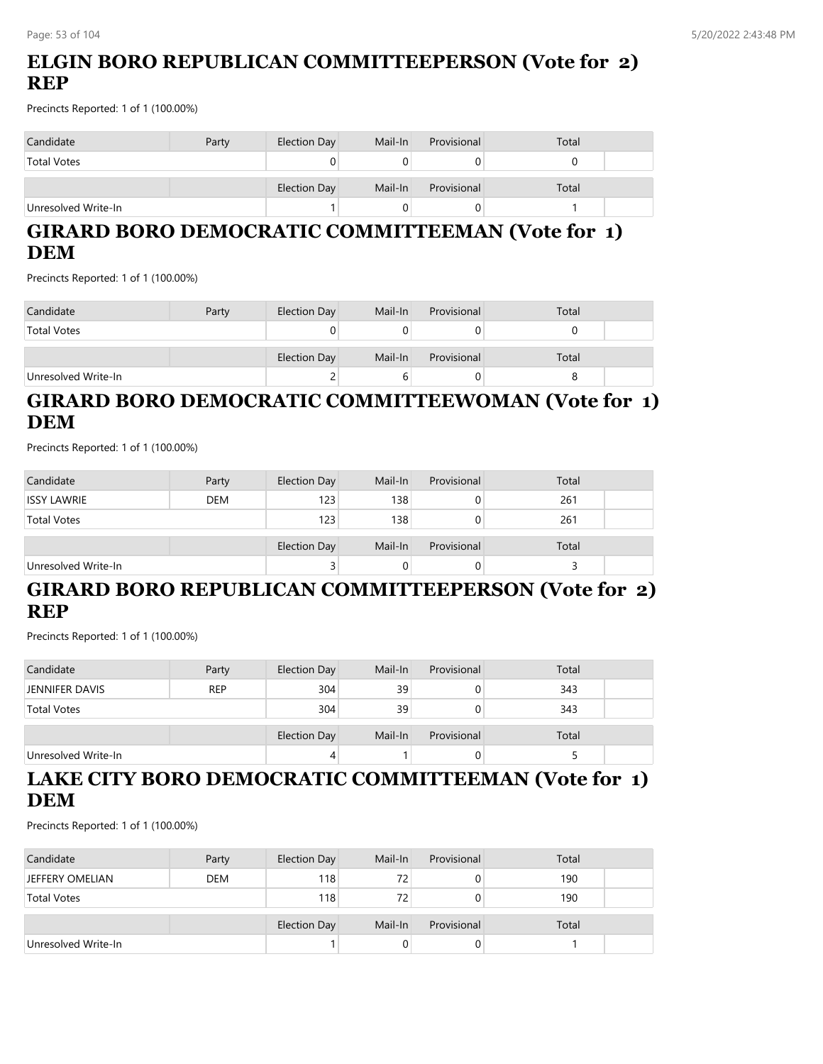# **ELGIN BORO REPUBLICAN COMMITTEEPERSON (Vote for 2) REP**

Precincts Reported: 1 of 1 (100.00%)

| Candidate           | Party | Election Day | Mail-In | Provisional | Total |  |
|---------------------|-------|--------------|---------|-------------|-------|--|
| <b>Total Votes</b>  |       | 0            |         |             |       |  |
|                     |       | Election Day | Mail-In | Provisional | Total |  |
| Unresolved Write-In |       |              |         |             |       |  |

# **GIRARD BORO DEMOCRATIC COMMITTEEMAN (Vote for 1) DEM**

Precincts Reported: 1 of 1 (100.00%)

| Candidate           | Party | Election Day | Mail-In | Provisional | Total |  |
|---------------------|-------|--------------|---------|-------------|-------|--|
| <b>Total Votes</b>  |       |              |         |             |       |  |
|                     |       | Election Day | Mail-In | Provisional | Total |  |
| Unresolved Write-In |       | -            |         | U.          |       |  |

# **GIRARD BORO DEMOCRATIC COMMITTEEWOMAN (Vote for 1) DEM**

Precincts Reported: 1 of 1 (100.00%)

| Candidate           | Party      | Election Day | Mail-In | Provisional | Total |  |
|---------------------|------------|--------------|---------|-------------|-------|--|
| <b>ISSY LAWRIE</b>  | <b>DEM</b> | 123          | 138     |             | 261   |  |
| <b>Total Votes</b>  |            | 123          | 138     |             | 261   |  |
|                     |            | Election Day | Mail-In | Provisional | Total |  |
| Unresolved Write-In |            | ر            |         | 0           |       |  |

# **GIRARD BORO REPUBLICAN COMMITTEEPERSON (Vote for 2) REP**

Precincts Reported: 1 of 1 (100.00%)

| Candidate           | Party      | Election Day | Mail-In | Provisional | Total |  |
|---------------------|------------|--------------|---------|-------------|-------|--|
| JENNIFER DAVIS      | <b>REP</b> | 304          | 39      |             | 343   |  |
| <b>Total Votes</b>  |            | 304          | 39      |             | 343   |  |
|                     |            | Election Day | Mail-In | Provisional | Total |  |
| Unresolved Write-In |            | 4            |         |             |       |  |

# **LAKE CITY BORO DEMOCRATIC COMMITTEEMAN (Vote for 1) DEM**

| Candidate           | Party      | Election Day | Mail-In | Provisional | Total |  |
|---------------------|------------|--------------|---------|-------------|-------|--|
| JEFFERY OMELIAN     | <b>DEM</b> | 118          | 72      | 0           | 190   |  |
| <b>Total Votes</b>  |            | 118          | 72      | 0           | 190   |  |
|                     |            | Election Day | Mail-In | Provisional | Total |  |
| Unresolved Write-In |            |              |         | 0           |       |  |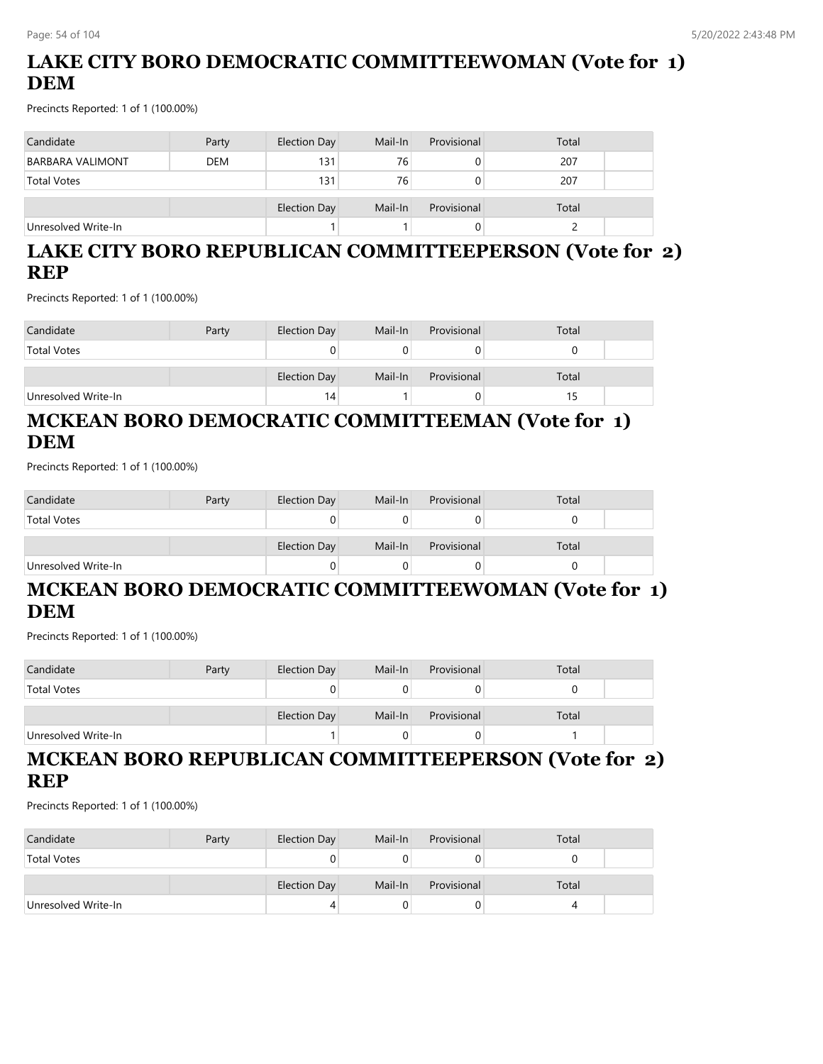# **LAKE CITY BORO DEMOCRATIC COMMITTEEWOMAN (Vote for 1) DEM**

Precincts Reported: 1 of 1 (100.00%)

| Candidate               | Party      | Election Day | Mail-In | Provisional | Total |  |
|-------------------------|------------|--------------|---------|-------------|-------|--|
| <b>BARBARA VALIMONT</b> | <b>DEM</b> | 131          | 76      |             | 207   |  |
| <b>Total Votes</b>      |            | 131          | 76      |             | 207   |  |
|                         |            | Election Day | Mail-In | Provisional | Total |  |
| Unresolved Write-In     |            |              |         |             |       |  |

### **LAKE CITY BORO REPUBLICAN COMMITTEEPERSON (Vote for 2) REP**

Precincts Reported: 1 of 1 (100.00%)

| Candidate           | Party | Election Day | Mail-In | Provisional | Total |  |
|---------------------|-------|--------------|---------|-------------|-------|--|
| <b>Total Votes</b>  |       | 0            |         |             |       |  |
|                     |       |              |         |             |       |  |
|                     |       | Election Day | Mail-In | Provisional | Total |  |
| Unresolved Write-In |       | 14           |         |             |       |  |

### **MCKEAN BORO DEMOCRATIC COMMITTEEMAN (Vote for 1) DEM**

Precincts Reported: 1 of 1 (100.00%)

| Candidate           | Party | Election Day | Mail-In | Provisional | Total |
|---------------------|-------|--------------|---------|-------------|-------|
| <b>Total Votes</b>  |       |              |         |             |       |
|                     |       | Election Day | Mail-In | Provisional | Total |
| Unresolved Write-In |       | 0            |         | U           |       |

# **MCKEAN BORO DEMOCRATIC COMMITTEEWOMAN (Vote for 1) DEM**

Precincts Reported: 1 of 1 (100.00%)

| Candidate           | Party | Election Day | Mail-In | Provisional | Total |  |
|---------------------|-------|--------------|---------|-------------|-------|--|
| <b>Total Votes</b>  |       | U            |         |             |       |  |
|                     |       | Election Day | Mail-In | Provisional | Total |  |
| Unresolved Write-In |       |              |         |             |       |  |

### **MCKEAN BORO REPUBLICAN COMMITTEEPERSON (Vote for 2) REP**

| Candidate           | Party | Election Day | Mail-In | Provisional | Total |  |
|---------------------|-------|--------------|---------|-------------|-------|--|
| <b>Total Votes</b>  |       |              |         |             |       |  |
|                     |       | Election Day | Mail-In | Provisional | Total |  |
| Unresolved Write-In |       | 4            |         |             |       |  |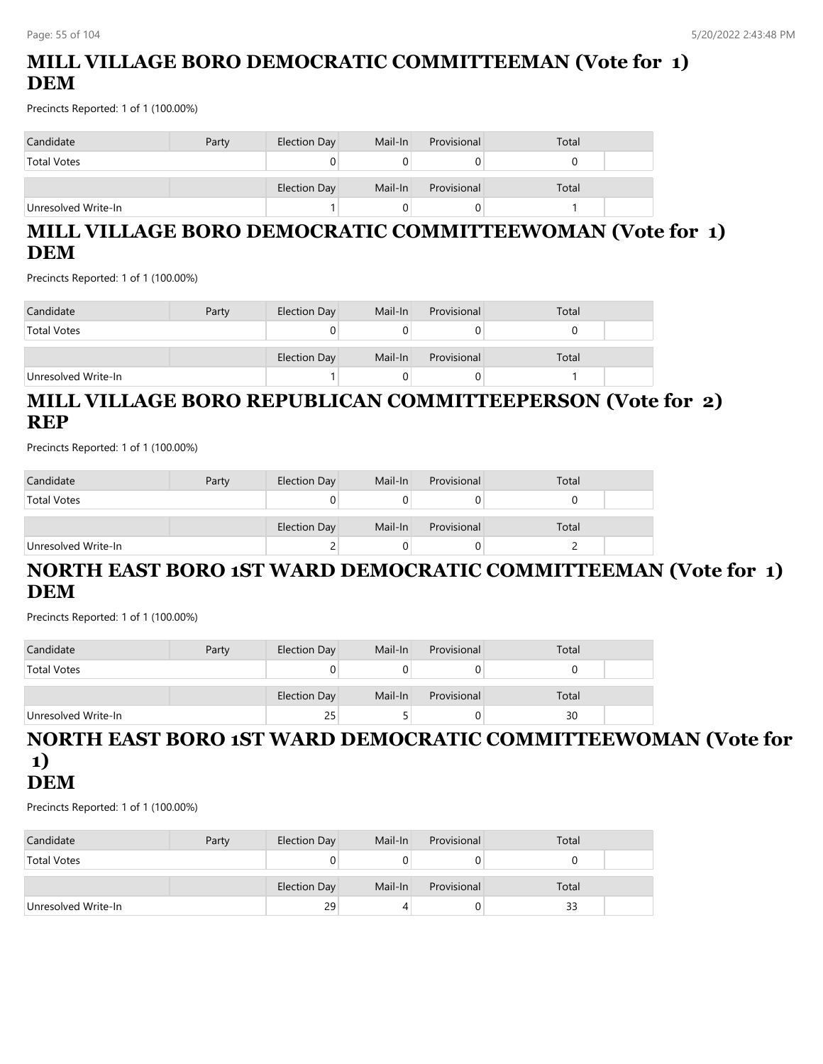# **MILL VILLAGE BORO DEMOCRATIC COMMITTEEMAN (Vote for 1) DEM**

Precincts Reported: 1 of 1 (100.00%)

| Candidate           | Party | Election Day | Mail-In | Provisional | Total |  |
|---------------------|-------|--------------|---------|-------------|-------|--|
| <b>Total Votes</b>  |       |              |         |             |       |  |
|                     |       | Election Day | Mail-In | Provisional | Total |  |
| Unresolved Write-In |       |              |         |             |       |  |

# **MILL VILLAGE BORO DEMOCRATIC COMMITTEEWOMAN (Vote for 1) DEM**

Precincts Reported: 1 of 1 (100.00%)

| Candidate           | Party | Election Day | Mail-In | Provisional | Total |  |
|---------------------|-------|--------------|---------|-------------|-------|--|
| <b>Total Votes</b>  |       |              |         |             |       |  |
|                     |       | Election Day | Mail-In | Provisional | Total |  |
| Unresolved Write-In |       |              |         |             |       |  |

### **MILL VILLAGE BORO REPUBLICAN COMMITTEEPERSON (Vote for 2) REP**

Precincts Reported: 1 of 1 (100.00%)

| Candidate           | Party | Election Day | Mail-In | Provisional | Total |  |
|---------------------|-------|--------------|---------|-------------|-------|--|
| <b>Total Votes</b>  |       |              |         |             |       |  |
|                     |       | Election Day | Mail-In | Provisional | Total |  |
| Unresolved Write-In |       |              |         |             |       |  |

### **NORTH EAST BORO 1ST WARD DEMOCRATIC COMMITTEEMAN (Vote for 1) DEM**

Precincts Reported: 1 of 1 (100.00%)

| Candidate           | Party | Election Day | Mail-In | Provisional | Total |  |
|---------------------|-------|--------------|---------|-------------|-------|--|
| <b>Total Votes</b>  |       |              |         |             |       |  |
|                     |       | Election Day | Mail-In | Provisional | Total |  |
| Unresolved Write-In |       | 25           |         |             | 30    |  |

#### **NORTH EAST BORO 1ST WARD DEMOCRATIC COMMITTEEWOMAN (Vote for 1) DEM**

| Candidate           | Party | Election Day | Mail-In | Provisional | Total |  |
|---------------------|-------|--------------|---------|-------------|-------|--|
| <b>Total Votes</b>  |       | 0            |         |             |       |  |
|                     |       | Election Day | Mail-In | Provisional | Total |  |
| Unresolved Write-In |       | 29           |         |             | 33    |  |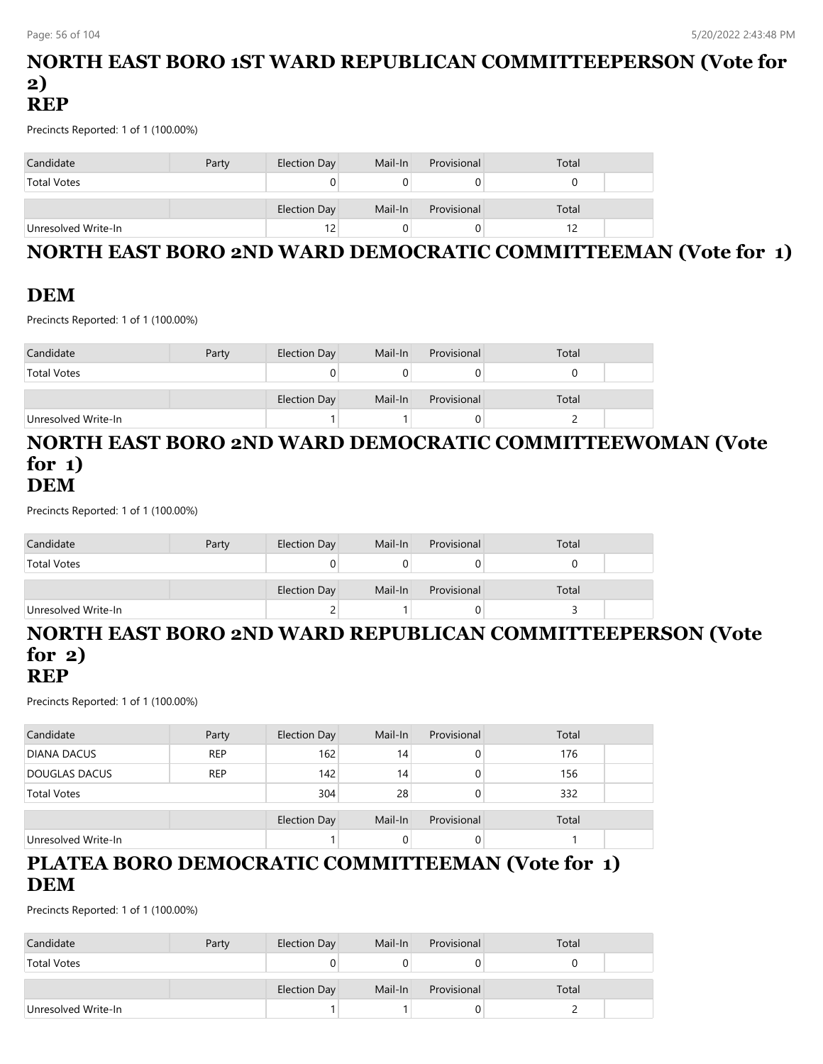#### **NORTH EAST BORO 1ST WARD REPUBLICAN COMMITTEEPERSON (Vote for 2) REP**

Precincts Reported: 1 of 1 (100.00%)

| Candidate           | Party | Election Day | Mail-In | Provisional | Total |
|---------------------|-------|--------------|---------|-------------|-------|
| <b>Total Votes</b>  |       |              |         |             |       |
|                     |       | Election Day | Mail-In | Provisional | Total |
| Unresolved Write-In |       | 12           |         |             |       |

# **NORTH EAST BORO 2ND WARD DEMOCRATIC COMMITTEEMAN (Vote for 1)**

# **DEM**

Precincts Reported: 1 of 1 (100.00%)

| Candidate           | Party | Election Day | Mail-In | Provisional | Total |  |
|---------------------|-------|--------------|---------|-------------|-------|--|
| <b>Total Votes</b>  |       |              |         |             |       |  |
|                     |       | Election Day | Mail-In | Provisional | Total |  |
| Unresolved Write-In |       |              |         |             |       |  |

#### **NORTH EAST BORO 2ND WARD DEMOCRATIC COMMITTEEWOMAN (Vote for 1) DEM**

Precincts Reported: 1 of 1 (100.00%)

| Candidate           | Party | Election Day | Mail-In | Provisional | Total |  |
|---------------------|-------|--------------|---------|-------------|-------|--|
| <b>Total Votes</b>  |       |              |         |             |       |  |
|                     |       | Election Day | Mail-In | Provisional | Total |  |
| Unresolved Write-In |       |              |         |             |       |  |

# **NORTH EAST BORO 2ND WARD REPUBLICAN COMMITTEEPERSON (Vote for 2)**

#### **REP**

Precincts Reported: 1 of 1 (100.00%)

| Candidate            | Party      | <b>Election Day</b> | Mail-In | Provisional | Total |  |
|----------------------|------------|---------------------|---------|-------------|-------|--|
| <b>DIANA DACUS</b>   | <b>REP</b> | 162                 | 14      | 0           | 176   |  |
| <b>DOUGLAS DACUS</b> | <b>REP</b> | 142                 | 14      | 0           | 156   |  |
| <b>Total Votes</b>   |            | 304                 | 28      | 0           | 332   |  |
|                      |            | <b>Election Day</b> | Mail-In | Provisional | Total |  |
| Unresolved Write-In  |            |                     | 0       | 0           |       |  |

### **PLATEA BORO DEMOCRATIC COMMITTEEMAN (Vote for 1) DEM**

| Candidate           | Party | Election Day | Mail-In | Provisional | Total |  |
|---------------------|-------|--------------|---------|-------------|-------|--|
| <b>Total Votes</b>  |       |              |         |             |       |  |
|                     |       | Election Day | Mail-In | Provisional | Total |  |
|                     |       |              |         |             |       |  |
| Unresolved Write-In |       |              |         |             |       |  |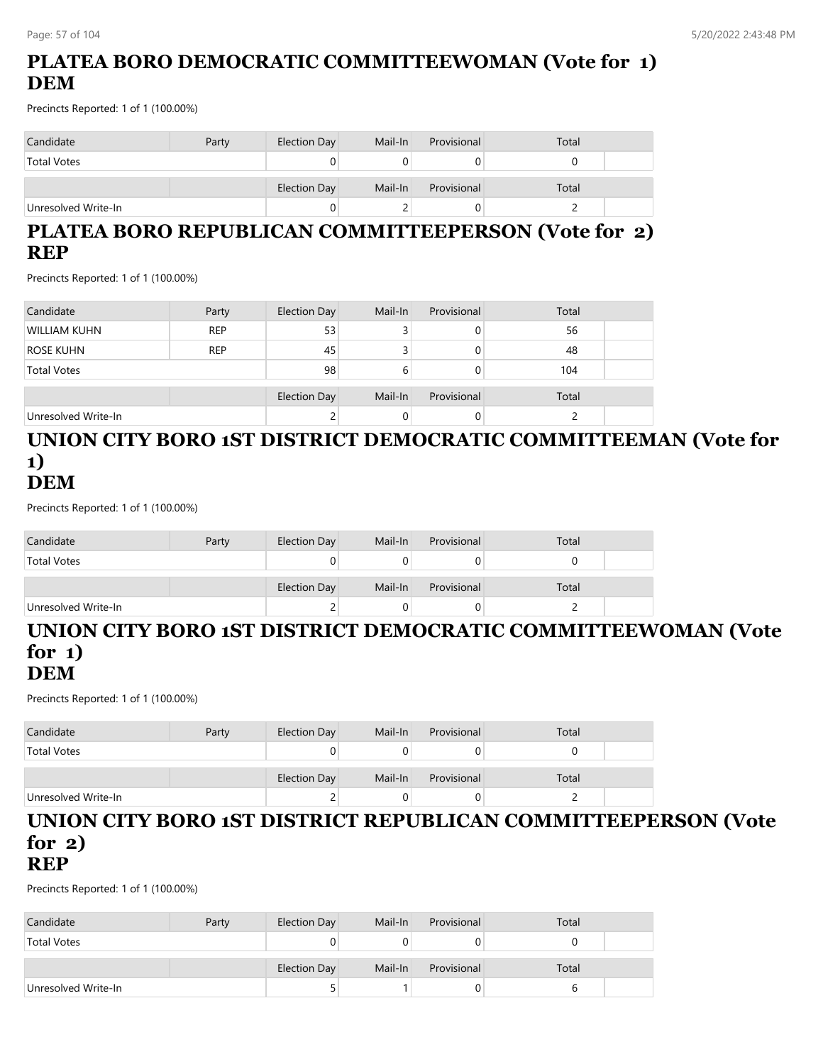# **PLATEA BORO DEMOCRATIC COMMITTEEWOMAN (Vote for 1) DEM**

Precincts Reported: 1 of 1 (100.00%)

| Candidate           | Party | Election Day | Mail-In | Provisional | Total |  |
|---------------------|-------|--------------|---------|-------------|-------|--|
| <b>Total Votes</b>  |       |              |         |             |       |  |
|                     |       | Election Day | Mail-In | Provisional | Total |  |
| Unresolved Write-In |       |              |         | J           |       |  |

# **PLATEA BORO REPUBLICAN COMMITTEEPERSON (Vote for 2) REP**

Precincts Reported: 1 of 1 (100.00%)

| Candidate           | Party      | Election Day | Mail-In | Provisional | Total |  |
|---------------------|------------|--------------|---------|-------------|-------|--|
| WILLIAM KUHN        | <b>REP</b> | 53           |         | 0           | 56    |  |
| <b>ROSE KUHN</b>    | <b>REP</b> | 45           |         | 0           | 48    |  |
| <b>Total Votes</b>  |            | 98           |         |             | 104   |  |
|                     |            | Election Day | Mail-In | Provisional | Total |  |
| Unresolved Write-In |            | ۷            |         | 0           |       |  |

#### **UNION CITY BORO 1ST DISTRICT DEMOCRATIC COMMITTEEMAN (Vote for 1) DEM**

Precincts Reported: 1 of 1 (100.00%)

| Candidate           | Party | Election Day        | Mail-In | Provisional | Total |  |
|---------------------|-------|---------------------|---------|-------------|-------|--|
| <b>Total Votes</b>  |       |                     |         |             |       |  |
|                     |       | <b>Election Day</b> | Mail-In | Provisional | Total |  |
| Unresolved Write-In |       |                     |         |             |       |  |

#### **UNION CITY BORO 1ST DISTRICT DEMOCRATIC COMMITTEEWOMAN (Vote for 1) DEM**

Precincts Reported: 1 of 1 (100.00%)

| Candidate           | Party | Election Day | Mail-In | Provisional | Total |  |
|---------------------|-------|--------------|---------|-------------|-------|--|
| <b>Total Votes</b>  |       |              |         |             |       |  |
|                     |       | Election Day | Mail-In | Provisional | Total |  |
| Unresolved Write-In |       |              |         | U           |       |  |

#### **UNION CITY BORO 1ST DISTRICT REPUBLICAN COMMITTEEPERSON (Vote for 2) REP**

| Candidate           | Party | Election Day | Mail-In | Provisional | Total |  |
|---------------------|-------|--------------|---------|-------------|-------|--|
| <b>Total Votes</b>  |       |              |         |             |       |  |
|                     |       | Election Day | Mail-In | Provisional | Total |  |
| Unresolved Write-In |       |              |         | υ           |       |  |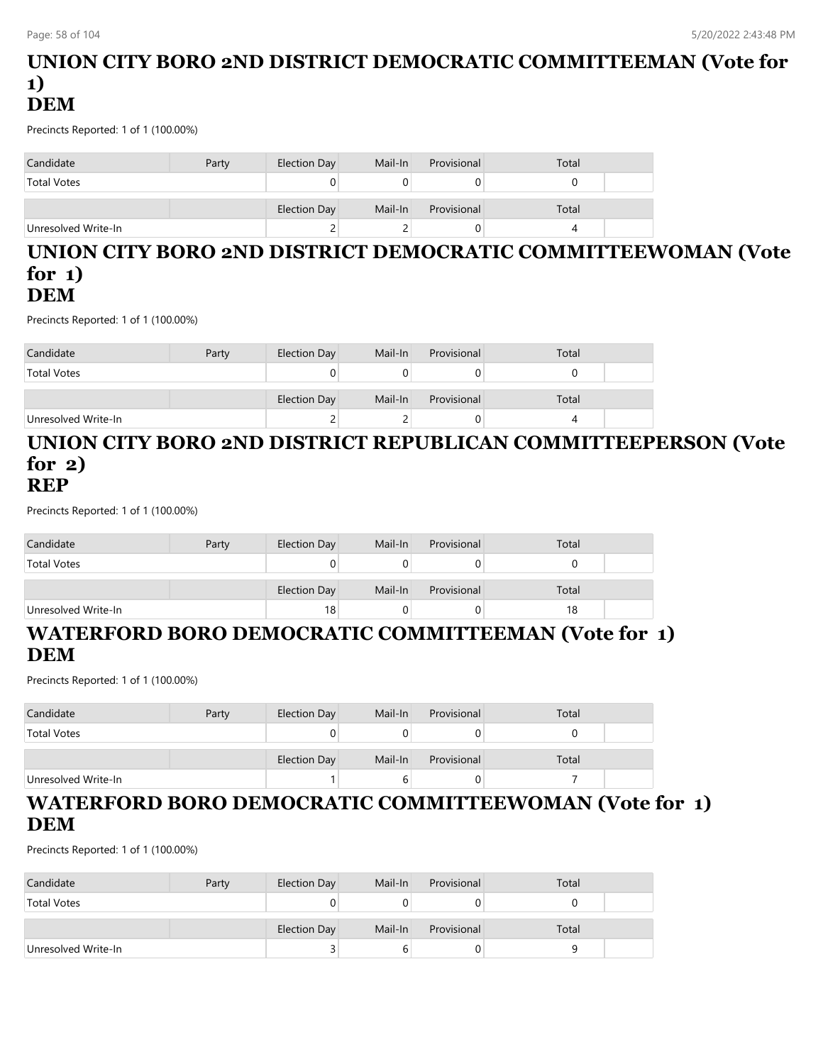### **UNION CITY BORO 2ND DISTRICT DEMOCRATIC COMMITTEEMAN (Vote for 1) DEM**

Precincts Reported: 1 of 1 (100.00%)

| Candidate           | Party | Election Day        | Mail-In | Provisional | Total |  |
|---------------------|-------|---------------------|---------|-------------|-------|--|
| <b>Total Votes</b>  |       |                     |         |             |       |  |
|                     |       | <b>Election Day</b> | Mail-In | Provisional | Total |  |
| Unresolved Write-In |       | ▃                   |         |             |       |  |

#### **UNION CITY BORO 2ND DISTRICT DEMOCRATIC COMMITTEEWOMAN (Vote for 1) DEM**

Precincts Reported: 1 of 1 (100.00%)

| Candidate           | Party | Election Day | Mail-In | Provisional | Total |  |
|---------------------|-------|--------------|---------|-------------|-------|--|
| <b>Total Votes</b>  |       |              |         |             |       |  |
|                     |       | Election Day | Mail-In | Provisional | Total |  |
| Unresolved Write-In |       |              |         |             |       |  |

#### **UNION CITY BORO 2ND DISTRICT REPUBLICAN COMMITTEEPERSON (Vote for 2) REP**

Precincts Reported: 1 of 1 (100.00%)

| Candidate           | Party | Election Day | Mail-In | Provisional | Total |  |
|---------------------|-------|--------------|---------|-------------|-------|--|
| <b>Total Votes</b>  |       |              |         |             |       |  |
|                     |       | Election Day | Mail-In | Provisional | Total |  |
| Unresolved Write-In |       | 18           |         |             | 18    |  |

# **WATERFORD BORO DEMOCRATIC COMMITTEEMAN (Vote for 1) DEM**

Precincts Reported: 1 of 1 (100.00%)

| Candidate           | Party | Election Day | Mail-In | Provisional | Total |  |
|---------------------|-------|--------------|---------|-------------|-------|--|
| <b>Total Votes</b>  |       |              |         |             |       |  |
|                     |       | Election Day | Mail-In | Provisional | Total |  |
| Unresolved Write-In |       |              |         | U           |       |  |

# **WATERFORD BORO DEMOCRATIC COMMITTEEWOMAN (Vote for 1) DEM**

| Candidate           | Party | Election Day | Mail-In | Provisional | Total |  |
|---------------------|-------|--------------|---------|-------------|-------|--|
| <b>Total Votes</b>  |       |              |         |             |       |  |
|                     |       | Election Day | Mail-In | Provisional | Total |  |
| Unresolved Write-In |       | ت            |         |             |       |  |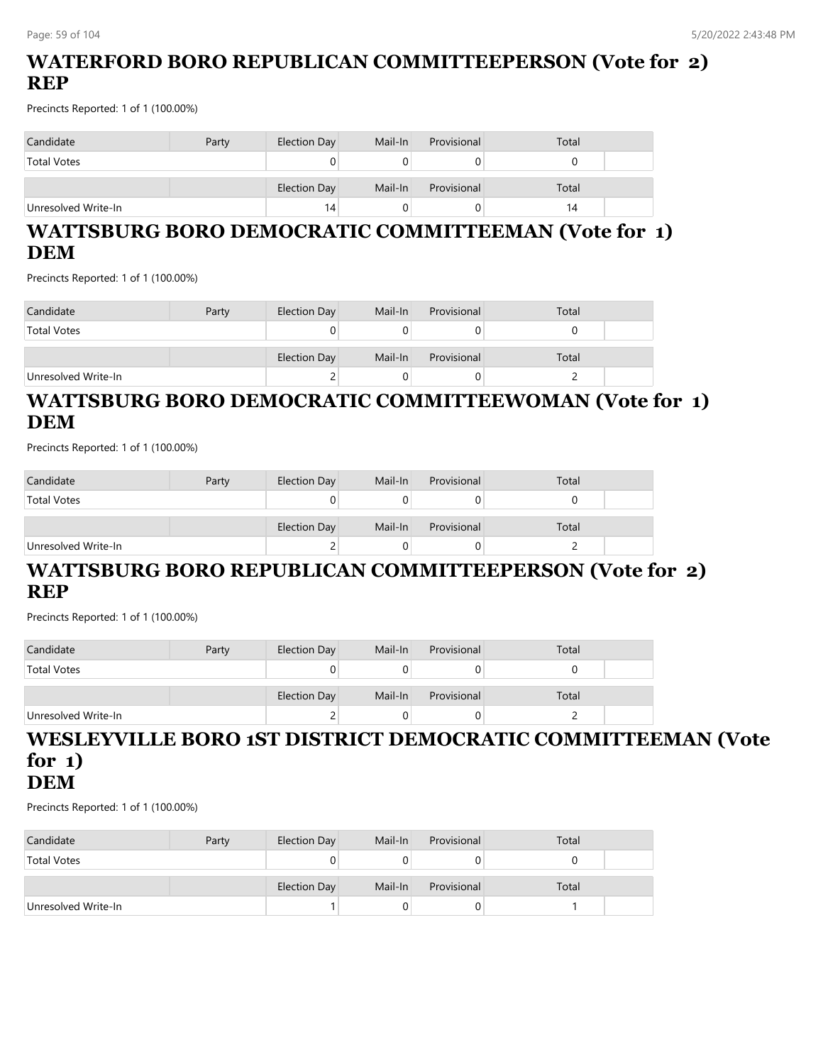# **WATERFORD BORO REPUBLICAN COMMITTEEPERSON (Vote for 2) REP**

Precincts Reported: 1 of 1 (100.00%)

| Candidate           | Party | Election Day | Mail-In | Provisional | Total |  |
|---------------------|-------|--------------|---------|-------------|-------|--|
| <b>Total Votes</b>  |       | 0            |         |             |       |  |
|                     |       | Election Day | Mail-In | Provisional | Total |  |
| Unresolved Write-In |       | 14           |         |             | 14    |  |

### **WATTSBURG BORO DEMOCRATIC COMMITTEEMAN (Vote for 1) DEM**

Precincts Reported: 1 of 1 (100.00%)

| Candidate           | Party | Election Day | Mail-In | Provisional | Total |  |
|---------------------|-------|--------------|---------|-------------|-------|--|
| <b>Total Votes</b>  |       | υ            |         |             |       |  |
|                     |       | Election Day | Mail-In | Provisional | Total |  |
| Unresolved Write-In |       | ∼            |         | O           |       |  |

### **WATTSBURG BORO DEMOCRATIC COMMITTEEWOMAN (Vote for 1) DEM**

Precincts Reported: 1 of 1 (100.00%)

| Candidate           | Party | Election Day | Mail-In | Provisional | Total |  |
|---------------------|-------|--------------|---------|-------------|-------|--|
| <b>Total Votes</b>  |       |              |         |             |       |  |
|                     |       | Election Day | Mail-In | Provisional | Total |  |
| Unresolved Write-In |       | ے            |         |             |       |  |

### **WATTSBURG BORO REPUBLICAN COMMITTEEPERSON (Vote for 2) REP**

Precincts Reported: 1 of 1 (100.00%)

| Candidate           | Party | Election Day | Mail-In | Provisional | Total |  |
|---------------------|-------|--------------|---------|-------------|-------|--|
| <b>Total Votes</b>  |       |              |         |             |       |  |
|                     |       | Election Day | Mail-In | Provisional | Total |  |
| Unresolved Write-In |       |              |         |             |       |  |

# **WESLEYVILLE BORO 1ST DISTRICT DEMOCRATIC COMMITTEEMAN (Vote for 1)**

**DEM**

| Candidate           | Party | Election Day | Mail-In | Provisional | Total |  |
|---------------------|-------|--------------|---------|-------------|-------|--|
| <b>Total Votes</b>  |       |              |         |             |       |  |
|                     |       | Election Day | Mail-In | Provisional | Total |  |
| Unresolved Write-In |       |              |         |             |       |  |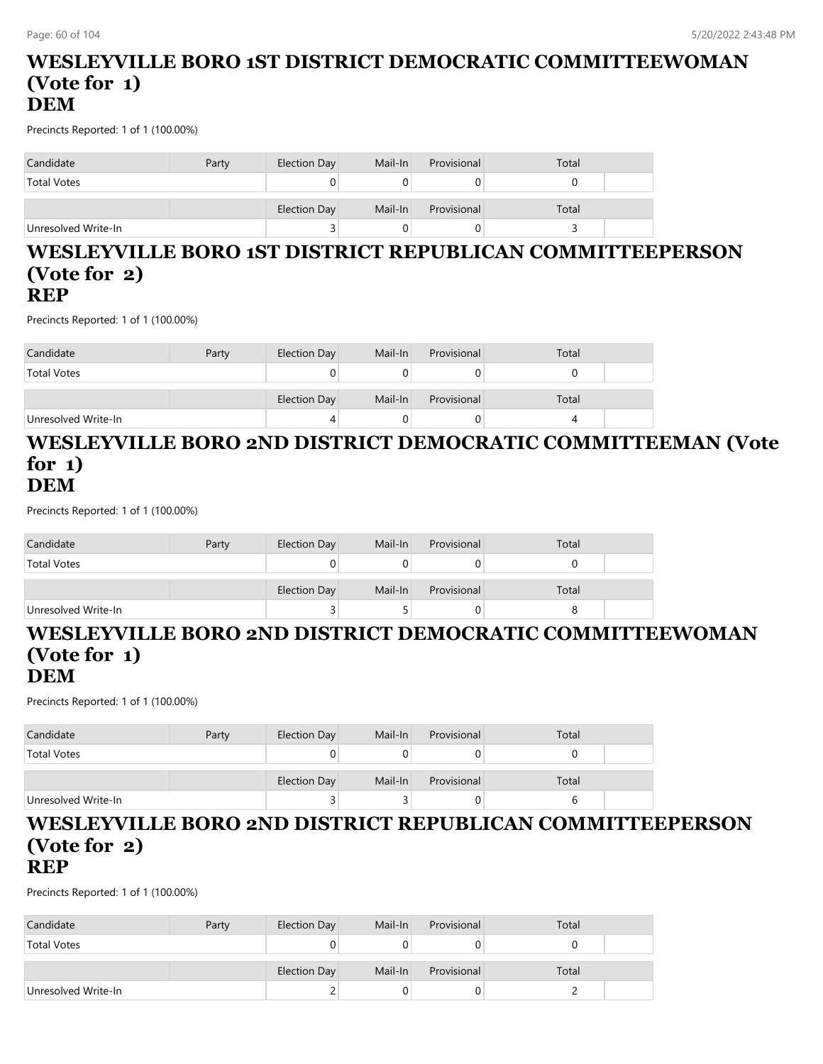#### **WESLEYVILLE BORO 1ST DISTRICT DEMOCRATIC COMMITTEEWOMAN (Vote for 1) DEM**

Precincts Reported: 1 of 1 (100.00%)

| Candidate           | Party | Election Day | Mail-In | Provisional | Total |  |
|---------------------|-------|--------------|---------|-------------|-------|--|
| <b>Total Votes</b>  |       | U            |         |             |       |  |
|                     |       | Election Day | Mail-In | Provisional | Total |  |
| Unresolved Write-In |       | ت            |         |             |       |  |

#### **WESLEYVILLE BORO 1ST DISTRICT REPUBLICAN COMMITTEEPERSON (Vote for 2) REP**

Precincts Reported: 1 of 1 (100.00%)

| Candidate           | Party | Election Day | Mail-In | Provisional | Total |  |
|---------------------|-------|--------------|---------|-------------|-------|--|
| <b>Total Votes</b>  |       |              |         |             |       |  |
|                     |       | Election Day | Mail-In | Provisional | Total |  |
| Unresolved Write-In |       |              |         |             |       |  |

#### **WESLEYVILLE BORO 2ND DISTRICT DEMOCRATIC COMMITTEEMAN (Vote for 1) DEM**

Precincts Reported: 1 of 1 (100.00%)

| Candidate           | Party | Election Day | Mail-In | Provisional | Total |  |
|---------------------|-------|--------------|---------|-------------|-------|--|
| <b>Total Votes</b>  |       |              |         |             |       |  |
|                     |       | Election Day | Mail-In | Provisional | Total |  |
| Unresolved Write-In |       |              |         | 0           |       |  |

# **WESLEYVILLE BORO 2ND DISTRICT DEMOCRATIC COMMITTEEWOMAN (Vote for 1)**

#### **DEM**

Precincts Reported: 1 of 1 (100.00%)

| Candidate           | Party | Election Day | Mail-In | Provisional | Total |  |
|---------------------|-------|--------------|---------|-------------|-------|--|
| <b>Total Votes</b>  |       |              |         |             |       |  |
|                     |       | Election Day | Mail-In | Provisional | Total |  |
| Unresolved Write-In |       |              |         |             | b     |  |

#### **WESLEYVILLE BORO 2ND DISTRICT REPUBLICAN COMMITTEEPERSON (Vote for 2) REP**

| Candidate           | Party | Election Day | Mail-In | Provisional | Total |  |
|---------------------|-------|--------------|---------|-------------|-------|--|
| <b>Total Votes</b>  |       |              |         |             |       |  |
|                     |       | Election Day | Mail-In | Provisional | Total |  |
| Unresolved Write-In |       |              |         |             |       |  |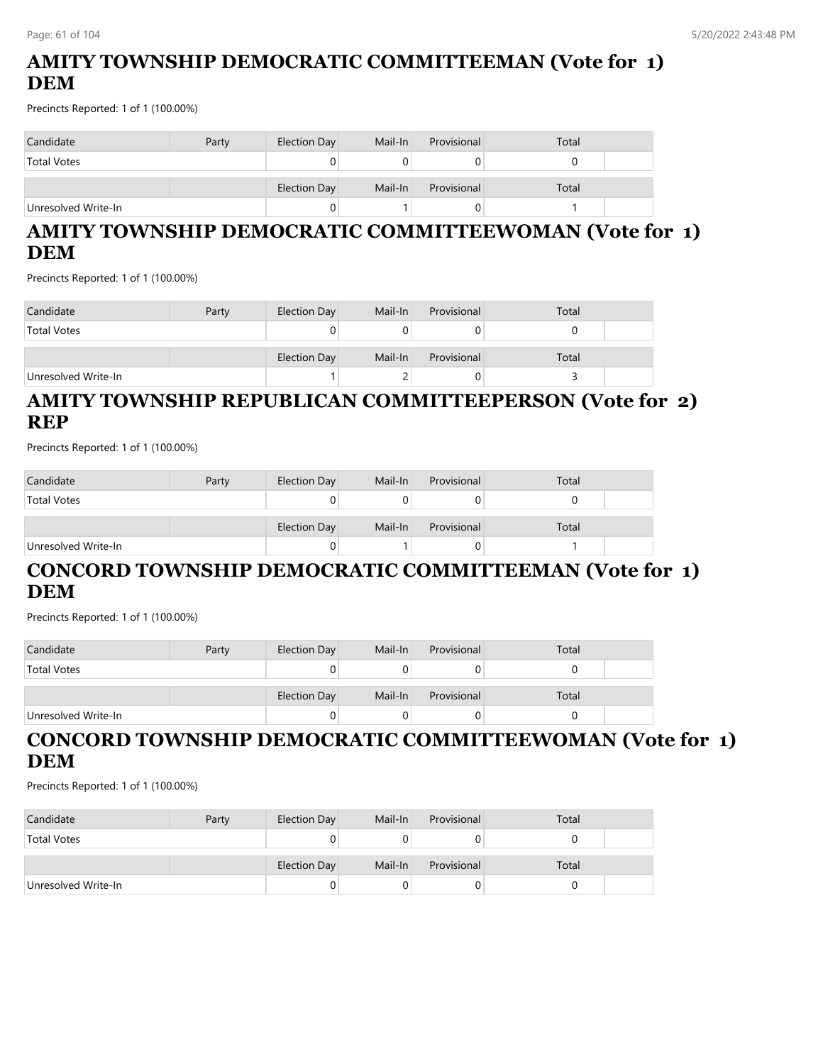# **AMITY TOWNSHIP DEMOCRATIC COMMITTEEMAN (Vote for 1) DEM**

Precincts Reported: 1 of 1 (100.00%)

| Candidate           | Party | Election Day | Mail-In | Provisional | Total |  |
|---------------------|-------|--------------|---------|-------------|-------|--|
| <b>Total Votes</b>  |       | υ            |         |             |       |  |
|                     |       | Election Day | Mail-In | Provisional | Total |  |
| Unresolved Write-In |       | U            |         |             |       |  |

### **AMITY TOWNSHIP DEMOCRATIC COMMITTEEWOMAN (Vote for 1) DEM**

Precincts Reported: 1 of 1 (100.00%)

| Candidate           | Party | Election Day | Mail-In | Provisional | Total |  |
|---------------------|-------|--------------|---------|-------------|-------|--|
| <b>Total Votes</b>  |       | 0            |         |             |       |  |
|                     |       | Election Day | Mail-In | Provisional | Total |  |
| Unresolved Write-In |       |              |         |             |       |  |

# **AMITY TOWNSHIP REPUBLICAN COMMITTEEPERSON (Vote for 2) REP**

Precincts Reported: 1 of 1 (100.00%)

| Candidate           | Party | Election Day | Mail-In | Provisional | Total |  |
|---------------------|-------|--------------|---------|-------------|-------|--|
| <b>Total Votes</b>  |       |              |         |             |       |  |
|                     |       |              |         |             |       |  |
|                     |       | Election Day | Mail-In | Provisional | Total |  |
| Unresolved Write-In |       | 0            |         |             |       |  |

# **CONCORD TOWNSHIP DEMOCRATIC COMMITTEEMAN (Vote for 1) DEM**

Precincts Reported: 1 of 1 (100.00%)

| Candidate           | Party | Election Day | Mail-In | Provisional | Total |  |
|---------------------|-------|--------------|---------|-------------|-------|--|
| <b>Total Votes</b>  |       |              |         |             |       |  |
|                     |       | Election Day | Mail-In | Provisional | Total |  |
| Unresolved Write-In |       |              |         | U           |       |  |

# **CONCORD TOWNSHIP DEMOCRATIC COMMITTEEWOMAN (Vote for 1) DEM**

| Candidate           | Party | Election Day | Mail-In | Provisional | Total |  |
|---------------------|-------|--------------|---------|-------------|-------|--|
| <b>Total Votes</b>  |       |              |         |             |       |  |
|                     |       | Election Day | Mail-In | Provisional | Total |  |
| Unresolved Write-In |       |              |         |             |       |  |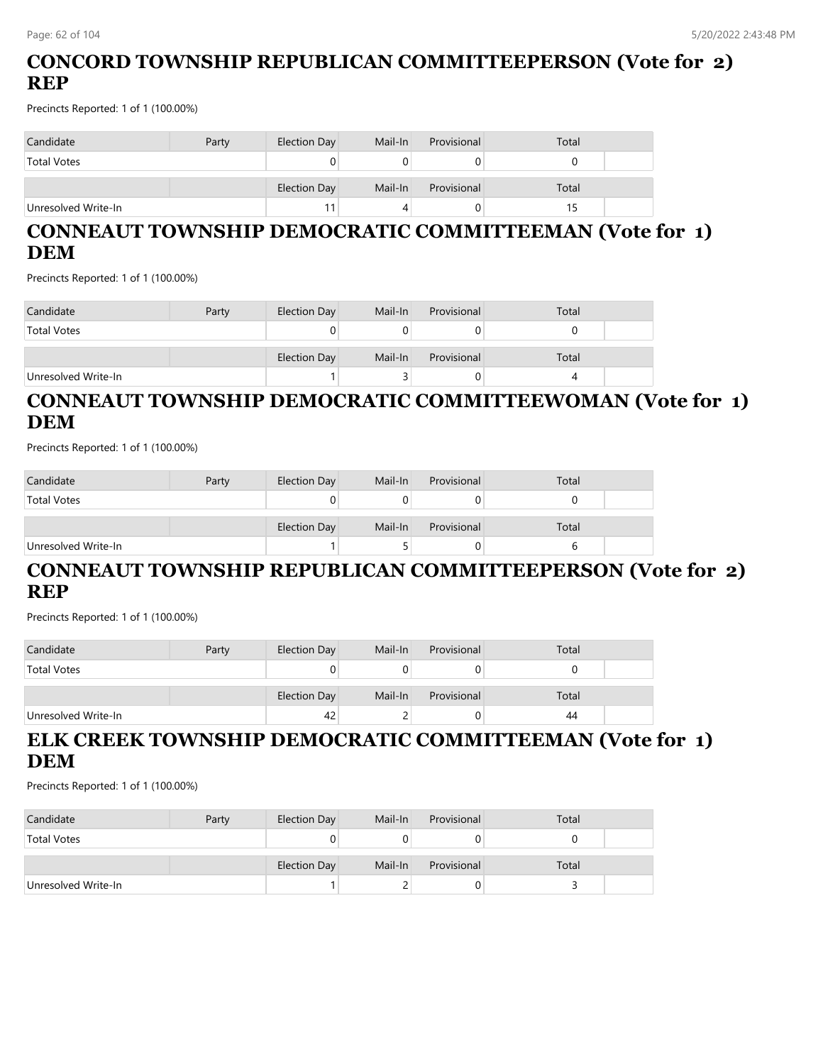# **CONCORD TOWNSHIP REPUBLICAN COMMITTEEPERSON (Vote for 2) REP**

Precincts Reported: 1 of 1 (100.00%)

| Candidate           | Party | Election Day | Mail-In | Provisional | Total |  |
|---------------------|-------|--------------|---------|-------------|-------|--|
| <b>Total Votes</b>  |       |              |         |             |       |  |
|                     |       | Election Day | Mail-In | Provisional | Total |  |
| Unresolved Write-In |       | 11           |         |             |       |  |

# **CONNEAUT TOWNSHIP DEMOCRATIC COMMITTEEMAN (Vote for 1) DEM**

Precincts Reported: 1 of 1 (100.00%)

| Candidate           | Party | Election Day | Mail-In | Provisional | Total |  |
|---------------------|-------|--------------|---------|-------------|-------|--|
| <b>Total Votes</b>  |       | υ            |         |             |       |  |
|                     |       | Election Day | Mail-In | Provisional | Total |  |
| Unresolved Write-In |       |              |         |             |       |  |

# **CONNEAUT TOWNSHIP DEMOCRATIC COMMITTEEWOMAN (Vote for 1) DEM**

Precincts Reported: 1 of 1 (100.00%)

| Candidate           | Party | Election Day | Mail-In | Provisional | Total |  |
|---------------------|-------|--------------|---------|-------------|-------|--|
| <b>Total Votes</b>  |       | 0            |         |             |       |  |
|                     |       | Election Day | Mail-In | Provisional | Total |  |
| Unresolved Write-In |       |              |         |             |       |  |

### **CONNEAUT TOWNSHIP REPUBLICAN COMMITTEEPERSON (Vote for 2) REP**

Precincts Reported: 1 of 1 (100.00%)

| Candidate           | Party | Election Day | Mail-In | Provisional | Total |  |
|---------------------|-------|--------------|---------|-------------|-------|--|
| <b>Total Votes</b>  |       |              |         | U           |       |  |
|                     |       |              |         |             |       |  |
|                     |       | Election Day | Mail-In | Provisional | Total |  |
| Unresolved Write-In |       | 42           |         | U           | 44    |  |

# **ELK CREEK TOWNSHIP DEMOCRATIC COMMITTEEMAN (Vote for 1) DEM**

| Candidate           | Party | Election Day | Mail-In | Provisional | Total |  |
|---------------------|-------|--------------|---------|-------------|-------|--|
| <b>Total Votes</b>  |       |              |         |             |       |  |
|                     |       | Election Day | Mail-In | Provisional | Total |  |
| Unresolved Write-In |       |              |         |             |       |  |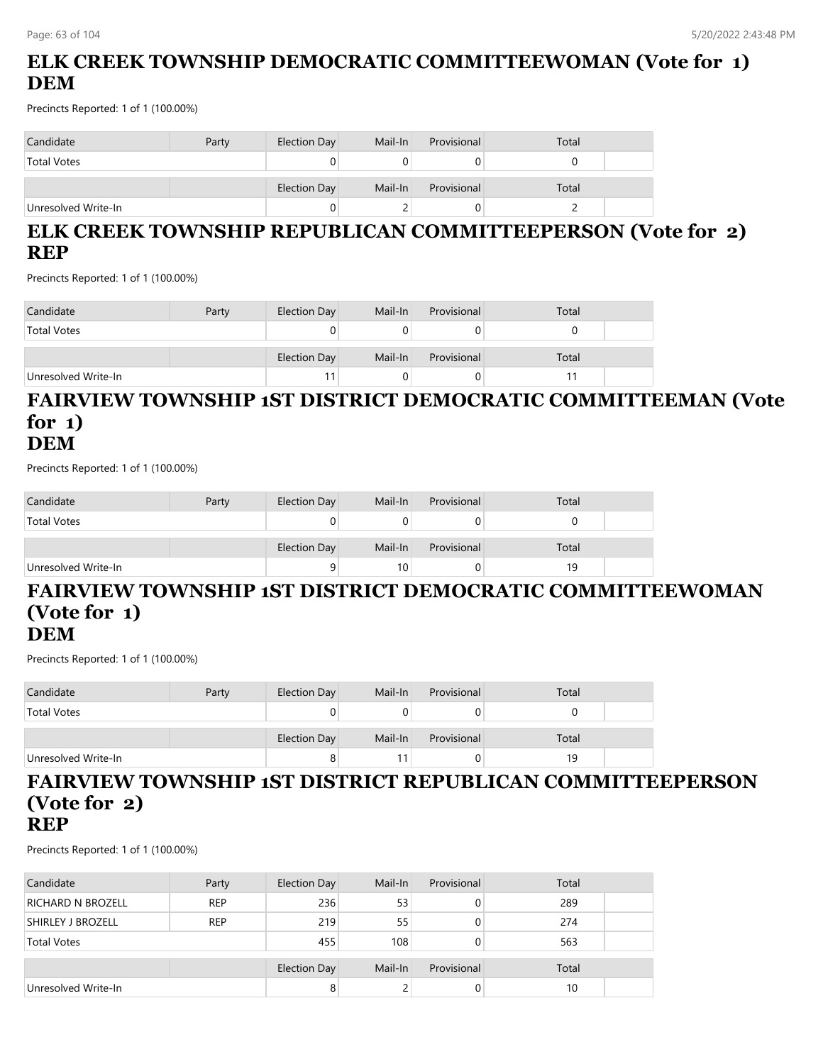# **ELK CREEK TOWNSHIP DEMOCRATIC COMMITTEEWOMAN (Vote for 1) DEM**

Precincts Reported: 1 of 1 (100.00%)

| Candidate           | Party | Election Day | Mail-In | Provisional | Total |  |
|---------------------|-------|--------------|---------|-------------|-------|--|
| <b>Total Votes</b>  |       |              |         |             |       |  |
|                     |       | Election Day | Mail-In | Provisional | Total |  |
| Unresolved Write-In |       |              |         |             |       |  |

# **ELK CREEK TOWNSHIP REPUBLICAN COMMITTEEPERSON (Vote for 2) REP**

Precincts Reported: 1 of 1 (100.00%)

| Candidate           | Party | Election Day | Mail-In | Provisional | Total |  |
|---------------------|-------|--------------|---------|-------------|-------|--|
| <b>Total Votes</b>  |       | 0            |         |             |       |  |
|                     |       | Election Day | Mail-In | Provisional | Total |  |
| Unresolved Write-In |       |              |         |             |       |  |

#### **FAIRVIEW TOWNSHIP 1ST DISTRICT DEMOCRATIC COMMITTEEMAN (Vote for 1) DEM**

Precincts Reported: 1 of 1 (100.00%)

| Candidate           | Party | Election Day | Mail-In | Provisional | Total |  |
|---------------------|-------|--------------|---------|-------------|-------|--|
| <b>Total Votes</b>  |       |              |         |             |       |  |
|                     |       | Election Day | Mail-In | Provisional | Total |  |
| Unresolved Write-In |       |              | 10      |             | 19    |  |

#### **FAIRVIEW TOWNSHIP 1ST DISTRICT DEMOCRATIC COMMITTEEWOMAN (Vote for 1) DEM**

Precincts Reported: 1 of 1 (100.00%)

| Candidate           | Party | Election Day | Mail-In | Provisional | Total |  |
|---------------------|-------|--------------|---------|-------------|-------|--|
| <b>Total Votes</b>  |       |              |         |             |       |  |
|                     |       | Election Day | Mail-In | Provisional | Total |  |
| Unresolved Write-In |       | 8            |         |             | 19    |  |

#### **FAIRVIEW TOWNSHIP 1ST DISTRICT REPUBLICAN COMMITTEEPERSON (Vote for 2) REP**

| Candidate                | Party      | Election Day | Mail-In | Provisional | Total |  |
|--------------------------|------------|--------------|---------|-------------|-------|--|
| <b>RICHARD N BROZELL</b> | <b>REP</b> | 236          | 53      |             | 289   |  |
| <b>SHIRLEY J BROZELL</b> | <b>REP</b> | 219          | 55      |             | 274   |  |
| <b>Total Votes</b>       |            | 455          | 108     |             | 563   |  |
|                          |            | Election Day | Mail-In | Provisional | Total |  |
| Unresolved Write-In      |            | 8            |         | 0           | 10    |  |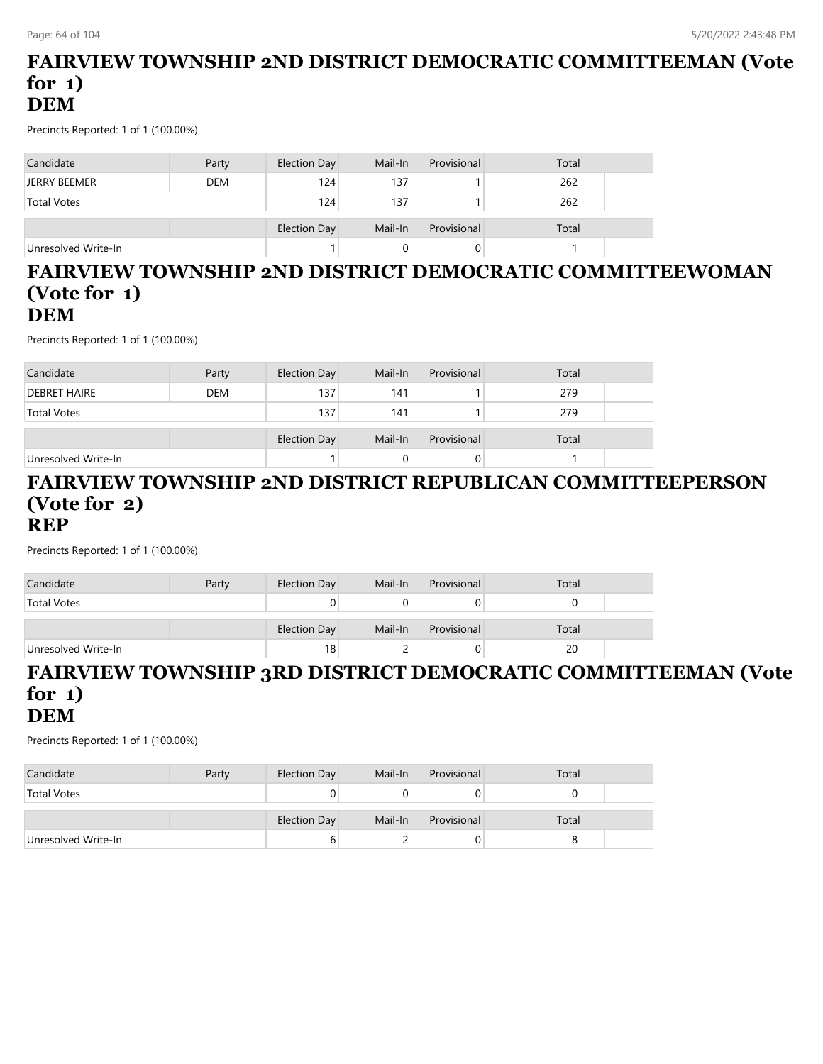### **FAIRVIEW TOWNSHIP 2ND DISTRICT DEMOCRATIC COMMITTEEMAN (Vote for 1) DEM**

Precincts Reported: 1 of 1 (100.00%)

| Candidate           | Party      | Election Day | Mail-In | Provisional | Total |  |
|---------------------|------------|--------------|---------|-------------|-------|--|
| <b>JERRY BEEMER</b> | <b>DEM</b> | 124          | 137     |             | 262   |  |
| <b>Total Votes</b>  |            | 124          | 137     |             | 262   |  |
|                     |            | Election Day | Mail-In | Provisional | Total |  |
| Unresolved Write-In |            |              |         |             |       |  |

#### **FAIRVIEW TOWNSHIP 2ND DISTRICT DEMOCRATIC COMMITTEEWOMAN (Vote for 1) DEM**

Precincts Reported: 1 of 1 (100.00%)

| Candidate           | Party      | Election Day | Mail-In | Provisional | Total |  |
|---------------------|------------|--------------|---------|-------------|-------|--|
| <b>DEBRET HAIRE</b> | <b>DEM</b> | 137          | 141     |             | 279   |  |
| <b>Total Votes</b>  |            | 137          | 141     |             | 279   |  |
|                     |            |              |         |             |       |  |
|                     |            | Election Day | Mail-In | Provisional | Total |  |
| Unresolved Write-In |            |              |         |             |       |  |

#### **FAIRVIEW TOWNSHIP 2ND DISTRICT REPUBLICAN COMMITTEEPERSON (Vote for 2) REP**

Precincts Reported: 1 of 1 (100.00%)

| Candidate           | Party | Election Day        | Mail-In | Provisional | Total |  |
|---------------------|-------|---------------------|---------|-------------|-------|--|
| <b>Total Votes</b>  |       |                     |         | U           |       |  |
|                     |       | <b>Election Day</b> | Mail-In | Provisional | Total |  |
| Unresolved Write-In |       | 18 <sub>1</sub>     |         | O           | 20    |  |

#### **FAIRVIEW TOWNSHIP 3RD DISTRICT DEMOCRATIC COMMITTEEMAN (Vote for 1) DEM**

| Candidate           | Party | Election Day | Mail-In | Provisional | Total |  |
|---------------------|-------|--------------|---------|-------------|-------|--|
| <b>Total Votes</b>  |       |              |         |             |       |  |
|                     |       |              |         |             |       |  |
|                     |       | Election Day | Mail-In | Provisional | Total |  |
| Unresolved Write-In |       |              |         |             |       |  |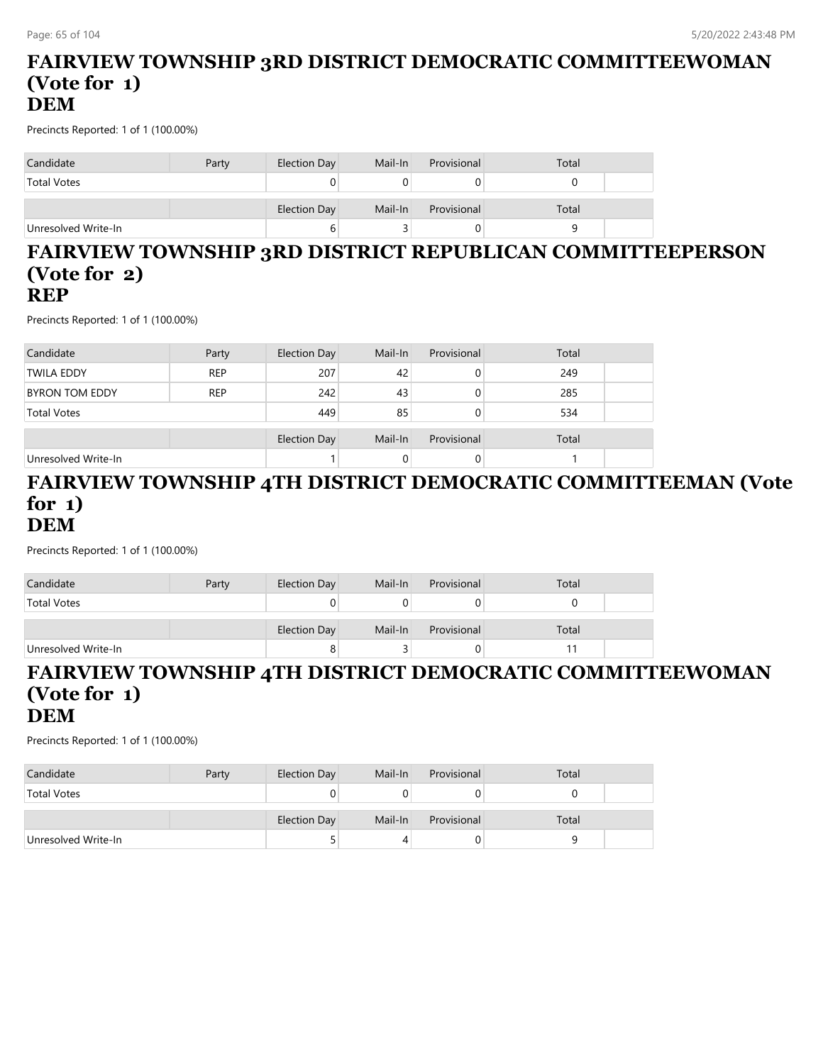#### **FAIRVIEW TOWNSHIP 3RD DISTRICT DEMOCRATIC COMMITTEEWOMAN (Vote for 1) DEM**

Precincts Reported: 1 of 1 (100.00%)

| Candidate           | Party | Election Day | Mail-In | Provisional | Total |
|---------------------|-------|--------------|---------|-------------|-------|
| <b>Total Votes</b>  |       |              |         |             |       |
|                     |       | Election Day | Mail-In | Provisional | Total |
| Unresolved Write-In |       | b            |         |             |       |

#### **FAIRVIEW TOWNSHIP 3RD DISTRICT REPUBLICAN COMMITTEEPERSON (Vote for 2) REP**

Precincts Reported: 1 of 1 (100.00%)

| Candidate             | Party      | <b>Election Day</b> | Mail-In | Provisional | Total |  |
|-----------------------|------------|---------------------|---------|-------------|-------|--|
| <b>TWILA EDDY</b>     | <b>REP</b> | 207                 | 42      |             | 249   |  |
| <b>BYRON TOM EDDY</b> | <b>REP</b> | 242                 | 43      |             | 285   |  |
| <b>Total Votes</b>    |            | 449                 | 85      |             | 534   |  |
|                       |            | <b>Election Day</b> | Mail-In | Provisional | Total |  |
| Unresolved Write-In   |            |                     | 0       |             |       |  |

#### **FAIRVIEW TOWNSHIP 4TH DISTRICT DEMOCRATIC COMMITTEEMAN (Vote for 1) DEM**

Precincts Reported: 1 of 1 (100.00%)

| Candidate           | Party | Election Day        | Mail-In | Provisional | Total |  |
|---------------------|-------|---------------------|---------|-------------|-------|--|
| <b>Total Votes</b>  |       |                     |         | U           |       |  |
|                     |       | <b>Election Day</b> | Mail-In | Provisional | Total |  |
| Unresolved Write-In |       |                     |         | U           |       |  |

#### **FAIRVIEW TOWNSHIP 4TH DISTRICT DEMOCRATIC COMMITTEEWOMAN (Vote for 1) DEM**

| Candidate           | Party | Election Day | Mail-In | Provisional | Total |  |
|---------------------|-------|--------------|---------|-------------|-------|--|
| <b>Total Votes</b>  |       |              |         |             |       |  |
|                     |       |              |         |             |       |  |
|                     |       | Election Day | Mail-In | Provisional | Total |  |
| Unresolved Write-In |       |              |         |             |       |  |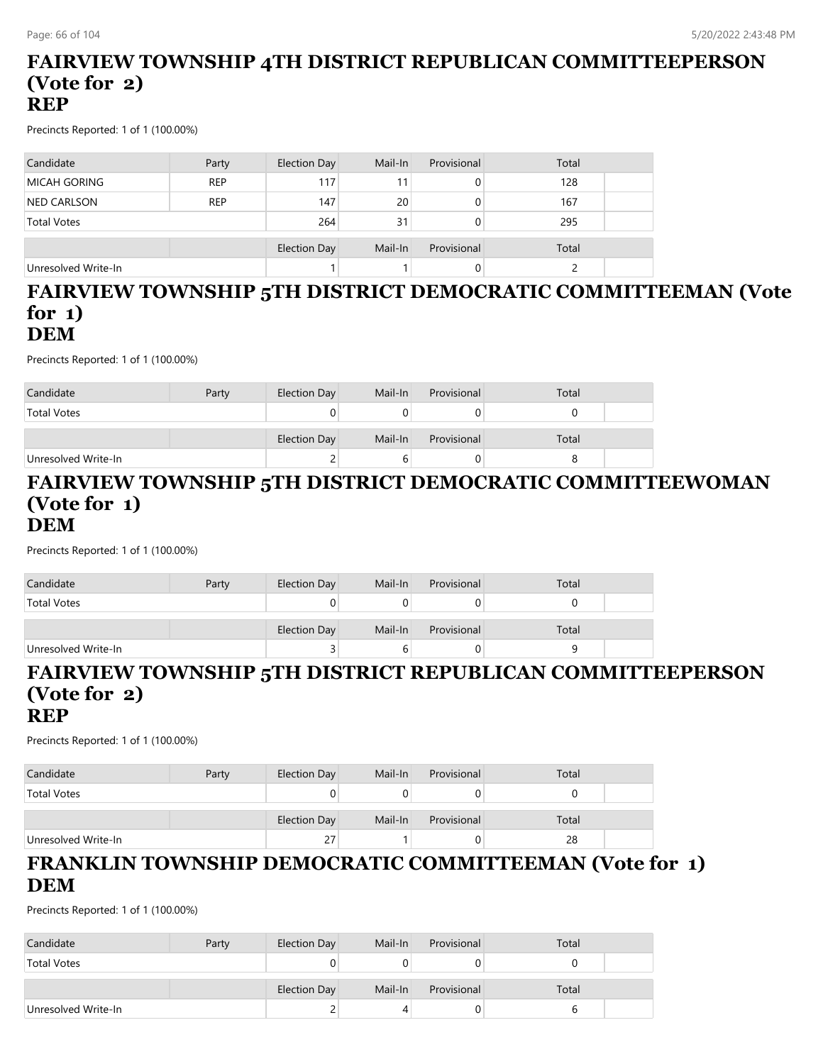#### **FAIRVIEW TOWNSHIP 4TH DISTRICT REPUBLICAN COMMITTEEPERSON (Vote for 2) REP**

Precincts Reported: 1 of 1 (100.00%)

| Candidate           | Party      | Election Day | Mail-In | Provisional | Total |  |
|---------------------|------------|--------------|---------|-------------|-------|--|
| <b>MICAH GORING</b> | <b>REP</b> | 117          | 11      |             | 128   |  |
| <b>NED CARLSON</b>  | <b>REP</b> | 147          | 20      |             | 167   |  |
| <b>Total Votes</b>  |            | 264          | 31      |             | 295   |  |
|                     |            | Election Day | Mail-In | Provisional | Total |  |
| Unresolved Write-In |            |              |         |             |       |  |

#### **FAIRVIEW TOWNSHIP 5TH DISTRICT DEMOCRATIC COMMITTEEMAN (Vote for 1) DEM**

Precincts Reported: 1 of 1 (100.00%)

| Candidate           | Party | Election Day | Mail-In | Provisional | Total |  |
|---------------------|-------|--------------|---------|-------------|-------|--|
| <b>Total Votes</b>  |       |              |         |             |       |  |
|                     |       | Election Day | Mail-In | Provisional | Total |  |
| Unresolved Write-In |       | ▃            |         | O.          |       |  |

#### **FAIRVIEW TOWNSHIP 5TH DISTRICT DEMOCRATIC COMMITTEEWOMAN (Vote for 1) DEM**

Precincts Reported: 1 of 1 (100.00%)

| Candidate           | Party | Election Day | Mail-In | Provisional | Total |  |
|---------------------|-------|--------------|---------|-------------|-------|--|
| <b>Total Votes</b>  |       |              |         |             |       |  |
|                     |       | Election Day | Mail-In | Provisional | Total |  |
| Unresolved Write-In |       |              |         |             |       |  |

# **FAIRVIEW TOWNSHIP 5TH DISTRICT REPUBLICAN COMMITTEEPERSON (Vote for 2)**

#### **REP**

Precincts Reported: 1 of 1 (100.00%)

| Candidate           | Party | Election Day | Mail-In | Provisional | Total |  |
|---------------------|-------|--------------|---------|-------------|-------|--|
| <b>Total Votes</b>  |       |              |         |             |       |  |
|                     |       | Election Day | Mail-In | Provisional | Total |  |
| Unresolved Write-In |       | 27           |         | 0.          | 28    |  |

### **FRANKLIN TOWNSHIP DEMOCRATIC COMMITTEEMAN (Vote for 1) DEM**

| Candidate           | Party | Election Day | Mail-In | Provisional | Total |  |
|---------------------|-------|--------------|---------|-------------|-------|--|
| <b>Total Votes</b>  |       |              |         |             |       |  |
|                     |       | Election Day | Mail-In | Provisional | Total |  |
| Unresolved Write-In |       |              |         |             |       |  |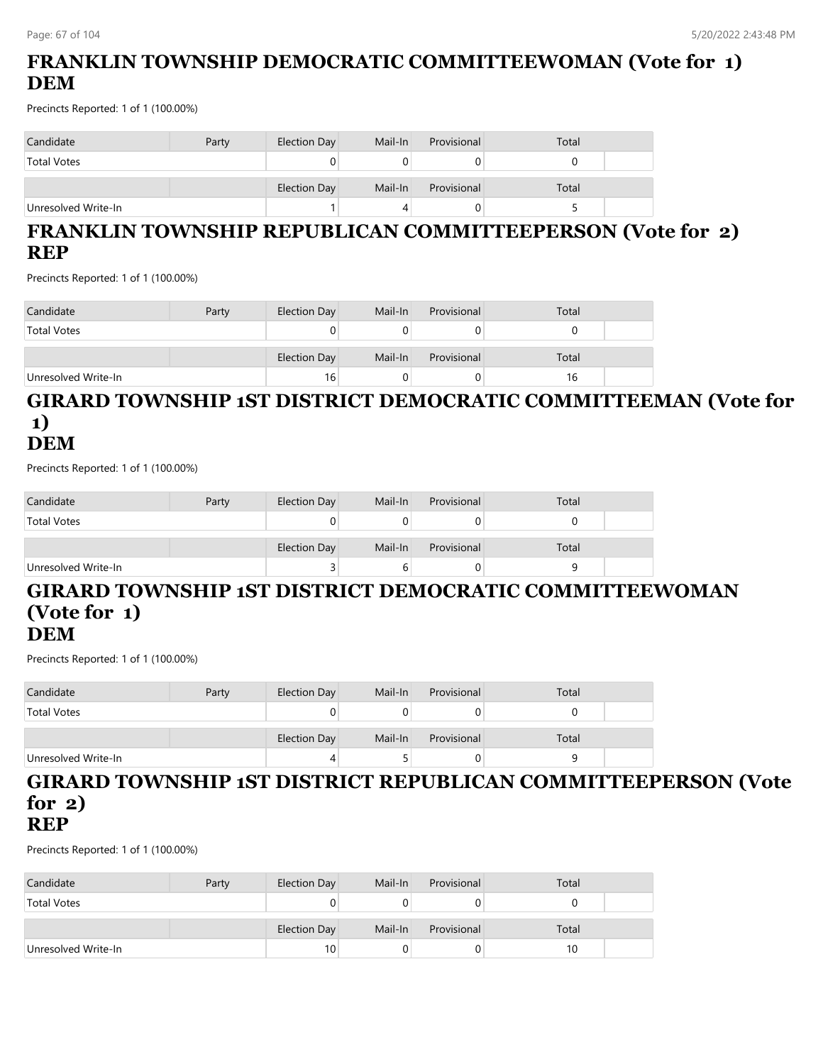# **FRANKLIN TOWNSHIP DEMOCRATIC COMMITTEEWOMAN (Vote for 1) DEM**

Precincts Reported: 1 of 1 (100.00%)

| Candidate           | Party | Election Day | Mail-In | Provisional | Total |  |
|---------------------|-------|--------------|---------|-------------|-------|--|
| <b>Total Votes</b>  |       |              |         |             |       |  |
|                     |       | Election Day | Mail-In | Provisional | Total |  |
| Unresolved Write-In |       |              |         |             |       |  |

# **FRANKLIN TOWNSHIP REPUBLICAN COMMITTEEPERSON (Vote for 2) REP**

Precincts Reported: 1 of 1 (100.00%)

| Candidate           | Party | Election Day | Mail-In | Provisional | Total |  |
|---------------------|-------|--------------|---------|-------------|-------|--|
| <b>Total Votes</b>  |       | U            |         |             |       |  |
|                     |       | Election Day | Mail-In | Provisional | Total |  |
| Unresolved Write-In |       | 16           |         |             |       |  |

#### **GIRARD TOWNSHIP 1ST DISTRICT DEMOCRATIC COMMITTEEMAN (Vote for 1) DEM**

Precincts Reported: 1 of 1 (100.00%)

| Candidate           | Party | Election Day | Mail-In | Provisional | Total |  |
|---------------------|-------|--------------|---------|-------------|-------|--|
| <b>Total Votes</b>  |       |              |         |             |       |  |
|                     |       | Election Day | Mail-In | Provisional | Total |  |
| Unresolved Write-In |       |              |         |             |       |  |

#### **GIRARD TOWNSHIP 1ST DISTRICT DEMOCRATIC COMMITTEEWOMAN (Vote for 1) DEM**

Precincts Reported: 1 of 1 (100.00%)

| Candidate           | Party | Election Day | Mail-In | Provisional | Total |  |
|---------------------|-------|--------------|---------|-------------|-------|--|
| <b>Total Votes</b>  |       |              |         |             |       |  |
|                     |       | Election Day | Mail-In | Provisional | Total |  |
| Unresolved Write-In |       | 4            |         |             |       |  |

#### **GIRARD TOWNSHIP 1ST DISTRICT REPUBLICAN COMMITTEEPERSON (Vote for 2) REP**

| Candidate           | Party | Election Day    | Mail-In | Provisional | Total |  |
|---------------------|-------|-----------------|---------|-------------|-------|--|
| <b>Total Votes</b>  |       | 0               |         |             |       |  |
|                     |       | Election Day    | Mail-In | Provisional | Total |  |
| Unresolved Write-In |       | 10 <sub>1</sub> |         |             |       |  |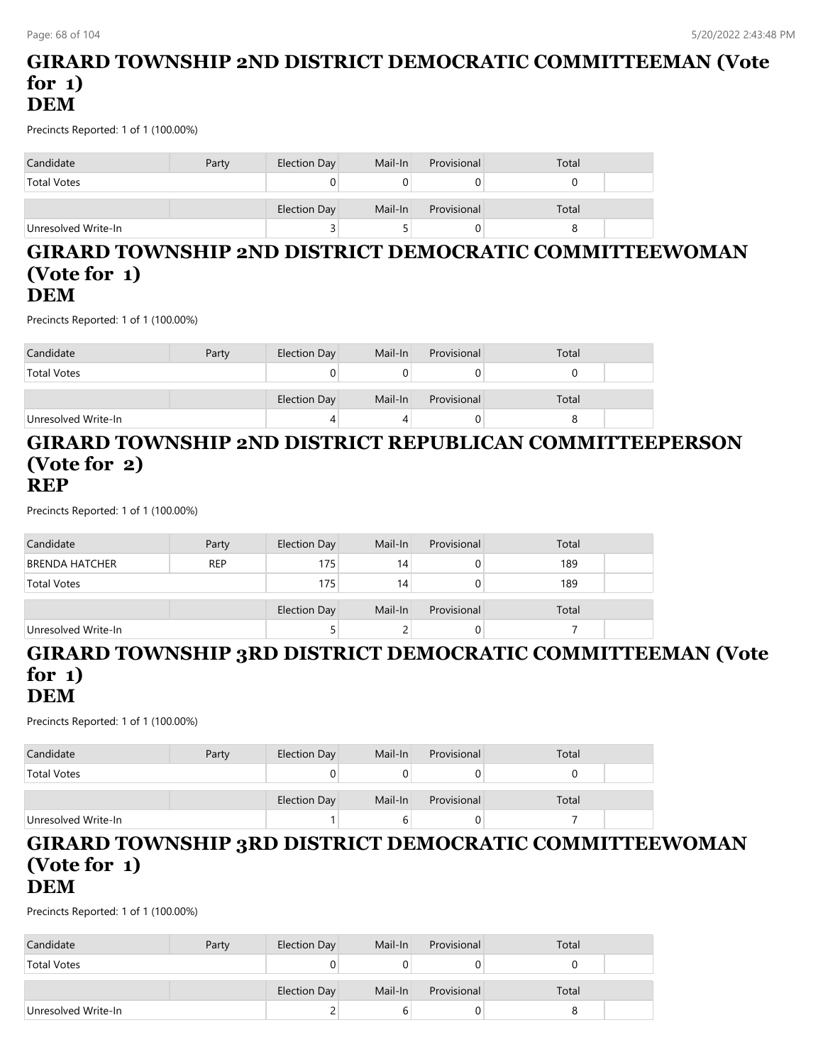#### **GIRARD TOWNSHIP 2ND DISTRICT DEMOCRATIC COMMITTEEMAN (Vote for 1) DEM**

Precincts Reported: 1 of 1 (100.00%)

| Candidate           | Party | Election Day | Mail-In | Provisional | Total |  |
|---------------------|-------|--------------|---------|-------------|-------|--|
| <b>Total Votes</b>  |       |              |         |             |       |  |
|                     |       | Election Day | Mail-In | Provisional | Total |  |
| Unresolved Write-In |       |              |         |             |       |  |

#### **GIRARD TOWNSHIP 2ND DISTRICT DEMOCRATIC COMMITTEEWOMAN (Vote for 1) DEM**

Precincts Reported: 1 of 1 (100.00%)

| Candidate           | Party | Election Day | Mail-In | Provisional | Total |  |
|---------------------|-------|--------------|---------|-------------|-------|--|
| <b>Total Votes</b>  |       |              |         |             |       |  |
|                     |       | Election Day | Mail-In | Provisional | Total |  |
| Unresolved Write-In |       |              |         |             |       |  |

#### **GIRARD TOWNSHIP 2ND DISTRICT REPUBLICAN COMMITTEEPERSON (Vote for 2) REP**

Precincts Reported: 1 of 1 (100.00%)

| Candidate           | Party      | Election Day | Mail-In | Provisional | Total |  |
|---------------------|------------|--------------|---------|-------------|-------|--|
| BRENDA HATCHER      | <b>REP</b> | 175          | 14      |             | 189   |  |
| <b>Total Votes</b>  |            | 175          | 14      |             | 189   |  |
|                     |            |              |         |             |       |  |
|                     |            | Election Day | Mail-In | Provisional | Total |  |
| Unresolved Write-In |            |              |         |             |       |  |

#### **GIRARD TOWNSHIP 3RD DISTRICT DEMOCRATIC COMMITTEEMAN (Vote for 1) DEM**

Precincts Reported: 1 of 1 (100.00%)

| Candidate           | Party | Election Day | Mail-In | Provisional | Total |  |
|---------------------|-------|--------------|---------|-------------|-------|--|
| <b>Total Votes</b>  |       |              |         |             |       |  |
|                     |       | Election Day | Mail-In | Provisional | Total |  |
| Unresolved Write-In |       |              |         |             |       |  |

#### **GIRARD TOWNSHIP 3RD DISTRICT DEMOCRATIC COMMITTEEWOMAN (Vote for 1) DEM**

| Candidate           | Party | Election Day | Mail-In | Provisional | Total |  |
|---------------------|-------|--------------|---------|-------------|-------|--|
| <b>Total Votes</b>  |       |              |         | U           |       |  |
|                     |       | Election Day | Mail-In | Provisional | Total |  |
|                     |       |              |         |             |       |  |
| Unresolved Write-In |       |              |         | 0           |       |  |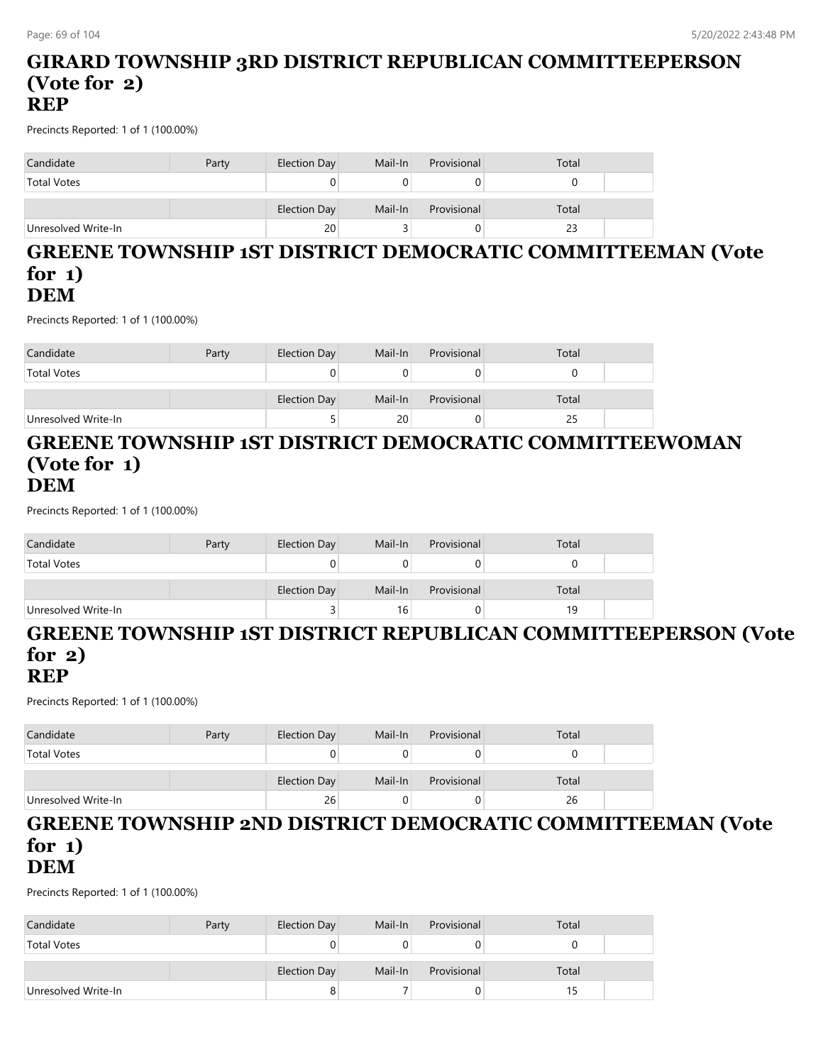#### **GIRARD TOWNSHIP 3RD DISTRICT REPUBLICAN COMMITTEEPERSON (Vote for 2) REP**

Precincts Reported: 1 of 1 (100.00%)

| Candidate           | Party | Election Day | Mail-In | Provisional | Total |  |
|---------------------|-------|--------------|---------|-------------|-------|--|
| <b>Total Votes</b>  |       | U            |         |             |       |  |
|                     |       | Election Day | Mail-In | Provisional | Total |  |
| Unresolved Write-In |       | 20           |         |             | 23    |  |

#### **GREENE TOWNSHIP 1ST DISTRICT DEMOCRATIC COMMITTEEMAN (Vote for 1) DEM**

Precincts Reported: 1 of 1 (100.00%)

| Candidate           | Party | Election Day | Mail-In | Provisional | Total |  |
|---------------------|-------|--------------|---------|-------------|-------|--|
| <b>Total Votes</b>  |       |              |         |             |       |  |
|                     |       | Election Day | Mail-In | Provisional | Total |  |
| Unresolved Write-In |       |              | 20      |             | 25    |  |

#### **GREENE TOWNSHIP 1ST DISTRICT DEMOCRATIC COMMITTEEWOMAN (Vote for 1) DEM**

Precincts Reported: 1 of 1 (100.00%)

| Candidate           | Party | Election Day | Mail-In         | Provisional | Total |  |
|---------------------|-------|--------------|-----------------|-------------|-------|--|
| <b>Total Votes</b>  |       |              |                 |             |       |  |
|                     |       | Election Day | Mail-In         | Provisional | Total |  |
| Unresolved Write-In |       |              | 16 <sub>1</sub> |             | 19    |  |

# **GREENE TOWNSHIP 1ST DISTRICT REPUBLICAN COMMITTEEPERSON (Vote for 2)**

#### **REP**

Precincts Reported: 1 of 1 (100.00%)

| Candidate           | Party | Election Day | Mail-In | Provisional | Total |  |
|---------------------|-------|--------------|---------|-------------|-------|--|
| <b>Total Votes</b>  |       |              |         |             |       |  |
|                     |       | Election Day | Mail-In | Provisional | Total |  |
| Unresolved Write-In |       | 26           |         |             | 26    |  |

#### **GREENE TOWNSHIP 2ND DISTRICT DEMOCRATIC COMMITTEEMAN (Vote for 1) DEM**

| Candidate           | Party | Election Day | Mail-In | Provisional | Total |  |
|---------------------|-------|--------------|---------|-------------|-------|--|
| <b>Total Votes</b>  |       |              |         |             |       |  |
|                     |       | Election Day | Mail-In | Provisional | Total |  |
| Unresolved Write-In |       |              |         | υ           |       |  |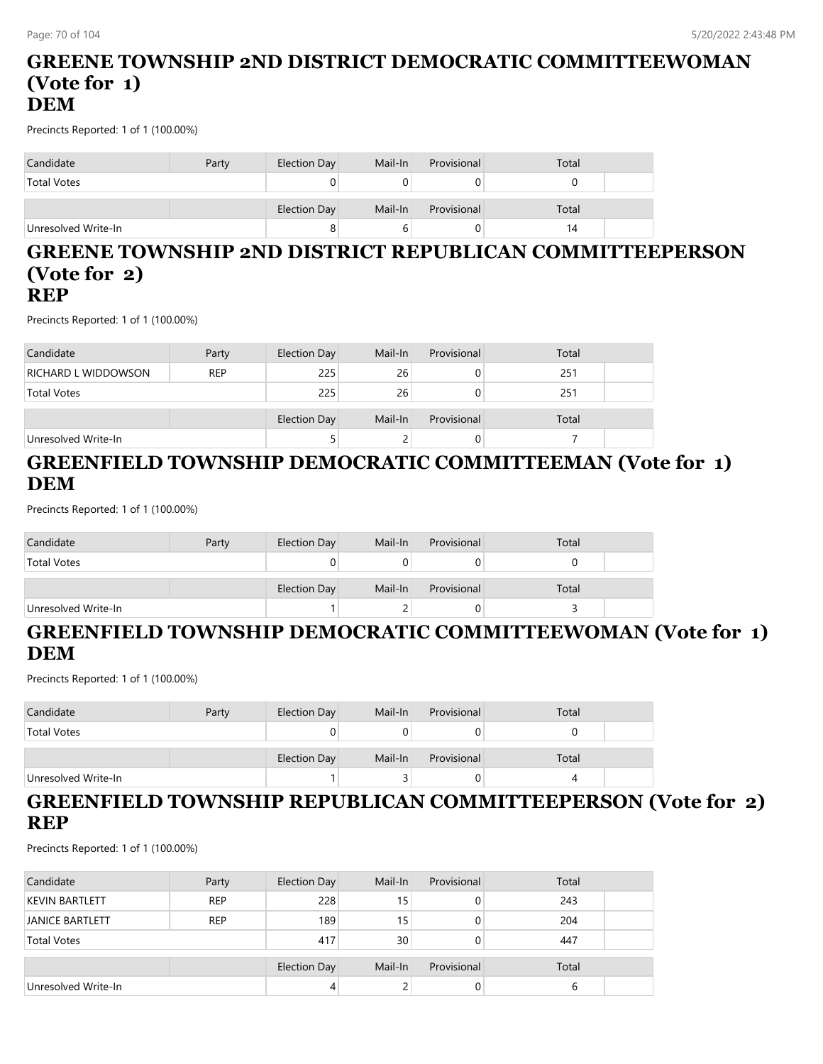#### **GREENE TOWNSHIP 2ND DISTRICT DEMOCRATIC COMMITTEEWOMAN (Vote for 1) DEM**

Precincts Reported: 1 of 1 (100.00%)

| Candidate           | Party | Election Day | Mail-In | Provisional | Total |
|---------------------|-------|--------------|---------|-------------|-------|
| <b>Total Votes</b>  |       |              |         |             |       |
|                     |       | Election Day | Mail-In | Provisional | Total |
| Unresolved Write-In |       | 8            |         |             | 14    |

#### **GREENE TOWNSHIP 2ND DISTRICT REPUBLICAN COMMITTEEPERSON (Vote for 2) REP**

Precincts Reported: 1 of 1 (100.00%)

| Candidate                  | Party      | Election Day | Mail-In | Provisional | Total |  |
|----------------------------|------------|--------------|---------|-------------|-------|--|
| <b>RICHARD L WIDDOWSON</b> | <b>REP</b> | 225          | 26      | O           | 251   |  |
| <b>Total Votes</b>         |            | 225          | 26      | 0           | 251   |  |
|                            |            |              |         |             |       |  |
|                            |            | Election Day | Mail-In | Provisional | Total |  |
| Unresolved Write-In        |            |              |         | O           |       |  |

# **GREENFIELD TOWNSHIP DEMOCRATIC COMMITTEEMAN (Vote for 1) DEM**

Precincts Reported: 1 of 1 (100.00%)

| Candidate           | Party | Election Day | Mail-In | Provisional | Total |  |
|---------------------|-------|--------------|---------|-------------|-------|--|
| <b>Total Votes</b>  |       |              |         |             |       |  |
|                     |       |              |         |             |       |  |
|                     |       | Election Day | Mail-In | Provisional | Total |  |
| Unresolved Write-In |       |              |         |             |       |  |

### **GREENFIELD TOWNSHIP DEMOCRATIC COMMITTEEWOMAN (Vote for 1) DEM**

Precincts Reported: 1 of 1 (100.00%)

| Candidate           | Party | Election Day | Mail-In | Provisional | Total |  |
|---------------------|-------|--------------|---------|-------------|-------|--|
| <b>Total Votes</b>  |       | υ            |         |             |       |  |
|                     |       | Election Day | Mail-In | Provisional | Total |  |
| Unresolved Write-In |       |              |         |             |       |  |

# **GREENFIELD TOWNSHIP REPUBLICAN COMMITTEEPERSON (Vote for 2) REP**

| Candidate              | Party      | Election Day        | Mail-In | Provisional | Total |  |
|------------------------|------------|---------------------|---------|-------------|-------|--|
| <b>KEVIN BARTLETT</b>  | <b>REP</b> | 228                 | 15      |             | 243   |  |
| <b>JANICE BARTLETT</b> | <b>REP</b> | 189                 | 15      |             | 204   |  |
| <b>Total Votes</b>     |            | 417                 | 30      |             | 447   |  |
|                        |            | <b>Election Day</b> | Mail-In | Provisional | Total |  |
| Unresolved Write-In    |            | 4                   |         |             |       |  |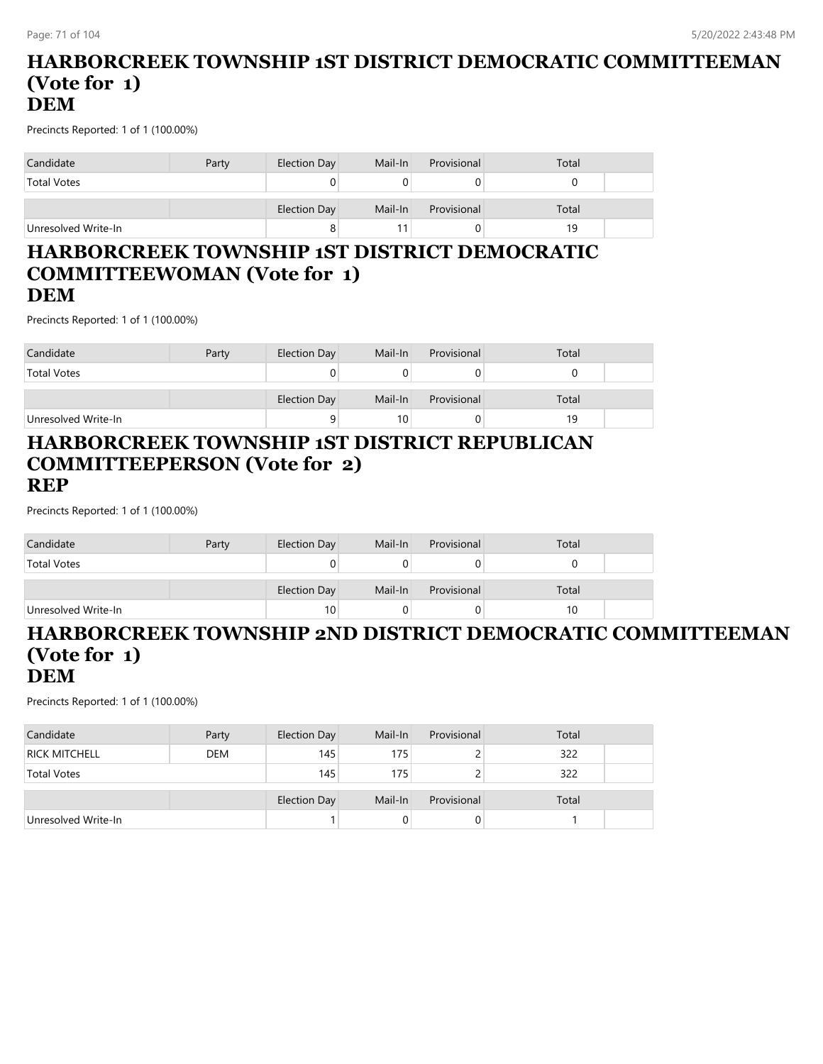#### **HARBORCREEK TOWNSHIP 1ST DISTRICT DEMOCRATIC COMMITTEEMAN (Vote for 1) DEM**

Precincts Reported: 1 of 1 (100.00%)

| Candidate           | Party | Election Day | Mail-In | Provisional | Total |  |
|---------------------|-------|--------------|---------|-------------|-------|--|
| <b>Total Votes</b>  |       |              |         |             |       |  |
|                     |       | Election Day | Mail-In | Provisional | Total |  |
| Unresolved Write-In |       | 8            |         |             | 19    |  |

#### **HARBORCREEK TOWNSHIP 1ST DISTRICT DEMOCRATIC COMMITTEEWOMAN (Vote for 1) DEM**

Precincts Reported: 1 of 1 (100.00%)

| Candidate           | Party | Election Day | Mail-In         | Provisional | Total |  |
|---------------------|-------|--------------|-----------------|-------------|-------|--|
| <b>Total Votes</b>  |       |              |                 |             |       |  |
|                     |       | Election Day | Mail-In         | Provisional | Total |  |
| Unresolved Write-In |       | a            | 10 <sub>1</sub> |             | 19    |  |

#### **HARBORCREEK TOWNSHIP 1ST DISTRICT REPUBLICAN COMMITTEEPERSON (Vote for 2) REP**

Precincts Reported: 1 of 1 (100.00%)

| Candidate           | Party | Election Day | Mail-In | Provisional | Total |  |
|---------------------|-------|--------------|---------|-------------|-------|--|
| <b>Total Votes</b>  |       |              |         |             |       |  |
|                     |       |              |         |             |       |  |
|                     |       | Election Day | Mail-In | Provisional | Total |  |
| Unresolved Write-In |       | 10           |         | O           | 10    |  |

#### **HARBORCREEK TOWNSHIP 2ND DISTRICT DEMOCRATIC COMMITTEEMAN (Vote for 1) DEM**

| Candidate            | Party      | Election Day | Mail-In | Provisional | Total |  |
|----------------------|------------|--------------|---------|-------------|-------|--|
| <b>RICK MITCHELL</b> | <b>DEM</b> | 145          | 175     |             | 322   |  |
| <b>Total Votes</b>   |            | 145          | 175     |             | 322   |  |
|                      |            | Election Day | Mail-In | Provisional | Total |  |
| Unresolved Write-In  |            |              | 0       | 0           |       |  |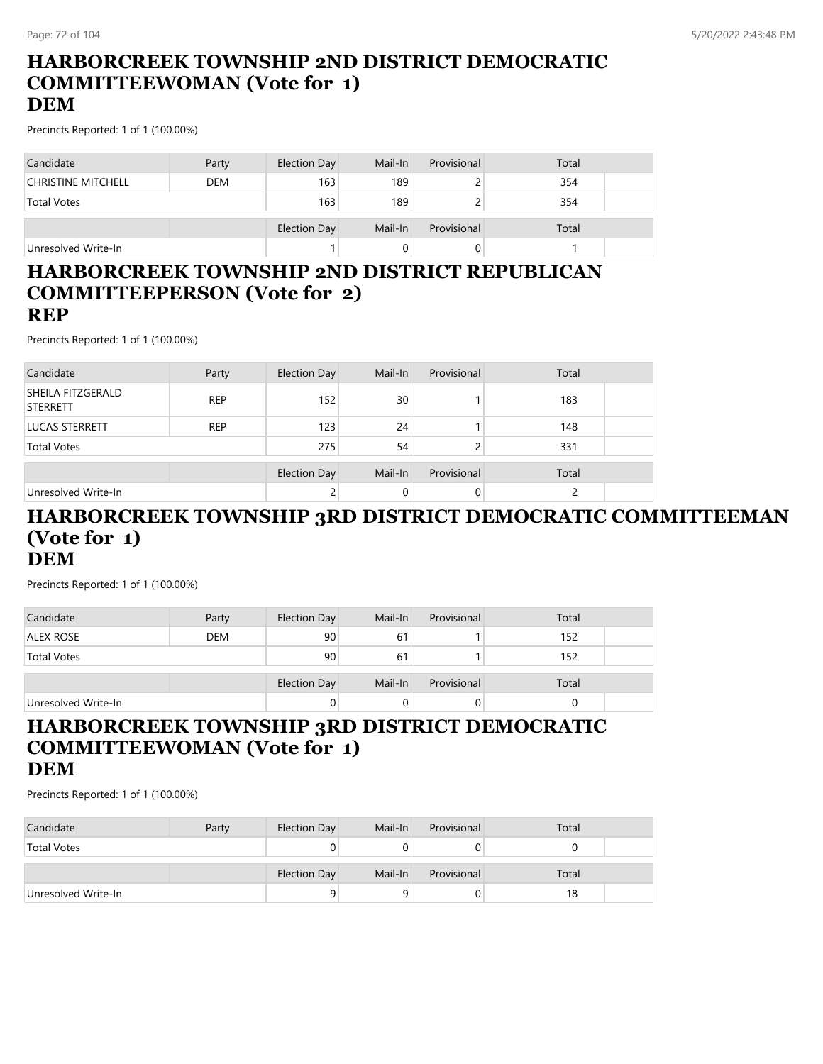# **HARBORCREEK TOWNSHIP 2ND DISTRICT DEMOCRATIC COMMITTEEWOMAN (Vote for 1)**

### **DEM**

Precincts Reported: 1 of 1 (100.00%)

| Candidate                 | Party      | Election Day | Mail-In | Provisional | Total |  |
|---------------------------|------------|--------------|---------|-------------|-------|--|
| <b>CHRISTINE MITCHELL</b> | <b>DEM</b> | 163          | 189     |             | 354   |  |
| <b>Total Votes</b>        |            | 163          | 189     |             | 354   |  |
|                           |            | Election Day | Mail-In | Provisional | Total |  |
| Unresolved Write-In       |            |              |         |             |       |  |

#### **HARBORCREEK TOWNSHIP 2ND DISTRICT REPUBLICAN COMMITTEEPERSON (Vote for 2) REP**

Precincts Reported: 1 of 1 (100.00%)

| Candidate                            | Party      | Election Day        | Mail-In  | Provisional | Total |  |
|--------------------------------------|------------|---------------------|----------|-------------|-------|--|
| SHEILA FITZGERALD<br><b>STERRETT</b> | <b>REP</b> | 152                 | 30       |             | 183   |  |
| <b>LUCAS STERRETT</b>                | <b>REP</b> | 123                 | 24       |             | 148   |  |
| <b>Total Votes</b>                   |            | 275                 | 54       |             | 331   |  |
|                                      |            | <b>Election Day</b> | Mail-In  | Provisional | Total |  |
| Unresolved Write-In                  |            | 2                   | $\Omega$ |             |       |  |

#### **HARBORCREEK TOWNSHIP 3RD DISTRICT DEMOCRATIC COMMITTEEMAN (Vote for 1) DEM**

Precincts Reported: 1 of 1 (100.00%)

| Candidate           | Party      | Election Day | Mail-In | Provisional | Total |  |
|---------------------|------------|--------------|---------|-------------|-------|--|
| ALEX ROSE           | <b>DEM</b> | 90           | 61      |             | 152   |  |
| <b>Total Votes</b>  |            | 90           | 61      |             | 152   |  |
|                     |            | Election Day | Mail-In | Provisional | Total |  |
| Unresolved Write-In |            | 0            |         |             |       |  |

#### **HARBORCREEK TOWNSHIP 3RD DISTRICT DEMOCRATIC COMMITTEEWOMAN (Vote for 1) DEM**

| Candidate           | Party | Election Day | Mail-In | Provisional | Total |  |
|---------------------|-------|--------------|---------|-------------|-------|--|
| <b>Total Votes</b>  |       |              |         |             |       |  |
|                     |       |              |         |             |       |  |
|                     |       | Election Day | Mail-In | Provisional | Total |  |
| Unresolved Write-In |       |              |         | U           | 18    |  |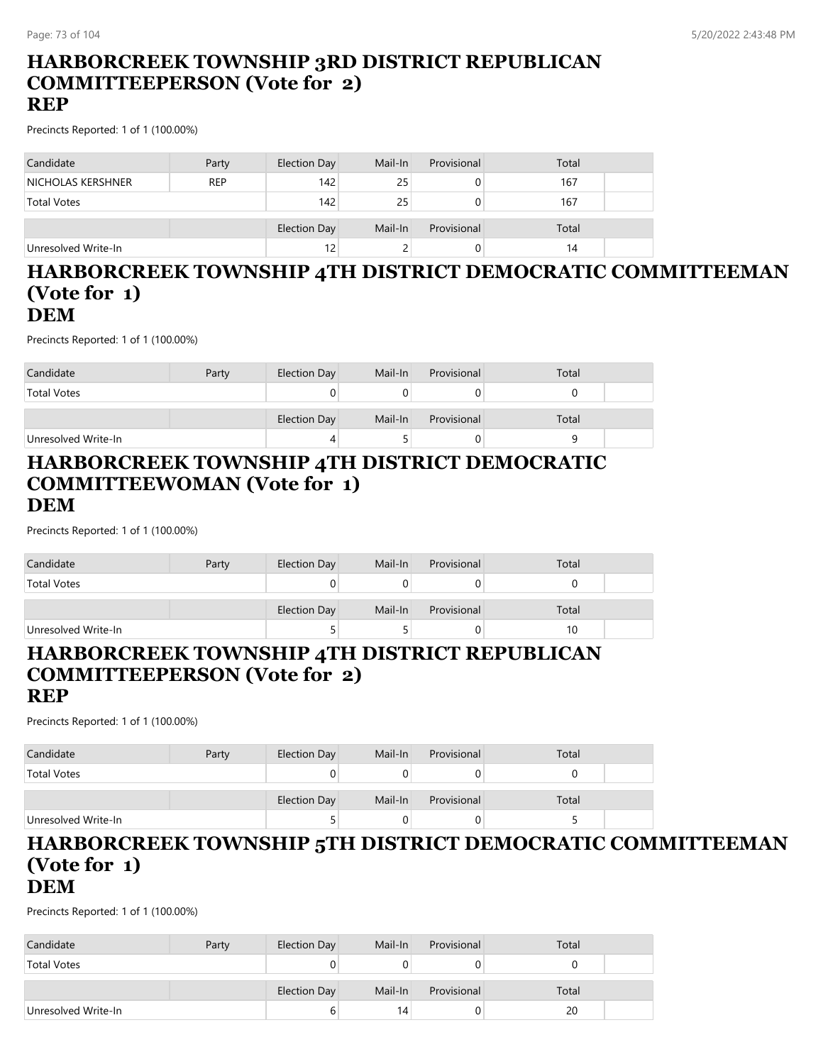# **HARBORCREEK TOWNSHIP 3RD DISTRICT REPUBLICAN COMMITTEEPERSON (Vote for 2)**

#### **REP**

Precincts Reported: 1 of 1 (100.00%)

| Candidate           | Party      | Election Day | Mail-In | Provisional | Total |  |
|---------------------|------------|--------------|---------|-------------|-------|--|
| NICHOLAS KERSHNER   | <b>REP</b> | 142          | 25      |             | 167   |  |
| <b>Total Votes</b>  |            | 142          | 25      |             | 167   |  |
|                     |            | Election Day | Mail-In | Provisional | Total |  |
| Unresolved Write-In |            | 12           |         |             | 14    |  |

#### **HARBORCREEK TOWNSHIP 4TH DISTRICT DEMOCRATIC COMMITTEEMAN (Vote for 1) DEM**

Precincts Reported: 1 of 1 (100.00%)

| Candidate           | Party | Election Day        | Mail-In | Provisional | Total |  |
|---------------------|-------|---------------------|---------|-------------|-------|--|
| <b>Total Votes</b>  |       |                     |         |             |       |  |
|                     |       | <b>Election Day</b> | Mail-In | Provisional | Total |  |
| Unresolved Write-In |       |                     |         |             |       |  |

#### **HARBORCREEK TOWNSHIP 4TH DISTRICT DEMOCRATIC COMMITTEEWOMAN (Vote for 1) DEM**

Precincts Reported: 1 of 1 (100.00%)

| Candidate           | Party | Election Day | Mail-In | Provisional | Total |  |
|---------------------|-------|--------------|---------|-------------|-------|--|
| <b>Total Votes</b>  |       | 0            |         |             |       |  |
|                     |       | Election Day | Mail-In | Provisional | Total |  |
| Unresolved Write-In |       | ◡            |         |             |       |  |

#### **HARBORCREEK TOWNSHIP 4TH DISTRICT REPUBLICAN COMMITTEEPERSON (Vote for 2) REP**

Precincts Reported: 1 of 1 (100.00%)

| Candidate           | Party | Election Day        | Mail-In | Provisional | Total |  |
|---------------------|-------|---------------------|---------|-------------|-------|--|
| <b>Total Votes</b>  |       |                     |         |             |       |  |
|                     |       | <b>Election Day</b> | Mail-In | Provisional | Total |  |
| Unresolved Write-In |       |                     | 0       | O.          |       |  |

#### **HARBORCREEK TOWNSHIP 5TH DISTRICT DEMOCRATIC COMMITTEEMAN (Vote for 1) DEM**

| Candidate           | Party | Election Day | Mail-In | Provisional | Total |  |
|---------------------|-------|--------------|---------|-------------|-------|--|
| <b>Total Votes</b>  |       |              |         | U           |       |  |
|                     |       | Election Day | Mail-In | Provisional | Total |  |
|                     |       |              |         |             |       |  |
| Unresolved Write-In |       |              | 14      | 0           | 20    |  |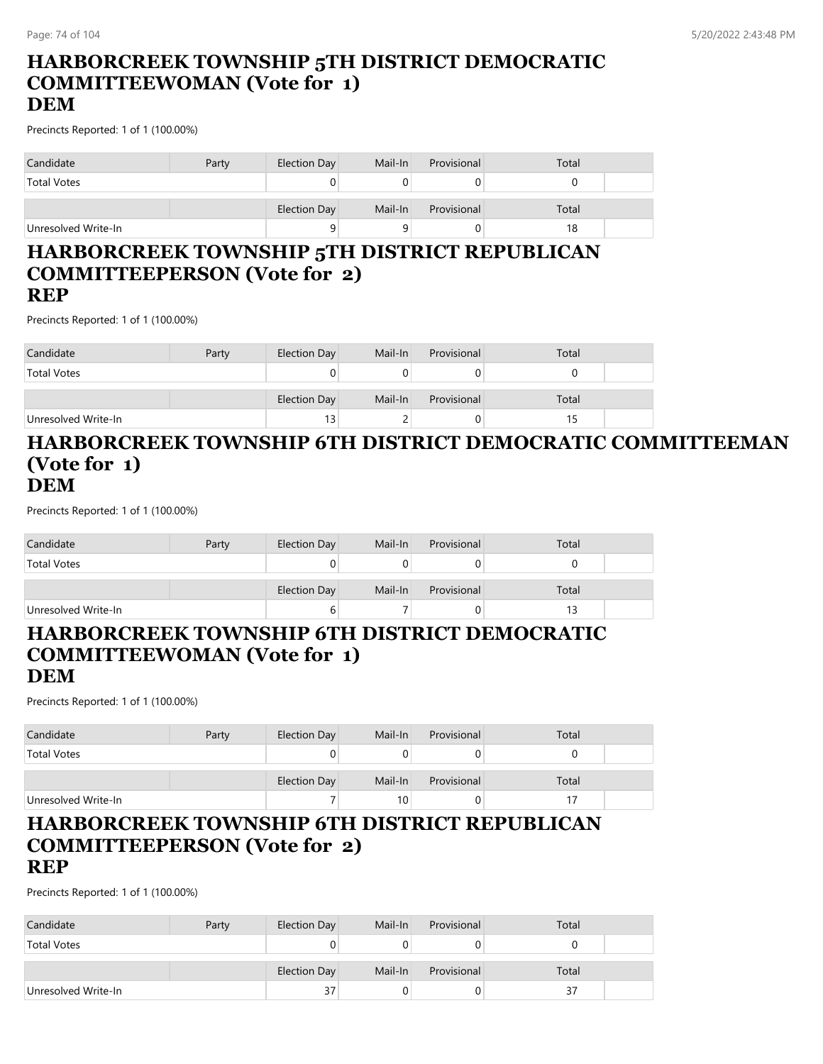# **HARBORCREEK TOWNSHIP 5TH DISTRICT DEMOCRATIC COMMITTEEWOMAN (Vote for 1)**

## **DEM**

Precincts Reported: 1 of 1 (100.00%)

| Candidate           | Party | Election Day | Mail-In | Provisional | Total |  |
|---------------------|-------|--------------|---------|-------------|-------|--|
| <b>Total Votes</b>  |       | U            |         |             |       |  |
|                     |       | Election Day | Mail-In | Provisional | Total |  |
| Unresolved Write-In |       | 9            |         |             | 18    |  |

#### **HARBORCREEK TOWNSHIP 5TH DISTRICT REPUBLICAN COMMITTEEPERSON (Vote for 2) REP**

Precincts Reported: 1 of 1 (100.00%)

| Candidate           | Party | Election Day | Mail-In | Provisional | Total |  |
|---------------------|-------|--------------|---------|-------------|-------|--|
| <b>Total Votes</b>  |       |              |         |             |       |  |
|                     |       | Election Day | Mail-In | Provisional | Total |  |
| Unresolved Write-In |       | 13           |         |             |       |  |

#### **HARBORCREEK TOWNSHIP 6TH DISTRICT DEMOCRATIC COMMITTEEMAN (Vote for 1) DEM**

Precincts Reported: 1 of 1 (100.00%)

| Candidate           | Party | Election Day | Mail-In | Provisional | Total |  |
|---------------------|-------|--------------|---------|-------------|-------|--|
| <b>Total Votes</b>  |       |              |         |             |       |  |
|                     |       | Election Day | Mail-In | Provisional | Total |  |
| Unresolved Write-In |       | b            |         |             |       |  |

## **HARBORCREEK TOWNSHIP 6TH DISTRICT DEMOCRATIC COMMITTEEWOMAN (Vote for 1)**

#### **DEM**

Precincts Reported: 1 of 1 (100.00%)

| Candidate           | Party | Election Day | Mail-In         | Provisional | Total |  |
|---------------------|-------|--------------|-----------------|-------------|-------|--|
| <b>Total Votes</b>  |       |              |                 |             |       |  |
|                     |       | Election Day | Mail-In         | Provisional | Total |  |
| Unresolved Write-In |       |              | 10 <sup>1</sup> |             |       |  |

#### **HARBORCREEK TOWNSHIP 6TH DISTRICT REPUBLICAN COMMITTEEPERSON (Vote for 2) REP**

| Candidate           | Party | Election Day | Mail-In | Provisional | Total |  |
|---------------------|-------|--------------|---------|-------------|-------|--|
| <b>Total Votes</b>  |       |              |         |             |       |  |
|                     |       | Election Day | Mail-In | Provisional | Total |  |
| Unresolved Write-In |       | 37           |         |             | 37    |  |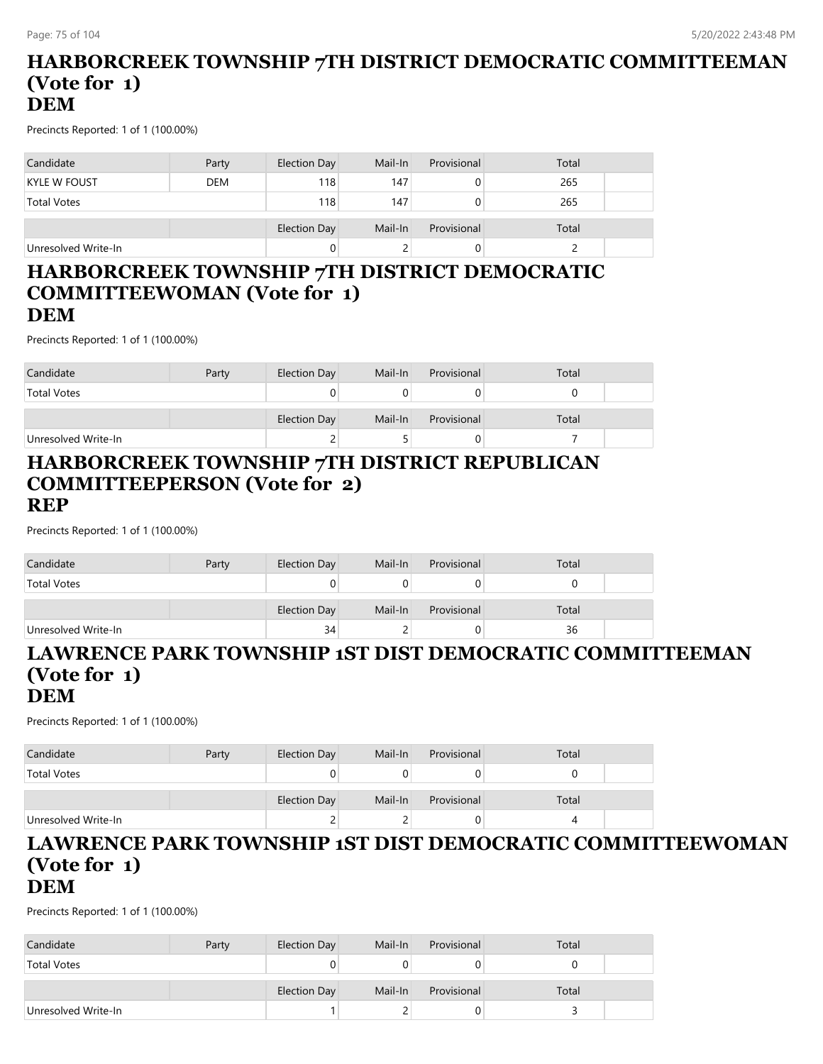#### **HARBORCREEK TOWNSHIP 7TH DISTRICT DEMOCRATIC COMMITTEEMAN (Vote for 1) DEM**

Precincts Reported: 1 of 1 (100.00%)

| Candidate           | Party      | Election Day | Mail-In | Provisional | Total |  |
|---------------------|------------|--------------|---------|-------------|-------|--|
| KYLE W FOUST        | <b>DEM</b> | 118          | 147     |             | 265   |  |
| <b>Total Votes</b>  |            | 118          | 147     |             | 265   |  |
|                     |            | Election Day | Mail-In | Provisional | Total |  |
| Unresolved Write-In |            | 0            |         |             |       |  |

#### **HARBORCREEK TOWNSHIP 7TH DISTRICT DEMOCRATIC COMMITTEEWOMAN (Vote for 1) DEM**

Precincts Reported: 1 of 1 (100.00%)

| Candidate           | Party | Election Day        | Mail-In | Provisional | Total |  |
|---------------------|-------|---------------------|---------|-------------|-------|--|
| <b>Total Votes</b>  |       |                     |         |             |       |  |
|                     |       | <b>Election Day</b> | Mail-In | Provisional | Total |  |
| Unresolved Write-In |       |                     |         |             |       |  |

#### **HARBORCREEK TOWNSHIP 7TH DISTRICT REPUBLICAN COMMITTEEPERSON (Vote for 2) REP**

Precincts Reported: 1 of 1 (100.00%)

| Candidate           | Party | Election Day | Mail-In | Provisional | Total |  |
|---------------------|-------|--------------|---------|-------------|-------|--|
| <b>Total Votes</b>  |       |              |         |             |       |  |
|                     |       | Election Day | Mail-In | Provisional | Total |  |
| Unresolved Write-In |       | 34           |         | υ           | 36    |  |

#### **LAWRENCE PARK TOWNSHIP 1ST DIST DEMOCRATIC COMMITTEEMAN (Vote for 1) DEM**

Precincts Reported: 1 of 1 (100.00%)

| Candidate           | Party | Election Day | Mail-In | Provisional | Total |  |
|---------------------|-------|--------------|---------|-------------|-------|--|
| <b>Total Votes</b>  |       |              |         |             |       |  |
|                     |       | Election Day | Mail-In | Provisional | Total |  |
| Unresolved Write-In |       | ∼            |         | U           |       |  |

#### **LAWRENCE PARK TOWNSHIP 1ST DIST DEMOCRATIC COMMITTEEWOMAN (Vote for 1) DEM**

| Candidate           | Party | Election Day | Mail-In | Provisional | Total |  |
|---------------------|-------|--------------|---------|-------------|-------|--|
| <b>Total Votes</b>  |       |              |         | U           |       |  |
|                     |       |              |         |             |       |  |
|                     |       | Election Day | Mail-In | Provisional | Total |  |
| Unresolved Write-In |       |              |         | 0           |       |  |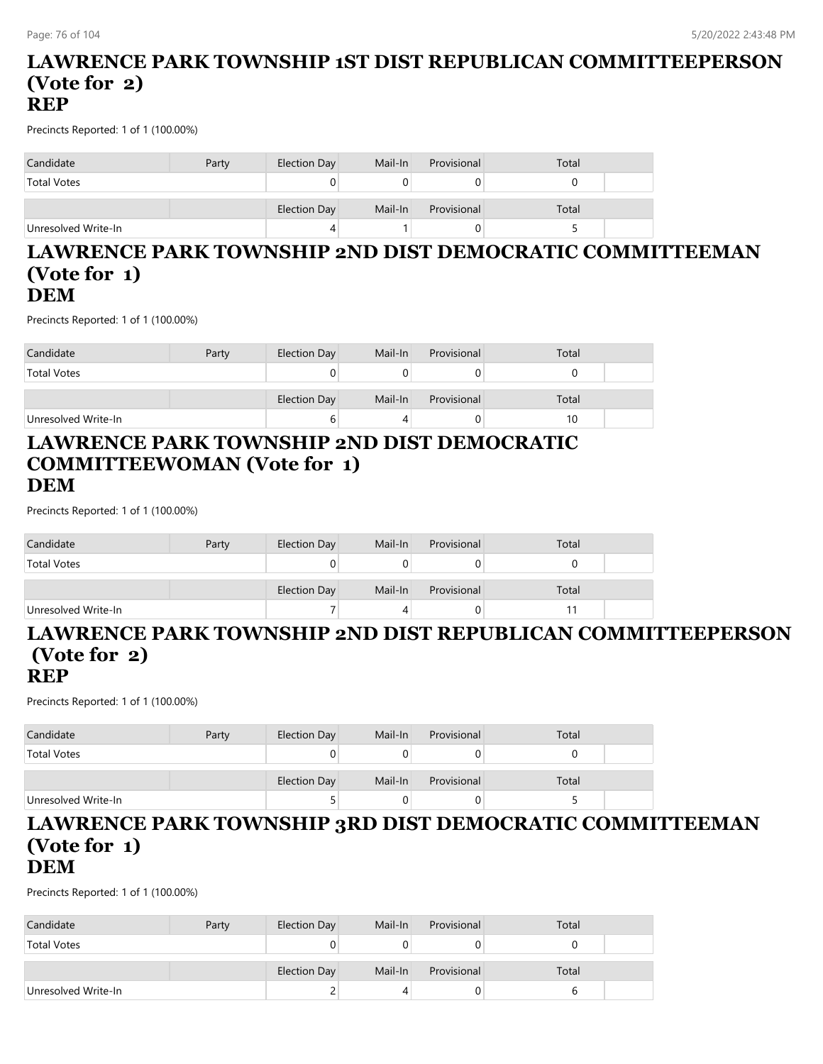#### **LAWRENCE PARK TOWNSHIP 1ST DIST REPUBLICAN COMMITTEEPERSON (Vote for 2) REP**

Precincts Reported: 1 of 1 (100.00%)

| Candidate           | Party | Election Day | Mail-In | Provisional | Total |
|---------------------|-------|--------------|---------|-------------|-------|
| <b>Total Votes</b>  |       | 0            |         |             |       |
|                     |       | Election Day | Mail-In | Provisional | Total |
| Unresolved Write-In |       | 4            |         |             |       |

#### **LAWRENCE PARK TOWNSHIP 2ND DIST DEMOCRATIC COMMITTEEMAN (Vote for 1) DEM**

Precincts Reported: 1 of 1 (100.00%)

| Candidate           | Party | Election Day | Mail-In | Provisional | Total |  |
|---------------------|-------|--------------|---------|-------------|-------|--|
| <b>Total Votes</b>  |       |              |         |             |       |  |
|                     |       |              |         |             |       |  |
|                     |       | Election Day | Mail-In | Provisional | Total |  |
| Unresolved Write-In |       | b            |         |             | 10    |  |

#### **LAWRENCE PARK TOWNSHIP 2ND DIST DEMOCRATIC COMMITTEEWOMAN (Vote for 1) DEM**

Precincts Reported: 1 of 1 (100.00%)

| Candidate           | Party | Election Day | Mail-In | Provisional | Total |  |
|---------------------|-------|--------------|---------|-------------|-------|--|
| <b>Total Votes</b>  |       |              |         |             |       |  |
|                     |       | Election Day | Mail-In | Provisional | Total |  |
| Unresolved Write-In |       |              | 4       |             |       |  |

## **LAWRENCE PARK TOWNSHIP 2ND DIST REPUBLICAN COMMITTEEPERSON (Vote for 2)**

#### **REP**

Precincts Reported: 1 of 1 (100.00%)

| Candidate           | Party | Election Day | Mail-In | Provisional | Total |  |
|---------------------|-------|--------------|---------|-------------|-------|--|
| <b>Total Votes</b>  |       |              |         |             |       |  |
|                     |       | Election Day | Mail-In | Provisional | Total |  |
| Unresolved Write-In |       |              |         |             |       |  |

#### **LAWRENCE PARK TOWNSHIP 3RD DIST DEMOCRATIC COMMITTEEMAN (Vote for 1) DEM**

| Candidate           | Party | Election Day        | Mail-In | Provisional | Total |  |
|---------------------|-------|---------------------|---------|-------------|-------|--|
| <b>Total Votes</b>  |       |                     |         |             |       |  |
|                     |       | <b>Election Day</b> | Mail-In | Provisional | Total |  |
| Unresolved Write-In |       |                     |         |             |       |  |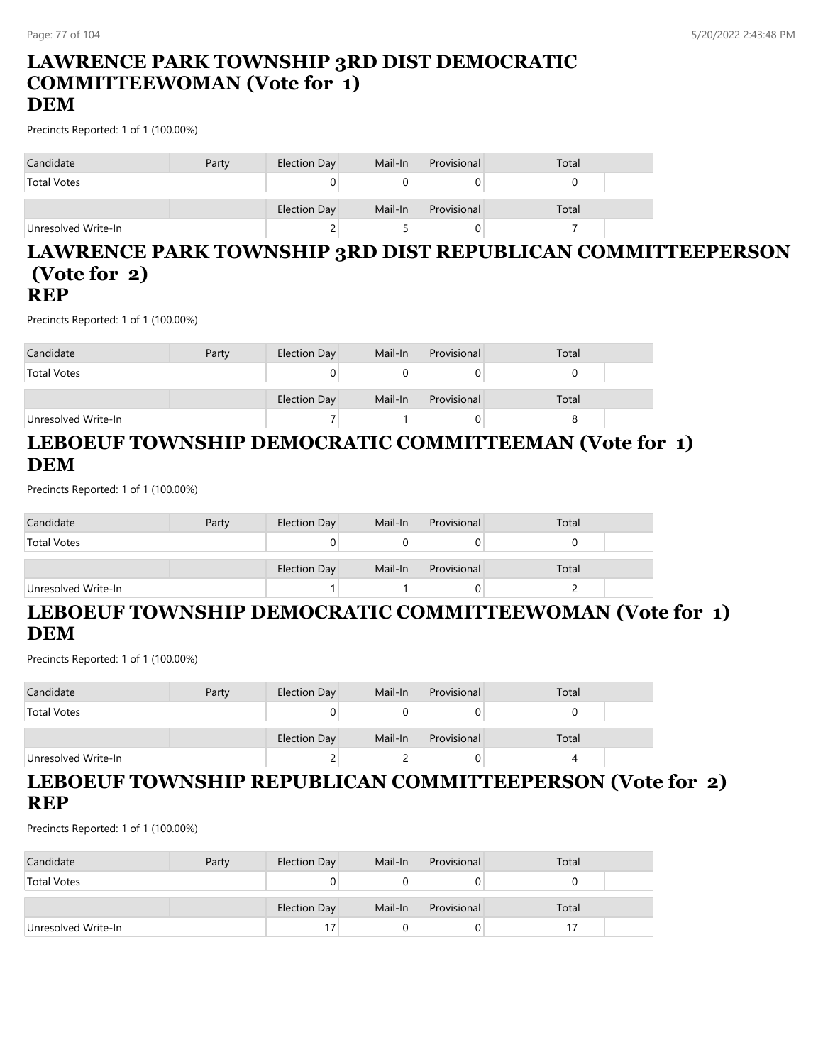#### **LAWRENCE PARK TOWNSHIP 3RD DIST DEMOCRATIC COMMITTEEWOMAN (Vote for 1) DEM**

### Precincts Reported: 1 of 1 (100.00%)

| Candidate           | Party | Election Day | Mail-In | Provisional | Total |  |
|---------------------|-------|--------------|---------|-------------|-------|--|
| <b>Total Votes</b>  |       | 0            |         |             |       |  |
|                     |       | Election Day | Mail-In | Provisional | Total |  |
| Unresolved Write-In |       | ∼            |         |             |       |  |

#### **LAWRENCE PARK TOWNSHIP 3RD DIST REPUBLICAN COMMITTEEPERSON (Vote for 2) REP**

Precincts Reported: 1 of 1 (100.00%)

| Candidate           | Party | Election Day | Mail-In | Provisional | Total |  |
|---------------------|-------|--------------|---------|-------------|-------|--|
| <b>Total Votes</b>  |       |              |         |             |       |  |
|                     |       | Election Day | Mail-In | Provisional | Total |  |
| Unresolved Write-In |       |              |         | O           |       |  |

## **LEBOEUF TOWNSHIP DEMOCRATIC COMMITTEEMAN (Vote for 1) DEM**

Precincts Reported: 1 of 1 (100.00%)

| Candidate           | Party | Election Day | Mail-In | Provisional | Total |  |
|---------------------|-------|--------------|---------|-------------|-------|--|
| <b>Total Votes</b>  |       | U            |         |             |       |  |
|                     |       | Election Day | Mail-In | Provisional | Total |  |
| Unresolved Write-In |       |              |         |             |       |  |

### **LEBOEUF TOWNSHIP DEMOCRATIC COMMITTEEWOMAN (Vote for 1) DEM**

Precincts Reported: 1 of 1 (100.00%)

| Candidate           | Party | Election Day | Mail-In | Provisional | Total |  |
|---------------------|-------|--------------|---------|-------------|-------|--|
| <b>Total Votes</b>  |       |              |         |             |       |  |
|                     |       | Election Day | Mail-In | Provisional | Total |  |
| Unresolved Write-In |       |              |         |             |       |  |

#### **LEBOEUF TOWNSHIP REPUBLICAN COMMITTEEPERSON (Vote for 2) REP**

| Candidate           | Party | Election Day | Mail-In | Provisional | Total |  |
|---------------------|-------|--------------|---------|-------------|-------|--|
| <b>Total Votes</b>  |       |              |         |             |       |  |
|                     |       | Election Day | Mail-In | Provisional | Total |  |
| Unresolved Write-In |       | 17           |         |             |       |  |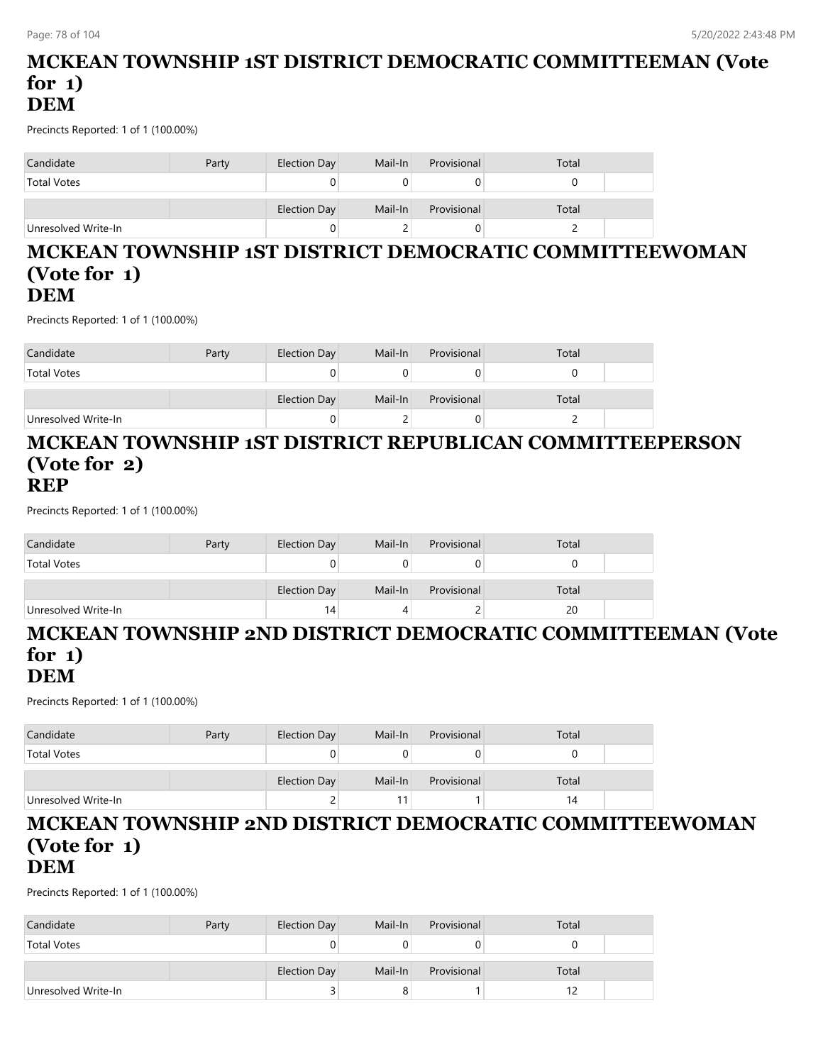#### **MCKEAN TOWNSHIP 1ST DISTRICT DEMOCRATIC COMMITTEEMAN (Vote for 1) DEM**

Precincts Reported: 1 of 1 (100.00%)

| Candidate           | Party | Election Day | Mail-In | Provisional | Total |
|---------------------|-------|--------------|---------|-------------|-------|
| <b>Total Votes</b>  |       |              |         |             |       |
|                     |       | Election Day | Mail-In | Provisional | Total |
| Unresolved Write-In |       | 0            |         |             |       |

#### **MCKEAN TOWNSHIP 1ST DISTRICT DEMOCRATIC COMMITTEEWOMAN (Vote for 1) DEM**

Precincts Reported: 1 of 1 (100.00%)

| Candidate           | Party | Election Day | Mail-In | Provisional | Total |  |
|---------------------|-------|--------------|---------|-------------|-------|--|
| <b>Total Votes</b>  |       |              |         |             |       |  |
|                     |       | Election Day | Mail-In | Provisional | Total |  |
| Unresolved Write-In |       |              |         |             |       |  |

#### **MCKEAN TOWNSHIP 1ST DISTRICT REPUBLICAN COMMITTEEPERSON (Vote for 2) REP**

Precincts Reported: 1 of 1 (100.00%)

| Candidate           | Party | Election Day | Mail-In | Provisional | Total |  |
|---------------------|-------|--------------|---------|-------------|-------|--|
| <b>Total Votes</b>  |       |              |         |             |       |  |
|                     |       | Election Day | Mail-In | Provisional | Total |  |
| Unresolved Write-In |       | 14           |         |             | 20    |  |

## **MCKEAN TOWNSHIP 2ND DISTRICT DEMOCRATIC COMMITTEEMAN (Vote for 1)**

### **DEM**

Precincts Reported: 1 of 1 (100.00%)

| Candidate           | Party | Election Day | Mail-In | Provisional | Total |  |
|---------------------|-------|--------------|---------|-------------|-------|--|
| <b>Total Votes</b>  |       |              |         | U           |       |  |
|                     |       | Election Day | Mail-In | Provisional | Total |  |
| Unresolved Write-In |       |              |         |             | 14    |  |

#### **MCKEAN TOWNSHIP 2ND DISTRICT DEMOCRATIC COMMITTEEWOMAN (Vote for 1) DEM**

| Candidate           | Party | Election Day        | Mail-In | Provisional | Total |  |
|---------------------|-------|---------------------|---------|-------------|-------|--|
| <b>Total Votes</b>  |       |                     |         |             |       |  |
|                     |       | <b>Election Day</b> | Mail-In | Provisional | Total |  |
| Unresolved Write-In |       |                     |         |             |       |  |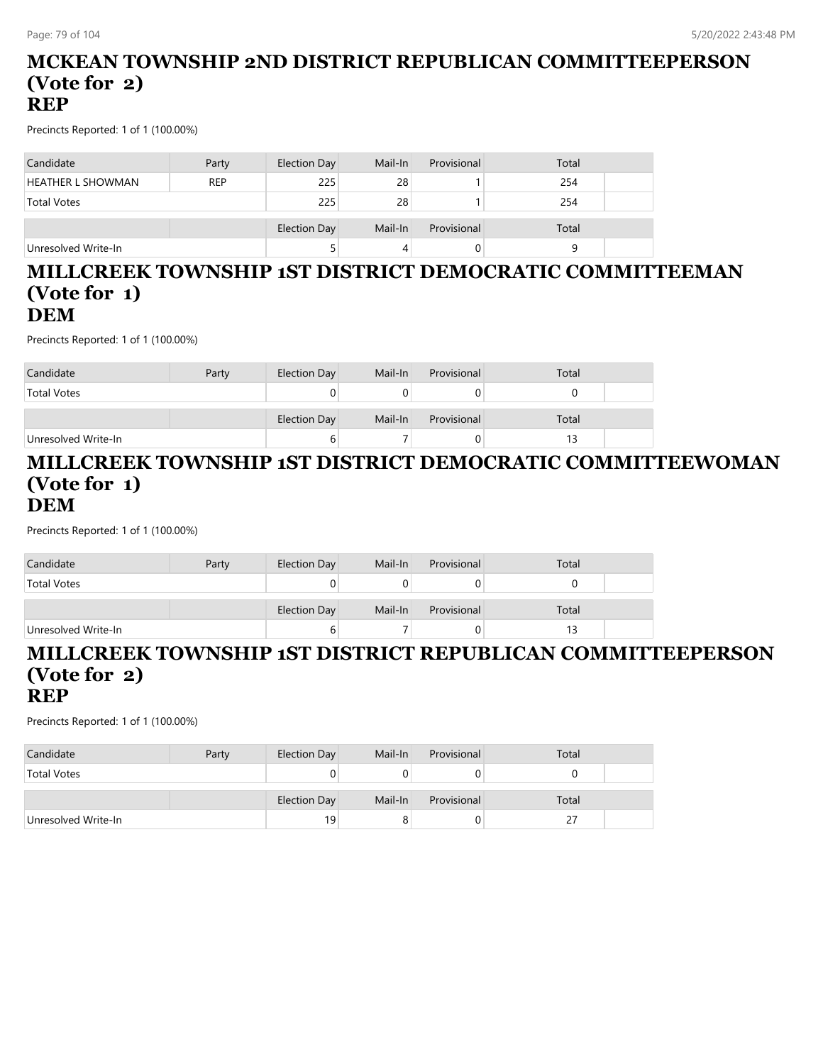#### **MCKEAN TOWNSHIP 2ND DISTRICT REPUBLICAN COMMITTEEPERSON (Vote for 2) REP**

Precincts Reported: 1 of 1 (100.00%)

| Candidate                | Party      | Election Day | Mail-In | Provisional | Total |  |
|--------------------------|------------|--------------|---------|-------------|-------|--|
| <b>HEATHER L SHOWMAN</b> | <b>REP</b> | 225          | 28      |             | 254   |  |
| <b>Total Votes</b>       |            | 225          | 28      |             | 254   |  |
|                          |            | Election Day | Mail-In | Provisional | Total |  |
| Unresolved Write-In      |            |              |         |             |       |  |

#### **MILLCREEK TOWNSHIP 1ST DISTRICT DEMOCRATIC COMMITTEEMAN (Vote for 1) DEM**

Precincts Reported: 1 of 1 (100.00%)

| Candidate           | Party | Election Day | Mail-In | Provisional | Total |  |
|---------------------|-------|--------------|---------|-------------|-------|--|
| <b>Total Votes</b>  |       |              |         |             |       |  |
|                     |       | Election Day | Mail-In | Provisional | Total |  |
| Unresolved Write-In |       |              |         |             | 13    |  |

#### **MILLCREEK TOWNSHIP 1ST DISTRICT DEMOCRATIC COMMITTEEWOMAN (Vote for 1) DEM**

Precincts Reported: 1 of 1 (100.00%)

| Candidate           | Party | Election Day | Mail-In | Provisional | Total |  |
|---------------------|-------|--------------|---------|-------------|-------|--|
| <b>Total Votes</b>  |       |              |         |             |       |  |
|                     |       | Election Day | Mail-In | Provisional | Total |  |
| Unresolved Write-In |       | ь            |         |             |       |  |

#### **MILLCREEK TOWNSHIP 1ST DISTRICT REPUBLICAN COMMITTEEPERSON (Vote for 2) REP**

| Candidate           | Party | Election Day | Mail-In | Provisional | Total |  |
|---------------------|-------|--------------|---------|-------------|-------|--|
| <b>Total Votes</b>  |       |              |         |             |       |  |
|                     |       | Election Day | Mail-In | Provisional | Total |  |
| Unresolved Write-In |       | 19           |         |             |       |  |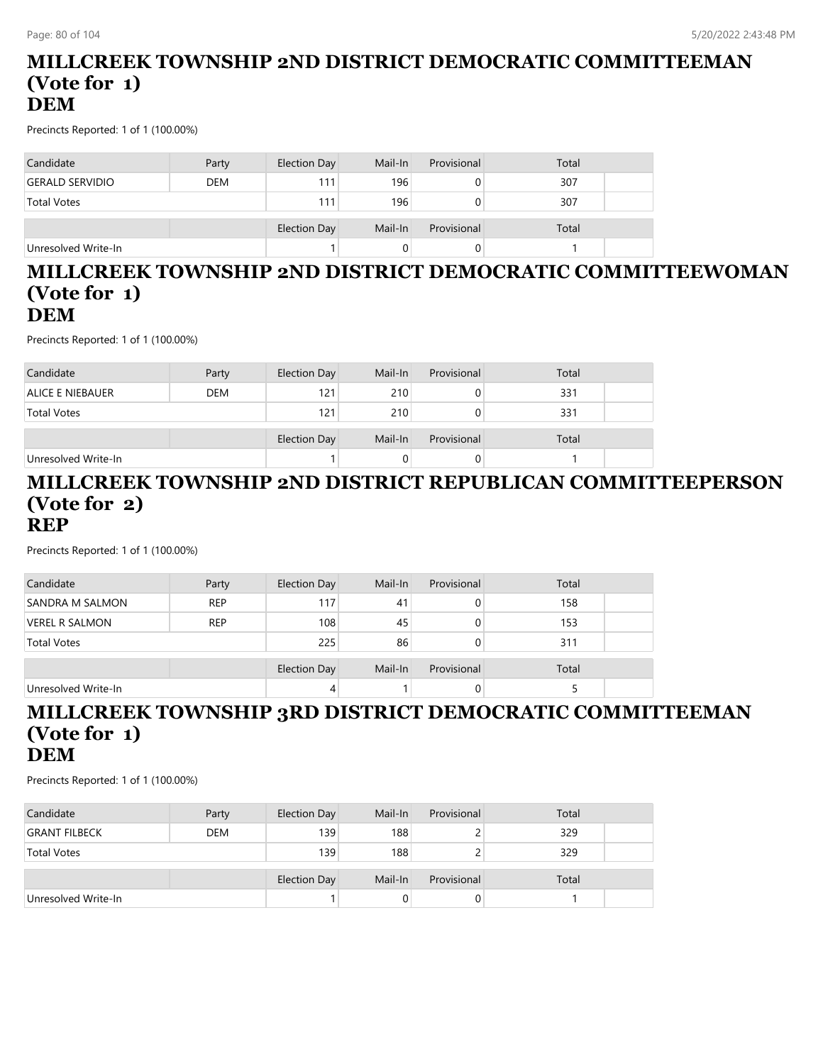#### **MILLCREEK TOWNSHIP 2ND DISTRICT DEMOCRATIC COMMITTEEMAN (Vote for 1) DEM**

Precincts Reported: 1 of 1 (100.00%)

| Candidate              | Party      | Election Day | Mail-In | Provisional | Total |  |
|------------------------|------------|--------------|---------|-------------|-------|--|
| <b>GERALD SERVIDIO</b> | <b>DEM</b> | 111          | 196     |             | 307   |  |
| <b>Total Votes</b>     |            | 111          | 196     |             | 307   |  |
|                        |            | Election Day | Mail-In | Provisional | Total |  |
| Unresolved Write-In    |            |              |         |             |       |  |

#### **MILLCREEK TOWNSHIP 2ND DISTRICT DEMOCRATIC COMMITTEEWOMAN (Vote for 1) DEM**

Precincts Reported: 1 of 1 (100.00%)

| Candidate               | Party      | Election Day | Mail-In | Provisional | Total |  |
|-------------------------|------------|--------------|---------|-------------|-------|--|
| <b>ALICE E NIEBAUER</b> | <b>DEM</b> | 121          | 210     | 0           | 331   |  |
| <b>Total Votes</b>      |            | 121          | 210     | 0           | 331   |  |
|                         |            | Election Day | Mail-In | Provisional | Total |  |
|                         |            |              |         |             |       |  |
| Unresolved Write-In     |            |              |         |             |       |  |

#### **MILLCREEK TOWNSHIP 2ND DISTRICT REPUBLICAN COMMITTEEPERSON (Vote for 2) REP**

Precincts Reported: 1 of 1 (100.00%)

| Candidate              | Party      | Election Day        | Mail-In | Provisional | Total |  |
|------------------------|------------|---------------------|---------|-------------|-------|--|
| <b>SANDRA M SALMON</b> | <b>REP</b> | 117                 | 41      | O           | 158   |  |
| <b>VEREL R SALMON</b>  | <b>REP</b> | 108                 | 45      | 0           | 153   |  |
| <b>Total Votes</b>     |            | 225                 | 86      | O           | 311   |  |
|                        |            | <b>Election Day</b> | Mail-In | Provisional | Total |  |
| Unresolved Write-In    |            | 4                   |         |             |       |  |

### **MILLCREEK TOWNSHIP 3RD DISTRICT DEMOCRATIC COMMITTEEMAN (Vote for 1) DEM**

| Candidate            | Party      | Election Day | Mail-In | Provisional | Total |  |
|----------------------|------------|--------------|---------|-------------|-------|--|
| <b>GRANT FILBECK</b> | <b>DEM</b> | 139          | 188     |             | 329   |  |
| <b>Total Votes</b>   |            | 139          | 188     |             | 329   |  |
|                      |            | Election Day | Mail-In | Provisional | Total |  |
| Unresolved Write-In  |            |              |         | 0           |       |  |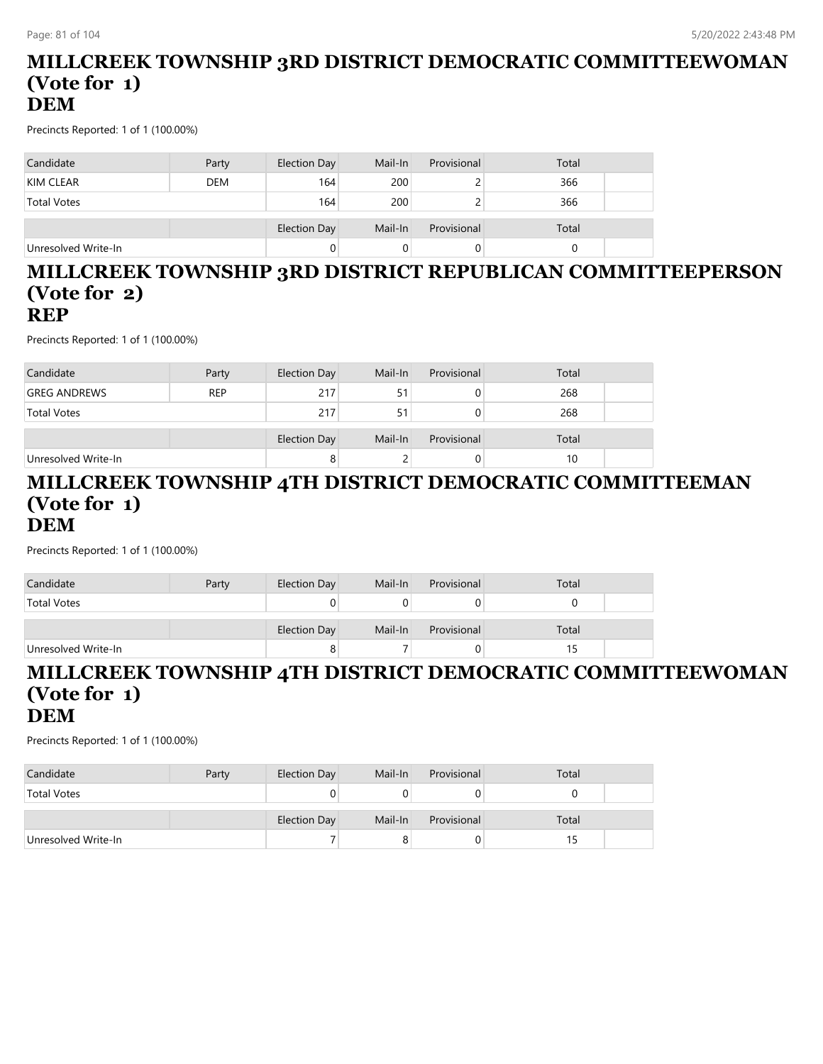#### **MILLCREEK TOWNSHIP 3RD DISTRICT DEMOCRATIC COMMITTEEWOMAN (Vote for 1) DEM**

Precincts Reported: 1 of 1 (100.00%)

| Candidate           | Party      | Election Day        | Mail-In | Provisional | Total |  |
|---------------------|------------|---------------------|---------|-------------|-------|--|
| KIM CLEAR           | <b>DEM</b> | 164                 | 200     |             | 366   |  |
| <b>Total Votes</b>  |            | 164                 | 200     |             | 366   |  |
|                     |            | <b>Election Day</b> | Mail-In | Provisional | Total |  |
| Unresolved Write-In |            | 0                   |         |             |       |  |

#### **MILLCREEK TOWNSHIP 3RD DISTRICT REPUBLICAN COMMITTEEPERSON (Vote for 2) REP**

Precincts Reported: 1 of 1 (100.00%)

| Party               | Election Day | Mail-In                  | Provisional | Total       |                  |
|---------------------|--------------|--------------------------|-------------|-------------|------------------|
| <b>REP</b>          | 217          | 51                       | U           | 268         |                  |
| <b>Total Votes</b>  |              | 51                       | 0           | 268         |                  |
|                     |              |                          |             |             |                  |
| Unresolved Write-In |              |                          |             |             |                  |
|                     |              | 217<br>Election Day<br>8 | Mail-In     | Provisional | Total<br>10<br>0 |

#### **MILLCREEK TOWNSHIP 4TH DISTRICT DEMOCRATIC COMMITTEEMAN (Vote for 1) DEM**

Precincts Reported: 1 of 1 (100.00%)

| Candidate           | Party | Election Day        | Mail-In | Provisional | Total |  |
|---------------------|-------|---------------------|---------|-------------|-------|--|
| <b>Total Votes</b>  |       |                     |         |             |       |  |
|                     |       | <b>Election Day</b> | Mail-In | Provisional | Total |  |
| Unresolved Write-In |       |                     |         | U           |       |  |

### **MILLCREEK TOWNSHIP 4TH DISTRICT DEMOCRATIC COMMITTEEWOMAN (Vote for 1) DEM**

| Candidate           | Party | Election Day | Mail-In | Provisional | Total |  |
|---------------------|-------|--------------|---------|-------------|-------|--|
| <b>Total Votes</b>  |       |              |         |             |       |  |
|                     |       |              |         |             |       |  |
|                     |       | Election Day | Mail-In | Provisional | Total |  |
| Unresolved Write-In |       |              | 8       | U           | 15    |  |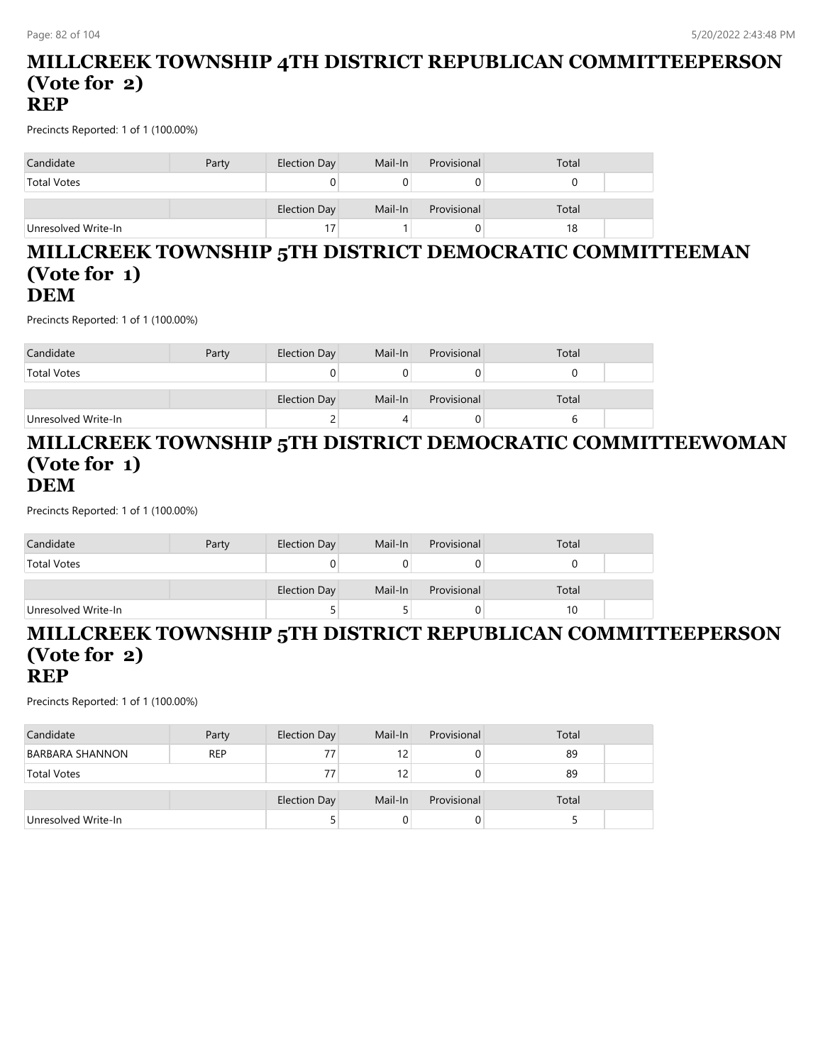#### **MILLCREEK TOWNSHIP 4TH DISTRICT REPUBLICAN COMMITTEEPERSON (Vote for 2) REP**

Precincts Reported: 1 of 1 (100.00%)

| Candidate           | Party | Election Day | Mail-In | Provisional | Total |
|---------------------|-------|--------------|---------|-------------|-------|
| <b>Total Votes</b>  |       | 0            |         |             |       |
|                     |       | Election Day | Mail-In | Provisional | Total |
| Unresolved Write-In |       | 17           |         |             | 18    |

#### **MILLCREEK TOWNSHIP 5TH DISTRICT DEMOCRATIC COMMITTEEMAN (Vote for 1) DEM**

Precincts Reported: 1 of 1 (100.00%)

| Candidate           | Party | Election Day | Mail-In | Provisional | Total |  |
|---------------------|-------|--------------|---------|-------------|-------|--|
| <b>Total Votes</b>  |       |              |         |             |       |  |
|                     |       | Election Day | Mail-In | Provisional | Total |  |
| Unresolved Write-In |       | ∼            |         |             |       |  |

#### **MILLCREEK TOWNSHIP 5TH DISTRICT DEMOCRATIC COMMITTEEWOMAN (Vote for 1) DEM**

Precincts Reported: 1 of 1 (100.00%)

| Candidate           | Party | Election Day | Mail-In | Provisional | Total |  |
|---------------------|-------|--------------|---------|-------------|-------|--|
| <b>Total Votes</b>  |       |              |         |             |       |  |
|                     |       | Election Day | Mail-In | Provisional | Total |  |
| Unresolved Write-In |       |              |         |             | 10    |  |

#### **MILLCREEK TOWNSHIP 5TH DISTRICT REPUBLICAN COMMITTEEPERSON (Vote for 2) REP**

| Candidate              | Party      | Election Day | Mail-In | Provisional | Total |  |
|------------------------|------------|--------------|---------|-------------|-------|--|
| <b>BARBARA SHANNON</b> | <b>REP</b> | 77           | 12      |             | 89    |  |
| <b>Total Votes</b>     |            | 77           | 12      |             | 89    |  |
|                        |            | Election Day | Mail-In | Provisional | Total |  |
| Unresolved Write-In    |            |              |         | O           |       |  |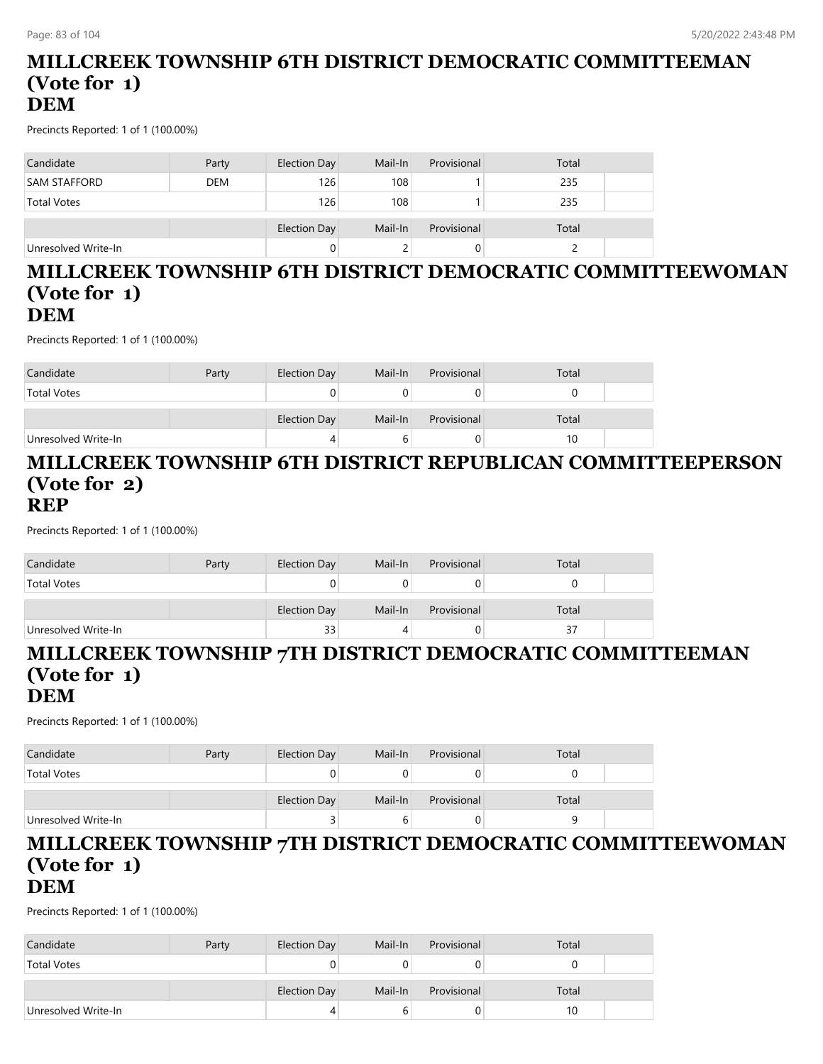#### **MILLCREEK TOWNSHIP 6TH DISTRICT DEMOCRATIC COMMITTEEMAN (Vote for 1) DEM**

Precincts Reported: 1 of 1 (100.00%)

| Candidate           | Party      | Election Day        | Mail-In | Provisional | Total |  |
|---------------------|------------|---------------------|---------|-------------|-------|--|
| <b>SAM STAFFORD</b> | <b>DEM</b> | 126                 | 108     |             | 235   |  |
| <b>Total Votes</b>  |            | 126                 | 108     |             | 235   |  |
|                     |            | <b>Election Day</b> | Mail-In | Provisional | Total |  |
| Unresolved Write-In |            |                     |         |             |       |  |

#### **MILLCREEK TOWNSHIP 6TH DISTRICT DEMOCRATIC COMMITTEEWOMAN (Vote for 1) DEM**

Precincts Reported: 1 of 1 (100.00%)

| Candidate           | Party | Election Day | Mail-In | Provisional | Total |  |
|---------------------|-------|--------------|---------|-------------|-------|--|
| <b>Total Votes</b>  |       |              |         |             |       |  |
|                     |       | Election Day | Mail-In | Provisional | Total |  |
| Unresolved Write-In |       | 4            | b       |             | 10    |  |

#### **MILLCREEK TOWNSHIP 6TH DISTRICT REPUBLICAN COMMITTEEPERSON (Vote for 2) REP**

Precincts Reported: 1 of 1 (100.00%)

| Candidate           | Party | Election Day | Mail-In | Provisional | Total |  |
|---------------------|-------|--------------|---------|-------------|-------|--|
| <b>Total Votes</b>  |       |              |         |             |       |  |
|                     |       | Election Day | Mail-In | Provisional | Total |  |
| Unresolved Write-In |       | 33           |         |             | 37    |  |

#### **MILLCREEK TOWNSHIP 7TH DISTRICT DEMOCRATIC COMMITTEEMAN (Vote for 1) DEM**

Precincts Reported: 1 of 1 (100.00%)

| Candidate           | Party | Election Day | Mail-In | Provisional | Total |  |
|---------------------|-------|--------------|---------|-------------|-------|--|
| <b>Total Votes</b>  |       |              |         |             |       |  |
|                     |       | Election Day | Mail-In | Provisional | Total |  |
| Unresolved Write-In |       |              |         | U           |       |  |

#### **MILLCREEK TOWNSHIP 7TH DISTRICT DEMOCRATIC COMMITTEEWOMAN (Vote for 1) DEM**

| Candidate           | Party | Election Day | Mail-In | Provisional | Total |  |
|---------------------|-------|--------------|---------|-------------|-------|--|
| <b>Total Votes</b>  |       |              |         |             |       |  |
|                     |       |              |         |             |       |  |
|                     |       | Election Day | Mail-In | Provisional | Total |  |
| Unresolved Write-In |       |              |         |             | 10    |  |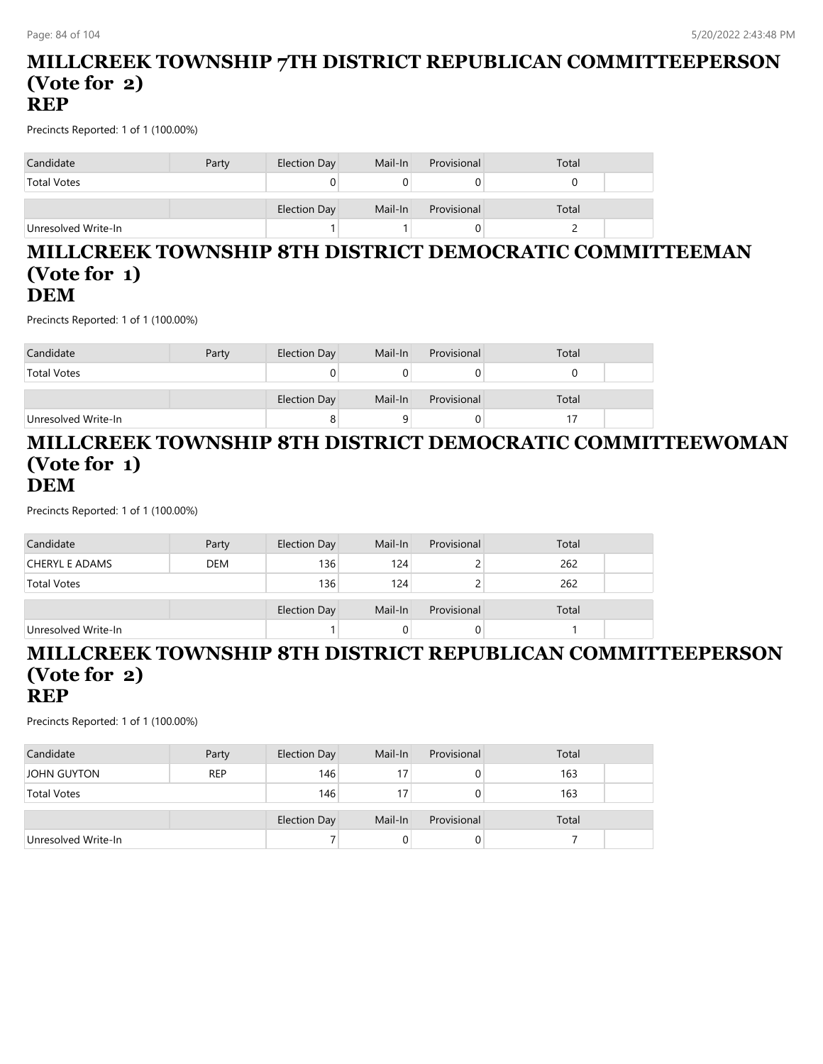#### **MILLCREEK TOWNSHIP 7TH DISTRICT REPUBLICAN COMMITTEEPERSON (Vote for 2) REP**

Precincts Reported: 1 of 1 (100.00%)

| Candidate           | Party | Election Day | Mail-In | Provisional | Total |  |
|---------------------|-------|--------------|---------|-------------|-------|--|
| <b>Total Votes</b>  |       |              |         |             |       |  |
|                     |       | Election Day | Mail-In | Provisional | Total |  |
| Unresolved Write-In |       |              |         |             |       |  |

#### **MILLCREEK TOWNSHIP 8TH DISTRICT DEMOCRATIC COMMITTEEMAN (Vote for 1) DEM**

Precincts Reported: 1 of 1 (100.00%)

| Candidate           | Party | Election Day | Mail-In | Provisional | Total |  |
|---------------------|-------|--------------|---------|-------------|-------|--|
| <b>Total Votes</b>  |       |              |         |             |       |  |
|                     |       | Election Day | Mail-In | Provisional | Total |  |
| Unresolved Write-In |       |              |         |             |       |  |

#### **MILLCREEK TOWNSHIP 8TH DISTRICT DEMOCRATIC COMMITTEEWOMAN (Vote for 1) DEM**

Precincts Reported: 1 of 1 (100.00%)

| Candidate             | Party      | Election Day | Mail-In | Provisional | Total |  |
|-----------------------|------------|--------------|---------|-------------|-------|--|
| <b>CHERYL E ADAMS</b> | <b>DEM</b> | 136          | 124     |             | 262   |  |
| <b>Total Votes</b>    |            | 136          | 124     |             | 262   |  |
|                       |            |              |         |             |       |  |
|                       |            | Election Day | Mail-In | Provisional | Total |  |
| Unresolved Write-In   |            |              |         | 0           |       |  |

#### **MILLCREEK TOWNSHIP 8TH DISTRICT REPUBLICAN COMMITTEEPERSON (Vote for 2) REP**

| Candidate           | Party      | Election Day        | Mail-In | Provisional  | Total |  |
|---------------------|------------|---------------------|---------|--------------|-------|--|
| <b>JOHN GUYTON</b>  | <b>REP</b> | 146                 |         | O            | 163   |  |
| <b>Total Votes</b>  |            | 146                 |         | 0            | 163   |  |
|                     |            | <b>Election Day</b> | Mail-In | Provisional  | Total |  |
| Unresolved Write-In |            |                     |         | $\mathbf{0}$ |       |  |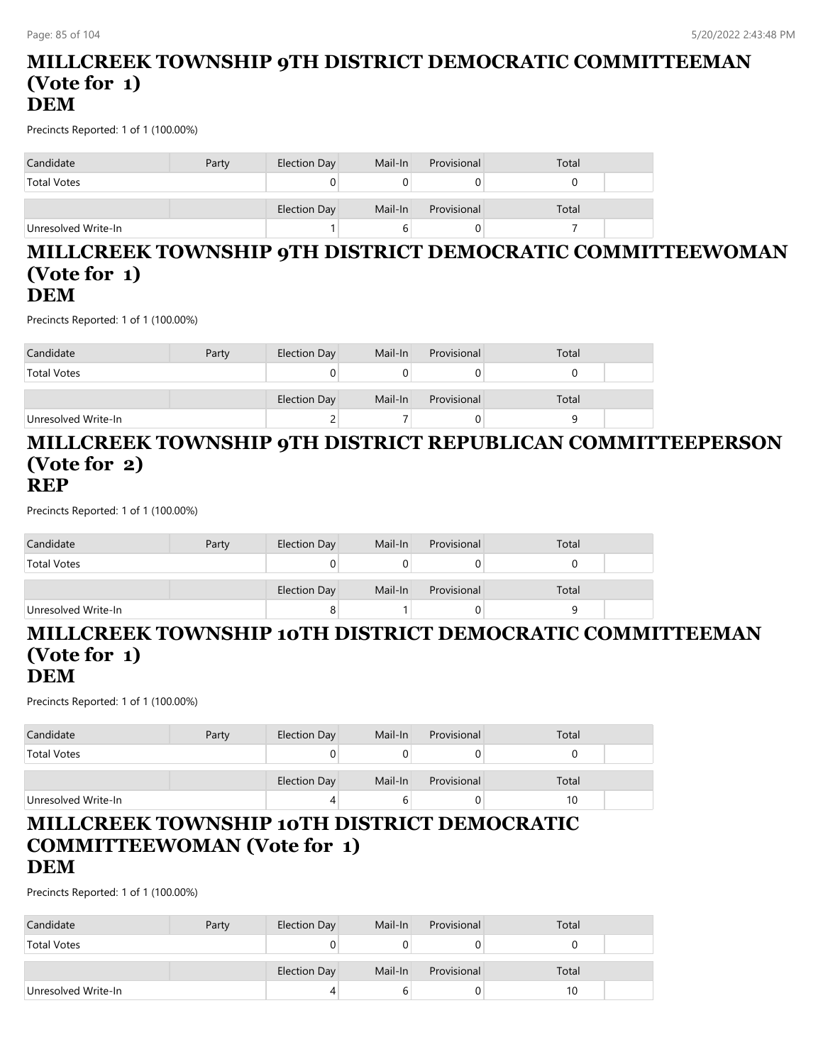#### **MILLCREEK TOWNSHIP 9TH DISTRICT DEMOCRATIC COMMITTEEMAN (Vote for 1) DEM**

Precincts Reported: 1 of 1 (100.00%)

| Candidate           | Party | Election Day | Mail-In | Provisional | Total |
|---------------------|-------|--------------|---------|-------------|-------|
| <b>Total Votes</b>  |       |              |         |             |       |
|                     |       | Election Day | Mail-In | Provisional | Total |
| Unresolved Write-In |       |              |         |             |       |

#### **MILLCREEK TOWNSHIP 9TH DISTRICT DEMOCRATIC COMMITTEEWOMAN (Vote for 1) DEM**

Precincts Reported: 1 of 1 (100.00%)

| Candidate           | Party | Election Day | Mail-In | Provisional | Total |  |
|---------------------|-------|--------------|---------|-------------|-------|--|
| <b>Total Votes</b>  |       |              |         |             |       |  |
|                     |       | Election Day | Mail-In | Provisional | Total |  |
| Unresolved Write-In |       |              |         |             |       |  |

#### **MILLCREEK TOWNSHIP 9TH DISTRICT REPUBLICAN COMMITTEEPERSON (Vote for 2) REP**

Precincts Reported: 1 of 1 (100.00%)

| Candidate           | Party | Election Day | Mail-In | Provisional | Total |  |
|---------------------|-------|--------------|---------|-------------|-------|--|
| <b>Total Votes</b>  |       |              |         |             |       |  |
|                     |       | Election Day | Mail-In | Provisional | Total |  |
| Unresolved Write-In |       |              |         |             | a     |  |

## **MILLCREEK TOWNSHIP 10TH DISTRICT DEMOCRATIC COMMITTEEMAN (Vote for 1)**

### **DEM**

Precincts Reported: 1 of 1 (100.00%)

| Candidate           | Party | Election Day | Mail-In | Provisional | Total |  |
|---------------------|-------|--------------|---------|-------------|-------|--|
| <b>Total Votes</b>  |       |              |         |             |       |  |
|                     |       | Election Day | Mail-In | Provisional | Total |  |
| Unresolved Write-In |       |              |         |             | 10    |  |

#### **MILLCREEK TOWNSHIP 10TH DISTRICT DEMOCRATIC COMMITTEEWOMAN (Vote for 1) DEM**

| Candidate           | Party | Election Day | Mail-In | Provisional | Total |  |
|---------------------|-------|--------------|---------|-------------|-------|--|
| <b>Total Votes</b>  |       |              |         |             |       |  |
|                     |       | Election Day | Mail-In | Provisional | Total |  |
| Unresolved Write-In |       | 4            |         |             | 10    |  |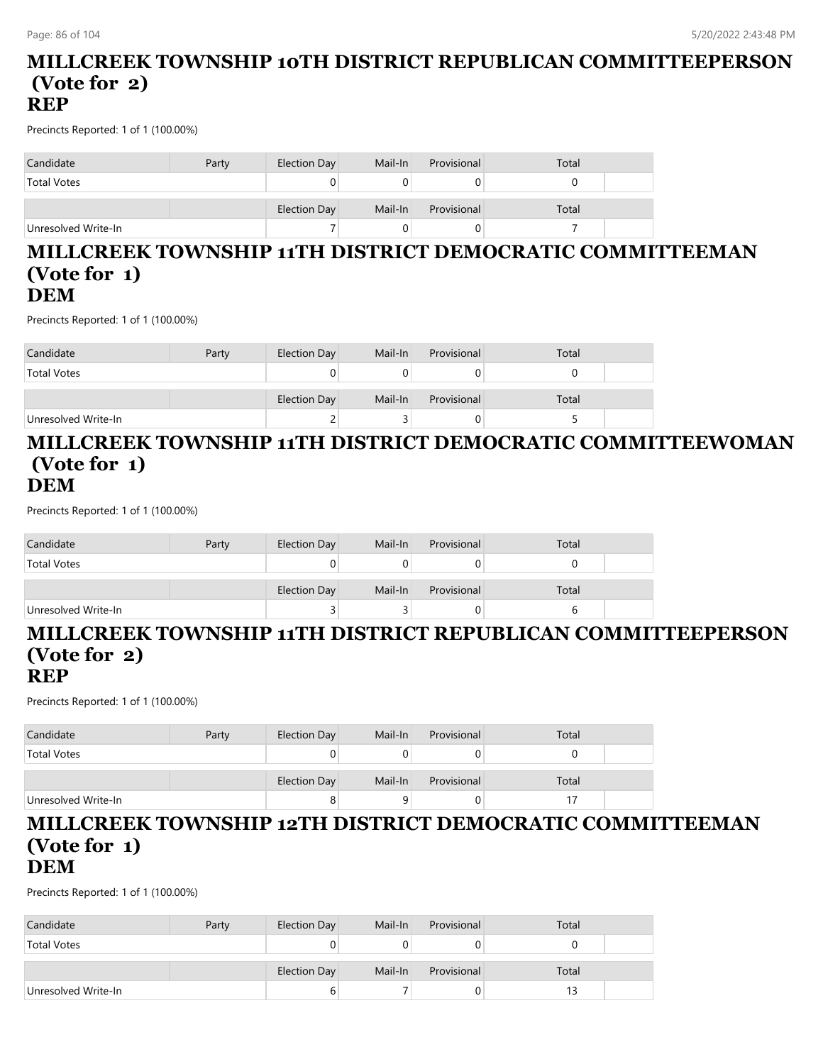#### **MILLCREEK TOWNSHIP 10TH DISTRICT REPUBLICAN COMMITTEEPERSON (Vote for 2) REP**

Precincts Reported: 1 of 1 (100.00%)

| Candidate           | Party | Election Day | Mail-In | Provisional | Total |
|---------------------|-------|--------------|---------|-------------|-------|
| <b>Total Votes</b>  |       | 0            |         |             |       |
|                     |       | Election Day | Mail-In | Provisional | Total |
| Unresolved Write-In |       |              |         |             |       |

#### **MILLCREEK TOWNSHIP 11TH DISTRICT DEMOCRATIC COMMITTEEMAN (Vote for 1) DEM**

Precincts Reported: 1 of 1 (100.00%)

| Candidate           | Party | Election Day | Mail-In | Provisional | Total |  |
|---------------------|-------|--------------|---------|-------------|-------|--|
| <b>Total Votes</b>  |       |              |         |             |       |  |
|                     |       | Election Day | Mail-In | Provisional | Total |  |
| Unresolved Write-In |       |              |         |             |       |  |

#### **MILLCREEK TOWNSHIP 11TH DISTRICT DEMOCRATIC COMMITTEEWOMAN (Vote for 1) DEM**

Precincts Reported: 1 of 1 (100.00%)

| Candidate           | Party | Election Day | Mail-In | Provisional | Total |  |
|---------------------|-------|--------------|---------|-------------|-------|--|
| <b>Total Votes</b>  |       |              |         |             |       |  |
|                     |       | Election Day | Mail-In | Provisional | Total |  |
| Unresolved Write-In |       |              |         | 0           |       |  |

#### **MILLCREEK TOWNSHIP 11TH DISTRICT REPUBLICAN COMMITTEEPERSON (Vote for 2) REP**

Precincts Reported: 1 of 1 (100.00%)

| Candidate           | Party | Election Day | Mail-In | Provisional | Total |  |
|---------------------|-------|--------------|---------|-------------|-------|--|
| <b>Total Votes</b>  |       |              |         |             |       |  |
|                     |       | Election Day | Mail-In | Provisional | Total |  |
| Unresolved Write-In |       |              |         |             |       |  |

#### **MILLCREEK TOWNSHIP 12TH DISTRICT DEMOCRATIC COMMITTEEMAN (Vote for 1) DEM**

| Candidate           | Party | Election Day | Mail-In | Provisional | Total |  |
|---------------------|-------|--------------|---------|-------------|-------|--|
| <b>Total Votes</b>  |       |              |         |             |       |  |
|                     |       | Election Day | Mail-In | Provisional | Total |  |
| Unresolved Write-In |       |              |         |             |       |  |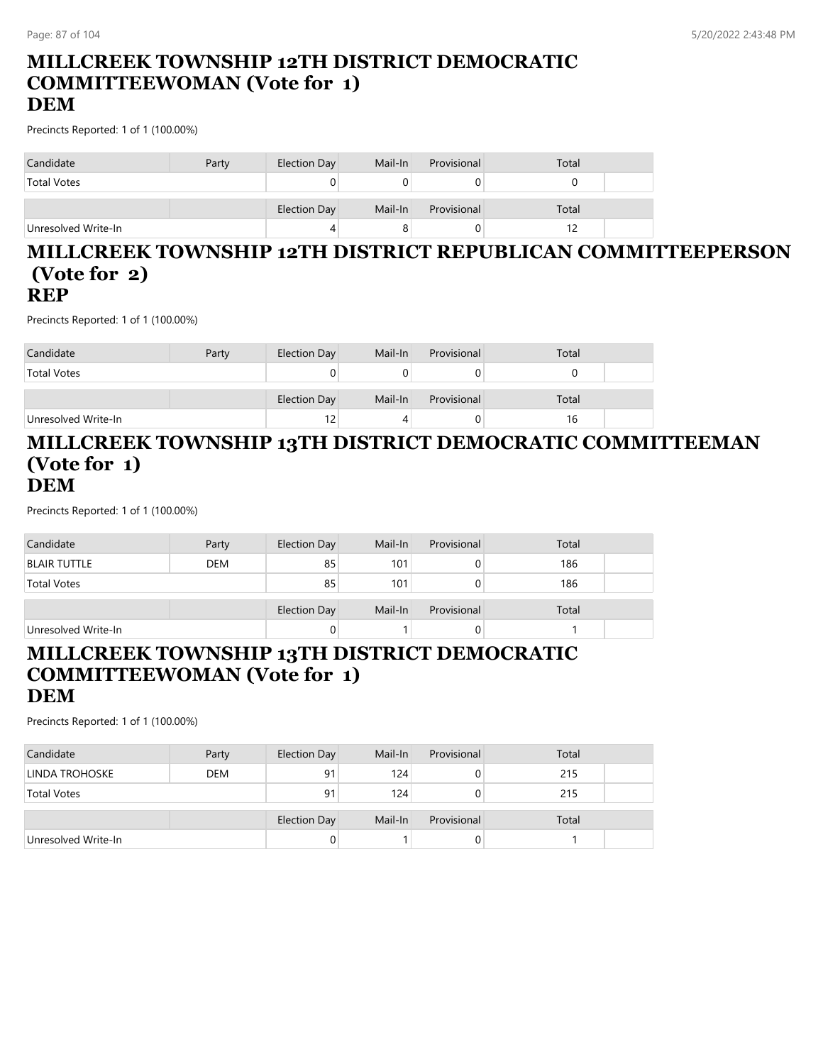#### **MILLCREEK TOWNSHIP 12TH DISTRICT DEMOCRATIC COMMITTEEWOMAN (Vote for 1) DEM**

Precincts Reported: 1 of 1 (100.00%)

| Candidate           | Party | Election Day | Mail-In | Provisional | Total |
|---------------------|-------|--------------|---------|-------------|-------|
| <b>Total Votes</b>  |       |              |         |             |       |
|                     |       | Election Day | Mail-In | Provisional | Total |
| Unresolved Write-In |       | 4            |         |             |       |

## **MILLCREEK TOWNSHIP 12TH DISTRICT REPUBLICAN COMMITTEEPERSON (Vote for 2)**

#### **REP**

Precincts Reported: 1 of 1 (100.00%)

| Candidate           | Party | Election Day | Mail-In | Provisional | Total |  |
|---------------------|-------|--------------|---------|-------------|-------|--|
| <b>Total Votes</b>  |       |              |         |             |       |  |
|                     |       |              |         |             |       |  |
|                     |       | Election Day | Mail-In | Provisional | Total |  |
| Unresolved Write-In |       | 12           |         |             | 16    |  |

### **MILLCREEK TOWNSHIP 13TH DISTRICT DEMOCRATIC COMMITTEEMAN (Vote for 1) DEM**

Precincts Reported: 1 of 1 (100.00%)

| Candidate           | Party      | Election Day | Mail-In | Provisional | Total |  |
|---------------------|------------|--------------|---------|-------------|-------|--|
| <b>BLAIR TUTTLE</b> | <b>DEM</b> | 85           | 101     |             | 186   |  |
| <b>Total Votes</b>  |            | 85           | 101     |             | 186   |  |
|                     |            | Election Day | Mail-In | Provisional | Total |  |
| Unresolved Write-In |            |              |         |             |       |  |

#### **MILLCREEK TOWNSHIP 13TH DISTRICT DEMOCRATIC COMMITTEEWOMAN (Vote for 1) DEM**

| Candidate           | Party      | Election Day        | Mail-In | Provisional | Total |  |
|---------------------|------------|---------------------|---------|-------------|-------|--|
| LINDA TROHOSKE      | <b>DEM</b> | 91                  | 124     | 0           | 215   |  |
| <b>Total Votes</b>  |            | 91                  | 124     | 0           | 215   |  |
|                     |            | <b>Election Day</b> | Mail-In | Provisional | Total |  |
| Unresolved Write-In |            | 0                   |         | 0           |       |  |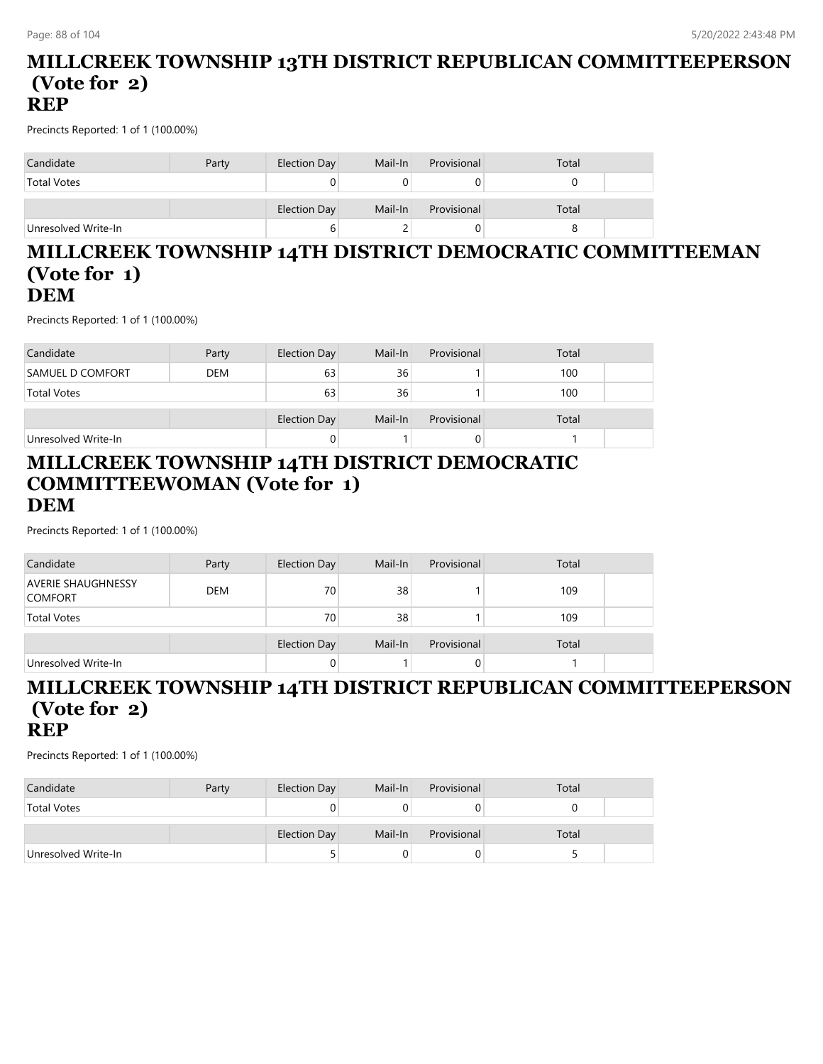#### **MILLCREEK TOWNSHIP 13TH DISTRICT REPUBLICAN COMMITTEEPERSON (Vote for 2) REP**

Precincts Reported: 1 of 1 (100.00%)

| Candidate           | Party | Election Day | Mail-In | Provisional | Total |
|---------------------|-------|--------------|---------|-------------|-------|
| <b>Total Votes</b>  |       |              |         |             |       |
|                     |       | Election Day | Mail-In | Provisional | Total |
| Unresolved Write-In |       | b            |         |             |       |

#### **MILLCREEK TOWNSHIP 14TH DISTRICT DEMOCRATIC COMMITTEEMAN (Vote for 1) DEM**

Precincts Reported: 1 of 1 (100.00%)

| Candidate               | Party      | Election Day | Mail-In | Provisional | Total |  |
|-------------------------|------------|--------------|---------|-------------|-------|--|
| <b>SAMUEL D COMFORT</b> | <b>DEM</b> | 63           | 36      |             | 100   |  |
| <b>Total Votes</b>      |            | 63           | 36      |             | 100   |  |
|                         |            | Election Day | Mail-In | Provisional | Total |  |
| Unresolved Write-In     |            |              |         | O           |       |  |

#### **MILLCREEK TOWNSHIP 14TH DISTRICT DEMOCRATIC COMMITTEEWOMAN (Vote for 1) DEM**

Precincts Reported: 1 of 1 (100.00%)

| Candidate                                   | Party      | Election Day | Mail-In | Provisional | Total |  |
|---------------------------------------------|------------|--------------|---------|-------------|-------|--|
| <b>AVERIE SHAUGHNESSY</b><br><b>COMFORT</b> | <b>DEM</b> | 70           | 38      |             | 109   |  |
| <b>Total Votes</b>                          |            | 70           | 38      |             | 109   |  |
|                                             |            | Election Day | Mail-In | Provisional | Total |  |
| Unresolved Write-In                         |            | 0            |         | 0           |       |  |

#### **MILLCREEK TOWNSHIP 14TH DISTRICT REPUBLICAN COMMITTEEPERSON (Vote for 2) REP**

| Candidate           | Party | Election Day | Mail-In | Provisional | Total |  |
|---------------------|-------|--------------|---------|-------------|-------|--|
| <b>Total Votes</b>  |       |              |         |             |       |  |
|                     |       | Election Day | Mail-In | Provisional | Total |  |
| Unresolved Write-In |       |              |         |             |       |  |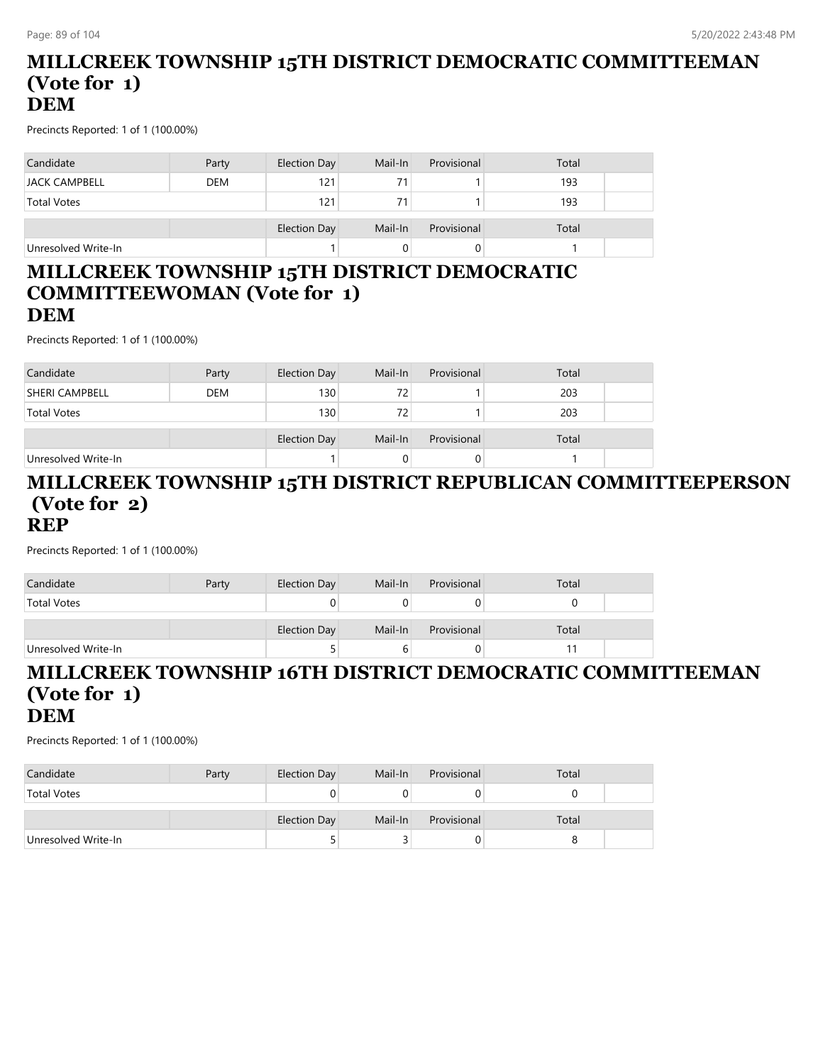#### **MILLCREEK TOWNSHIP 15TH DISTRICT DEMOCRATIC COMMITTEEMAN (Vote for 1) DEM**

Precincts Reported: 1 of 1 (100.00%)

| Candidate            | Party      | Election Day | Mail-In | Provisional | Total |
|----------------------|------------|--------------|---------|-------------|-------|
| <b>JACK CAMPBELL</b> | <b>DEM</b> | 121          | 71      |             | 193   |
| <b>Total Votes</b>   |            | 121          | 71      |             | 193   |
|                      |            | Election Day | Mail-In | Provisional | Total |
| Unresolved Write-In  |            |              |         |             |       |

#### **MILLCREEK TOWNSHIP 15TH DISTRICT DEMOCRATIC COMMITTEEWOMAN (Vote for 1) DEM**

Precincts Reported: 1 of 1 (100.00%)

| Candidate             | Party      | Election Day     | Mail-In | Provisional | Total |  |
|-----------------------|------------|------------------|---------|-------------|-------|--|
| <b>SHERI CAMPBELL</b> | <b>DEM</b> | 130              | 72      |             | 203   |  |
| <b>Total Votes</b>    |            | 130 <sub>1</sub> | 72      |             | 203   |  |
|                       |            |                  |         |             |       |  |
|                       |            | Election Day     | Mail-In | Provisional | Total |  |
| Unresolved Write-In   |            |                  |         |             |       |  |

#### **MILLCREEK TOWNSHIP 15TH DISTRICT REPUBLICAN COMMITTEEPERSON (Vote for 2) REP**

Precincts Reported: 1 of 1 (100.00%)

| Candidate           | Party | Election Day        | Mail-In | Provisional | Total |  |
|---------------------|-------|---------------------|---------|-------------|-------|--|
| <b>Total Votes</b>  |       |                     |         |             |       |  |
|                     |       | <b>Election Day</b> | Mail-In | Provisional | Total |  |
| Unresolved Write-In |       |                     | n       |             |       |  |

#### **MILLCREEK TOWNSHIP 16TH DISTRICT DEMOCRATIC COMMITTEEMAN (Vote for 1) DEM**

| Candidate           | Party | Election Day | Mail-In | Provisional | Total |  |
|---------------------|-------|--------------|---------|-------------|-------|--|
| <b>Total Votes</b>  |       |              |         |             |       |  |
|                     |       |              |         |             |       |  |
|                     |       | Election Day | Mail-In | Provisional | Total |  |
| Unresolved Write-In |       |              |         | υ           |       |  |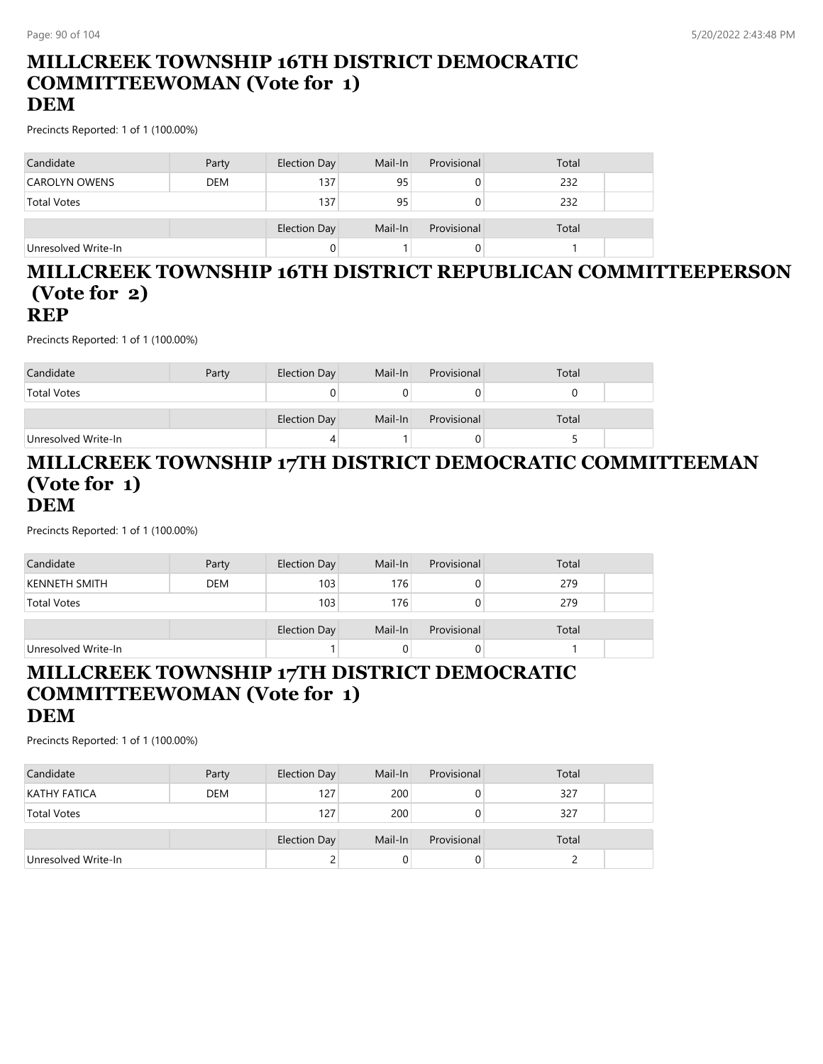#### **MILLCREEK TOWNSHIP 16TH DISTRICT DEMOCRATIC COMMITTEEWOMAN (Vote for 1) DEM**

Precincts Reported: 1 of 1 (100.00%)

| Candidate           | Party      | Election Day | Mail-In | Provisional | Total |  |
|---------------------|------------|--------------|---------|-------------|-------|--|
| CAROLYN OWENS       | <b>DEM</b> | 137          | 95      |             | 232   |  |
| <b>Total Votes</b>  |            | 137          | 95      |             | 232   |  |
|                     |            | Election Day | Mail-In | Provisional | Total |  |
| Unresolved Write-In |            |              |         |             |       |  |

#### **MILLCREEK TOWNSHIP 16TH DISTRICT REPUBLICAN COMMITTEEPERSON (Vote for 2) REP**

Precincts Reported: 1 of 1 (100.00%)

| Candidate           | Party | Election Day | Mail-In | Provisional | Total |  |
|---------------------|-------|--------------|---------|-------------|-------|--|
| <b>Total Votes</b>  |       |              |         |             |       |  |
|                     |       | Election Day | Mail-In | Provisional | Total |  |
| Unresolved Write-In |       |              |         |             |       |  |

#### **MILLCREEK TOWNSHIP 17TH DISTRICT DEMOCRATIC COMMITTEEMAN (Vote for 1) DEM**

Precincts Reported: 1 of 1 (100.00%)

| Candidate            | Party      | Election Day | Mail-In | Provisional | Total |  |
|----------------------|------------|--------------|---------|-------------|-------|--|
| <b>KENNETH SMITH</b> | <b>DEM</b> | 103          | 176     |             | 279   |  |
| <b>Total Votes</b>   |            | 103          | 176     |             | 279   |  |
|                      |            | Election Day | Mail-In | Provisional | Total |  |
| Unresolved Write-In  |            |              | 0       |             |       |  |

#### **MILLCREEK TOWNSHIP 17TH DISTRICT DEMOCRATIC COMMITTEEWOMAN (Vote for 1) DEM**

| Candidate           | Party      | Election Day | Mail-In | Provisional | Total |  |
|---------------------|------------|--------------|---------|-------------|-------|--|
| <b>KATHY FATICA</b> | <b>DEM</b> | 127          | 200     |             | 327   |  |
| <b>Total Votes</b>  |            | 127          | 200     |             | 327   |  |
|                     |            | Election Day | Mail-In | Provisional | Total |  |
|                     |            |              |         |             |       |  |
| Unresolved Write-In |            |              |         | U           |       |  |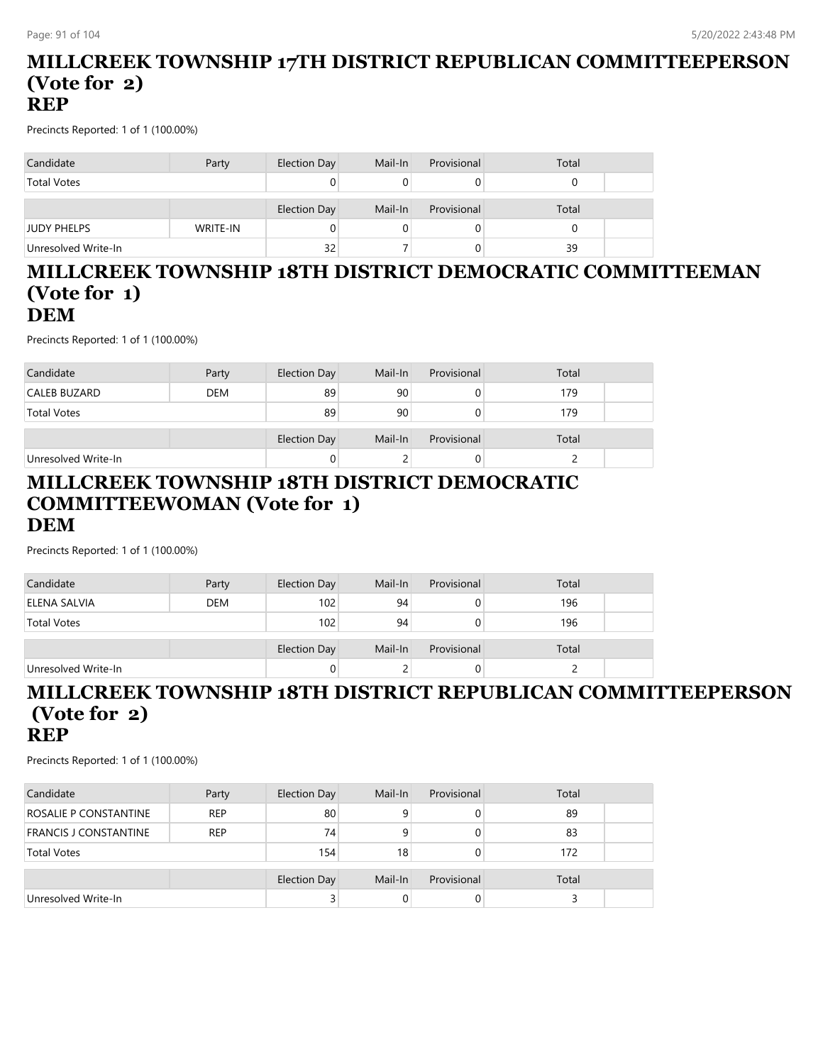#### **MILLCREEK TOWNSHIP 17TH DISTRICT REPUBLICAN COMMITTEEPERSON (Vote for 2) REP**

Precincts Reported: 1 of 1 (100.00%)

| Candidate           | Party    | Election Day | Mail-In | Provisional | Total |  |
|---------------------|----------|--------------|---------|-------------|-------|--|
| <b>Total Votes</b>  |          | 0            |         |             |       |  |
|                     |          | Election Day | Mail-In | Provisional | Total |  |
| <b>JUDY PHELPS</b>  | WRITE-IN | 0            |         |             |       |  |
| Unresolved Write-In |          | 32           |         |             | 39    |  |

#### **MILLCREEK TOWNSHIP 18TH DISTRICT DEMOCRATIC COMMITTEEMAN (Vote for 1) DEM**

Precincts Reported: 1 of 1 (100.00%)

| Candidate           | Party      | Election Day | Mail-In | Provisional | Total |  |
|---------------------|------------|--------------|---------|-------------|-------|--|
| CALEB BUZARD        | <b>DEM</b> | 89           | 90      |             | 179   |  |
| <b>Total Votes</b>  |            | 89           | 90      |             | 179   |  |
|                     |            |              |         |             |       |  |
|                     |            | Election Day | Mail-In | Provisional | Total |  |
| Unresolved Write-In |            | $\mathbf{0}$ |         | O           |       |  |

#### **MILLCREEK TOWNSHIP 18TH DISTRICT DEMOCRATIC COMMITTEEWOMAN (Vote for 1) DEM**

Precincts Reported: 1 of 1 (100.00%)

| Candidate           | Party      | Election Day | Mail-In | Provisional | Total |  |
|---------------------|------------|--------------|---------|-------------|-------|--|
| ELENA SALVIA        | <b>DEM</b> | 102          | 94      | 0           | 196   |  |
| <b>Total Votes</b>  |            | 102          | 94      | 0           | 196   |  |
|                     |            | Election Day | Mail-In | Provisional | Total |  |
| Unresolved Write-In |            | 0            |         | 0           |       |  |

#### **MILLCREEK TOWNSHIP 18TH DISTRICT REPUBLICAN COMMITTEEPERSON (Vote for 2) REP**

| Candidate                    | Party      | Election Day | Mail-In | Provisional | Total |  |
|------------------------------|------------|--------------|---------|-------------|-------|--|
| ROSALIE P CONSTANTINE        | <b>REP</b> | 80           |         |             | 89    |  |
| <b>FRANCIS J CONSTANTINE</b> | <b>REP</b> | 74           |         |             | 83    |  |
| <b>Total Votes</b>           |            | 154          | 18      |             | 172   |  |
|                              |            | Election Day | Mail-In | Provisional | Total |  |
| Unresolved Write-In          |            | ć            |         |             |       |  |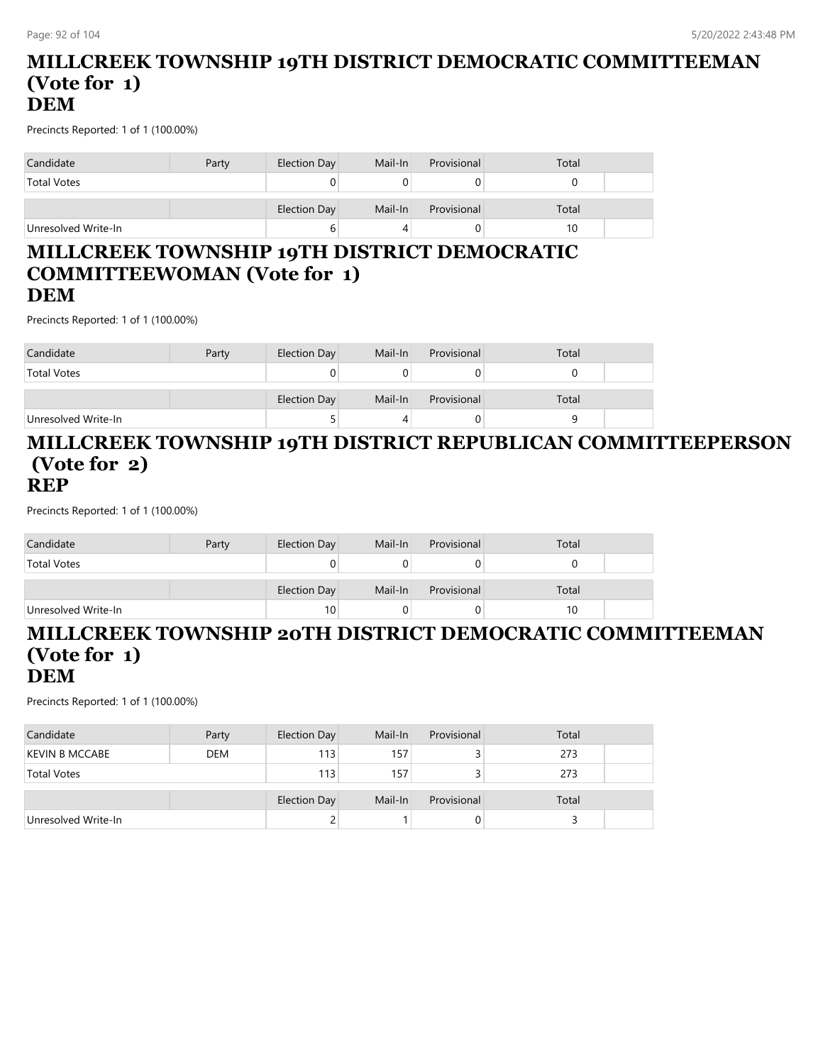#### **MILLCREEK TOWNSHIP 19TH DISTRICT DEMOCRATIC COMMITTEEMAN (Vote for 1) DEM**

Precincts Reported: 1 of 1 (100.00%)

| Candidate           | Party | Election Day | Mail-In | Provisional | Total |
|---------------------|-------|--------------|---------|-------------|-------|
| <b>Total Votes</b>  |       |              |         |             |       |
|                     |       | Election Day | Mail-In | Provisional | Total |
| Unresolved Write-In |       | ь            |         |             | 10    |

#### **MILLCREEK TOWNSHIP 19TH DISTRICT DEMOCRATIC COMMITTEEWOMAN (Vote for 1) DEM**

Precincts Reported: 1 of 1 (100.00%)

| Candidate           | Party | Election Day | Mail-In | Provisional | Total |  |
|---------------------|-------|--------------|---------|-------------|-------|--|
| <b>Total Votes</b>  |       |              |         |             |       |  |
|                     |       | Election Day | Mail-In | Provisional | Total |  |
| Unresolved Write-In |       |              |         |             |       |  |

#### **MILLCREEK TOWNSHIP 19TH DISTRICT REPUBLICAN COMMITTEEPERSON (Vote for 2) REP**

Precincts Reported: 1 of 1 (100.00%)

| Candidate           | Party | Election Day | Mail-In | Provisional | Total |  |
|---------------------|-------|--------------|---------|-------------|-------|--|
| <b>Total Votes</b>  |       |              |         |             |       |  |
|                     |       | Election Day | Mail-In | Provisional | Total |  |
| Unresolved Write-In |       | 10           |         |             | 10    |  |

#### **MILLCREEK TOWNSHIP 20TH DISTRICT DEMOCRATIC COMMITTEEMAN (Vote for 1) DEM**

| Candidate             | Party      | Election Day | Mail-In | Provisional | Total |  |
|-----------------------|------------|--------------|---------|-------------|-------|--|
| <b>KEVIN B MCCABE</b> | <b>DEM</b> | 113          | 157     |             | 273   |  |
| <b>Total Votes</b>    |            | 113          | 157     |             | 273   |  |
|                       |            | Election Day | Mail-In | Provisional | Total |  |
| Unresolved Write-In   |            |              |         |             |       |  |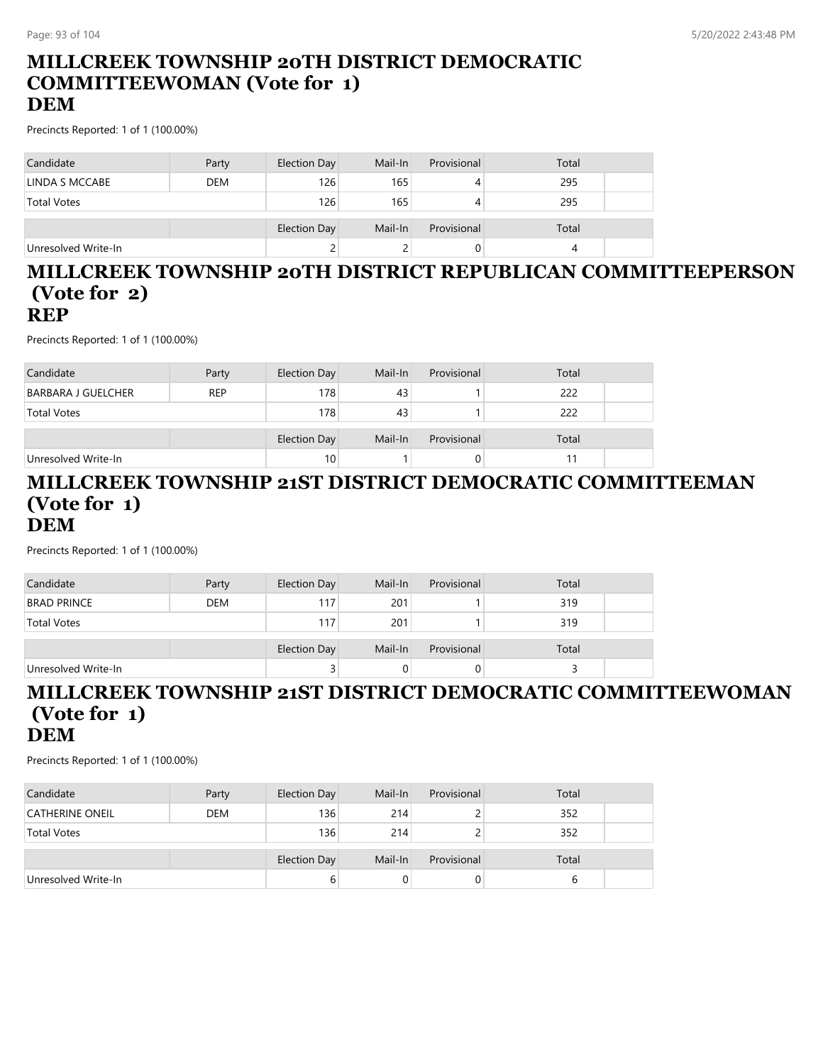#### **MILLCREEK TOWNSHIP 20TH DISTRICT DEMOCRATIC COMMITTEEWOMAN (Vote for 1) DEM**

Precincts Reported: 1 of 1 (100.00%)

| Candidate           | Party      | Election Day | Mail-In | Provisional | Total |  |
|---------------------|------------|--------------|---------|-------------|-------|--|
| LINDA S MCCABE      | <b>DEM</b> | 126          | 165     |             | 295   |  |
| <b>Total Votes</b>  |            | 126          | 165     |             | 295   |  |
|                     |            | Election Day | Mail-In | Provisional | Total |  |
| Unresolved Write-In |            | ے            |         |             |       |  |

#### **MILLCREEK TOWNSHIP 20TH DISTRICT REPUBLICAN COMMITTEEPERSON (Vote for 2) REP**

Precincts Reported: 1 of 1 (100.00%)

| Candidate                 | Party      | Election Day        | Mail-In | Provisional | Total |  |
|---------------------------|------------|---------------------|---------|-------------|-------|--|
| <b>BARBARA J GUELCHER</b> | <b>REP</b> | 178                 | 43      |             | 222   |  |
| <b>Total Votes</b>        |            | 178                 | 43      |             | 222   |  |
|                           |            |                     |         |             |       |  |
|                           |            | <b>Election Day</b> | Mail-In | Provisional | Total |  |
| Unresolved Write-In       |            | 10                  |         | O           |       |  |

#### **MILLCREEK TOWNSHIP 21ST DISTRICT DEMOCRATIC COMMITTEEMAN (Vote for 1) DEM**

Precincts Reported: 1 of 1 (100.00%)

| Candidate           | Party      | Election Day | Mail-In | Provisional | Total |  |
|---------------------|------------|--------------|---------|-------------|-------|--|
| <b>BRAD PRINCE</b>  | <b>DEM</b> | 117          | 201     |             | 319   |  |
| <b>Total Votes</b>  |            | 117          | 201     |             | 319   |  |
|                     |            | Election Day | Mail-In | Provisional | Total |  |
| Unresolved Write-In |            | 3            |         |             |       |  |

#### **MILLCREEK TOWNSHIP 21ST DISTRICT DEMOCRATIC COMMITTEEWOMAN (Vote for 1) DEM**

| Candidate              | Party      | Election Day | Mail-In | Provisional | Total |  |
|------------------------|------------|--------------|---------|-------------|-------|--|
| <b>CATHERINE ONEIL</b> | <b>DEM</b> | 136          | 214     |             | 352   |  |
| <b>Total Votes</b>     |            | 136          | 214     |             | 352   |  |
|                        |            | Election Day | Mail-In | Provisional | Total |  |
| Unresolved Write-In    |            | b            |         | O           |       |  |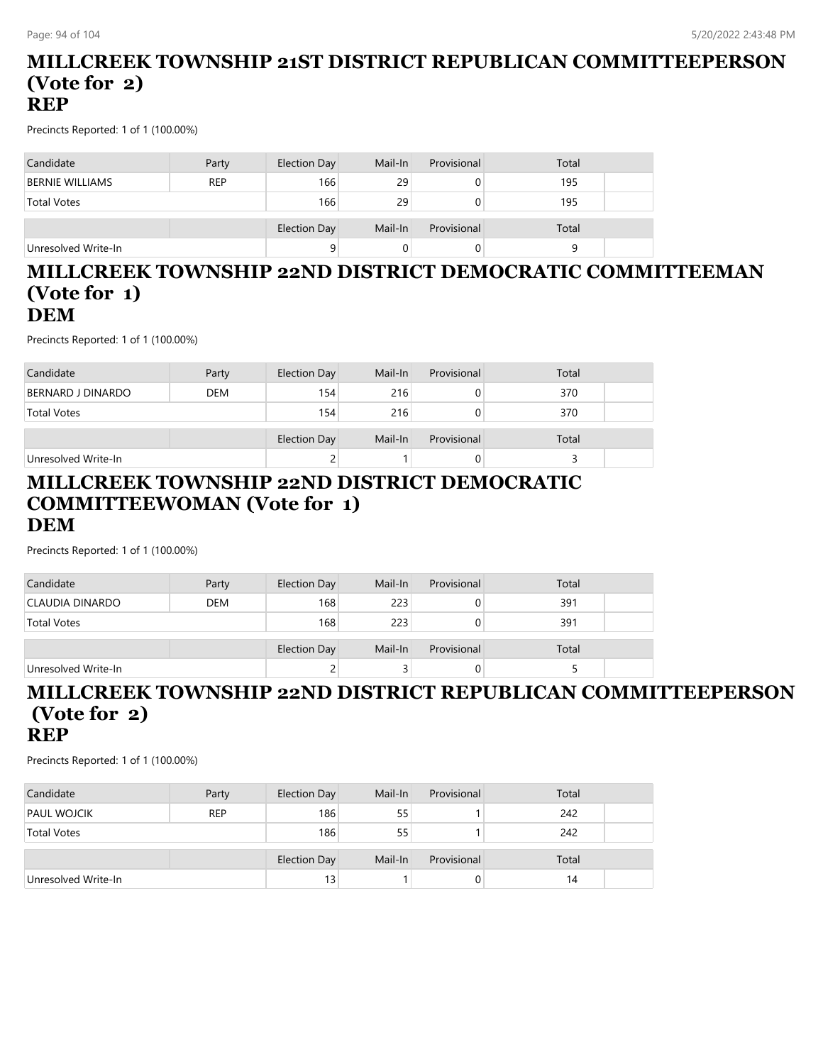#### **MILLCREEK TOWNSHIP 21ST DISTRICT REPUBLICAN COMMITTEEPERSON (Vote for 2) REP**

Precincts Reported: 1 of 1 (100.00%)

| Candidate              | Party      | Election Day | Mail-In | Provisional | Total |  |
|------------------------|------------|--------------|---------|-------------|-------|--|
| <b>BERNIE WILLIAMS</b> | <b>REP</b> | 166          | 29      |             | 195   |  |
| <b>Total Votes</b>     |            | 166          | 29      |             | 195   |  |
|                        |            | Election Day | Mail-In | Provisional | Total |  |
| Unresolved Write-In    |            | 9            |         |             |       |  |

#### **MILLCREEK TOWNSHIP 22ND DISTRICT DEMOCRATIC COMMITTEEMAN (Vote for 1) DEM**

Precincts Reported: 1 of 1 (100.00%)

| Candidate           | Party      | Election Day | Mail-In | Provisional | Total |  |
|---------------------|------------|--------------|---------|-------------|-------|--|
| BERNARD J DINARDO   | <b>DEM</b> | 154          | 216     |             | 370   |  |
| <b>Total Votes</b>  |            | 154          | 216     |             | 370   |  |
|                     |            |              |         |             |       |  |
|                     |            | Election Day | Mail-In | Provisional | Total |  |
| Unresolved Write-In |            | 2            |         | 0           |       |  |

#### **MILLCREEK TOWNSHIP 22ND DISTRICT DEMOCRATIC COMMITTEEWOMAN (Vote for 1) DEM**

Precincts Reported: 1 of 1 (100.00%)

| Candidate           | Party      | Election Day | Mail-In | Provisional | Total |
|---------------------|------------|--------------|---------|-------------|-------|
| CLAUDIA DINARDO     | <b>DEM</b> | 168          | 223     |             | 391   |
| <b>Total Votes</b>  |            | 168          | 223     |             | 391   |
|                     |            | Election Day | Mail-In | Provisional | Total |
| Unresolved Write-In |            | ے            |         |             |       |

#### **MILLCREEK TOWNSHIP 22ND DISTRICT REPUBLICAN COMMITTEEPERSON (Vote for 2) REP**

| Candidate           | Party      | Election Day | Mail-In | Provisional | Total |  |
|---------------------|------------|--------------|---------|-------------|-------|--|
| <b>PAUL WOJCIK</b>  | <b>REP</b> | 186          | 55      |             | 242   |  |
| <b>Total Votes</b>  |            | 186          | 55      |             | 242   |  |
|                     |            | Election Day | Mail-In | Provisional | Total |  |
| Unresolved Write-In |            | 13           |         | O           | 14    |  |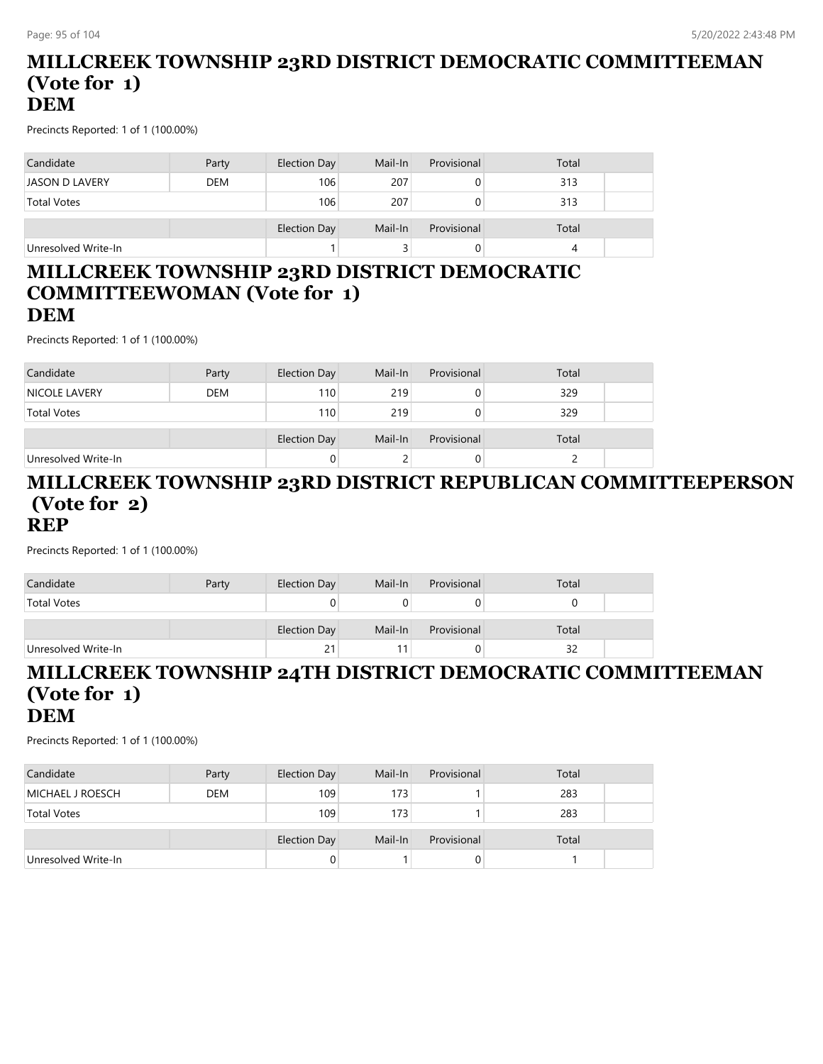#### **MILLCREEK TOWNSHIP 23RD DISTRICT DEMOCRATIC COMMITTEEMAN (Vote for 1) DEM**

Precincts Reported: 1 of 1 (100.00%)

| Candidate           | Party      | Election Day | Mail-In | Provisional | Total |  |
|---------------------|------------|--------------|---------|-------------|-------|--|
| JASON D LAVERY      | <b>DEM</b> | 106          | 207     |             | 313   |  |
| <b>Total Votes</b>  |            | 106          | 207     |             | 313   |  |
|                     |            | Election Day | Mail-In | Provisional | Total |  |
| Unresolved Write-In |            |              |         |             |       |  |

#### **MILLCREEK TOWNSHIP 23RD DISTRICT DEMOCRATIC COMMITTEEWOMAN (Vote for 1) DEM**

Precincts Reported: 1 of 1 (100.00%)

| Candidate            | Party      | Election Day | Mail-In | Provisional | Total |  |
|----------------------|------------|--------------|---------|-------------|-------|--|
| <b>NICOLE LAVERY</b> | <b>DEM</b> | 110          | 219     |             | 329   |  |
| <b>Total Votes</b>   |            | 110          | 219     |             | 329   |  |
|                      |            |              |         |             |       |  |
|                      |            | Election Day | Mail-In | Provisional | Total |  |
| Unresolved Write-In  |            |              |         |             |       |  |

#### **MILLCREEK TOWNSHIP 23RD DISTRICT REPUBLICAN COMMITTEEPERSON (Vote for 2) REP**

Precincts Reported: 1 of 1 (100.00%)

| Candidate           | Party | Election Day | Mail-In | Provisional | Total |  |
|---------------------|-------|--------------|---------|-------------|-------|--|
| <b>Total Votes</b>  |       |              |         |             |       |  |
|                     |       | Election Day | Mail-In | Provisional | Total |  |
| Unresolved Write-In |       | 21           |         |             | 32    |  |

### **MILLCREEK TOWNSHIP 24TH DISTRICT DEMOCRATIC COMMITTEEMAN (Vote for 1) DEM**

| Candidate               | Party      | Election Day | Mail-In | Provisional | Total |  |
|-------------------------|------------|--------------|---------|-------------|-------|--|
| <b>MICHAEL J ROESCH</b> | <b>DEM</b> | 109          | 173     |             | 283   |  |
| <b>Total Votes</b>      |            | 109          | 173     |             | 283   |  |
|                         |            | Election Day | Mail-In | Provisional | Total |  |
| Unresolved Write-In     |            |              |         | U           |       |  |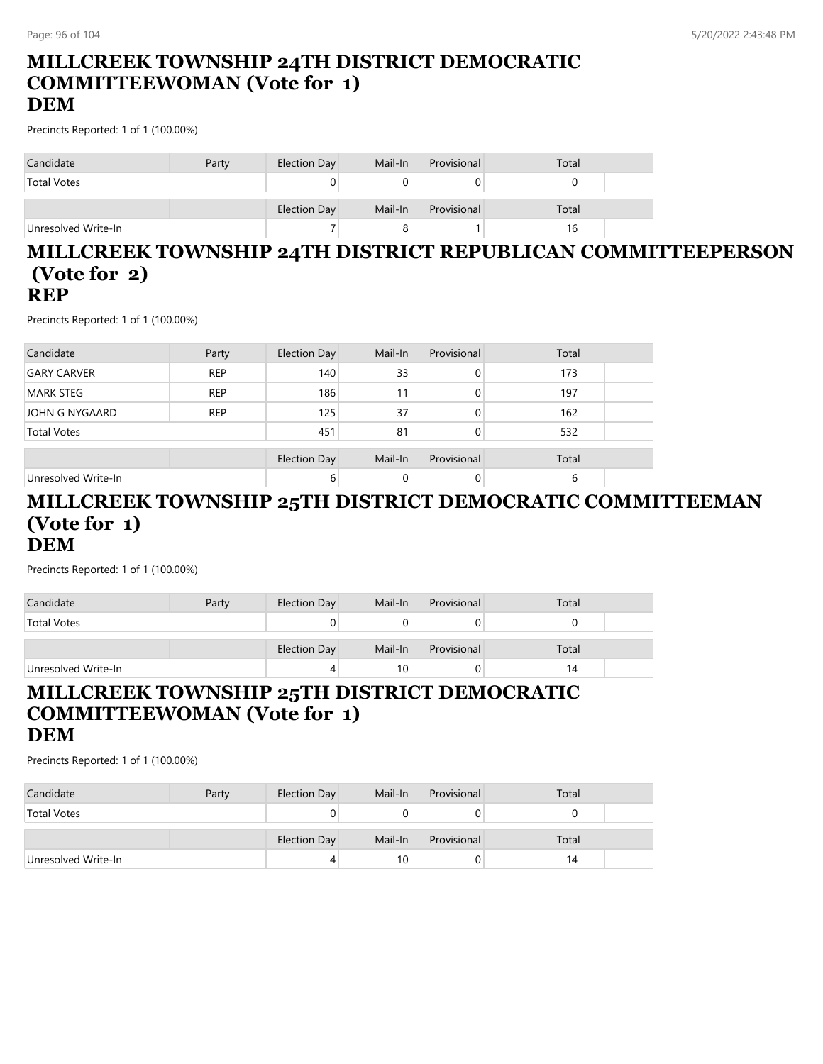#### **MILLCREEK TOWNSHIP 24TH DISTRICT DEMOCRATIC COMMITTEEWOMAN (Vote for 1) DEM**

Precincts Reported: 1 of 1 (100.00%)

| Candidate           | Party | Election Day | Mail-In | Provisional | Total |  |
|---------------------|-------|--------------|---------|-------------|-------|--|
| <b>Total Votes</b>  |       | 0            |         |             |       |  |
|                     |       | Election Day | Mail-In | Provisional | Total |  |
| Unresolved Write-In |       |              |         |             | 16    |  |

#### **MILLCREEK TOWNSHIP 24TH DISTRICT REPUBLICAN COMMITTEEPERSON (Vote for 2) REP**

Precincts Reported: 1 of 1 (100.00%)

| Candidate           | Party      | Election Day        | Mail-In | Provisional | Total |  |
|---------------------|------------|---------------------|---------|-------------|-------|--|
| <b>GARY CARVER</b>  | <b>REP</b> | 140                 | 33      | 0           | 173   |  |
| <b>MARK STEG</b>    | <b>REP</b> | 186                 |         | 0           | 197   |  |
| JOHN G NYGAARD      | <b>REP</b> | 125                 | 37      | 0           | 162   |  |
| <b>Total Votes</b>  |            | 451                 | 81      |             | 532   |  |
|                     |            | <b>Election Day</b> | Mail-In | Provisional | Total |  |
| Unresolved Write-In |            | 6                   |         |             | 6     |  |

#### **MILLCREEK TOWNSHIP 25TH DISTRICT DEMOCRATIC COMMITTEEMAN (Vote for 1) DEM**

Precincts Reported: 1 of 1 (100.00%)

| Candidate           | Party | Election Day | Mail-In | Provisional | Total |  |
|---------------------|-------|--------------|---------|-------------|-------|--|
| <b>Total Votes</b>  |       |              |         |             |       |  |
|                     |       | Election Day | Mail-In | Provisional | Total |  |
| Unresolved Write-In |       | 4            | 10      |             | 14    |  |

#### **MILLCREEK TOWNSHIP 25TH DISTRICT DEMOCRATIC COMMITTEEWOMAN (Vote for 1) DEM**

| Candidate           | Party | Election Day | Mail-In         | Provisional | Total |  |
|---------------------|-------|--------------|-----------------|-------------|-------|--|
| <b>Total Votes</b>  |       |              |                 |             |       |  |
|                     |       |              |                 |             |       |  |
|                     |       | Election Day | Mail-In         | Provisional | Total |  |
| Unresolved Write-In |       | 4            | 10 <sub>1</sub> |             | 14    |  |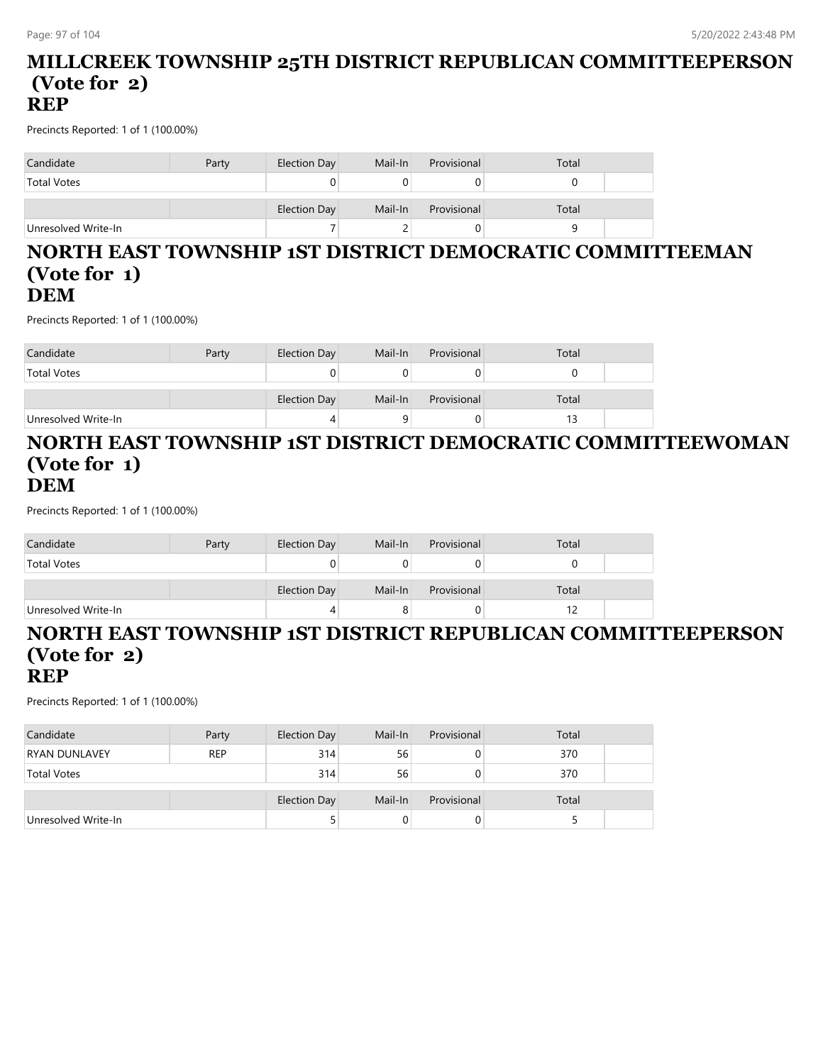#### **MILLCREEK TOWNSHIP 25TH DISTRICT REPUBLICAN COMMITTEEPERSON (Vote for 2) REP**

Precincts Reported: 1 of 1 (100.00%)

| Candidate           | Party | Election Day | Mail-In | Provisional | Total |
|---------------------|-------|--------------|---------|-------------|-------|
| <b>Total Votes</b>  |       |              |         |             |       |
|                     |       | Election Day | Mail-In | Provisional | Total |
| Unresolved Write-In |       |              |         |             |       |

#### **NORTH EAST TOWNSHIP 1ST DISTRICT DEMOCRATIC COMMITTEEMAN (Vote for 1) DEM**

Precincts Reported: 1 of 1 (100.00%)

| Candidate           | Party | Election Day | Mail-In | Provisional | Total |  |
|---------------------|-------|--------------|---------|-------------|-------|--|
| <b>Total Votes</b>  |       |              |         |             |       |  |
|                     |       | Election Day | Mail-In | Provisional | Total |  |
| Unresolved Write-In |       |              |         |             |       |  |

#### **NORTH EAST TOWNSHIP 1ST DISTRICT DEMOCRATIC COMMITTEEWOMAN (Vote for 1) DEM**

Precincts Reported: 1 of 1 (100.00%)

| Candidate           | Party | Election Day | Mail-In | Provisional | Total |  |
|---------------------|-------|--------------|---------|-------------|-------|--|
| <b>Total Votes</b>  |       |              |         |             |       |  |
|                     |       | Election Day | Mail-In | Provisional | Total |  |
| Unresolved Write-In |       |              |         |             |       |  |

#### **NORTH EAST TOWNSHIP 1ST DISTRICT REPUBLICAN COMMITTEEPERSON (Vote for 2) REP**

| Candidate            | Party      | Election Day | Mail-In | Provisional | Total |  |
|----------------------|------------|--------------|---------|-------------|-------|--|
| <b>RYAN DUNLAVEY</b> | <b>REP</b> | 314          | 56      |             | 370   |  |
| <b>Total Votes</b>   |            | 314          | 56      | 0           | 370   |  |
|                      |            | Election Day | Mail-In | Provisional | Total |  |
| Unresolved Write-In  |            |              |         | 0           |       |  |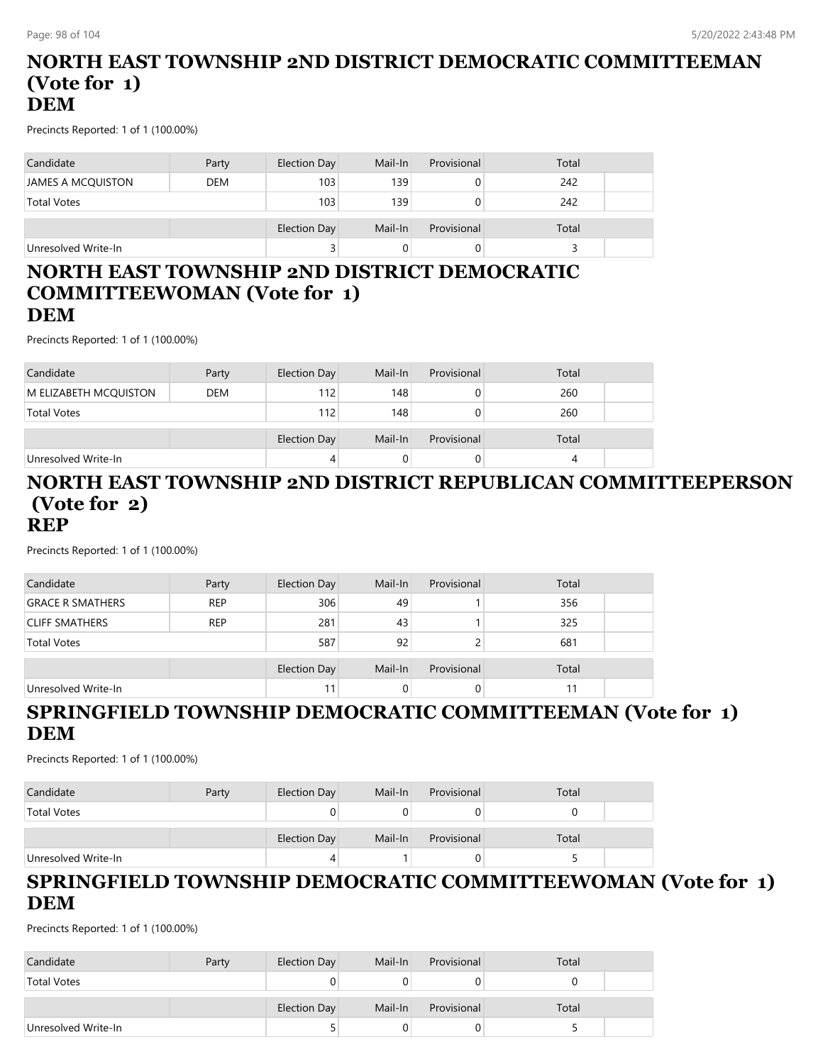#### **NORTH EAST TOWNSHIP 2ND DISTRICT DEMOCRATIC COMMITTEEMAN (Vote for 1) DEM**

Precincts Reported: 1 of 1 (100.00%)

| Candidate           | Party      | Election Day | Mail-In | Provisional | Total |  |
|---------------------|------------|--------------|---------|-------------|-------|--|
| JAMES A MCQUISTON   | <b>DEM</b> | 103          | 139     |             | 242   |  |
| <b>Total Votes</b>  |            | 103          | 139     |             | 242   |  |
|                     |            | Election Day | Mail-In | Provisional | Total |  |
| Unresolved Write-In |            | 3            |         |             |       |  |

#### **NORTH EAST TOWNSHIP 2ND DISTRICT DEMOCRATIC COMMITTEEWOMAN (Vote for 1) DEM**

Precincts Reported: 1 of 1 (100.00%)

| Candidate             | Party      | Election Day | Mail-In | Provisional | Total |  |
|-----------------------|------------|--------------|---------|-------------|-------|--|
| M ELIZABETH MCQUISTON | <b>DEM</b> | 112          | 148     |             | 260   |  |
| <b>Total Votes</b>    |            | 112          | 148     |             | 260   |  |
|                       |            |              |         |             |       |  |
|                       |            | Election Day | Mail-In | Provisional | Total |  |
| Unresolved Write-In   |            |              |         |             | 4     |  |

#### **NORTH EAST TOWNSHIP 2ND DISTRICT REPUBLICAN COMMITTEEPERSON (Vote for 2) REP**

Precincts Reported: 1 of 1 (100.00%)

| Candidate               | Party      | <b>Election Day</b> | Mail-In | Provisional | Total |  |
|-------------------------|------------|---------------------|---------|-------------|-------|--|
| <b>GRACE R SMATHERS</b> | <b>REP</b> | 306                 | 49      |             | 356   |  |
| <b>CLIFF SMATHERS</b>   | <b>REP</b> | 281                 | 43      |             | 325   |  |
| <b>Total Votes</b>      |            | 587                 | 92      |             | 681   |  |
|                         |            | <b>Election Day</b> | Mail-In | Provisional | Total |  |
| Unresolved Write-In     |            | 11                  | 0       |             | 11    |  |

## **SPRINGFIELD TOWNSHIP DEMOCRATIC COMMITTEEMAN (Vote for 1) DEM**

Precincts Reported: 1 of 1 (100.00%)

| Candidate           | Party | Election Day        | Mail-In | Provisional | Total |
|---------------------|-------|---------------------|---------|-------------|-------|
| <b>Total Votes</b>  |       |                     |         |             |       |
|                     |       | <b>Election Day</b> | Mail-In | Provisional | Total |
| Unresolved Write-In |       | 4                   |         |             |       |

#### **SPRINGFIELD TOWNSHIP DEMOCRATIC COMMITTEEWOMAN (Vote for 1) DEM**

| Candidate           | Party | Election Day | Mail-In | Provisional | Total |  |
|---------------------|-------|--------------|---------|-------------|-------|--|
| <b>Total Votes</b>  |       |              |         |             |       |  |
|                     |       | Election Day | Mail-In | Provisional | Total |  |
| Unresolved Write-In |       |              |         |             |       |  |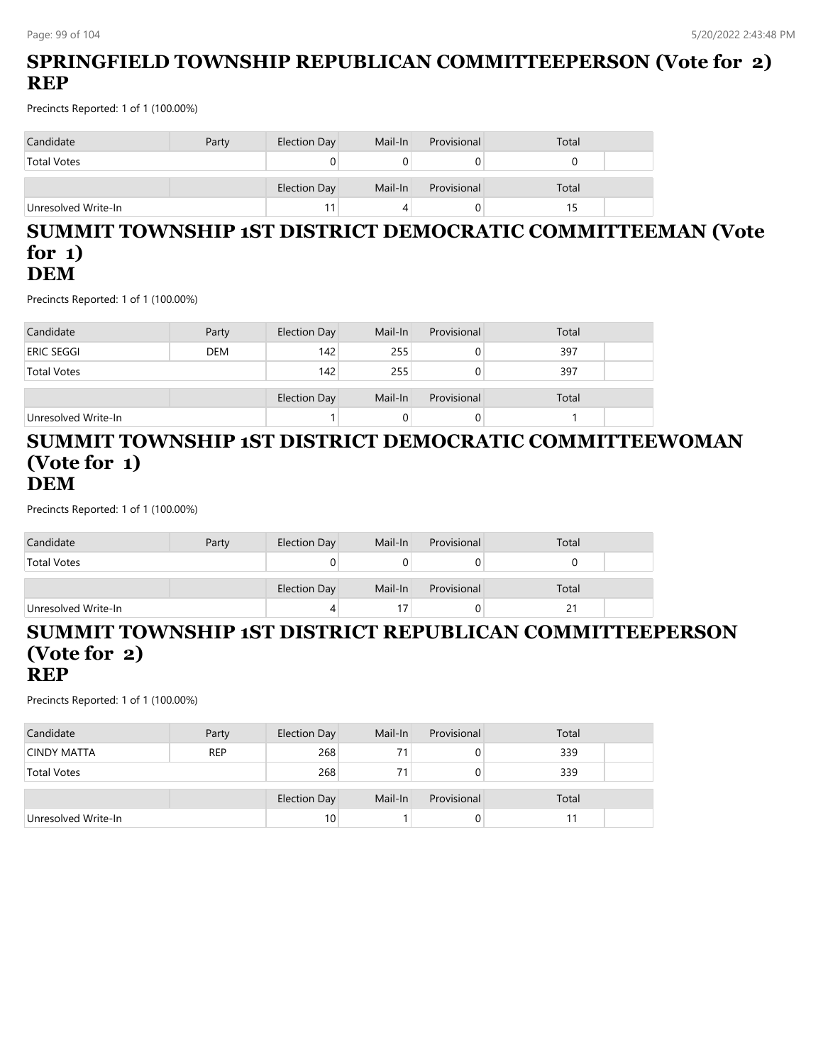## **SPRINGFIELD TOWNSHIP REPUBLICAN COMMITTEEPERSON (Vote for 2) REP**

Precincts Reported: 1 of 1 (100.00%)

| Candidate           | Party | Election Day | Mail-In | Provisional | Total |  |
|---------------------|-------|--------------|---------|-------------|-------|--|
| <b>Total Votes</b>  |       |              |         |             |       |  |
|                     |       | Election Day | Mail-In | Provisional | Total |  |
| Unresolved Write-In |       | 11           |         |             |       |  |

#### **SUMMIT TOWNSHIP 1ST DISTRICT DEMOCRATIC COMMITTEEMAN (Vote for 1) DEM**

Precincts Reported: 1 of 1 (100.00%)

| Candidate           | Party      | Election Day | Mail-In | Provisional | Total |  |
|---------------------|------------|--------------|---------|-------------|-------|--|
| eric seggi          | <b>DEM</b> | 142          | 255     |             | 397   |  |
| <b>Total Votes</b>  |            | 142          | 255     |             | 397   |  |
|                     |            | Election Day | Mail-In | Provisional | Total |  |
| Unresolved Write-In |            |              |         |             |       |  |

#### **SUMMIT TOWNSHIP 1ST DISTRICT DEMOCRATIC COMMITTEEWOMAN (Vote for 1) DEM**

Precincts Reported: 1 of 1 (100.00%)

| Candidate           | Party | Election Day | Mail-In | Provisional | Total |  |
|---------------------|-------|--------------|---------|-------------|-------|--|
| <b>Total Votes</b>  |       |              |         |             |       |  |
|                     |       | Election Day | Mail-In | Provisional | Total |  |
| Unresolved Write-In |       |              |         |             | 21    |  |

#### **SUMMIT TOWNSHIP 1ST DISTRICT REPUBLICAN COMMITTEEPERSON (Vote for 2) REP**

| Candidate           | Party      | Election Day | Mail-In | Provisional | Total |  |
|---------------------|------------|--------------|---------|-------------|-------|--|
| <b>CINDY MATTA</b>  | <b>REP</b> | 268          |         | 0           | 339   |  |
| <b>Total Votes</b>  |            | 268          |         | 0           | 339   |  |
|                     |            | Election Day | Mail-In | Provisional | Total |  |
| Unresolved Write-In |            | 10           |         | 0           |       |  |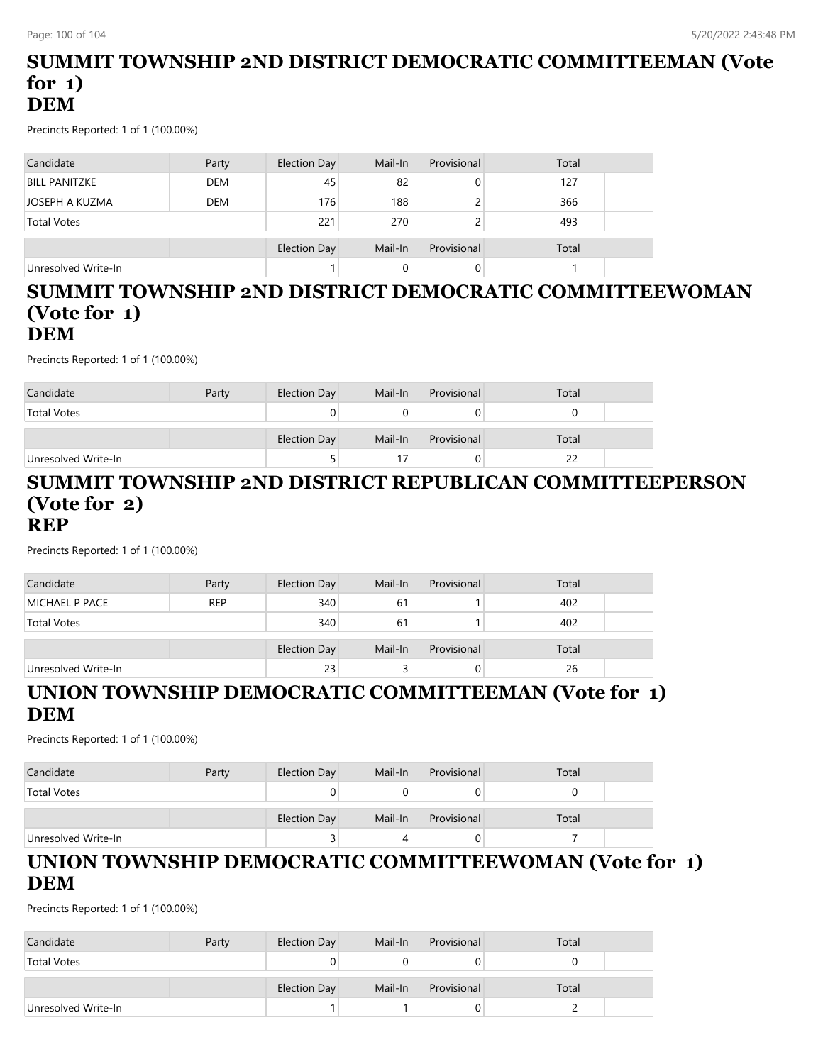#### **SUMMIT TOWNSHIP 2ND DISTRICT DEMOCRATIC COMMITTEEMAN (Vote for 1) DEM**

Precincts Reported: 1 of 1 (100.00%)

| Candidate            | Party      | <b>Election Day</b> | Mail-In | Provisional | Total |  |
|----------------------|------------|---------------------|---------|-------------|-------|--|
| <b>BILL PANITZKE</b> | <b>DEM</b> | 45                  | 82      | 0           | 127   |  |
| JOSEPH A KUZMA       | <b>DEM</b> | 176                 | 188     |             | 366   |  |
| <b>Total Votes</b>   |            | 221                 | 270     |             | 493   |  |
|                      |            | <b>Election Day</b> | Mail-In | Provisional | Total |  |
| Unresolved Write-In  |            |                     | 0       | 0           |       |  |

#### **SUMMIT TOWNSHIP 2ND DISTRICT DEMOCRATIC COMMITTEEWOMAN (Vote for 1) DEM**

Precincts Reported: 1 of 1 (100.00%)

| Candidate           | Party | Election Day | Mail-In | Provisional | Total |  |
|---------------------|-------|--------------|---------|-------------|-------|--|
| <b>Total Votes</b>  |       |              |         |             |       |  |
|                     |       | Election Day | Mail-In | Provisional | Total |  |
| Unresolved Write-In |       |              |         | O           |       |  |

#### **SUMMIT TOWNSHIP 2ND DISTRICT REPUBLICAN COMMITTEEPERSON (Vote for 2) REP**

Precincts Reported: 1 of 1 (100.00%)

| Candidate           | Party      | Election Day | Mail-In | Provisional | Total |  |
|---------------------|------------|--------------|---------|-------------|-------|--|
| MICHAEL P PACE      | <b>REP</b> | 340          | 61      |             | 402   |  |
| <b>Total Votes</b>  |            | 340          | 61      |             | 402   |  |
|                     |            | Election Day | Mail-In | Provisional | Total |  |
| Unresolved Write-In |            | 23           |         | 0           | 26    |  |
|                     |            |              |         |             |       |  |

#### **UNION TOWNSHIP DEMOCRATIC COMMITTEEMAN (Vote for 1) DEM**

Precincts Reported: 1 of 1 (100.00%)

| Candidate           | Party | Election Day | Mail-In | Provisional | Total |  |
|---------------------|-------|--------------|---------|-------------|-------|--|
| <b>Total Votes</b>  |       |              |         |             |       |  |
|                     |       | Election Day | Mail-In | Provisional | Total |  |
| Unresolved Write-In |       |              |         |             |       |  |

## **UNION TOWNSHIP DEMOCRATIC COMMITTEEWOMAN (Vote for 1) DEM**

| Candidate           | Party | Election Day | Mail-In | Provisional | Total |  |
|---------------------|-------|--------------|---------|-------------|-------|--|
| <b>Total Votes</b>  |       |              |         |             |       |  |
|                     |       | Election Day | Mail-In | Provisional | Total |  |
| Unresolved Write-In |       |              |         |             |       |  |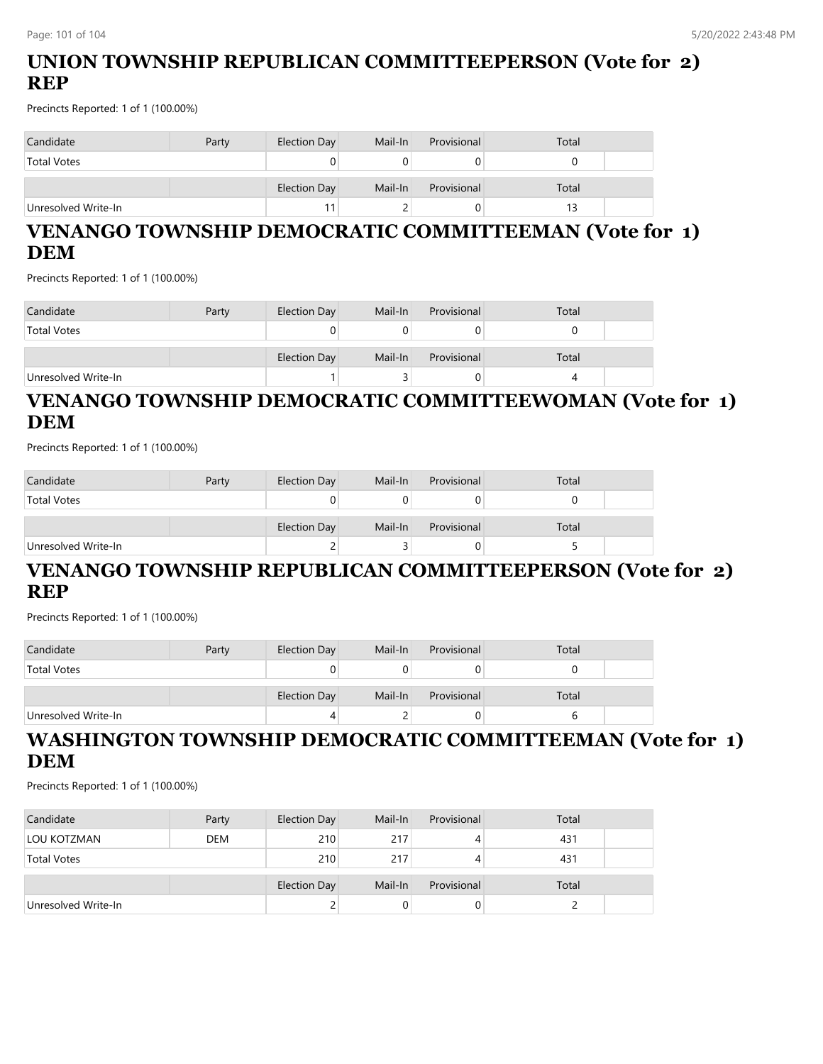## **UNION TOWNSHIP REPUBLICAN COMMITTEEPERSON (Vote for 2) REP**

Precincts Reported: 1 of 1 (100.00%)

| Candidate           | Party | Election Day | Mail-In | Provisional | Total |  |
|---------------------|-------|--------------|---------|-------------|-------|--|
| <b>Total Votes</b>  |       |              |         |             |       |  |
|                     |       | Election Day | Mail-In | Provisional | Total |  |
| Unresolved Write-In |       | 11           |         | J           |       |  |

## **VENANGO TOWNSHIP DEMOCRATIC COMMITTEEMAN (Vote for 1) DEM**

Precincts Reported: 1 of 1 (100.00%)

| Candidate           | Party | Election Day | Mail-In | Provisional | Total |  |
|---------------------|-------|--------------|---------|-------------|-------|--|
| <b>Total Votes</b>  |       | U            |         |             |       |  |
|                     |       | Election Day | Mail-In | Provisional | Total |  |
| Unresolved Write-In |       |              |         |             |       |  |

## **VENANGO TOWNSHIP DEMOCRATIC COMMITTEEWOMAN (Vote for 1) DEM**

Precincts Reported: 1 of 1 (100.00%)

| Candidate           | Party | Election Day | Mail-In | Provisional | Total |  |
|---------------------|-------|--------------|---------|-------------|-------|--|
| <b>Total Votes</b>  |       | 0            |         |             |       |  |
|                     |       | Election Day | Mail-In | Provisional | Total |  |
| Unresolved Write-In |       | ←            |         |             |       |  |

### **VENANGO TOWNSHIP REPUBLICAN COMMITTEEPERSON (Vote for 2) REP**

Precincts Reported: 1 of 1 (100.00%)

| Candidate           | Party | Election Day        | Mail-In | Provisional | Total |  |
|---------------------|-------|---------------------|---------|-------------|-------|--|
| <b>Total Votes</b>  |       |                     |         |             |       |  |
|                     |       | <b>Election Day</b> | Mail-In | Provisional | Total |  |
| Unresolved Write-In |       |                     |         |             |       |  |

## **WASHINGTON TOWNSHIP DEMOCRATIC COMMITTEEMAN (Vote for 1) DEM**

| Candidate           | Party      | Election Day | Mail-In | Provisional | Total |
|---------------------|------------|--------------|---------|-------------|-------|
| LOU KOTZMAN         | <b>DEM</b> | 210          | 217     | 4           | 431   |
| <b>Total Votes</b>  |            | 210          | 217     | 4           | 431   |
|                     |            | Election Day | Mail-In | Provisional | Total |
| Unresolved Write-In |            |              |         |             |       |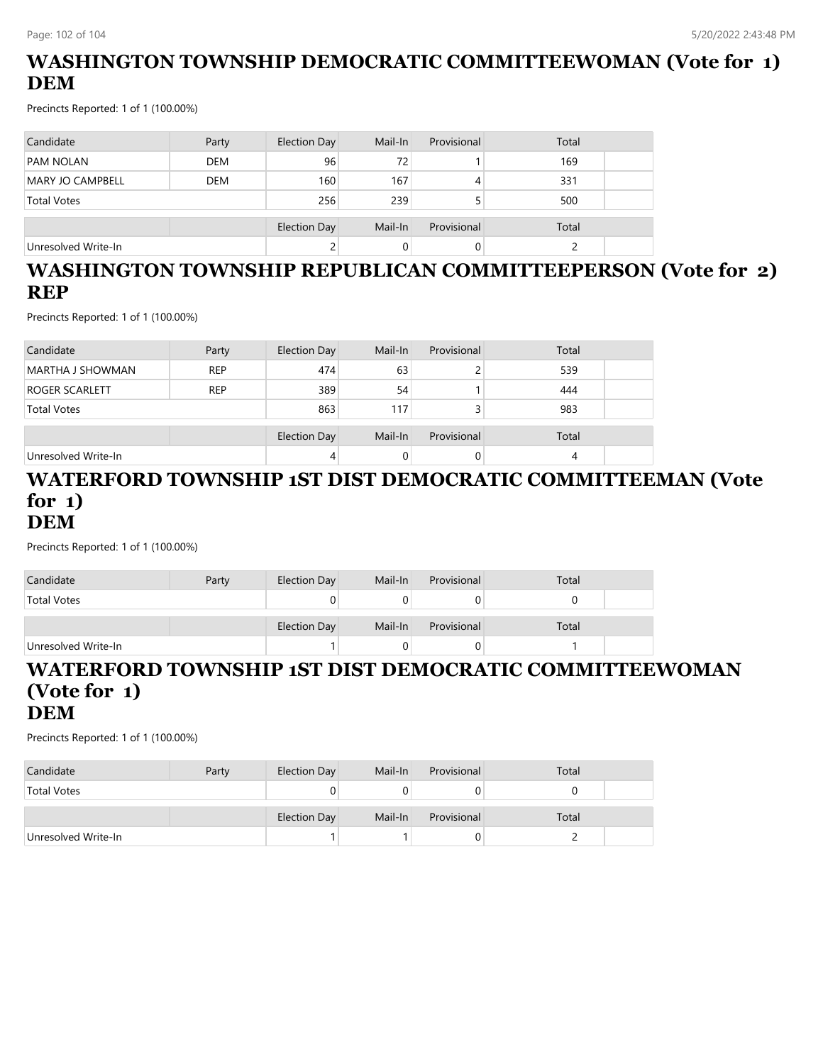## **WASHINGTON TOWNSHIP DEMOCRATIC COMMITTEEWOMAN (Vote for 1) DEM**

Precincts Reported: 1 of 1 (100.00%)

| Candidate               | Party      | Election Day | Mail-In | Provisional | Total |  |
|-------------------------|------------|--------------|---------|-------------|-------|--|
| <b>PAM NOLAN</b>        | <b>DEM</b> | 96           | 72      |             | 169   |  |
| <b>MARY JO CAMPBELL</b> | <b>DEM</b> | 160          | 167     |             | 331   |  |
| <b>Total Votes</b>      |            | 256          | 239     |             | 500   |  |
|                         |            | Election Day | Mail-In | Provisional | Total |  |
| Unresolved Write-In     |            | ے            |         |             |       |  |

## **WASHINGTON TOWNSHIP REPUBLICAN COMMITTEEPERSON (Vote for 2) REP**

Precincts Reported: 1 of 1 (100.00%)

| Candidate           | Party      | Election Day | Mail-In | Provisional | Total |  |
|---------------------|------------|--------------|---------|-------------|-------|--|
| MARTHA J SHOWMAN    | <b>REP</b> | 474          | 63      |             | 539   |  |
| ROGER SCARLETT      | <b>REP</b> | 389          | 54      |             | 444   |  |
| <b>Total Votes</b>  |            | 863          | 117     |             | 983   |  |
|                     |            | Election Day | Mail-In | Provisional | Total |  |
| Unresolved Write-In |            | 4            |         | 0           | 4     |  |

#### **WATERFORD TOWNSHIP 1ST DIST DEMOCRATIC COMMITTEEMAN (Vote for 1) DEM**

Precincts Reported: 1 of 1 (100.00%)

| Candidate           | Party | Election Day | Mail-In | Provisional | Total |  |
|---------------------|-------|--------------|---------|-------------|-------|--|
| <b>Total Votes</b>  |       |              |         |             |       |  |
|                     |       | Election Day | Mail-In | Provisional | Total |  |
| Unresolved Write-In |       |              |         |             |       |  |

#### **WATERFORD TOWNSHIP 1ST DIST DEMOCRATIC COMMITTEEWOMAN (Vote for 1) DEM**

| Candidate           | Party | Election Day        | Mail-In | Provisional | Total |  |
|---------------------|-------|---------------------|---------|-------------|-------|--|
| <b>Total Votes</b>  |       |                     |         |             |       |  |
|                     |       | <b>Election Day</b> | Mail-In | Provisional | Total |  |
| Unresolved Write-In |       |                     |         |             |       |  |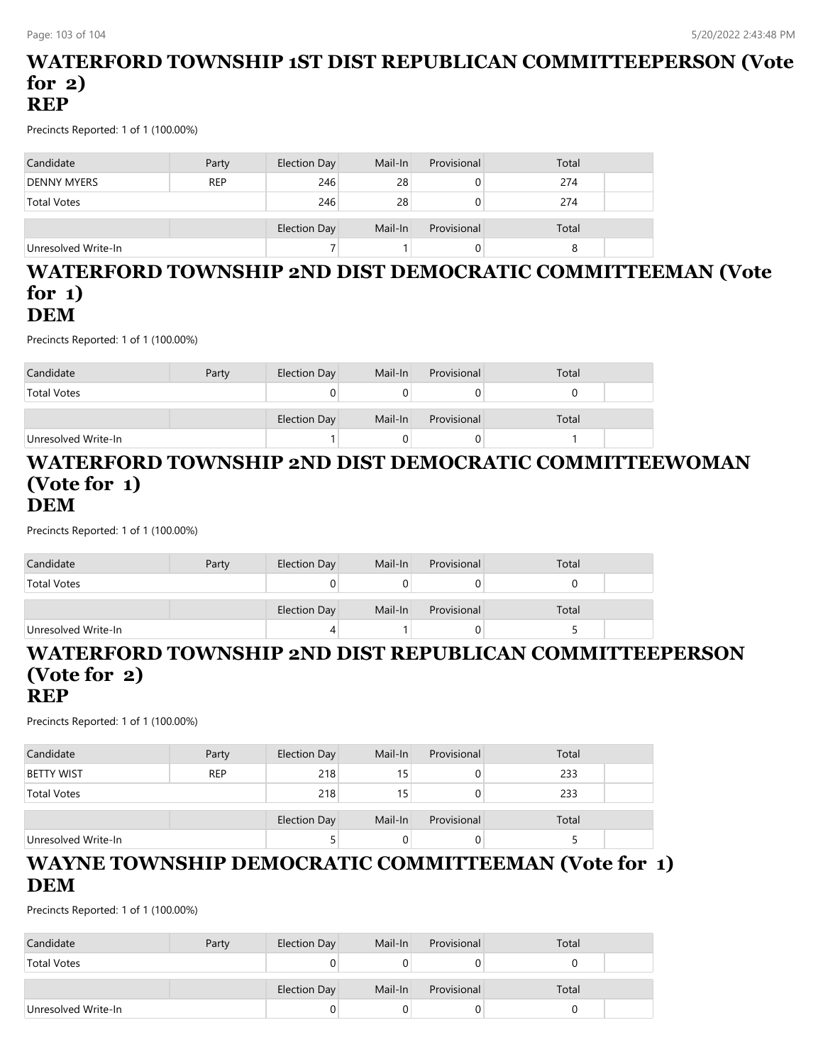#### **WATERFORD TOWNSHIP 1ST DIST REPUBLICAN COMMITTEEPERSON (Vote for 2) REP**

Precincts Reported: 1 of 1 (100.00%)

| Candidate           | Party      | Election Day | Mail-In | Provisional | Total |  |
|---------------------|------------|--------------|---------|-------------|-------|--|
| <b>DENNY MYERS</b>  | <b>REP</b> | 246          | 28      |             | 274   |  |
| <b>Total Votes</b>  |            | 246          | 28      |             | 274   |  |
|                     |            | Election Day | Mail-In | Provisional | Total |  |
| Unresolved Write-In |            |              |         |             |       |  |

#### **WATERFORD TOWNSHIP 2ND DIST DEMOCRATIC COMMITTEEMAN (Vote for 1) DEM**

Precincts Reported: 1 of 1 (100.00%)

| Candidate           | Party | Election Day | Mail-In | Provisional | Total |  |
|---------------------|-------|--------------|---------|-------------|-------|--|
| <b>Total Votes</b>  |       |              |         |             |       |  |
|                     |       | Election Day | Mail-In | Provisional | Total |  |
| Unresolved Write-In |       |              |         |             |       |  |

#### **WATERFORD TOWNSHIP 2ND DIST DEMOCRATIC COMMITTEEWOMAN (Vote for 1) DEM**

Precincts Reported: 1 of 1 (100.00%)

| Candidate           | Party | Election Day | Mail-In | Provisional | Total |  |
|---------------------|-------|--------------|---------|-------------|-------|--|
| <b>Total Votes</b>  |       |              |         |             |       |  |
|                     |       | Election Day | Mail-In | Provisional | Total |  |
| Unresolved Write-In |       | 4            |         | U           |       |  |

#### **WATERFORD TOWNSHIP 2ND DIST REPUBLICAN COMMITTEEPERSON (Vote for 2) REP**

Precincts Reported: 1 of 1 (100.00%)

| Candidate           | Party      | Election Day | Mail-In         | Provisional | Total |  |
|---------------------|------------|--------------|-----------------|-------------|-------|--|
| <b>BETTY WIST</b>   | <b>REP</b> | 218          | 15 <sub>1</sub> |             | 233   |  |
| <b>Total Votes</b>  |            | 218          | 15              |             | 233   |  |
|                     |            | Election Day | Mail-In         | Provisional | Total |  |
| Unresolved Write-In |            |              |                 | O           |       |  |

### **WAYNE TOWNSHIP DEMOCRATIC COMMITTEEMAN (Vote for 1) DEM**

| Candidate           | Party | Election Day | Mail-In | Provisional | Total |  |
|---------------------|-------|--------------|---------|-------------|-------|--|
| <b>Total Votes</b>  |       |              |         |             |       |  |
|                     |       | Election Day | Mail-In | Provisional | Total |  |
|                     |       |              |         |             |       |  |
| Unresolved Write-In |       |              |         |             |       |  |